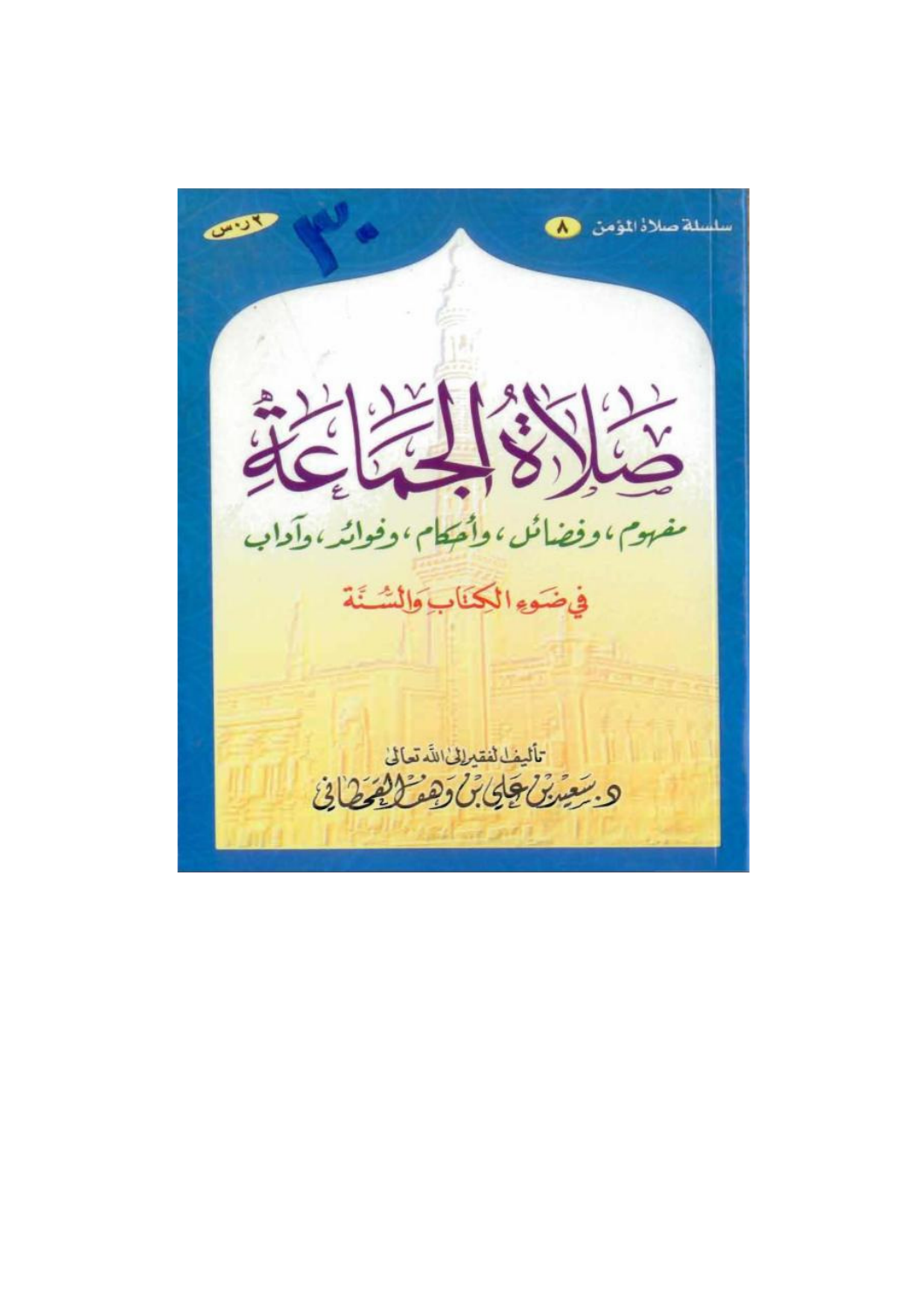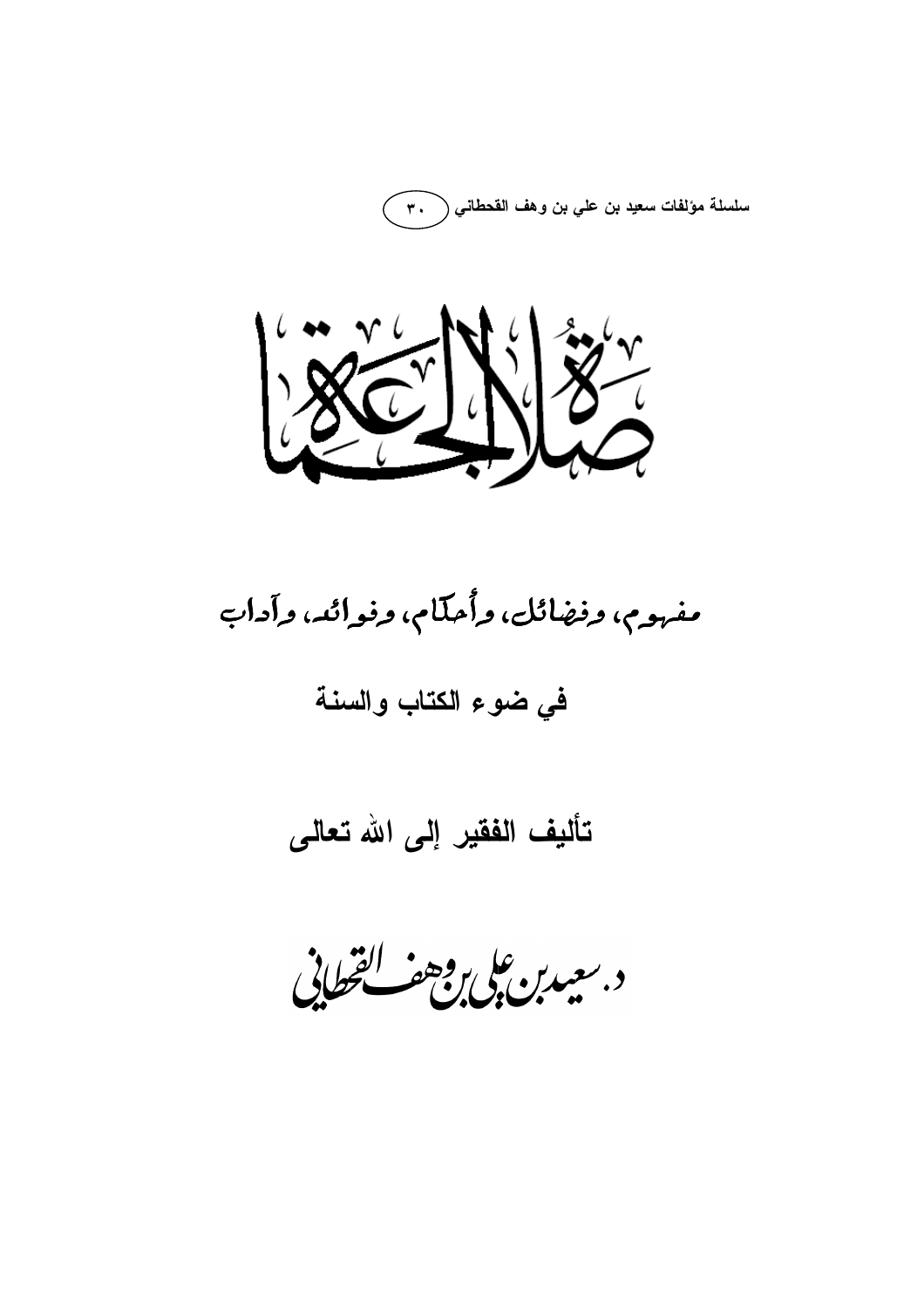سلسلة مؤلفات سعيد بن علي بن وهف القحطاني ( ٣٠



## مفهوم، وفضائل، وأُحكّام، وفوائد، وآداب

## في ضوع الكتاب والسنة

## تأليف الفقير إلى الله تعالى

د بعيدبن على وجعف للقطاني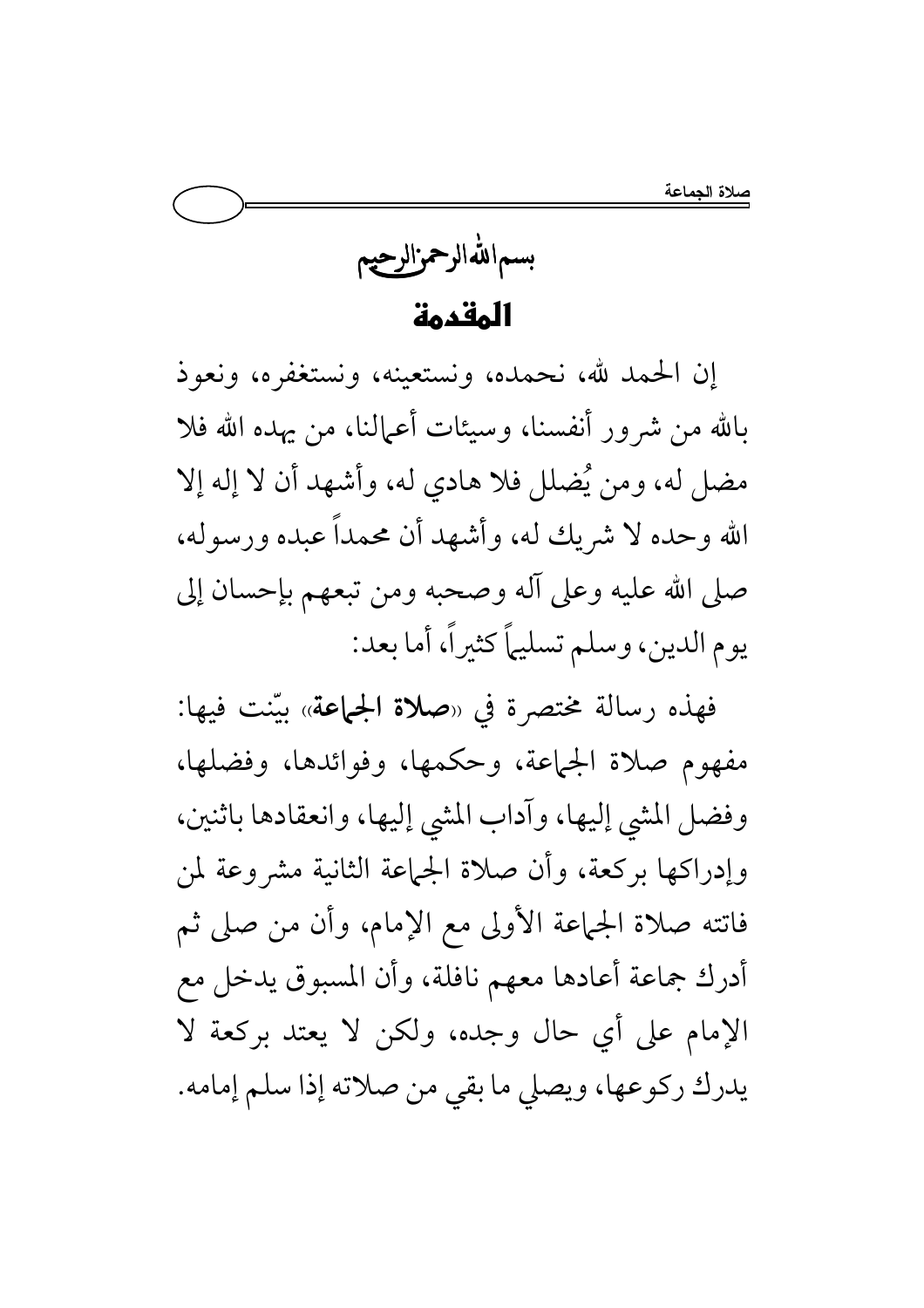بسماللهالرحمزالرحيم المقدمة

إن الحمد لله، نحمده، ونستعينه، ونستغفره، ونعوذ بالله من شرور أنفسنا، وسيئات أعمالنا، من يهده الله فلا مضل له، ومن يُضلل فلا هادي له، وأشهد أن لا إله إلا الله وحده لا شريك له، وأشهد أن محمداً عبده ورسوله، صلى الله عليه وعلى آله وصحبه ومن تبعهم بإحسان إلى يوم الدين، وسلم تسليهاً كثيراً، أما بعد:

فهذه رسالة مختصرة في «صلاة الجماعة» بيّنت فيها: مفهوم صلاة الجماعة، وحكمها، وفوائدها، وفضلها، وفضل المشي إليها، وآداب المشي إليها، وانعقادها باثنين، وإدراكها بركعة، وأن صلاة الجماعة الثانية مشروعة لمن فاتته صلاة الجماعة الأولى مع الإمام، وأن من صلى ثم أدرك جماعة أعادها معهم نافلة، وأن المسبوق يدخل مع الإمام على أي حال وجده، ولكن لا يعتد بركعة لا يدرك ركوعها، ويصلى ما بقى من صلاته إذا سلم إمامه.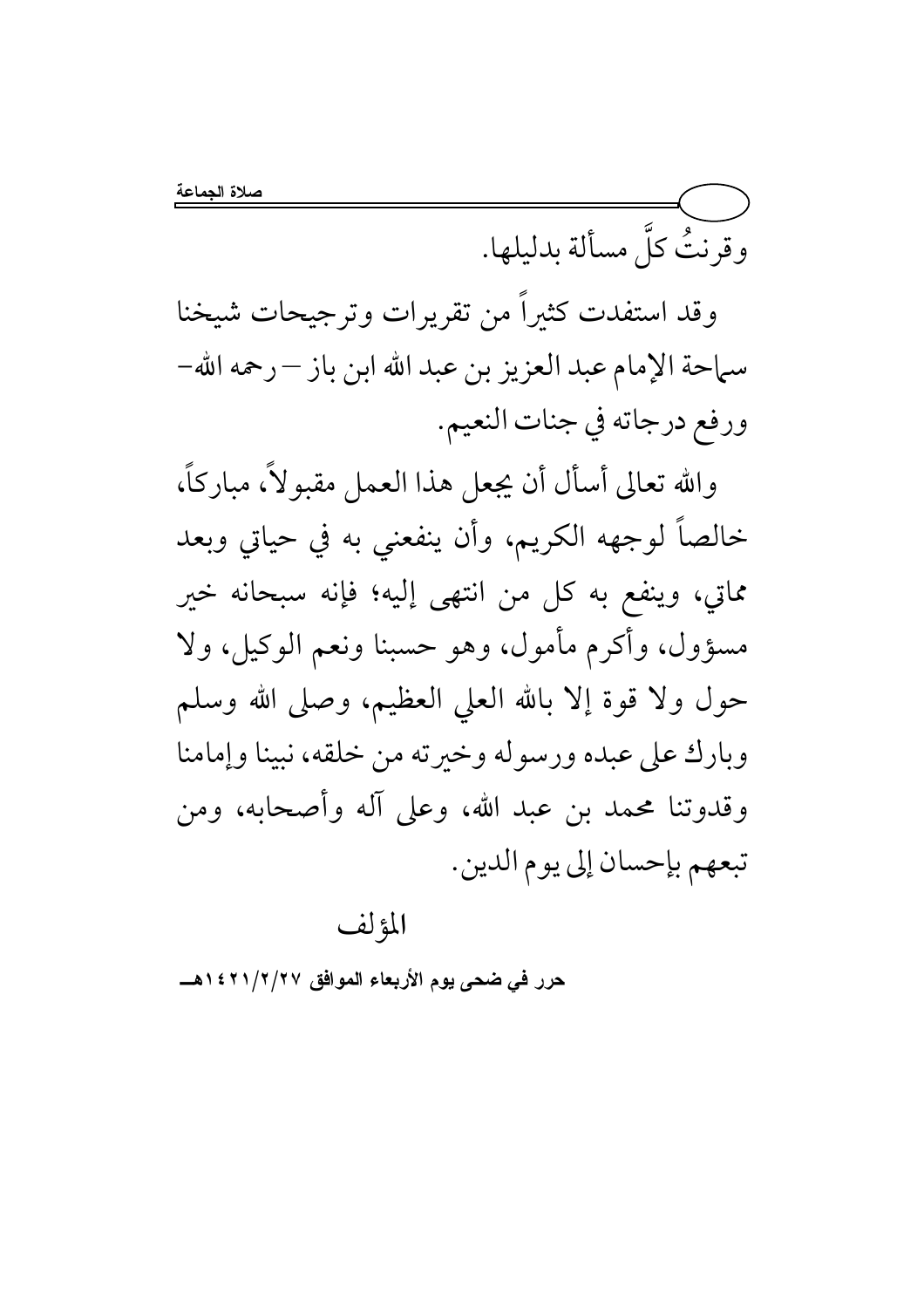وقرنتُ كلَّ مسألة بدليلها.

وقد استفدت كثيراً من تقريرات وترجيحات شيخنا سماحة الإمام عبد العزيز بن عبد الله ابن باز – رحمه الله– ورفع درجاته في جنات النعيم.

والله تعالى أسأل أن يجعل هذا العمل مقبولاً، مباركاً، خالصاً لوجهه الكريم، وأن ينفعني به في حياتي وبعد مماتي، وينفع به كل من انتهى إليه؛ فإنه سبحانه خير مسؤول، وأكرم مأمول، وهو حسبنا ونعم الوكيل، ولا حول ولا قوة إلا بالله العلى العظيم، وصلى الله وسلم وبارك على عبده ورسوله وخيرته من خلقه، نبينا وإمامنا وقدوتنا محمد بن عبد الله، وعلى آله وأصحابه، ومن تبعهم بإحسان إلى يوم الدين.

المؤلف

حرر في ضحى يوم الأربعاء الموافق ١٤٢١/٢/٢٧هـــ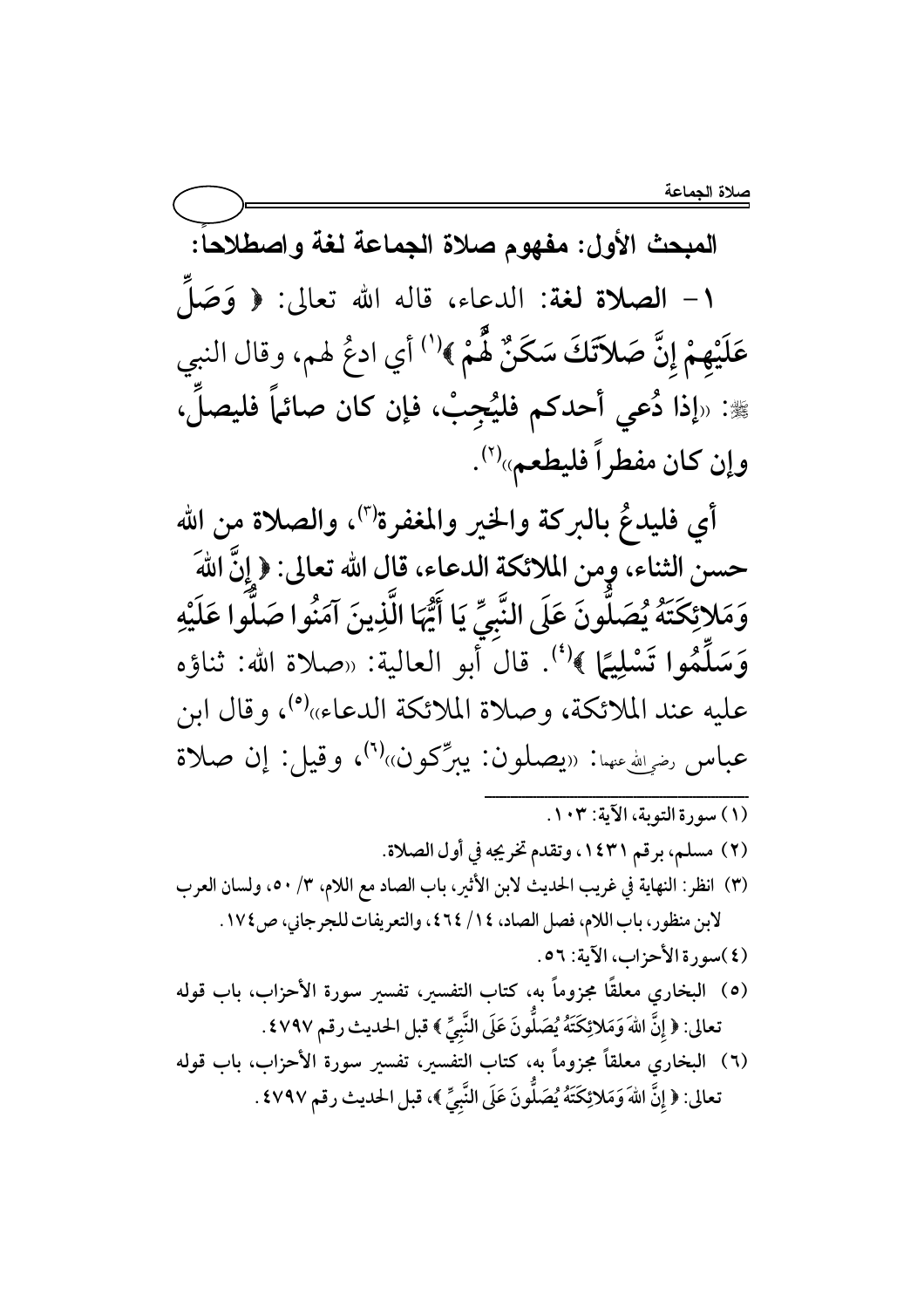صلاة الجماعة

المبحث الأول: مفهوم صلاة الجماعة لغة واصطلاحاً: ١ - الصلاة لغة: الدعاء، قاله الله تعالى: ﴿ وَصَلَّم عَلَيْهِمْ إِنَّ صَلاَتَكَ سَكَنٌ هُُمْ ﴾''' أي ادعُ لهم، وقال النبي ﷺ: «إذا دُعى أحدكم فليُجِبْ، فإن كان صائماً فليصلِّ، وإن كان مفطراً فليطعم»<sup>(٢)</sup>.

أي فليدعٌ بالبركة والخير والمغفرة")، والصلاة من الله حسن الثناء، وِمن الملائكة الدعاء، قال الله تعالى: ﴿ إِنَّ اللَّهَ وَمَلائِكَتَهُ يُصَلَّونَ عَلَى النَّبِيِّ يَا أَيُّهَا الَّذِينَ آمَنُوا صَلَّوا عَلَيْهِ وَسَلَّمُوا تَسْلِيًا ﴾ (''. قال أبو العالية: «صلاة الله: ثناؤه عليه عند الملائكة، وصلاة الملائكة الدعاء»(°)، وقال ابن عباس ر<sub>ضرالله</sub>ءسا: «يصلون: يبرِّكون»<sup>(٦)</sup>، وقيل: إن صلاة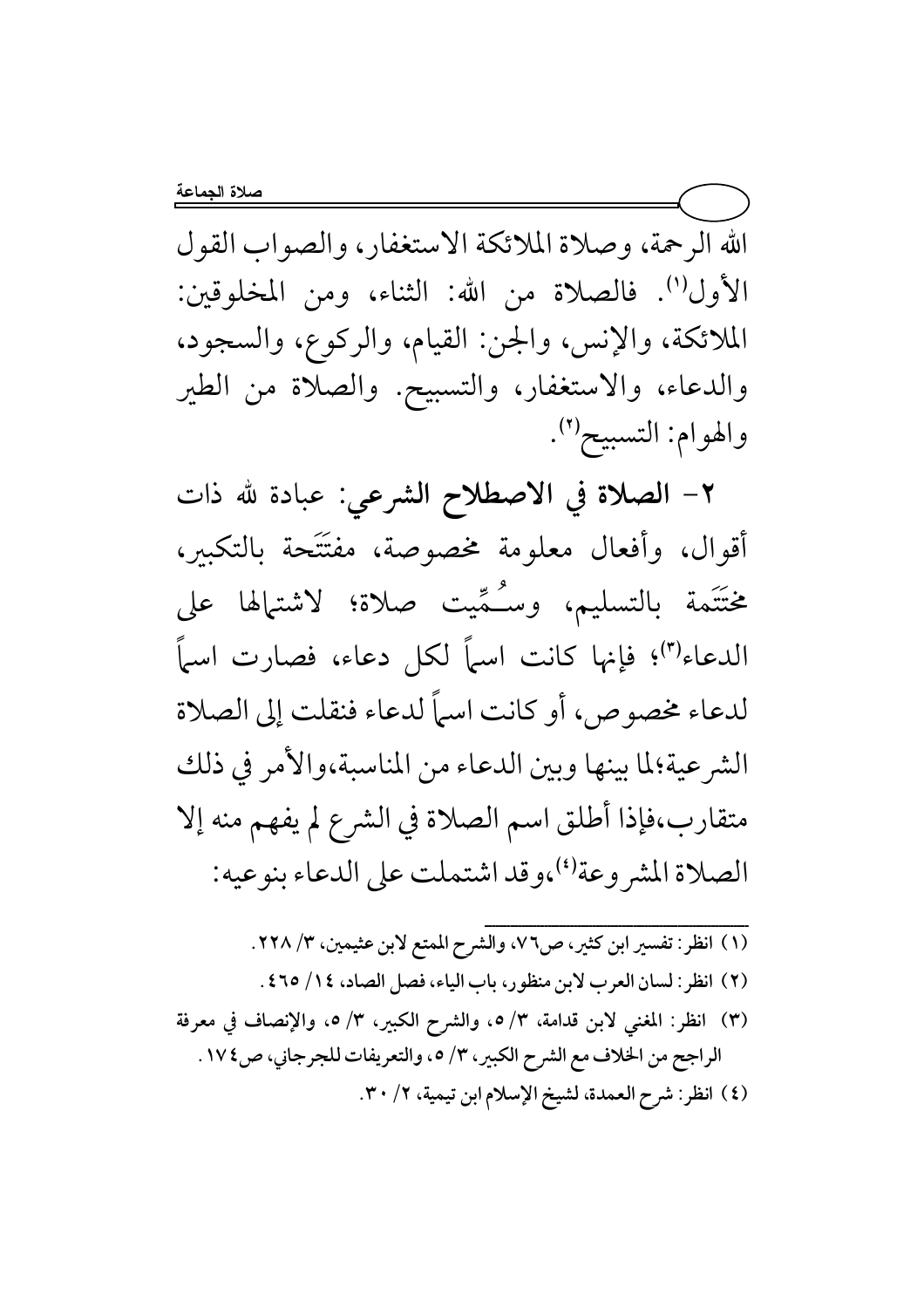الله الرحمة، وصلاة الملائكة الاستغفار، والصواب القول الأول''). فالصلاة من الله: الثناء، ومن المخلوقين: الملائكة، والإنس، والجن: القيام، والركوع، والسجود، والدعاء، والاستغفار، والتسبيح. والصلاة من الطير والهوام: التسبيح'').

٢- الصلاة في الاصطلاح الشرعي: عبادة لله ذات أقوال، وأفعال معلومة مخصوصة، مفتَتَحة بالتكبير، مختَتَمة بالتسليم، وسُـمِّيت صلاة؛ لاشتهالها على الدعاء")؛ فإنها كانت اسماً لكل دعاء، فصارت اسماً لدعاء مخصوص، أو كانت اسماً لدعاء فنقلت إلى الصلاة الشر عية؛لما بينها وبين الدعاء من المناسبة،والأمر في ذلك متقارب،فإذا أطلق اسم الصلاة في الشرع لم يفهم منه إلا الصلاة المشر وعة<sup>(٤)</sup>،وقد اشتملت على الدعاء بنو عيه:

- (١) انظر: تفسير ابن كثير، ص٧٦، والشرح الممتع لابن عثيمين، ٢٢٨/٣.
- (٢) انظر: لسان العرب لابن منظور، باب الياء، فصل الصاد، ١٤/ ٢٥، ٤.
- (٣) انظر: المغنى لابن قدامة، ٣/ ٥، والشرح الكبير، ٣/ ٥، والإنصاف في معرفة الراجح من الخلاف مع الشرح الكبير، ٣/ ٥، والتعريفات للجرجاني، ص ١٧٤. (٤) انظر: شرح العمدة، لشيخ الإسلام ابن تيمية، ٢/ ٣٠.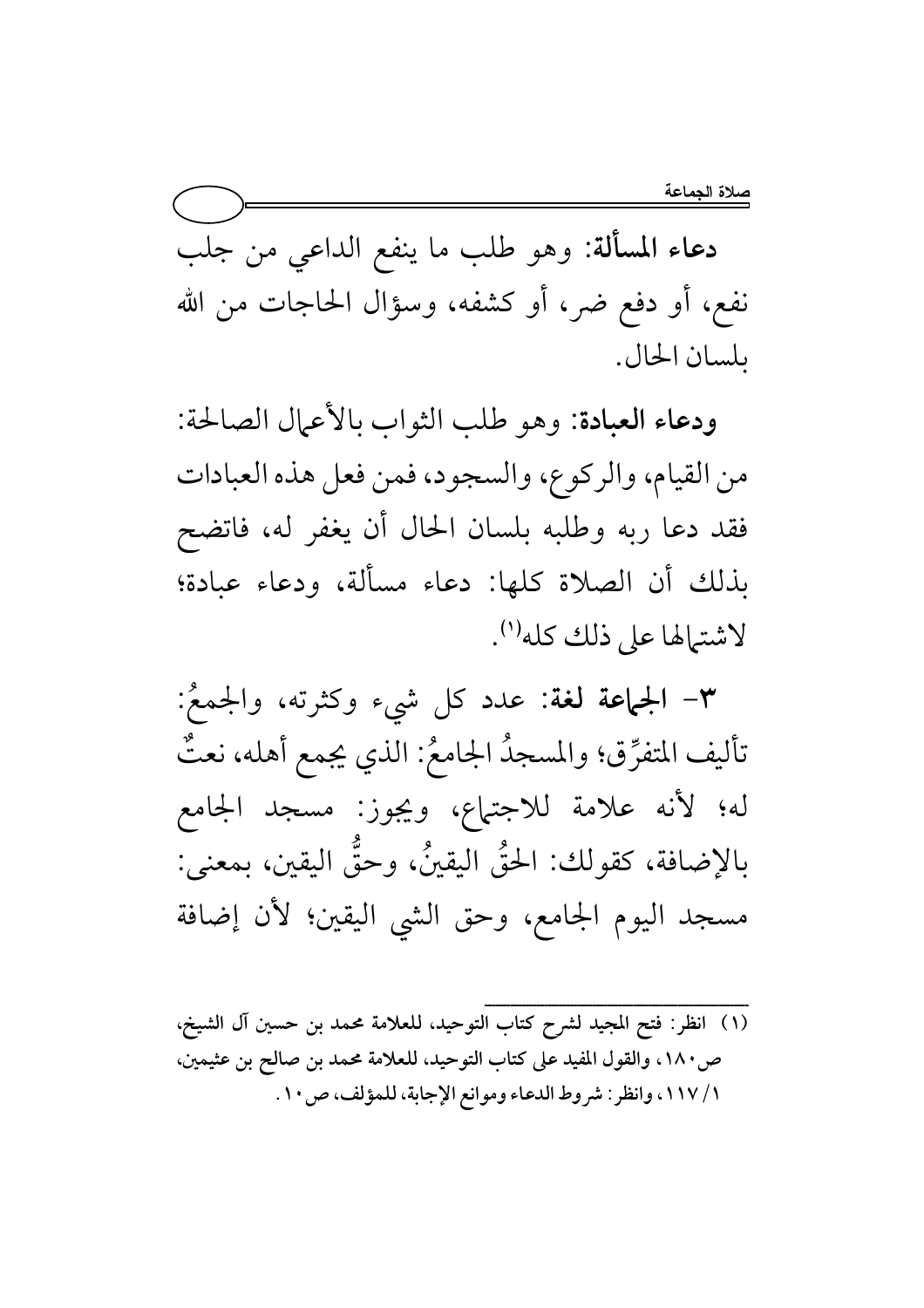دعاء المسألة: وهو طلب ما ينفع الداعي من جلب نفع، أو دفع ضر، أو كشفه، وسؤال الحاجات من الله ىلسان الحال.

ودعاء العبادة: وهو طلب الثواب بالأعمال الصالحة: من القيام، والركوع، والسجود، فمن فعل هذه العبادات فقد دعا ربه وطلبه بلسان الحال أن يغفر له، فاتضح بذلك أن الصلاة كلها: دعاء مسألة، ودعاء عبادة؛ لاشترالها على ذلك كله''.

٣- الجماعة لغة: عدد كل شيء وكثرته، والجمعُ: تأليف المتفرِّق؛ والمسجدُ الجامعُ: الذي يجمع أهله، نعتٌ له؛ لأنه علامة للاجتهاع، ويجوز: مسجد الجامع بالإضافة، كقولك: الحقُّ اليقينُ، وحقَّ اليقين، بمعنى: مسجد اليوم الجامع، وحق الشي اليقين؛ لأن إضافة

ص ١٨٠، والقول المفيد على كتاب التوحيد، للعلامة محمد بن صالح بن عثيمين، ١ / ١١٧، وانظر : شروط الدعاء وموانع الإجابة، للمؤلف، ص ١٠.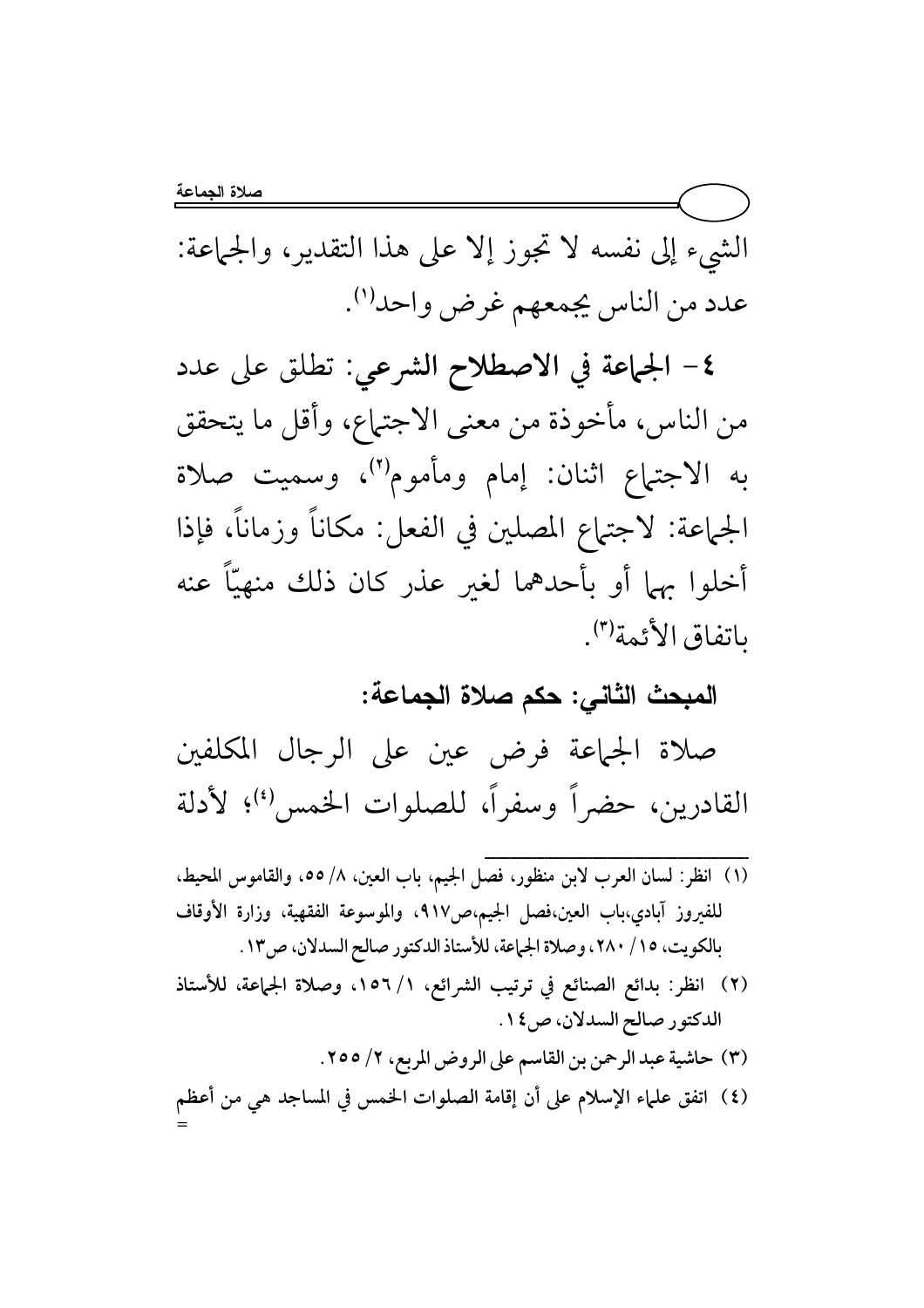الشيء إلى نفسه لا تجوز إلا على هذا التقدير، والجماعة: عدد من الناس يجمعهم غرض واحد<sup>(١)</sup>.

٤- الجماعة في الاصطلاح الشرعي: تطلق على عدد من الناس، مأخوذة من معنى الاجتماع، وأقل ما يتحقق به الاجتهاع اثنان: إمام ومأموم'')، وسميت صلاة الجماعة: لاجتهاع المصلين في الفعل: مكاناً وزماناً، فإذا أخلوا بهما أو بأحدهما لغير عذر كان ذلك منهيّاً عنه باتفاق الأئمة".

المبحث الثاني: حكم صلاة الجماعة:

صلاة الجماعة فرض عين على الرجال المكلفين القادرين، حضراً وسفراً، للصلوات الخمس'')؛ لأدلة

- (١) انظر: لسان العرب لابن منظور، فصل الجيم، باب العين، ٨/ ٥٥، والقاموس المحيط، للفيروز آبادي،باب العين،فصل الجيم،ص٩١٧، والموسوعة الفقهية، وزارة الأوقاف بالكويت، ٢٥/ ٢٨٠، وصلاة الجماعة، للأستاذ الدكتور صالح السدلان، ص١٣.
- (٢) انظر: بدائع الصنائع في ترتيب الشرائع، ١/ ١٥٦، وصلاة الجماعة، للأستاذ الدكتور صالح السدلان، ص١٤.
	- (٣) حاشية عبد الرحمن بن القاسم على الروض المربع، ٢/ ٢٥٥.

(٤) اتفق علماء الإسلام على أن إقامة الصلوات الخمس في المساجد هي من أعظم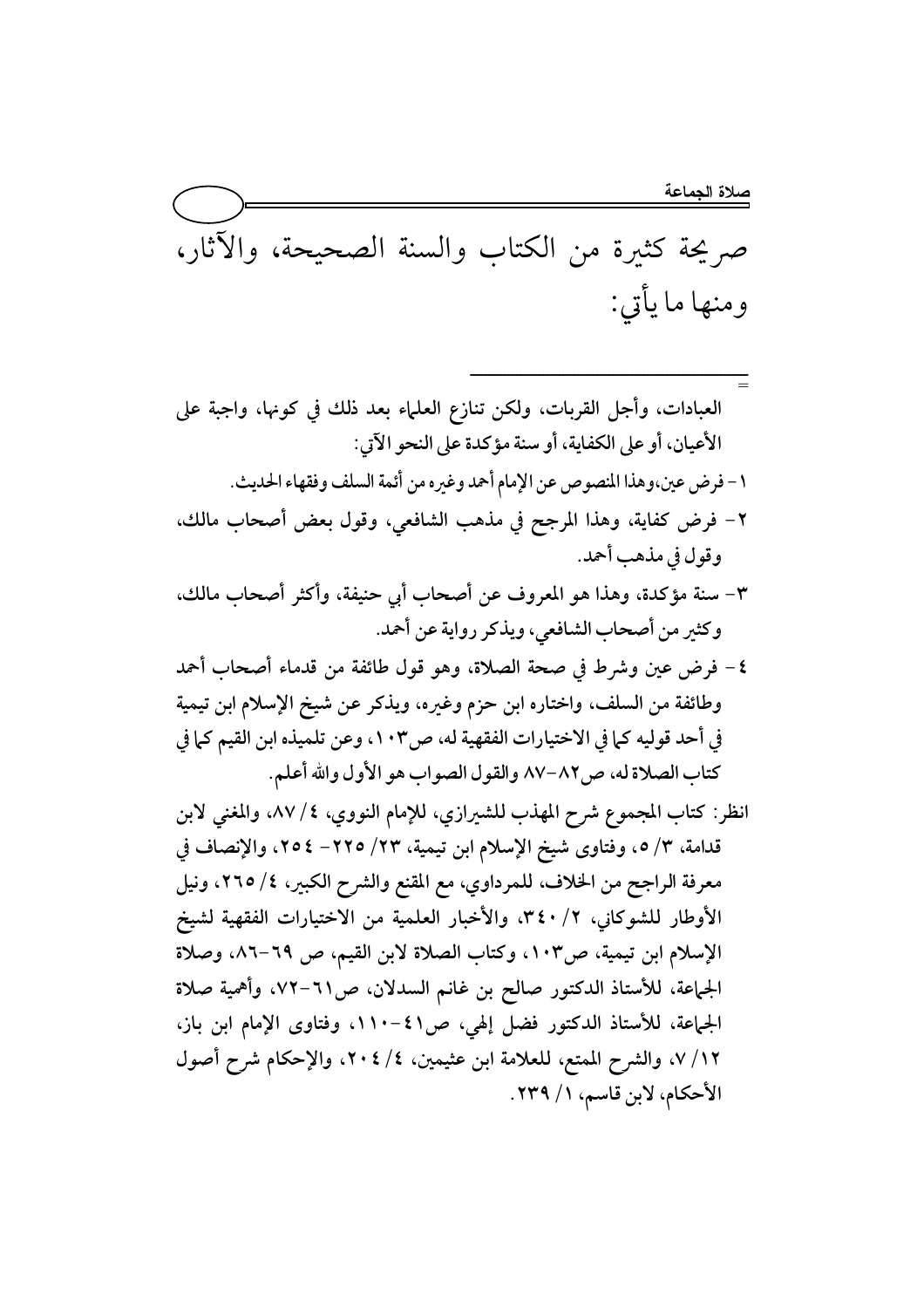ــــــــــــــــــــــــــــــــــــــــــــــــــــــــــــــــــــــــ

صر يحة كثيرة من الكتاب والسنة الصحيحة، والآثار، ومنها ما يأتي:

= العبادات، وأجل القربات، ولكن تنازع العلماء بعد ذلك في كونها، واجبة على الأعيان، أو على الكفاية، أو سنة مؤكدة على النحو الآتي: 1 – فرض عين،وهذا المنصوص عن الإمام أحمد وغيره من أئمة السلف وفقهاء الحديث. ٢− فرض كفاية، وهذا المرجح في مذهب الشافعي، وقول بعض أصحاب مالك، وقول في مذهب أحمد.

- ٣- سنة مؤكدة، وهذا هو المعروف عن أصحاب أبي حنيفة، وأكثر أصحاب مالك، وكثير من أصحاب الشافعي، ويذكر رواية عن أحمد.
- ٤ فرض عين وشرط في صحة الصلاة، وهو قول طائفة من قدماء أصحاب أحمد وطائفة من السلف، واختاره ابن حزم وغيره، ويذكر عن شيخ الإسلام ابن تيمية في أحد قوليه كما في الاختيارات الفقهية له، ص١٠٣، وعن تلميذه ابن القيم كما في كتاب الصلاة له، ص٨٢−٨٧ والقول الصواب هو الأول والله أعلم.
- انظر: كتاب المجموع شرح المهذب للشيرازي، للإمام النووي، ٤/ ٨٧، والمغنى لابن قدامة، ٣/ ٥، وفتاوى شيخ الإسلام ابن تيمية، ٢٣/ ٢٢٥- ٢٥٤، والإنصاف في معرفة الراجح من الخلاف، للمرداوي، مع المقنع والشرح الكبير، ٤/ ٢٦٥، ونيل الأوطار للشوكاني، ٢/ ٣٤٠، والأخبار العلمية من الاختيارات الفقهية لشيخ الإسلام ابن تيمية، ص١٠٣، وكتاب الصلاة لابن القيم، ص ٦٩–٨٦، وصلاة الجماعة، للأستاذ الدكتور صالح بن غانم السدلان، ص11−٧٢، وأهمية صلاة الجماعة، للأستاذ الدكتور فضل إلهي، ص١١. -١١٠، وفتاوى الإمام ابن باز، ٠٧/١٢، والشرح الممتع، للعلامة ابن عثيمين، ٤/ ٢٠٤، والإحكام شرح أصول الأحكام، لابن قاسم، ١ / ٢٣٩.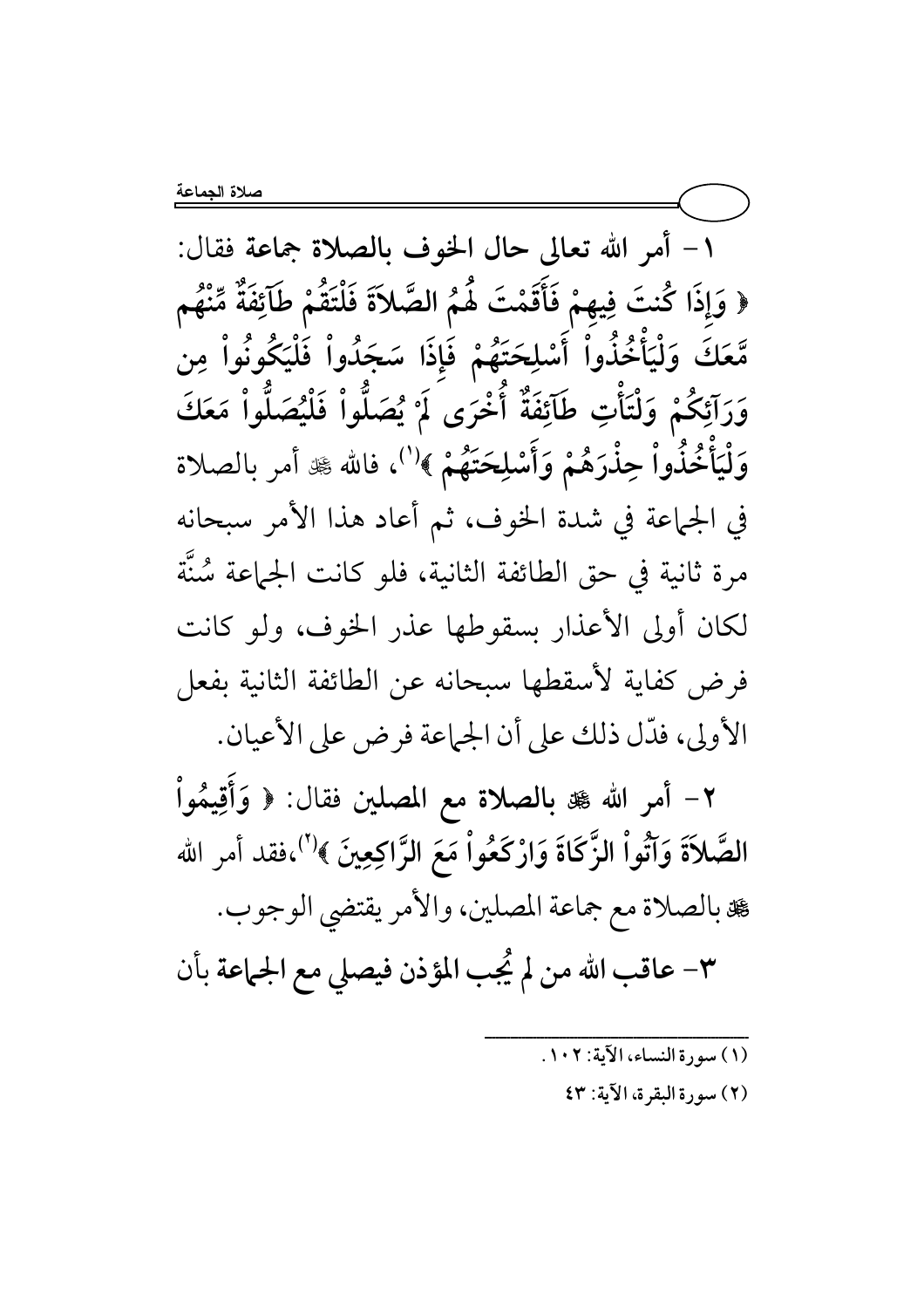١ - أمر الله تعالى حال الخوف بالصلاة جماعة فقال: ﴿ وَإِذَا كُنتَ فِيهِمْ فَأَقَمْتَ هُمُ الصَّلاَةَ فَلْتَقُمْ طَآئِفَةٌ مِّنْهُم مَّعَكَ وَلْيَأْخُذُواْ أَسْلِحَتَهُمْ فَإِذَا سَجَدُواْ فَلْيَكُونُواْ مِن وَرَآئِكُمْ وَلْتَأْتِ طَآئِفَةٌ أَخْرَى لَمْ يُصَلُّواْ فَلْيُصَلُّواْ مَعَكَ وَلْيَأْخُذُواْ حِذْرَهُمْ وَأَسْلِحَتَهُمْ ﴾'''، فالله ﷺ أمر بالصلاة في الجماعة في شدة الخوف، ثم أعاد هذا الأمر سبحانه مرة ثانية في حق الطائفة الثانية، فلو كانت الجماعة سُنَّة لكان أولى الأعذار بسقوطها عذر الخوف، ولو كانت فرض كفاية لأسقطها سبحانه عن الطائفة الثانية بفعل الأولى، فدَّل ذلك على أن الجماعة فرض على الأعيان.

٢- أمر الله ﷺ بالصلاة مع المصلين فقال: ﴿ وَأَقِيمُواْ الصَّلاَةَ وَآتُواْ الزَّكَاةَ وَارْكَعُواْ مَعَ الزَّاكِعِينَ ﴾'''،فقد أمر الله عة بالصلاة مع جماعة المصلين، والأمر يقتضي الوجوب. ٣- عاقب الله من لم يُجب المؤذن فيصلى مع الجماعة بأن

- (١) سورة النساء، الآية: ١٠٢.
	- (٢) سورة البقرة، الآية: ٤٣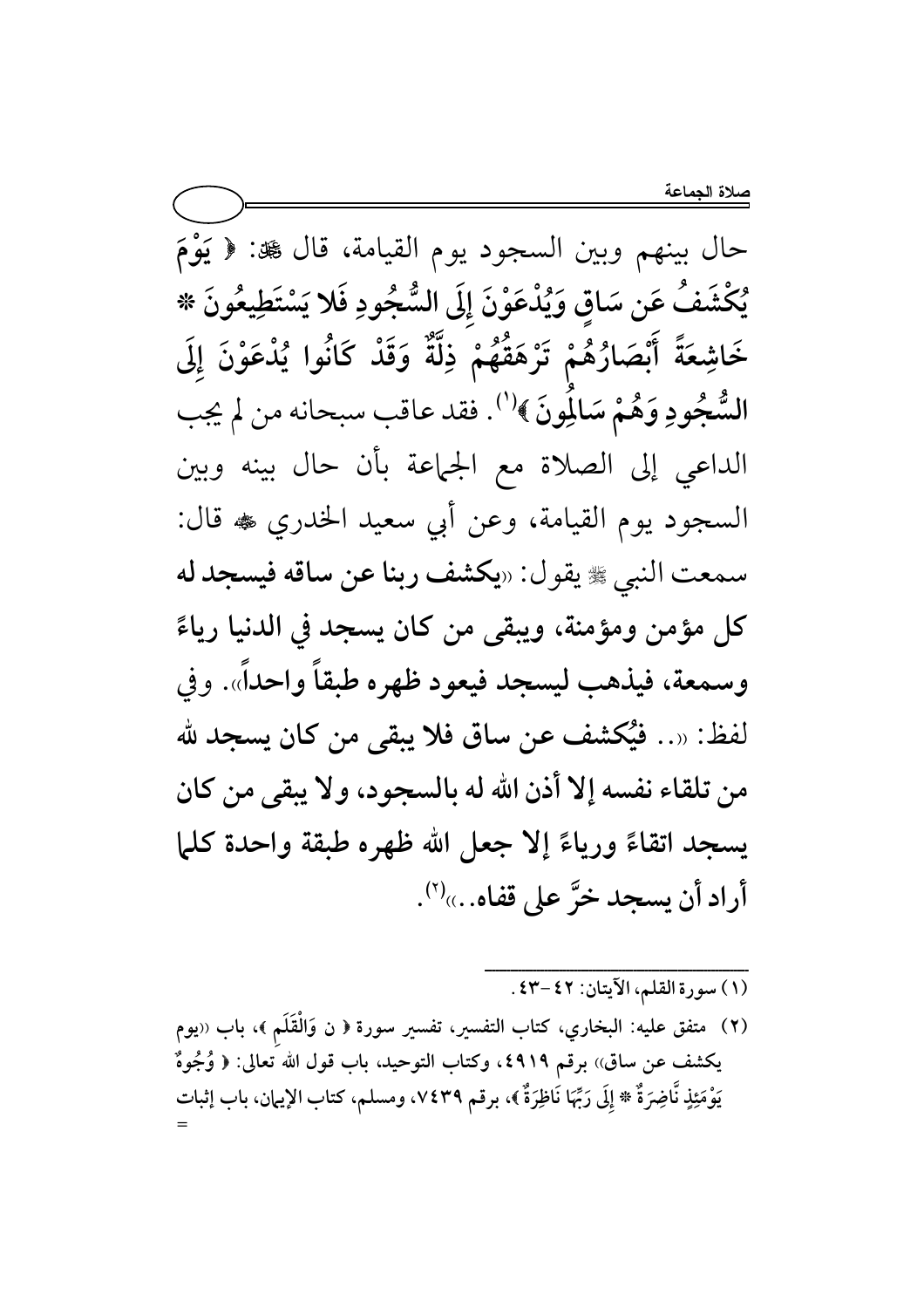حال بينهم وبين السجود يوم القيامة، قال ﷺ: ﴿ يَوْمَ يُكْشَفُ عَن سَاقِ وَيُدْعَوْنَ إِلَى السُّجُودِ فَلا يَسْتَطِيعُونَ \* خَاشِعَةً أَبْصَارُهُمْ تَرْهَقُهُمْ ذِلَّةٌ وَقَدْ كَانُوا يُدْعَوْنَ إِلَى السُّجُودِ وَهُمْ سَالِمُونَ ﴾'''. فقد عاقب سبحانه من لم يجب الداعي إلى الصلاة مع الجماعة بأن حال بينه وبين السجود يوم القيامة، وعن أبي سعيد الخدري ۞ قال: سمعت النبي ﷺ يقول: «يكشف ربنا عن ساقه فيسجد له كل مؤمن ومؤمنة، ويبقى من كان يسجد في الدنيا رياءً وسمعة، فيذهب ليسجد فيعود ظهره طبقاً واحداً». وفي لفظ: «.. فيُكشف عن ساق فلا يبقى من كان يسجد لله من تلقاء نفسه إلا أذن الله له بالسجود، ولا يبقى من كان يسجد اتقاءً ورياءً إلا جعل الله ظهره طبقة واحدة كلما أراد أن يسجد خرَّ على قفاه...)(").

(١) سورة القلم، الآيتان: ٤٢-٤٣.

(٢) متفق عليه: البخاري، كتاب التفسير، تفسير سورة ﴿ ن وَالْقَلَمِ ﴾، باب ‹‹يوم يكشف عن ساق)) برقم ٤٩١٩، وكتاب التوحيد، باب قول الله تعالى: ﴿ وُجُوهٌ يَوْمَئِذٍ نَّاضِرَةٌ \* إِلَى رَبِّهَا نَاظِرَةٌ ﴾، برقم ٧٤٣٩، ومسلم، كتاب الإيمان، باب إثبات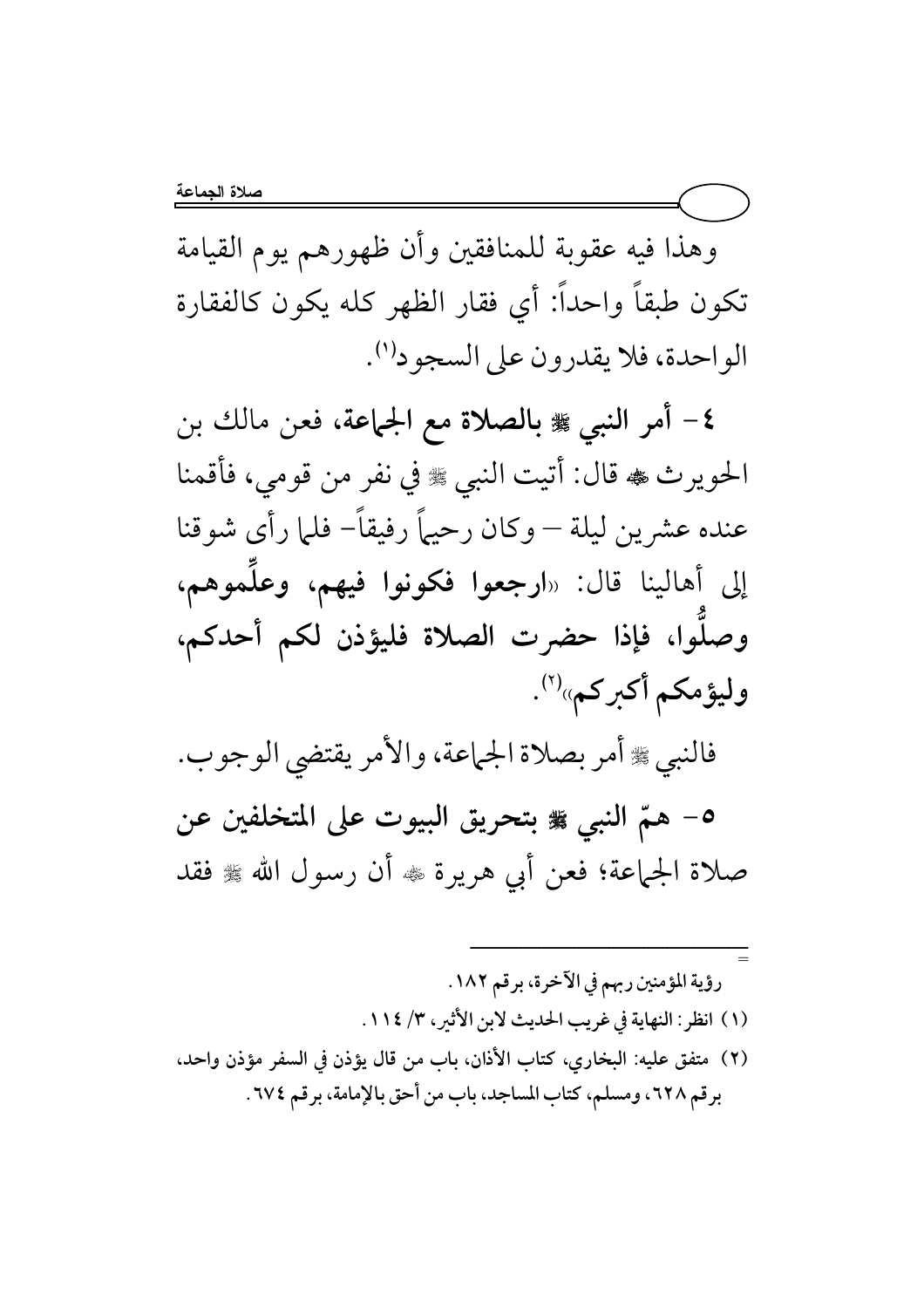وهذا فيه عقوبة للمنافقين وأن ظهورهم يوم القيامة تكون طبقاً واحداً: أي فقار الظهر كله يكون كالفقارة الواحدة، فلا يقدرون على السجودا".

٤- أمر النبي ﷺ بالصلاة مع الجماعة، فعن مالك بن الحويرث ، قال: أتيت النبي ، وفي نفر من قومي، فأقمنا عنده عشرين ليلة — وكان رحيهاً رفيقاً– فلما رأى شوقنا إلى أهالينا قال: «ارجعوا فكونوا فيهم، وعلَموهم، وصلُّوا، فإذا حضرت الصلاة فليؤذن لكم أحدكم، وليؤمكم أكبركم»<sup>(٢)</sup>.

فالنبي ﷺ أمر بصلاة الجماعة، والأمر يقتضي الوجوب.

٥- همّ النبي ۞ بتحريق البيوت على المتخلفين عن صلاة الجماعة؛ فعن أبي هريرة ۞ أن رسول الله ﷺ فقد

رؤية المؤمنين ربهم في الآخرة، برقم ١٨٢. (١) انظر: النهاية في غريب الحديث لابن الأثير، ٣/ ١١٤. (٢) متفق عليه: البخاري، كتاب الأذان، باب من قال يؤذن في السفر مؤذن واحد، برقم ٦٢٨، ومسلم، كتاب المساجد، باب من أحق بالإمامة، برقم ٢٧٤.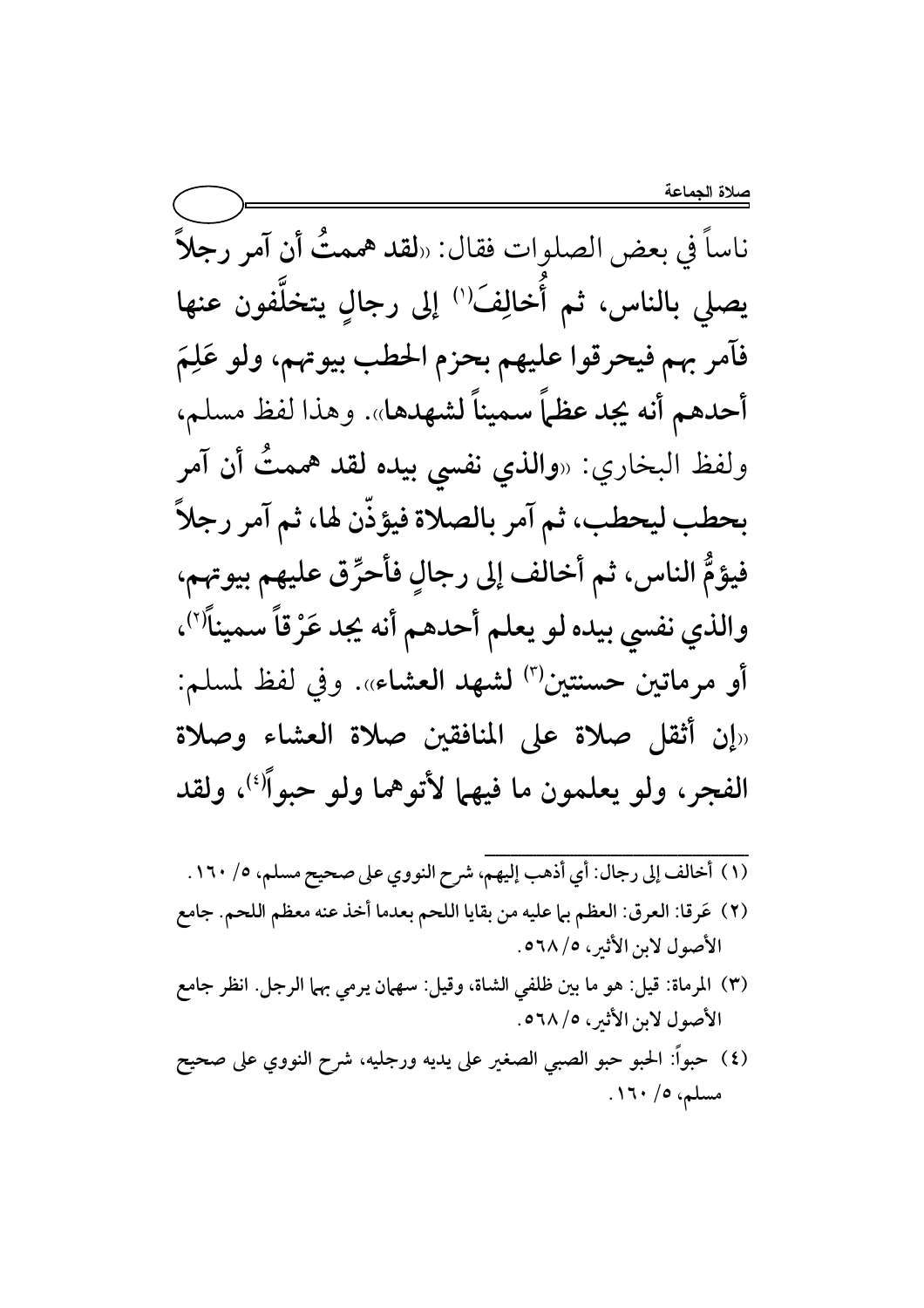ناساً في بعض الصلوات فقال: «لقد هممتُ أن آمر رجلاً يصلى بالناس، ثم أخالِفَ<sup>(י)</sup> إلى رجالٍ يتخلَّفون عنها فآمر بهم فيحرقوا عليهم بحزم الحطب بيوتهم، ولو عَلِمَ أحدهم أنه يجد عظماً سميناً لشهدها». وهذا لفظ مسلم، ولفظ البخاري: «**والذي نفسي بيده لقد هممتٌ أن آمر** بحطب ليحطب، ثم آمر بالصلاة فيؤذّن لها، ثم آمر رجلاً فيؤمُّ الناس، ثم أخالف إلى رجالٍ فأحرِّق عليهم بيوتهم، والذي نفسى بيده لو يعلم أحدهم أنه يجد عَرْقاً سميناً'')، أو مرماتين حسنتين<sup>(٣)</sup> لشهد العشاء». وفي لفظ لمسلم: «إن أثقل صلاة على المنافقين صلاة العشاء وصلاة الفجر، ولو يعلمون ما فيهما لأتوهما ولو حبواً<sup>(؛)</sup>، ولقد

- (١) أخالف إلى رجال: أي أذهب إليهم، شرح النووي على صحيح مسلم، ٥/ ١٦٠. (٢) عَرِقا: العرق: العظم بيا عليه من بقايا اللحم بعدما أخذ عنه معظم اللحم. جامع الأصول لابن الأثير، ٥٦٨/٥.
- (٣) المرماة: قيل: هو ما بين ظلفي الشاة، وقيل: سهمان يرمي بهما الرجل. انظر جامع الأصول لابن الأثير، ٥٦٨/٥.
- (٤) حبواً: الحبو حبو الصبي الصغير على يديه ورجليه، شرح النووي على صحيح مسلم، ٥/ ١٦٠.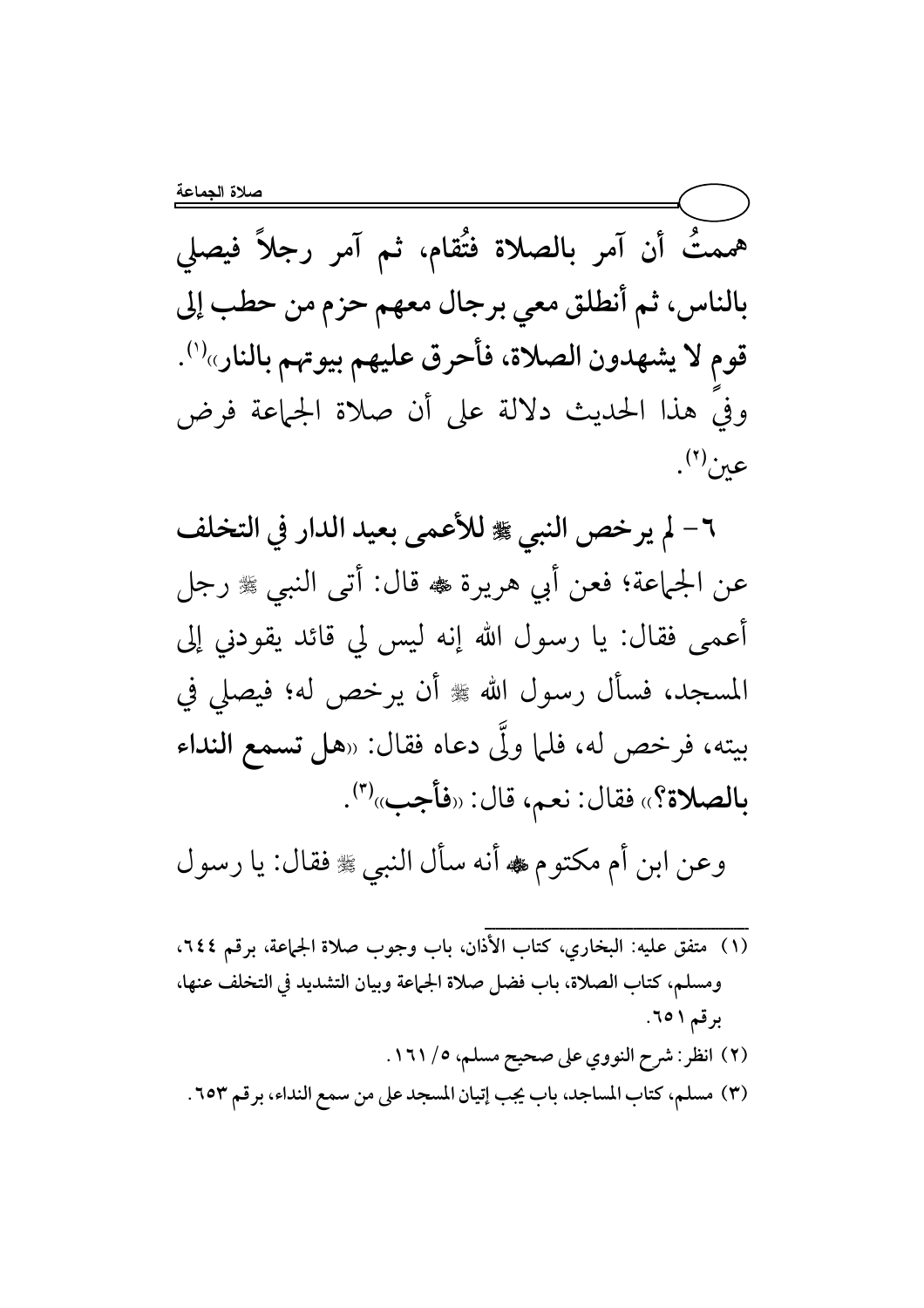هممتُ أن آمر بالصلاة فتُقام، ثم آمر رجلاً فيصلى بالناس، ثم أنطلق معي برجال معهم حزم من حطب إلى قوم لا يشهدون الصلاة، فأحرق عليهم بيوتهم بالنار»('). وفيَ هذا الحديث دلالة على أن صلاة الجماعة فرض  $\mathfrak{so}^{\left(\mathfrak{r}\right)}$ .

٦ – لم يرخص النبي ﷺ للأعمى بعيد الدار في التخلف عن الجماعة؛ فعن أبي هريرة ﷺ قال: أتى النبي ﷺ رجل أعمى فقال: يا رسول الله إنه ليس لي قائد يقودني إلى المسجد، فسأل رسول الله ﷺ أن يرخص له؛ فيصلى في بيته، فرخص له، فلما ولَّى دعاه فقال: «هل تسمع النداء بالصلاة؟» فقال: نعم، قال: «فأجب»<sup>(٣)</sup>.

وعن ابن أم مكتوم ، أنه سأل النبي ، فقال: يا رسول

ومسلم، كتاب الصلاة، باب فضل صلاة الجماعة وبيان التشديد في التخلف عنها، برقم ٥١. (٢) انظر: شرح النووي على صحيح مسلم، ٥/ ١٦١. (٣) مسلم، كتاب المساجد، باب يجب إتيان المسجد على من سمع النداء، برقم ٢٥٣.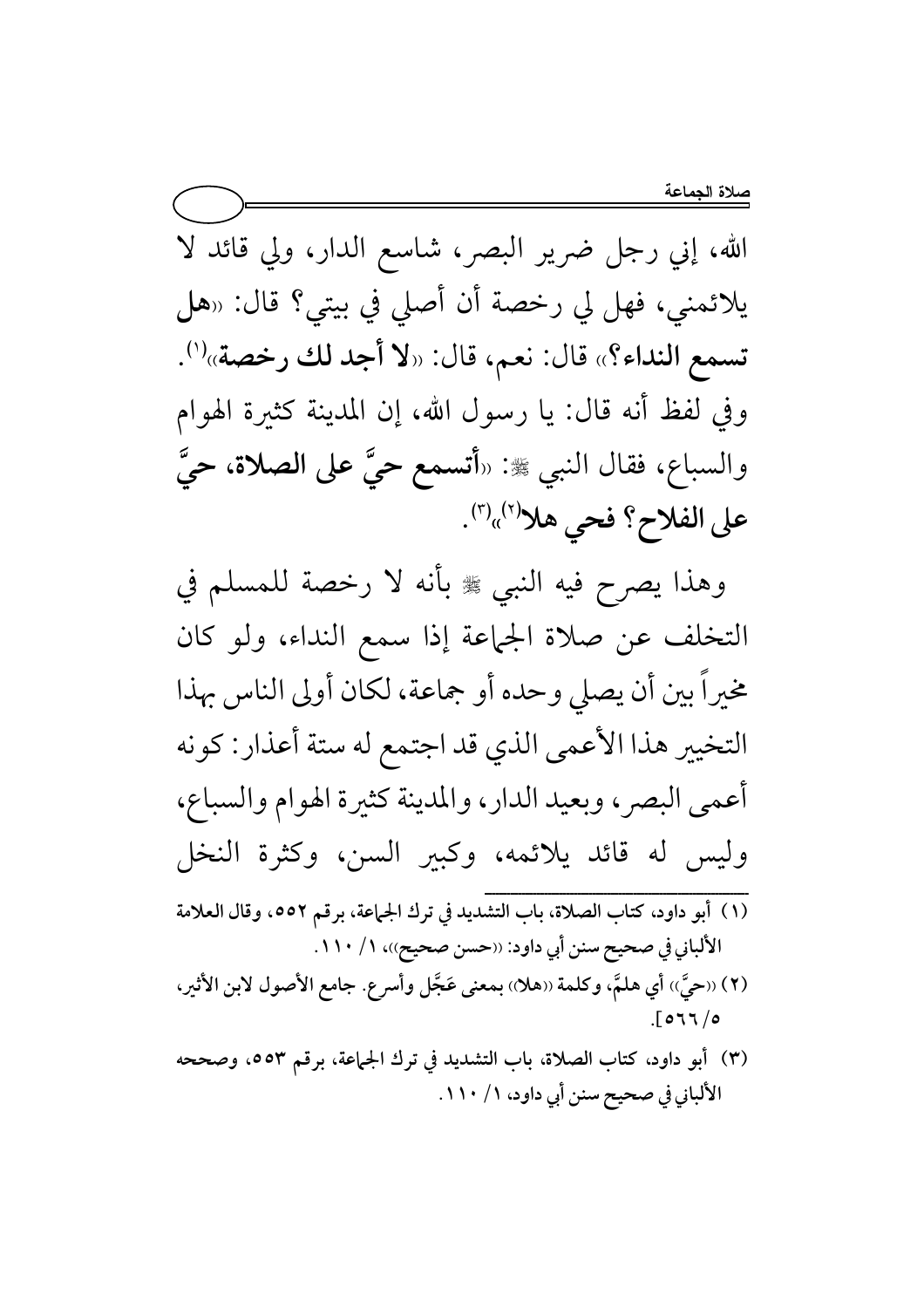الله، إني رجل ضرير البصر، شاسع الدار، ولي قائد لا يلائمني، فهل لي رخصة أن أصلي في بيتي؟ قال: «هل تسمع النداء؟» قال: نعم، قال: «لا أجد لك رخصة»<sup>(י)</sup>. وفي لفظ أنه قال: يا رسول الله، إن المدينة كثيرة الهوام والسباع، فقال النبي ﷺ: «أتسمع حيٌّ على **الصلاة**، حيٌّ على الفلاح؟ فحي هلا<sup>(٢)</sup>  $\cdot^{(\tau)}$ 

وهذا يصرح فيه النبي ﷺ بأنه لا رخصة للمسلم في التخلف عن صلاة الجماعة إذا سمع النداء، ولو كان مخيرا بين أن يصلي وحده أو جماعة، لكان أولى الناس بهذا التخيير هذا الأعمى الذي قد اجتمع له ستة أعذار: كونه أعمى البصر، وبعيد الدار، والمدينة كثيرة الهوام والسباع، وليس له قائد يلائمه، وكبير السن، وكثرة النخل  ${{\bf{x}}}}_{i}} = {\bf{x}}_{i}} = {\bf{x}}_{i}}$  , where the contract of the contract of the contract of the contract of the contract of the contract of the contract of the contract of the contract of the contract of the contract of the contra (١) أبو داود، كتاب الصلاة، باب التشديد في ترك الجماعة، برقم ٥٥٢، وقال العلامة الألباني في صحيح سنن أبي داود: ((حسن صحيح))، ١ / ١١٠ . (٢) ((حيِّ)) أي هلمٌ، وكلمة ((هلا)) بمعنى عَجّل وأسرع. جامع الأصول لابن الأثير،  $\sqrt{977/6}$ 

(٣) أبو داود، كتاب الصلاة، باب التشديد في ترك الجماعة، برقم ٥٥٣، وصححه الألباني في صحيح سنن أبي داود، ١ / ١١٠ .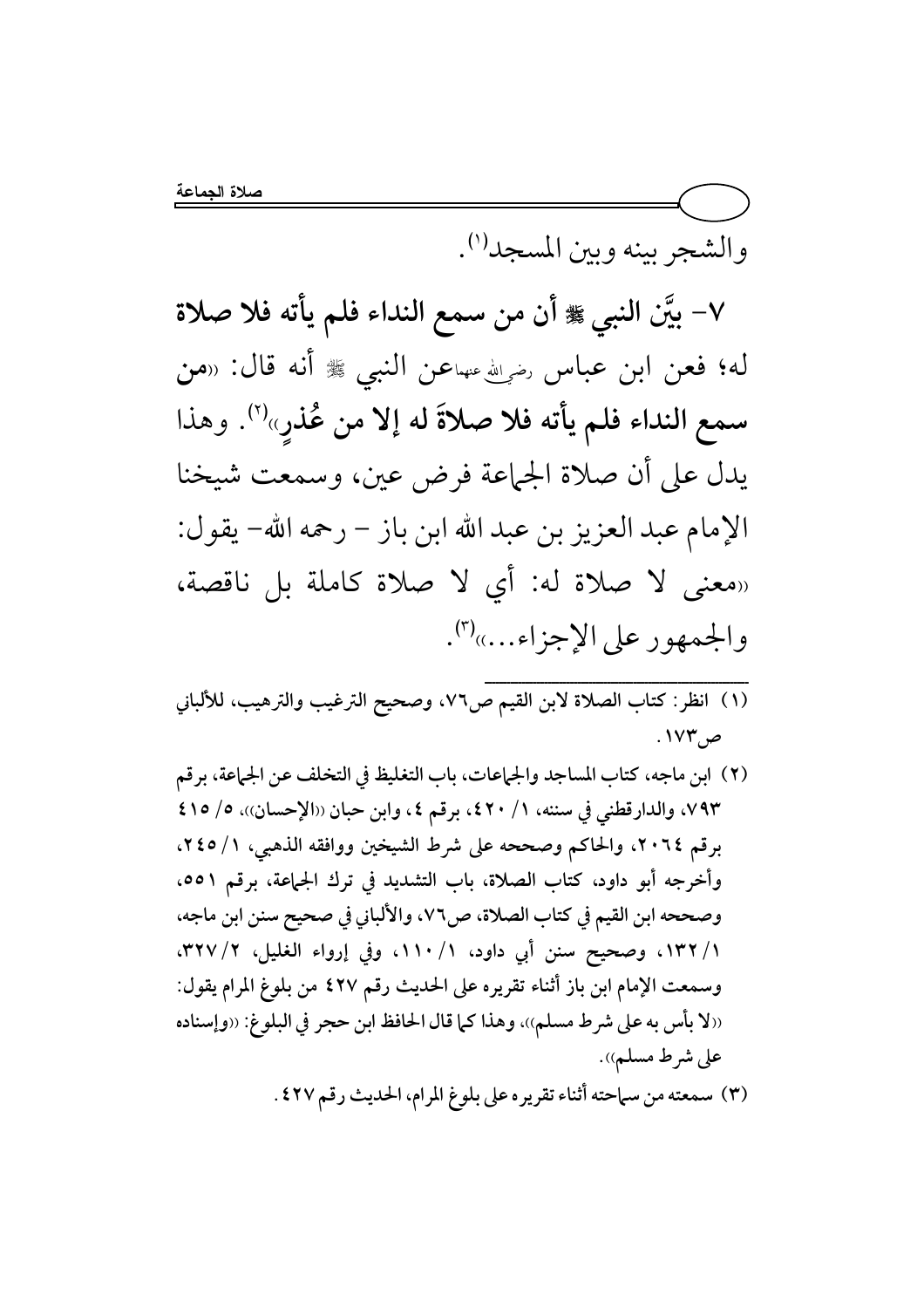والشجر بينه وبين المسجد<sup>(י)</sup>.

٧- بيَّن النبي ﷺ أن من سمع النداء فلم يأته فلا صلاة له؛ فعن ابن عباس رضيالله عنهاعن النبي ﷺ أنه قال: «من سمع النداء فلم يأته فلا صلاةَ له إلا من عُذرٍ»''. وهذا يدل على أن صلاة الجماعة فرض عين، وسمعت شيخنا الإمام عبد العزيز بن عبد الله ابن باز – رحمه الله– يقول: «معنى لا صلاة له: أي لا صلاة كاملة بل ناقصة، والجمهور على الإجزاء...»<sup>(٣)</sup>.

- ص ۱۷۳.
- (٢) ابن ماجه، كتاب المساجد والجماعات، باب التغليظ في التخلف عن الجماعة، برقم ٧٩٣، والدارقطني في سننه، ١/ ٤٢٠، برقم ٤، وابن حبان ((الإحسان))، ٥/ ٤١٥ برقم ٢٠٦٤، والحاكم وصححه على شرط الشيخين ووافقه الذهبي، ١/ ٢٤٥، وأخرجه أبو داود، كتاب الصلاة، باب التشديد في ترك الجماعة، برقم ٥٥١، وصححه ابن القيم في كتاب الصلاة، ص٧٦، والألباني في صحيح سنن ابن ماجه، ١/ ١٣٢، وصحيح سنن أبي داود، ١/ ١١٠، وفي إرواء الغليل، ٢/ ٣٢٧، وسمعت الإمام ابن باز أثناء تقريره على الحديث رقم ٤٢٧ من بلوغ المرام يقول: (الا بأس به على شرط مسلم))، وهذا كما قال الحافظ ابن حجر في البلوغ: ((وإسناده على شرط مسلم)). (٣) سمعته من سماحته أثناء تقريره على بلوغ المرام، الحديث رقم ٤٢٧ .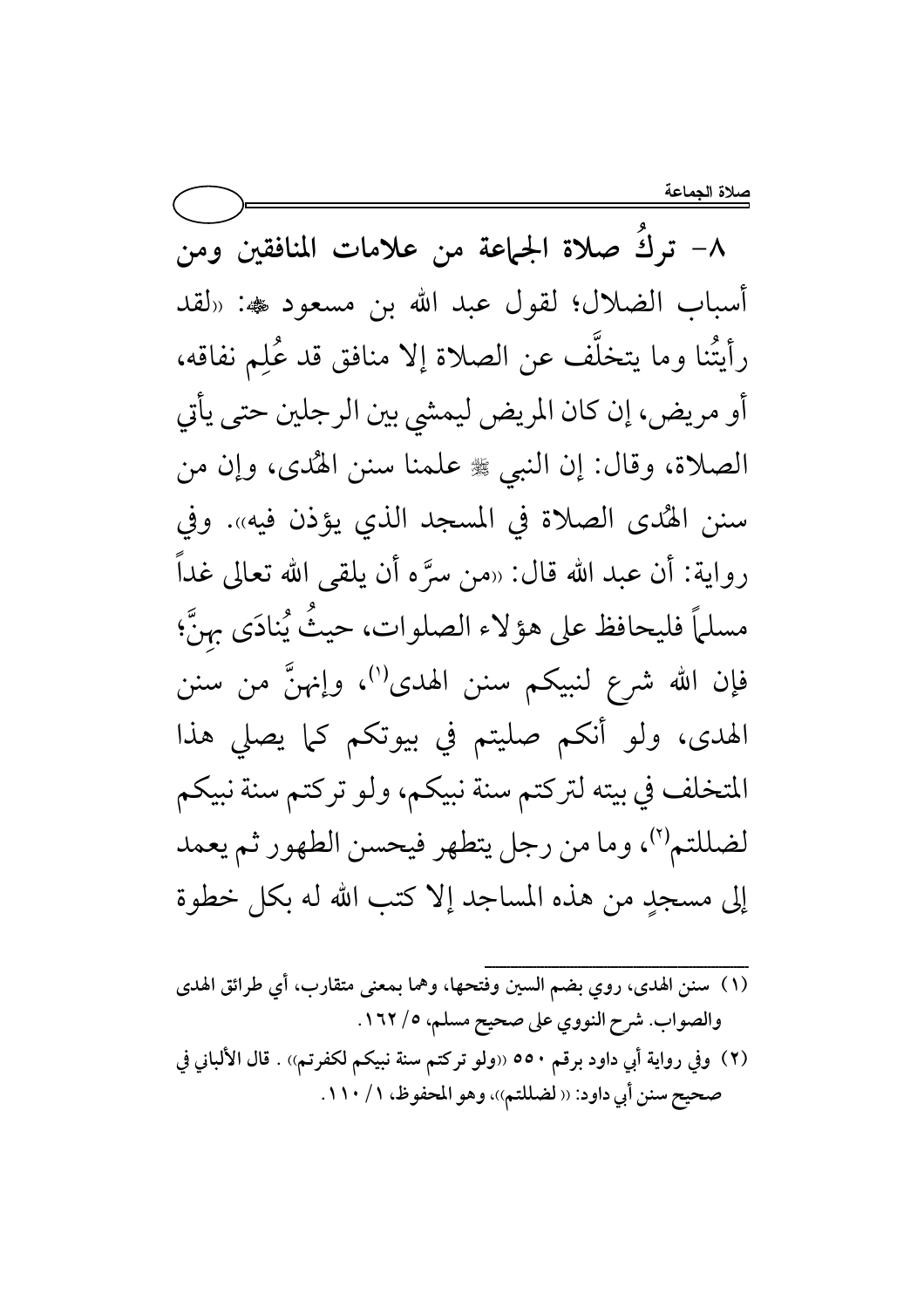صلاة الجماعة

٨– تركَ صلاة الجماعة من علامات المنافقين ومن أسباب الضلال؛ لقول عبد الله بن مسعود یه: «لقد رأيتُنا وما يتخلَّف عن الصلاة إلا منافق قد عُلِم نفاقه، أو مريض، إن كان المريض ليمشي بين الرجلين حتى يأتي الصلاة، وقال: إن النبي ﷺ علمنا سنن الهُدى، وإن من سنن الهُدى الصلاة في المسجد الذي يؤذن فيه». وفي رواية: أن عبد الله قال: «من سرَّه أن يلقى الله تعالى غداً مسلماً فليحافظ على هؤلاء الصلوات، حيثٌ يُنادَى بهنَّ؛ فإن الله شرع لنبيكم سنن الهدى'')، وإنهنَّ من سنن الهدى، ولو أنكم صليتم في بيوتكم كما يصلى هذا المتخلف في بيته لتركتم سنة نبيكم، ولو تركتم سنة نبيكم لضللتم'')، وما من رجل يتطهر فيحسن الطهور ثم يعمد إلى مسجدٍ من هذه المساجد إلا كتب الله له بكل خطوة

- (١) سنن الهدى، روي بضم السين وفتحها، وهما بمعنى متقارب، أي طرائق الهدى والصواب. شرح النووي على صحيح مسلم، ٥/ ١٦٢.
- (٢) وفي رواية أبي داود برقم ٥٥٠ «ولو تركتم سنة نبيكم لكفرتم» . قال الألباني في صحيح سنن أبي داود: ‹‹ لضللتم››، وهو المحفوظ، ١ / ١١٠.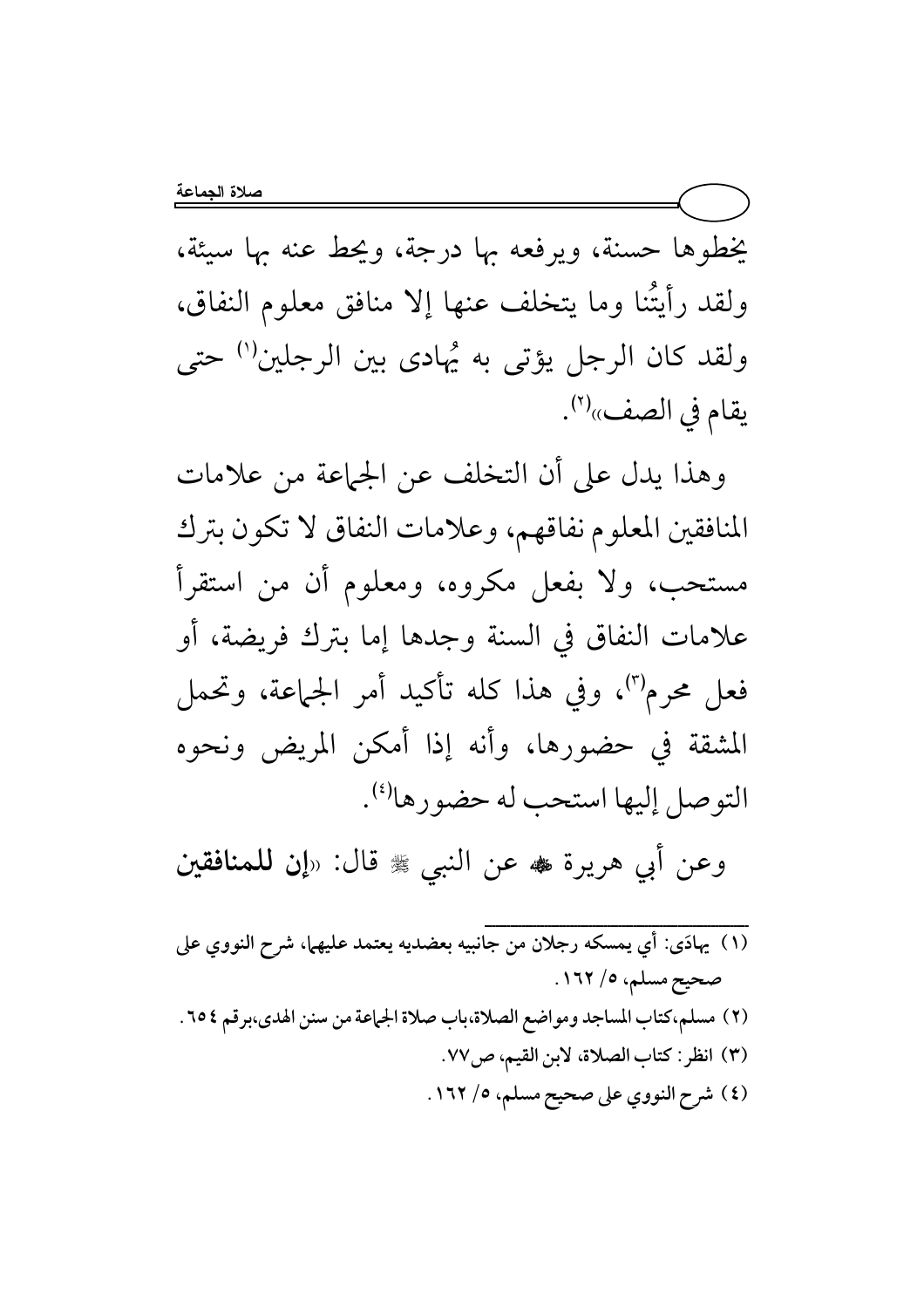يخطوها حسنة، ويرفعه بها درجة، ويحط عنه بها سيئة، ولقد رأيتُنا وما يتخلف عنها إلا منافق معلوم النفاق، ولقد كان الرجل يؤتى به يُهادى بين الرجلين'' حتى يقام في الصف»<sup>(٢)</sup>.

وهذا يدل على أن التخلف عن الجماعة من علامات المنافقين المعلوم نفاقهم، وعلامات النفاق لا تكون بترك مستحب، ولا بفعل مكروه، ومعلوم أن من استقرأ علامات النفاق في السنة وجدها إما بترك فريضة، أو فعل محرم<sup>(٣)</sup>، وفي هذا كله تأكيد أمر الجماعة، وتحمل المشقة في حضورها، وأنه إذا أمكن المريض ونحوه التوصل إليها استحب له حضورها<sup>(٤)</sup>.

وعن أبي هريرة ♣ عن النبي ﷺ قال: «إن للمنافقين

.<br>(١) يهادَى: أي يمسكه رجلان من جانبيه بعضديه يعتمد عليهما، شرح النووي على صحيح مسلم، ١٦٢/٥. (٢) مسلم،كتاب المساجد ومواضع الصلاة،باب صلاة الجماعة من سنن الهدى،برقم ٢٥٤. (٣) انظر: كتاب الصلاة، لابن القيم، ص٧٧. (٤) شرح النووي على صحيح مسلم، ٥/ ١٦٢.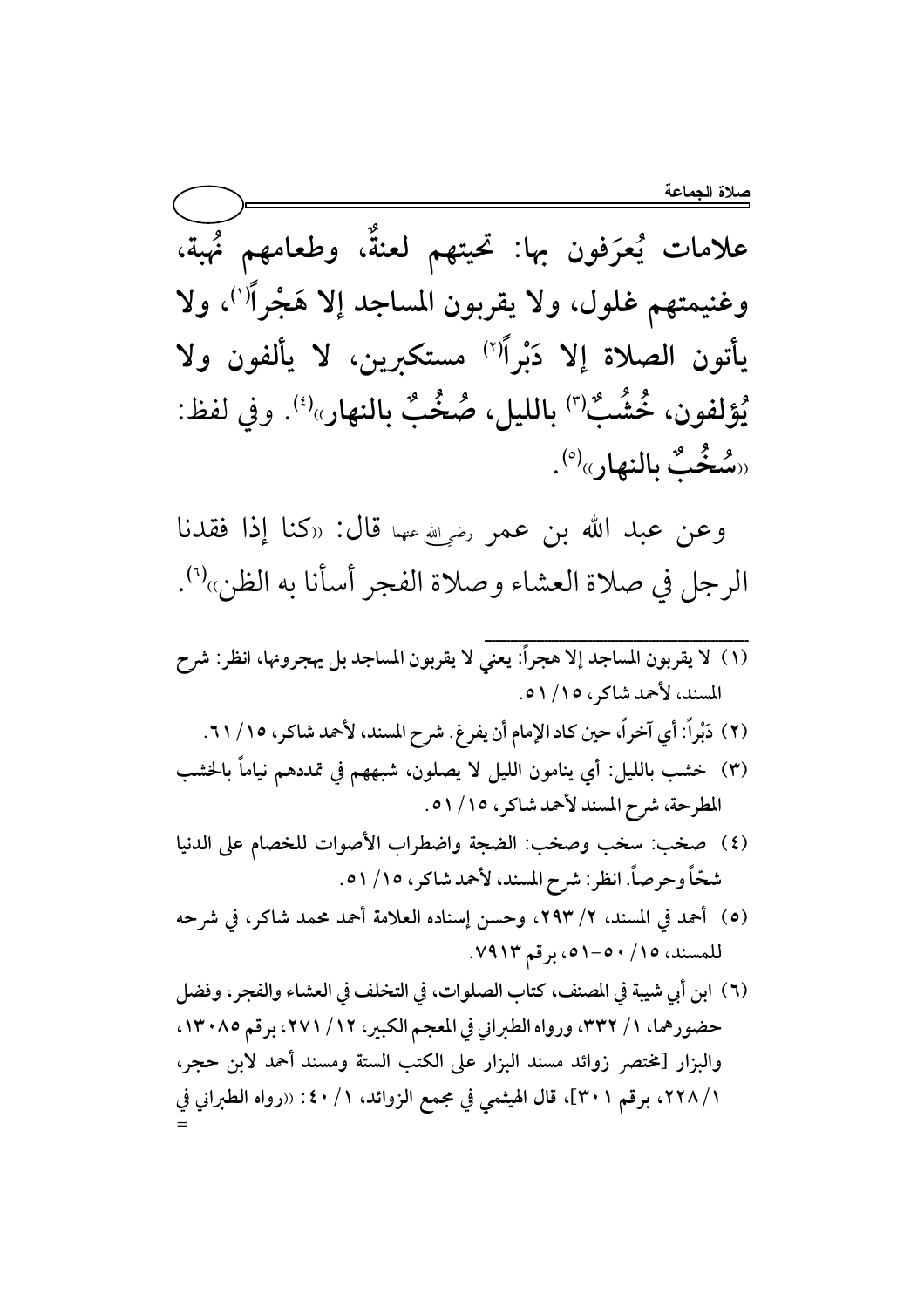علامات يُعرَفون بها: تحيتهم لعنةٌ، وطعامهم نُهبة، وغنيمتهم غلول، ولا يقربون المساجد إلا هَجْراً'')، ولا يأتون الصلاة إلا دَبْراًًا" مستكبرين، لا يألفون ولا يُؤلفون، خُشُبٌ<sup>(٣)</sup> بالليل، صُخُبٌ بالنهار»<sup>(٤)</sup>. وفي لفظ: «سُخُبٌ بِالنهار»<sup>(٥</sup>).

وعن عبد الله بن عمر رضي الله عنها قال: «كنا إذا فقدنا الرجل في صلاة العشاء وصلاة الفجر أسأنا به الظن»<sup>(٦)</sup>.

- المسند، لأحمد شاكر، ١٥/ ٥١. (٢) دَبْراً: أي آخراً، حين كاد الإمام أن يفرغ. شرح المسند، لأحمد شاكر، ١٥/ ٦١.
- (٣) خشب بالليل: أي ينامون الليل لا يصلون، شبههم في تمددهم نياماً بالخشب المطرحة، شرح المسند لأحمد شاكر، ١٥/ ٥١.
- (٤) صخب: سخب وصخب: الضجة واضطراب الأصوات للخصام على الدنيا شحّاً وحرصاً. انظر: شرح المسند، لأحمد شاكر، ١٥/ ٥١.
- (٥) أحمد في المسند، ٢/ ٢٩٣، وحسن إسناده العلامة أحمد محمد شاكر، في شرحه للمسند، ١٥/ ٥٠-٥١، برقم ٧٩١٣.
- (٦) ابن أي شيبة في المصنف، كتاب الصلوات، في التخلف في العشاء والفجر ، وفضل حضورهما، ١/ ٣٣٢، ورواه الطبراني في المعجم الكبير، ١٢/ ٢٧١، برقم ١٣٠٨٥. والبزار [مختصر زوائد مسند البزار على الكتب الستة ومسند أحمد لابن حجر، ١/ ٢٢٨، برقم ٣٠١]، قال الهيثمي في مجمع الزوائد، ١/ ٤٠: «رواه الطبراني في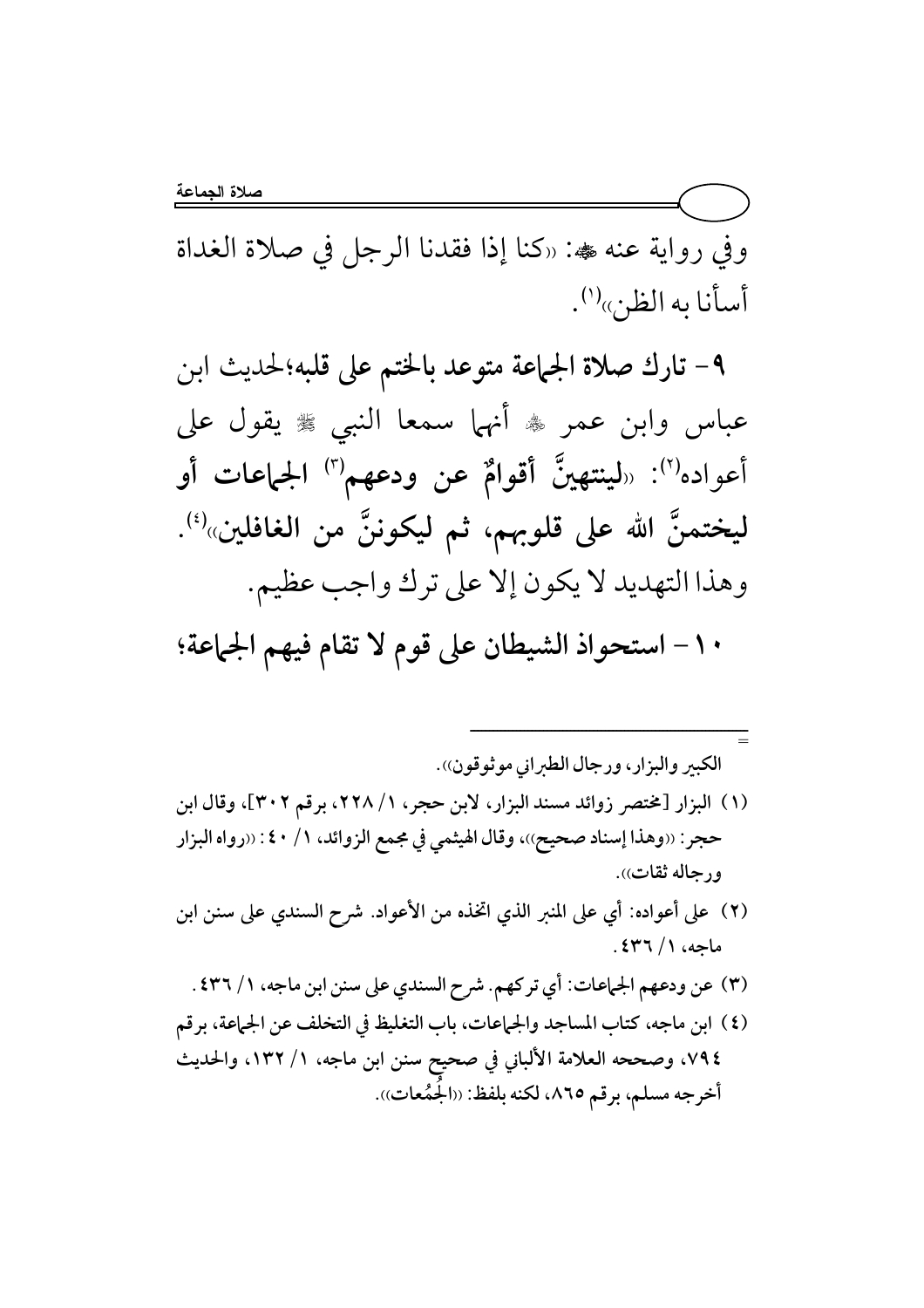وفي رواية عنه ‱: «كنا إذا فقدنا الرجل في صلاة الغداة أسأنا به الظن»<sup>(י)</sup>.

4 - تارك صلاة الجماعة متوعد بالختم على قلبه؛لحديث ابن عباس وابن عمر ۞ أنهما سمعا النبي ۞ يقول على أعواده<sup>(٢)</sup>: «لينتهينَّ أقوامٌ عن ودعهم<sup>(٣)</sup> الجماعات أو ليختمنَّ الله على قلوبهم، ثم ليكوننَّ من الغافلين»<sup>(؛</sup>). وهذا التهديد لا يكون إلا على ترك واجب عظيم.

∙ ١ − استحواذ الشيطان على قوم لا تقام فيهم الجماعة؛

= الكبير والبزار، ورجال الطيراني موثوقون)). (۱) البزار [مختصر زوائد مسند البزار، لابن حجر، ۲۲۸/۱، برقم ۳۰۲]، وقال ابن حجر : ‹‹وهذا إسناد صحيح››، وقال الهيثمي في مجمع الزوائد، ١ / ٤٠ : ‹‹رواه البزار ورجاله ثقات)). (٢) على أعواده: أي على المنبر الذي اتخذه من الأعواد. شرح السندي على سنن ابن

ــــــــــــــــــــــــــــــــــــــــــــــــــــــــــــــــــــــــ

- ماجه، ۱/ ۴۳٦. (٣) عن ودعهم الجماعات: أي تركهم. شرح السندي على سنن ابن ماجه، ١/ ٤٣٦.
- (٤) ابن ماجه، كتاب المساجد والجماعات، باب التغليظ في التخلف عن الجماعة، برقم ٧٩٤، وصححه العلامة الألباني في صحيح سنن ابن ماجه، ١/ ١٣٢، والحديث أخرجه مسلم، برقم ٨٦٥، لكنه بلفظ: ((الجَمُعات)).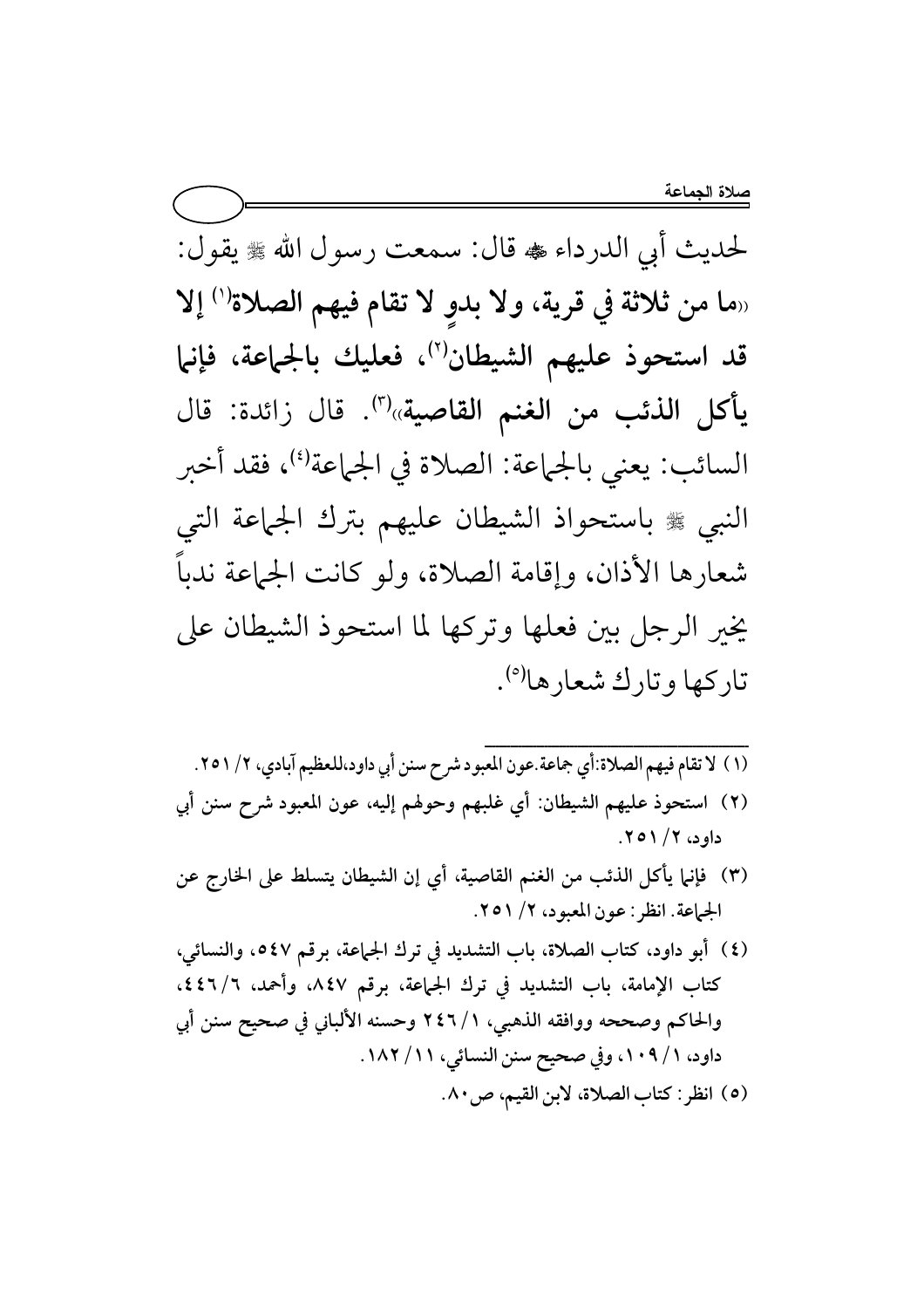لحديث أبي الدرداء ، قال: سمعت رسول الله ، يقول: «ما من ثلاثة في قرية، ولا بدوٍ لا تقام فيهم الصلاة<sup>(١)</sup> إلا قد استحوذ عليهم الشيطان (٢)، فعليك بالجماعة، فإنها يأكل الذئب من الغنم القاصية»<sup>(٣)</sup>. قال زائدة: قال السائب: يعني بالجماعة: الصلاة في الجماعة<sup>(٤)</sup>، فقد أخبر النبي ﷺ باستحواذ الشيطان عليهم بترك الجماعة التي شعارها الأذان، وإقامة الصلاة، ولو كانت الجماعة ندباً يخير الرجل بين فعلها وتركها لما استحوذ الشيطان على تاركها وتارك شعارها<sup>(٥)</sup>.

- (١) لا تقام فيهم الصلاة:أي جماعة.عون المعبود شرح سنن أبي داود،للعظيم آبادي، ٢/ ٢٥١. (٢) استحوذ عليهم الشيطان: أي غلبهم وحولهم إليه، عون المعبود شرح سنن أبي داود، ۲/ ۲۰۱۱.
- (٣) فإنما يأكل الذئب من الغنم القاصية، أي إن الشيطان يتسلط على الخارج عن الجماعة. انظر: عون المعبود، ٢/ ٢٥١.
- (٤) أبو داود، كتاب الصلاة، باب التشديد في ترك الجماعة، برقم ٥٤٧، والنسائي، كتاب الإمامة، باب التشديد في ترك الجماعة، برقم ٨٤٧، وأحمد، ٦/ ٤٤٦، والحاكم وصححه ووافقه الذهبي، ١/ ٢٤٦ وحسنه الألباني في صحيح سنن أبي داود، ١/ ١٠٩، وفي صحيح سنن النسائي، ١١/ ١٨٢. (٥) انظر: كتاب الصلاة، لابن القيم، ص١٠.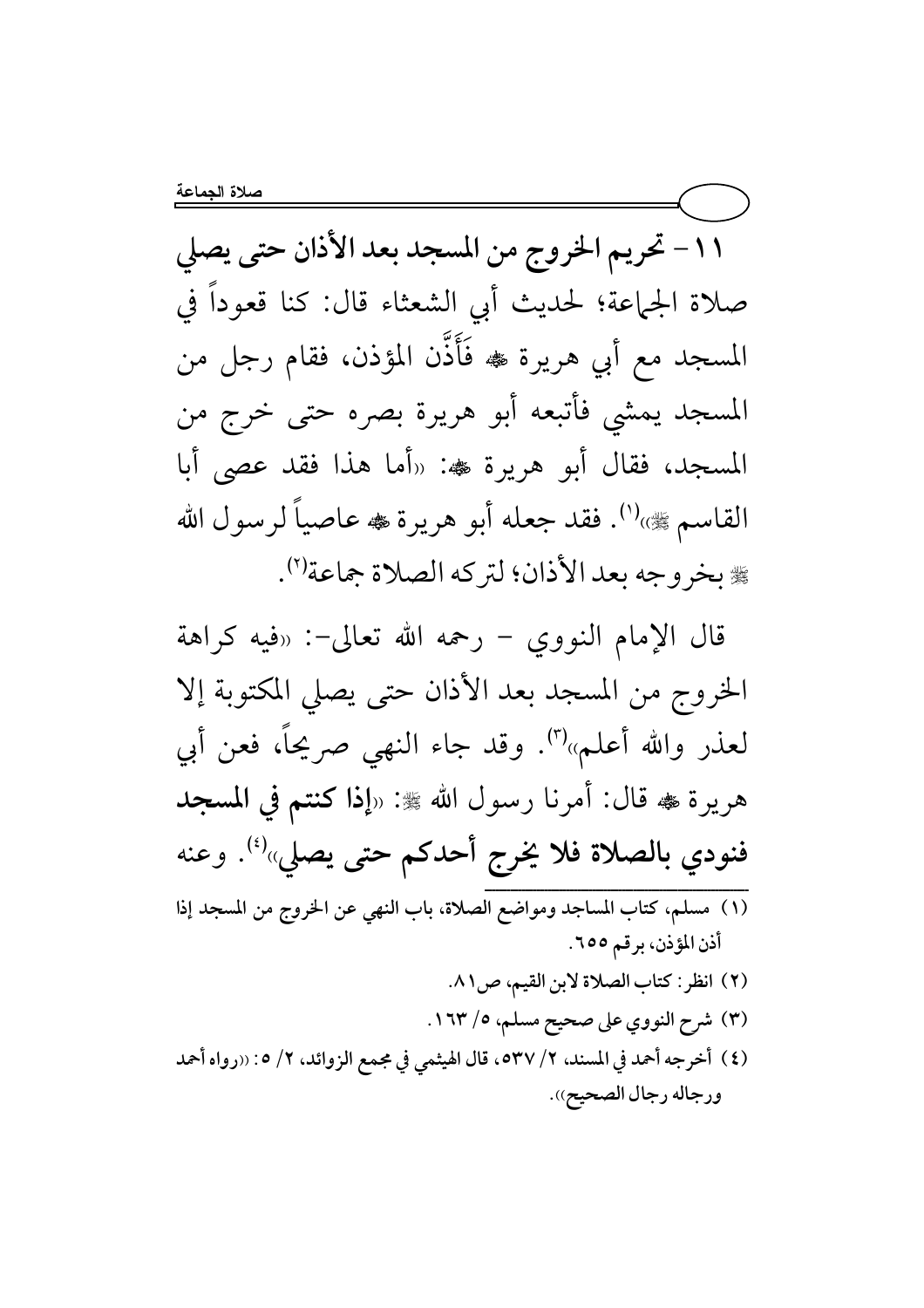١١- تحريم الخروج من المسجد بعد الأذان حتى يصلى صلاة الجماعة؛ لحديث أبي الشعثاء قال: كنا قعوداً في المسجد مع أبي هريرة ﴾ فَأَذَّن المؤذن، فقام رجل من المسجد يمشي فأتبعه أبو هريرة بصره حتى خرج من المسجد، فقال أبو هريرة ﷺ: «أما هذا فقد عصى أبا القاسم ﷺ)''. فقد جعله أبو هريرة ، عاصياً لرسول الله ﴾ بخروجه بعد الأذان؛ لتركه الصلاة جماعة (٢).

قال الإمام النووي – رحمه الله تعالى-: «فيه كراهة الخروج من المسجد بعد الأذان حتى يصلى المكتوبة إلا لعذر والله أعلم»'". وقد جاء النهي صريحاً، فعن أبي هريرة ، قال: أمرنا رسول الله ﷺ: «إذا كنتم في المسجد فنودي بالصلاة فلا يخرج أحدكم حتى يصلي»<sup>(٤)</sup>. وعنه أذن المؤذن، برقم ٦٥٥. (٢) انظر: كتاب الصلاة لابن القيم، ص٨١. (٣) شرح النووي على صحيح مسلم، ٥/ ١٦٣. (٤) أخرجه أحمد في المسند، ٢/ ٥٣٧ه، قال الهيثمي في مجمع الزوائد، ٢/ ٥: «رواه أحمد ورجاله رجال الصحيح)).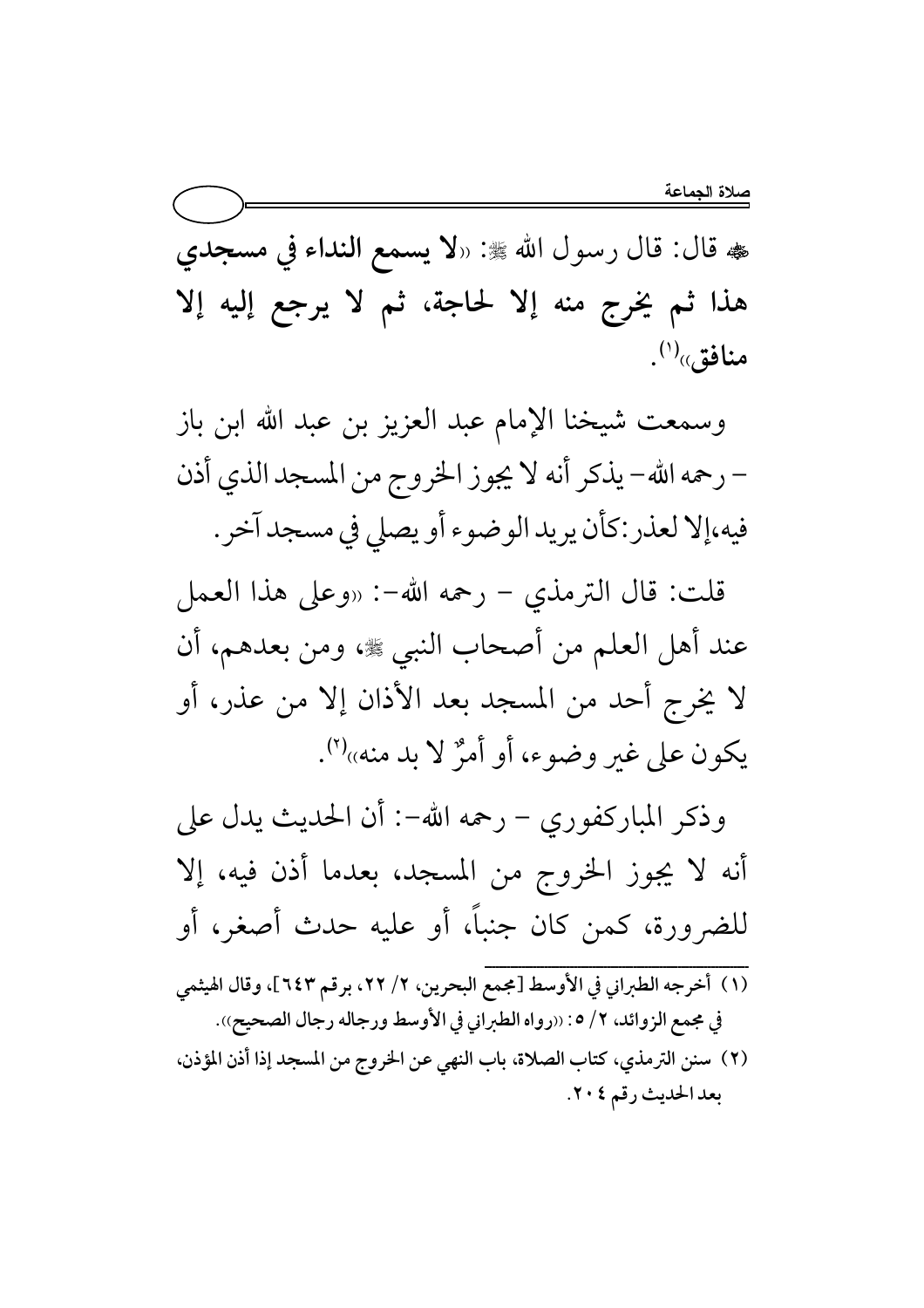هه قال: قال رسول الله ﷺ: «لا يسمع النداء في مسجدي هذا ثم يخرج منه إلا لحاجة، ثم لا يرجع إليه إلا منافق $\mathfrak{h}^{(\prime)}$ .

وسمعت شيخنا الإمام عبد العزيز بن عبد الله ابن باز – رحمه الله– يذكر أنه لا يجوز الخروج من المسجد الذي أذن فيه،إلا لعذر :كأن يريد الوضوء أو يصلي في مسجد آخر .

قلت: قال الترمذي – رحمه الله-: «وعلى هذا العمل عند أهل العلم من أصحاب النبي ﷺ، ومن بعدهم، أن لا يخرج أحد من المسجد بعد الأذان إلا من عذر، أو يكون على غير وضوء، أو أمرٌ لا بد منه»''.

وذكر المباركفوري – رحمه الله–: أن الحديث يدل على أنه لا يجوز الخروج من المسجد، بعدما أذن فيه، إلا للضرورة، كمن كان جنباً، أو عليه حدث أصغر، أو

- (١) أخرجه الطبراني في الأوسط [مجمع البحرين، ٢/ ٢٢، برقم ٦٤٣]، وقال الهيثمي في مجمع الزوائد، ٢/ ٥: ((رواه الطبراني في الأوسط ورجاله رجال الصحيح)).
- (٢) سنن الترمذي، كتاب الصلاة، باب النهي عن الخروج من المسجد إذا أذن المؤذن، بعد الحديث رقم ٢٠٤.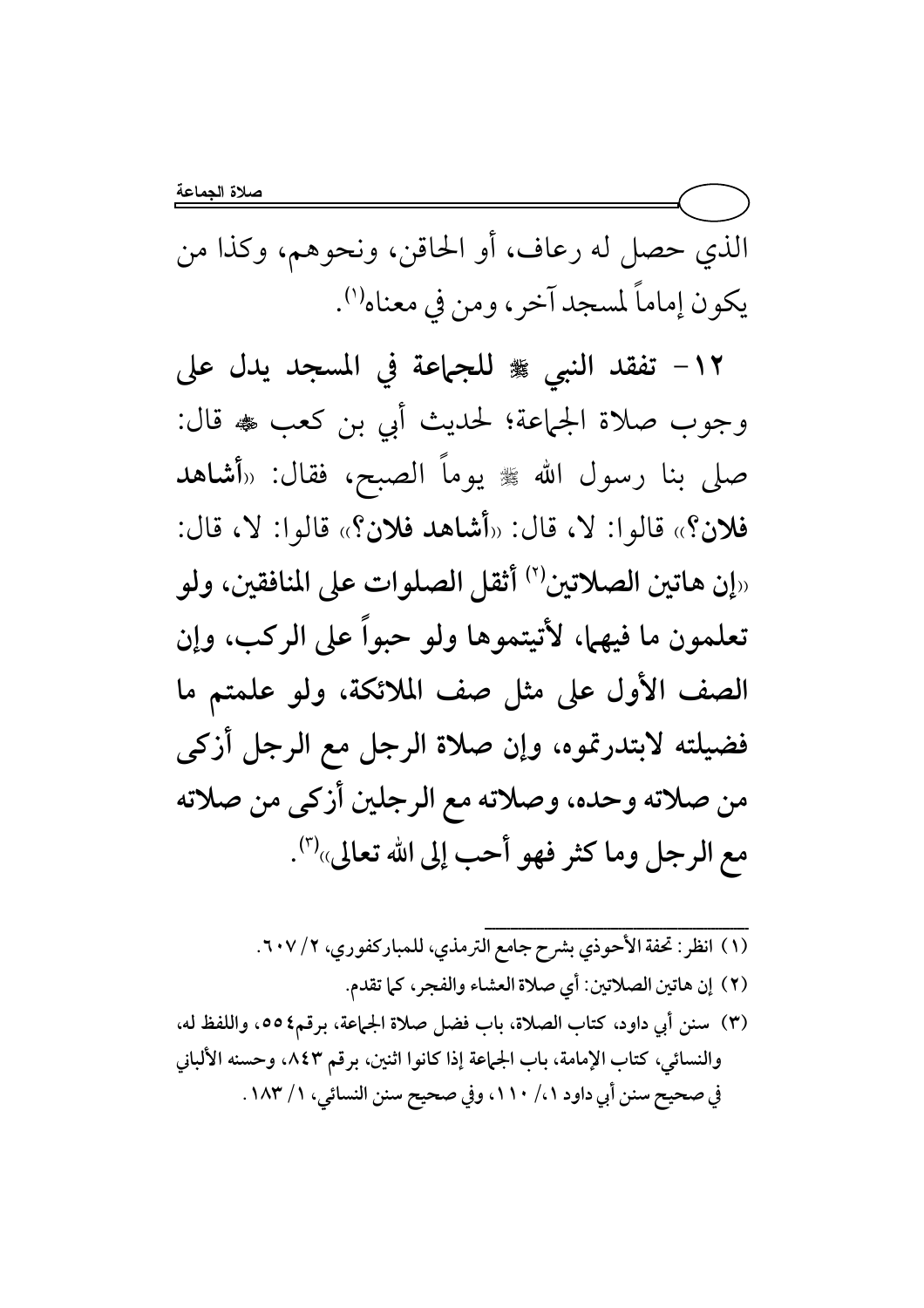الذي حصل له رعاف، أو الحاقن، ونحوهم، وكذا من يكون إماماً لمسجد آخر، ومن في معناه''.

١٢- تفقد النبي ﷺ للجماعة في المسجد يدل على وجوب صلاة الجماعة؛ لحديث أبي بن كعب ﴿ قَالَ: صلى بنا رسول الله ﷺ يوماً الصبح، فقال: «أشاهد فلان؟» قالوا: لا، قال: «أشاهد فلان؟» قالوا: لا، قال: ران هاتين الصلاتين'') أثقل الصلوات على المنافقين، ولو $_{\shortparallel}$ تعلمون ما فيهما، لأتيتموها ولو حبواً على الركب، وإن الصف الأول على مثل صف الملائكة، ولو علمتم ما فضيلته لابتدرتموه، وإن صلاة الرجل مع الرجل أزكى من صلاته وحده، وصلاته مع الرجلين أزكى من صلاته مع الرجل وما كثر فهو أحب إلى الله تعالى»<sup>(٣)</sup>.

(١) انظر: تحفة الأحوذي بشرح جامع الترمذي، للمباركفوري، ٢/ ٢٠٧. (٢) إن هاتين الصلاتين: أي صلاة العشاء والفجر، كما تقدم. (٣) سنن أبي داود، كتاب الصلاة، باب فضل صلاة الجماعة، برقم٤٥٥، واللفظ له، والنسائي، كتاب الإمامة، باب الجماعة إذا كانوا اثنين، برقم ٨٤٣، وحسنه الألباني في صحيح سنن أبي داود ٠/ ١١٠، وفي صحيح سنن النسائي، ١/ ١٨٣.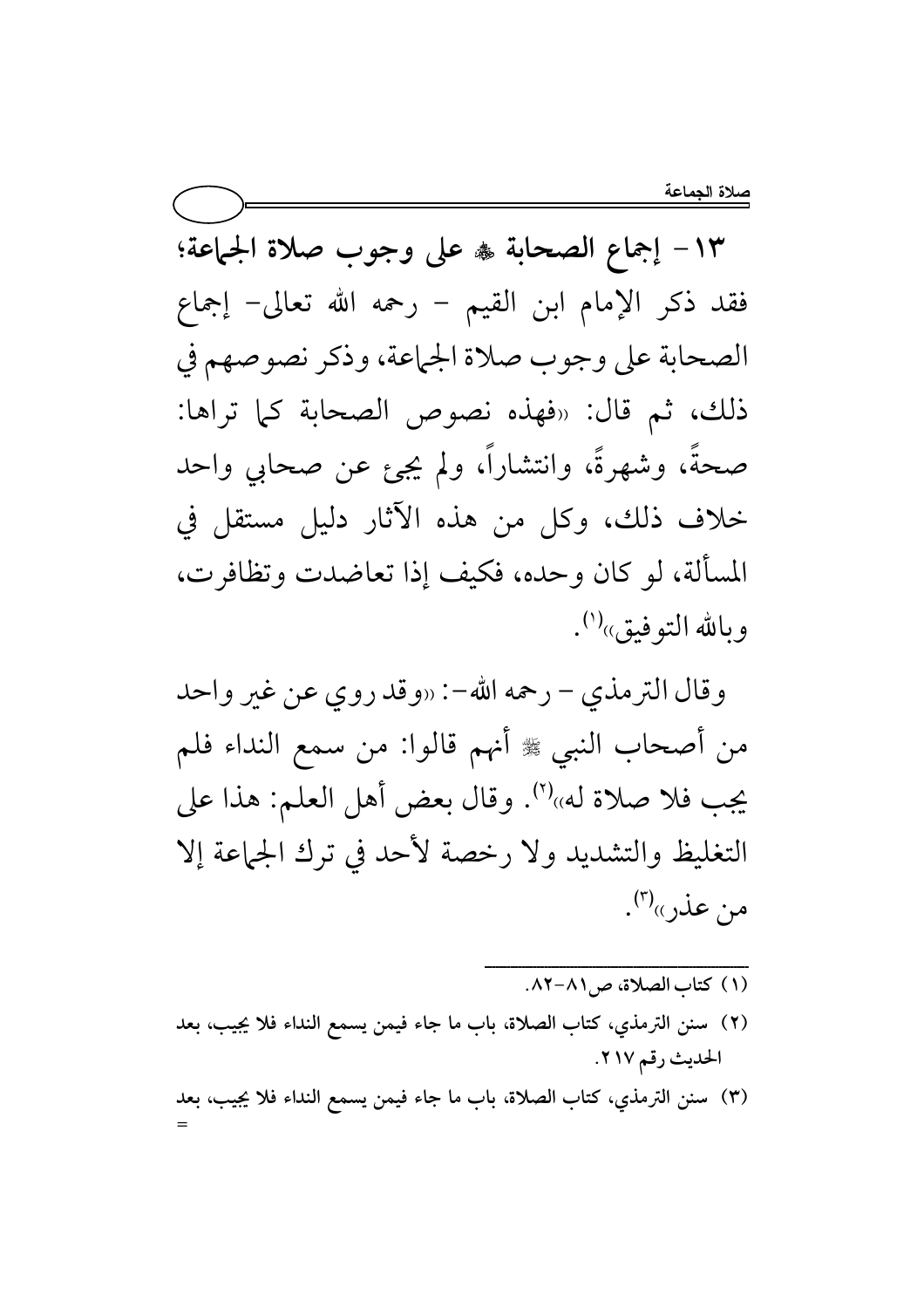١٣- إجماع الصحابة ۞ على وجوب صلاة الجماعة؛ فقد ذكر الإمام ابن القيم - رحمه الله تعالى- إجماع الصحابة على وجوب صلاة الجماعة، وذكر نصوصهم في ذلك، ثم قال: «فهذه نصوص الصحابة كما تراها: صحةً، وشهرةً، وانتشاراً، ولم يجئٍ عن صحابي واحد خلاف ذلك، وكل من هذه الآثار دليل مستقل في المسألة، لو كان وحده، فكيف إذا تعاضدت وتظافرت، وبالله التو فيق»<sup>(י)</sup>.

وقال الترمذي – رحمه الله–: «وقد روي عن غير واحد من أصحاب النبي ﷺ أنهم قالوا: من سمع النداء فلم يجب فلا صلاة له»''). وقال بعض أهل العلم: هذا على التغليظ والتشديد ولا رخصة لأحد في ترك الجماعة إلا من عذر»(۳).

- (١) كتاب الصلاة، ص ٨١-٨٢.
- (٢) سنن الترمذي، كتاب الصلاة، باب ما جاء فيمن يسمع النداء فلا يجيب، بعد الحديث رقم ٢١٧.
- (٣) سنن الترمذي، كتاب الصلاة، باب ما جاء فيمن يسمع النداء فلا يجيب، بعد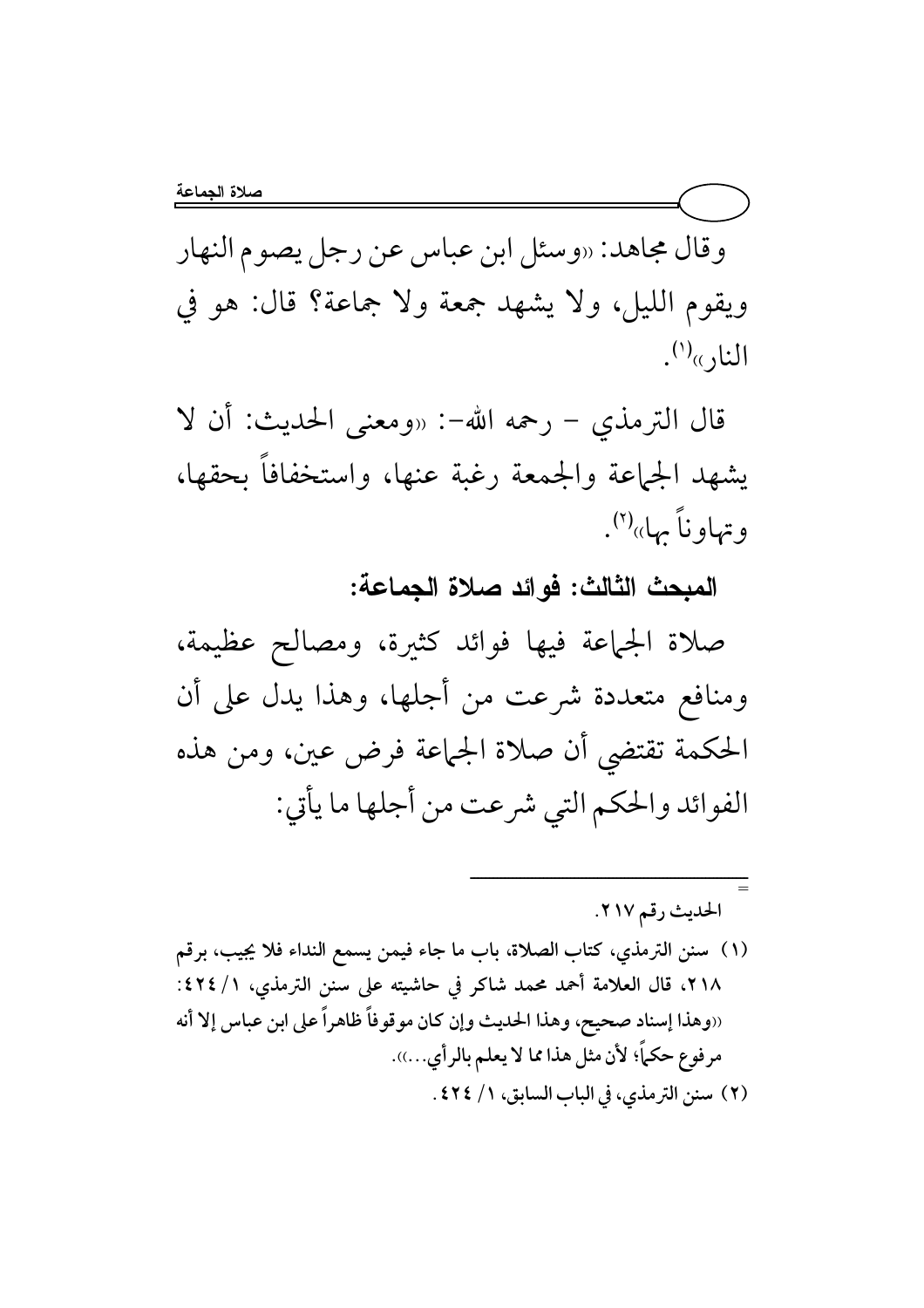وقال مجاهد: «وسئل ابن عباس عن رجل يصوم النهار ويقوم الليل، ولا يشهد جمعة ولا جماعة؟ قال: هو في النار»<sup>(י)</sup>.

قال الترمذي − رحمه الله−: «ومعنى الحديث: أن لا يشهد الجماعة والجمعة رغبة عنها، واستخفافا بحقها، وتهاوناً بها»<sup>(۲)</sup>.

المبحث الثالث: فوائد صلاة الجماعة:

صلاة الجماعة فيها فوائد كثيرة، ومصالح عظيمة، ومنافع متعددة شرعت من أجلها، وهذا يدل على أن الحكمة تقتضى أن صلاة الجماعة فرض عين، ومن هذه الفوائد والحكم التي شرعت من أجلها ما يأتي:

9 Z r HW hM.i

=

ــــــــــــــــــــــــــــــــــــــــــــــــــــــــــــــــــــــــ

(١) سنن الترمذي، كتاب الصلاة، باب ما جاء فيمن يسمع النداء فلا يجيب، برقم ٢١٨، قال العلامة أحمد محمد شاكر في حاشيته على سنن الترمذي، ١/ ٤٢٤: اوهذا إسناد صحيح، وهذا الحديث وإن كان موقوفاً ظاهراً على ابن عباس إلا أنه مرفوع حكماً؛ لأن مثل هذا مما لا يعلم بالرأي...)). (٢) سنن الترمذي، في الباب السابق، ١/ ٢٤٤.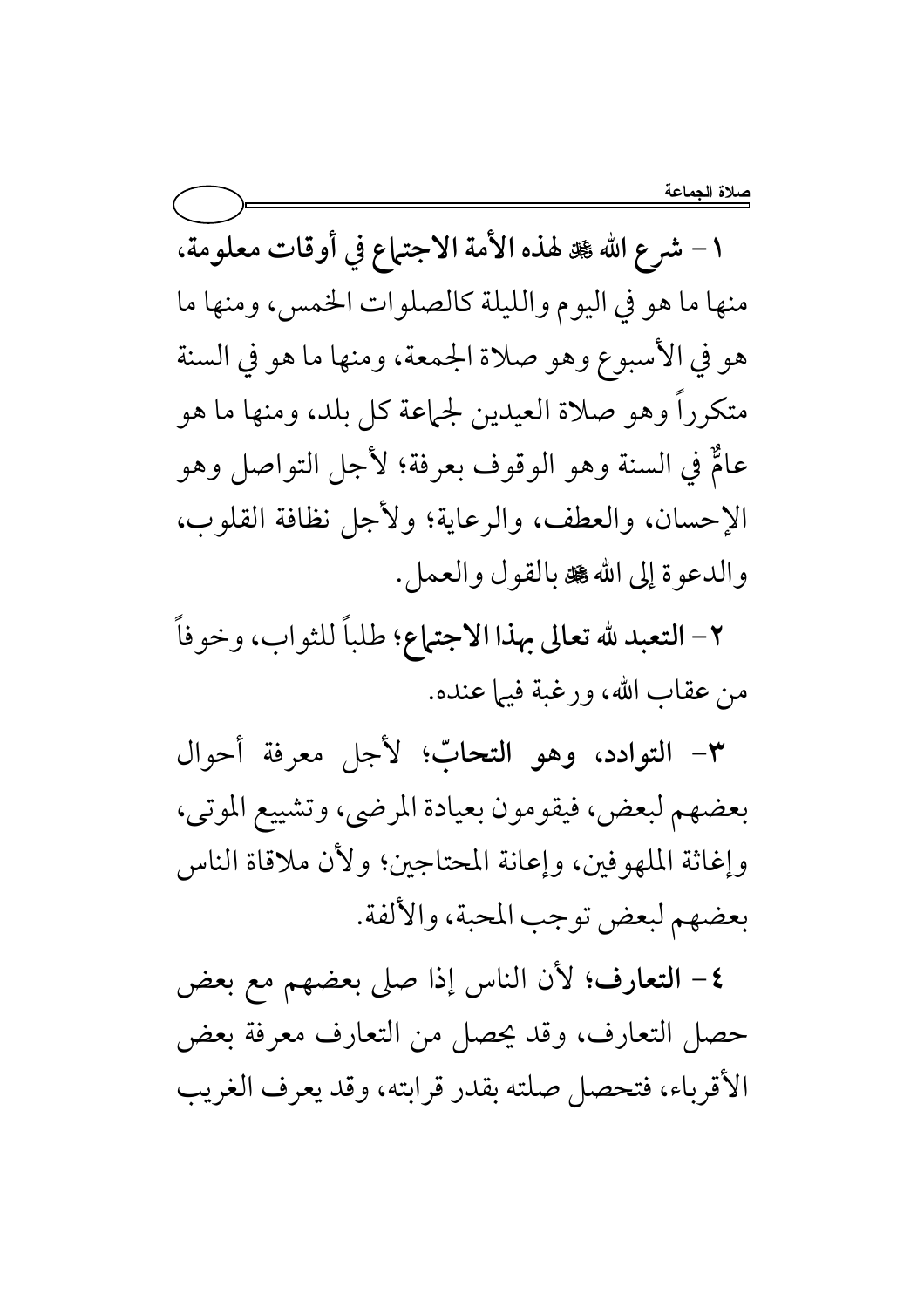١ - شرع الله صلى هذه الأمة الاجتماع في أوقات معلومة، منها ما هو في اليوم والليلة كالصلوات الخمس، ومنها ما هو في الأسبوع وهو صلاة الجمعة، ومنها ما هو في السنة متكرراً وهو صلاة العيدين لجماعة كل بلد، ومنها ما هو عامٌ في السنة وهو الوقوف بعرفة؛ لأجل التواصل وهو الإحسان، والعطف، والرعاية؛ ولأجل نظافة القلوب، والدعوة إلى الله کل بالقول والعمل.

٢- التعبد لله تعالى بهذا الاجتهاع؛ طلباً للثواب، وخوفاً من عقاب الله، ورغبة فيها عنده.

٣- التوادد، وهو التحابّ؛ لأجل معرفة أحوال بعضهم لبعض، فيقومون بعيادة المرضى، وتشييع الموتى، وإغاثة الملهوفين، وإعانة المحتاجين؛ ولأن ملاقاة الناس بعضهم لبعض توجب المحبة، والألفة.

٤- التعارف؛ لأن الناس إذا صلى بعضهم مع بعض حصل التعارف، وقد يحصل من التعارف معرفة بعض الأقرباء، فتحصل صلته بقدر قرابته، وقد يعرف الغريب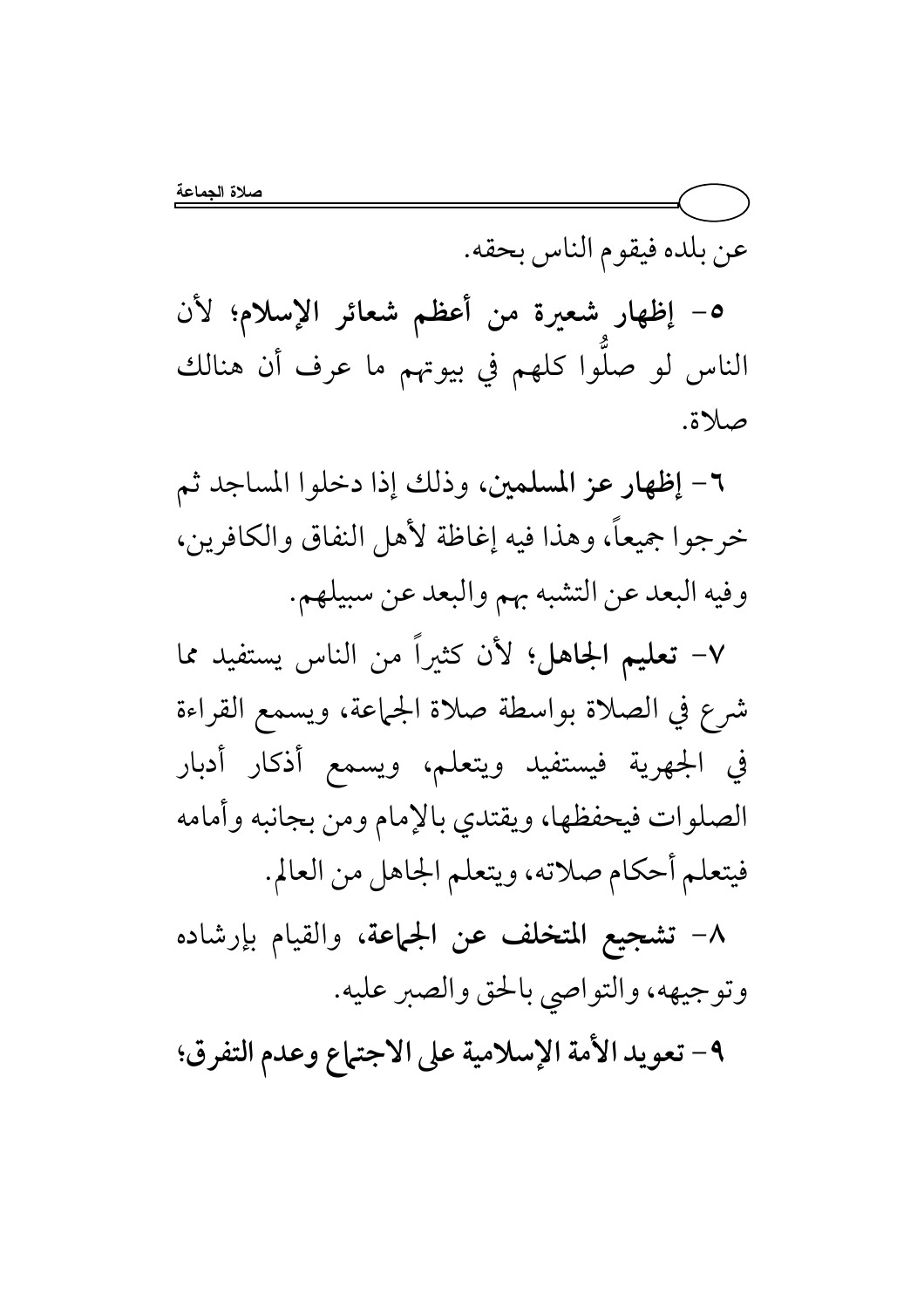عن بلده فيقوم الناس بحقه.

٥- إظهار شعيرة من أعظم شعائر الإسلام؛ لأن الناس لو صلُّوا كلُّهم في بيوتهم ما عرف أن هنالك صلاة.

٦- إظهار عز المسلمين، وذلك إذا دخلوا المساجد ثم خرجوا جميعاً، وهذا فيه إغاظة لأهل النفاق والكافرين، وفيه البعد عن التشبه بهم والبعد عن سبيلهم.

٧– تعليم الجاهل؛ لأن كثيراً من الناس يستفيد مما شرع في الصلاة بواسطة صلاة الجماعة، ويسمع القراءة في الجهرية فيستفيد ويتعلم، ويسمع أذكار أدبار الصلوات فيحفظها، ويقتدي بالإمام ومن بجانبه وأمامه فيتعلم أحكام صلاته، ويتعلم الجاهل من العالم.

٨– تشجيع المتخلف عن الجماعة، والقيام بإرشاده وتوجيهه، والتواصي بالحق والصبر عليه.

٩- تعويد الأمة الإسلامية على الاجتماع وعدم التفرق؛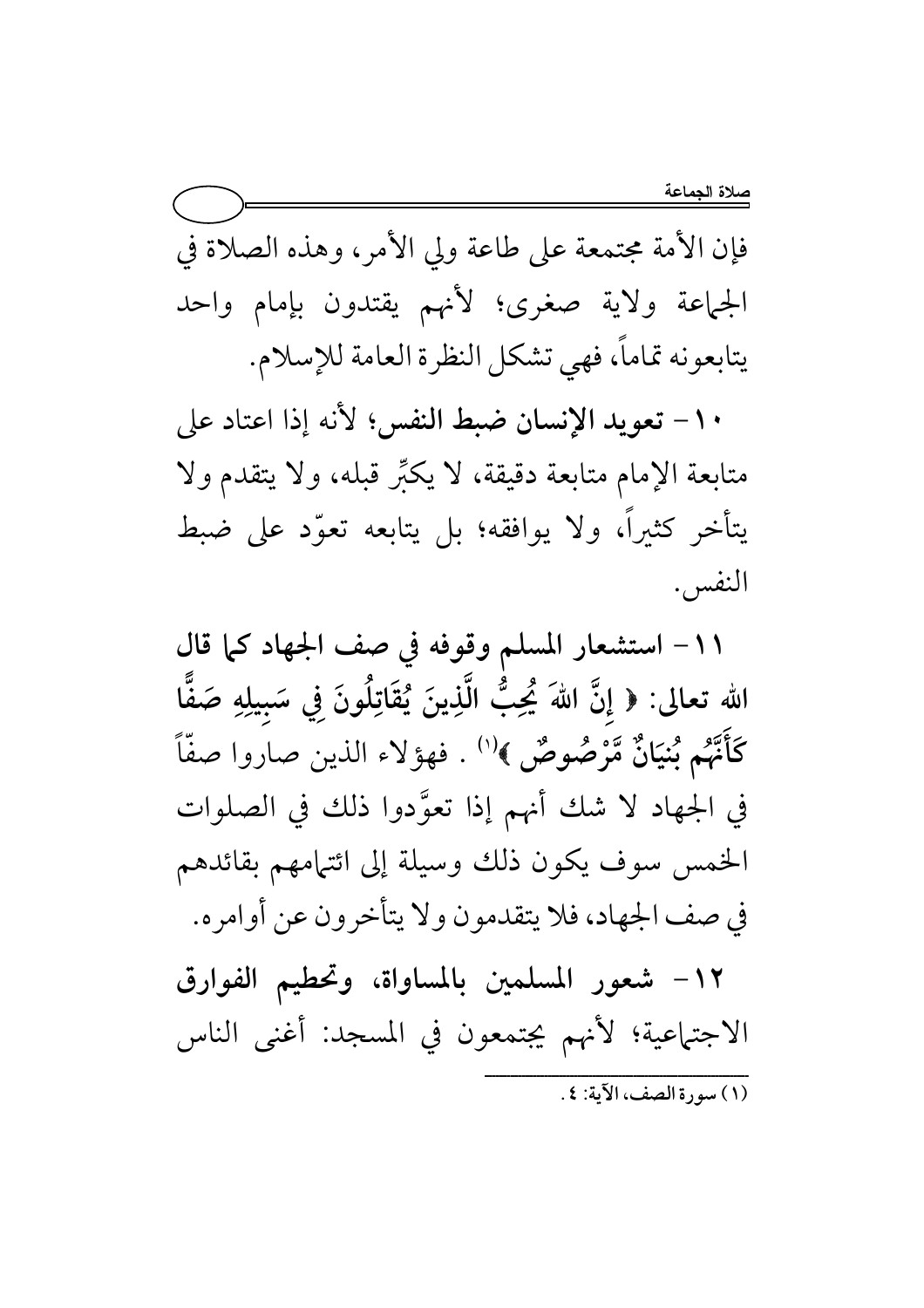فإن الأمة مجتمعة على طاعة ولى الأمر، وهذه الصلاة في الجماعة ولاية صغرى؛ لأنهم يقتدون بإمام واحد يتابعونه تماماً، فهي تشكل النظرة العامة للإسلام.

١٠- تعويد الإنسان ضبط النفس؛ لأنه إذا اعتاد على متابعة الإمام متابعة دقيقة، لا يكبِّر قبله، ولا يتقدم ولا يتأخر كثيراً، ولا يوافقه؛ بل يتابعه تعوَّد على ضبط النفس .

١١- استشعار المسلم وقوفه في صف الجهاد كما قال الله تعالى: ﴿ إِنَّ اللَّهَ يُحِبُّ الَّذِينَ يُقَاتِلُونَ فِي سَبِيلِهِ صَفًّا كَأَنَّهُمْ بُنيَانٌ مَّرْصُوصٌ ﴾''' . فهؤلاء الذين صاروا صفًّا في الجهاد لا شك أنهم إذا تعوَّدوا ذلك في الصلوات الخمس سوف يكون ذلك وسيلة إلى ائتهامهم بقائدهم في صف الجهاد، فلا يتقدمون ولا يتأخرون عن أوامره.

١٢– شعور المسلمين بالمساواة، وتحطيم الفوارق الاجتماعية؛ لأنهم يجتمعون في المسجد: أغنى الناس (١) سورة الصف، الآية: ٤ .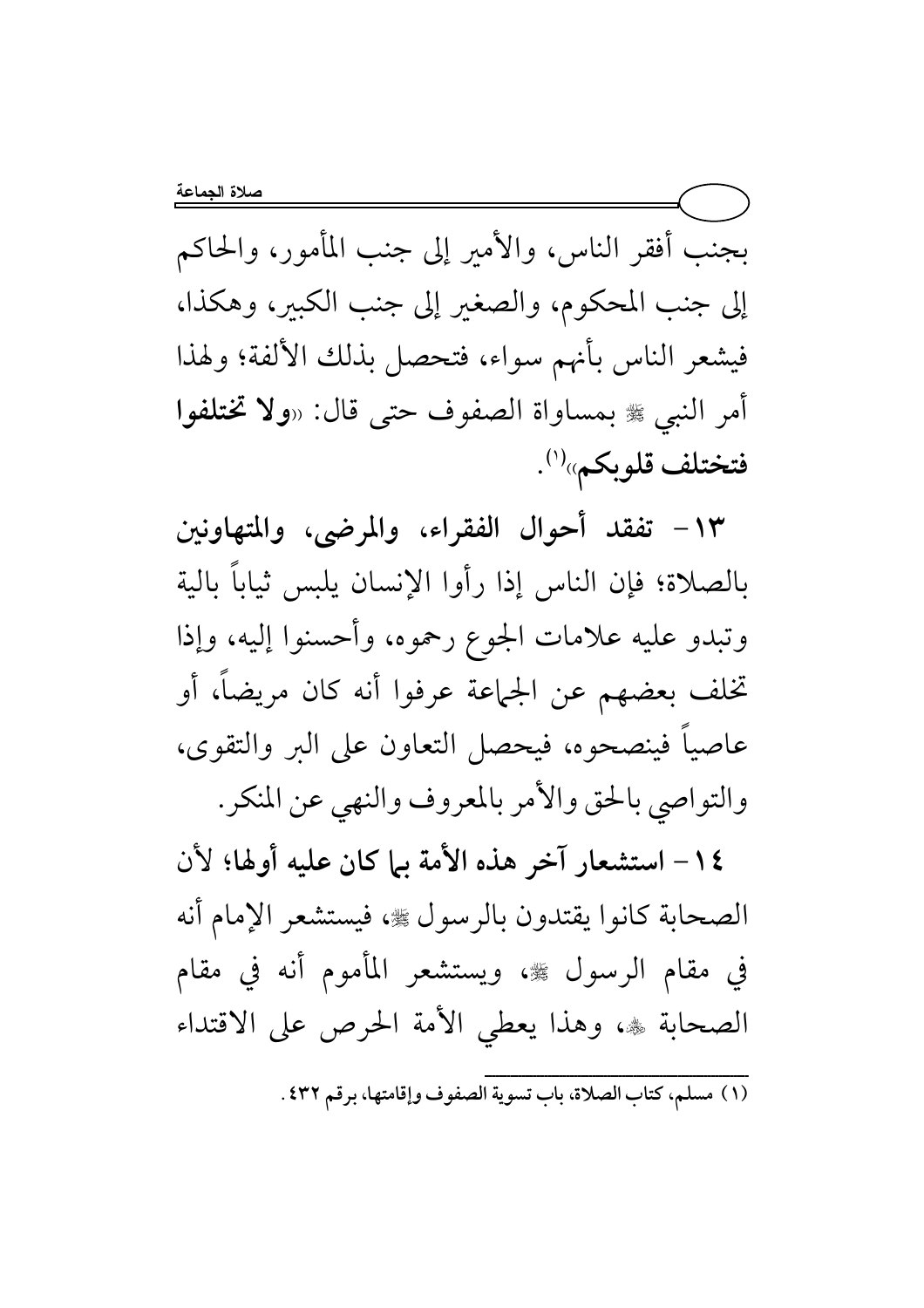بجنب أفقر الناس، والأمير إلى جنب المأمور، والحاكم إلى جنب المحكوم، والصغير إلى جنب الكبير، وهكذا، فيشعر الناس بأنهم سواء، فتحصل بذلك الألفة؛ ولهذا أمر النبي ﷺ بمساواة الصفوف حتى قال: «**ولا تختلفوا** فتختلف قلوبكم»<sup>(۱)</sup>.

١٣- تفقد أحوال الفقراء، والمرضى، والمتهاونين بالصلاة؛ فإن الناس إذا رأوا الإنسان يلبس ثياباً بالية وتبدو عليه علامات الجوع رحموه، وأحسنوا إليه، وإذا تخلف بعضهم عن الجماعة عرفوا أنه كان مريضاً، أو عاصياً فينصحوه، فيحصل التعاون على البر والتقوى، والتواصي بالحق والأمر بالمعروف والنهى عن المنكر.

١٤- استشعار آخر هذه الأمة بيا كان عليه أولها؛ لأن الصحابة كانوا يقتدون بالرسول ﷺ، فيستشعر الإمام أنه في مقام الرسول ﷺ، ويستشعر المأموم أنه في مقام الصحابة ۞، وهذا يعطي الأمة الحرص على الاقتداء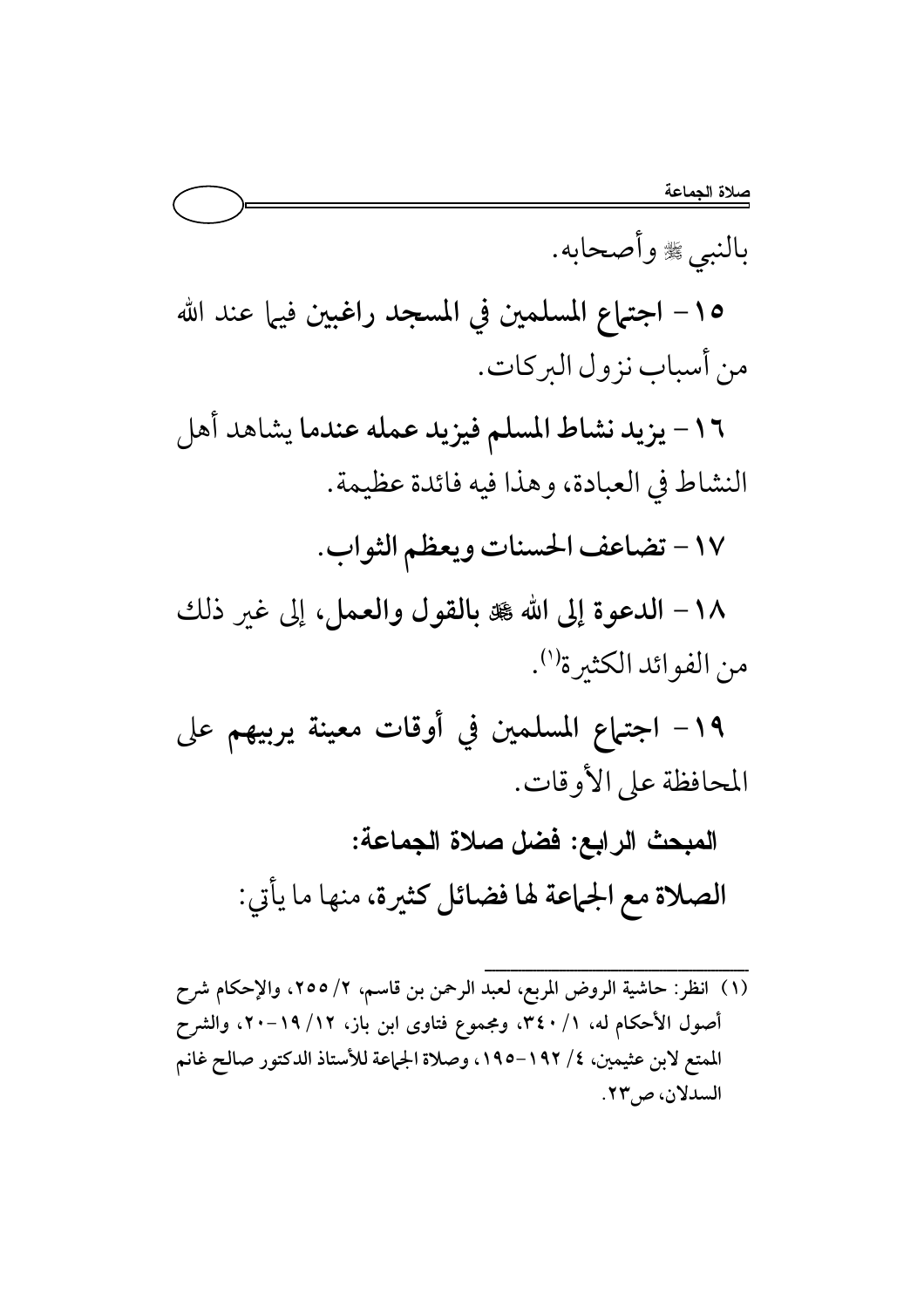بالنبي ﷺ وأصحابه. ١٥- اجتماع المسلمين في المسجد راغبين فيها عند الله من أسباب نزول البركات. ١٦- يزيد نشاط المسلم فيزيد عمله عندما يشاهد أهل النشاط في العبادة، وهذا فيه فائدة عظيمة. ١٧ - تضاعف الحسنات ويعظم الثواب. ١٨- الدعوة إلى الله ٦ بالقول والعمل، إلى غير ذلك من الفوائد الكثيرة''). ١٩- اجتماع المسلمين في أوقات معينة يربيهم على المحافظة على الأوقات. المبحث الرابع: فضل صلاة الجماعة: الصلاة مع الجماعة لها فضائل كثيرة، منها ما يأتي:

(١) انظر: حاشية الروض المربع، لعبد الرحمن بن قاسم، ٢/ ٢٥٥، والإحكام شرح أصول الأحكام له، ١/ ٣٤٠، ومجموع فتاوى ابن باز، ١٢/ ١٩–٢٠، والشرح الممتع لابن عثيمين، ٤/ ١٩٢–١٩٥، وصلاة الجماعة للأستاذ الدكتور صالح غانم السدلان، ص٣٣.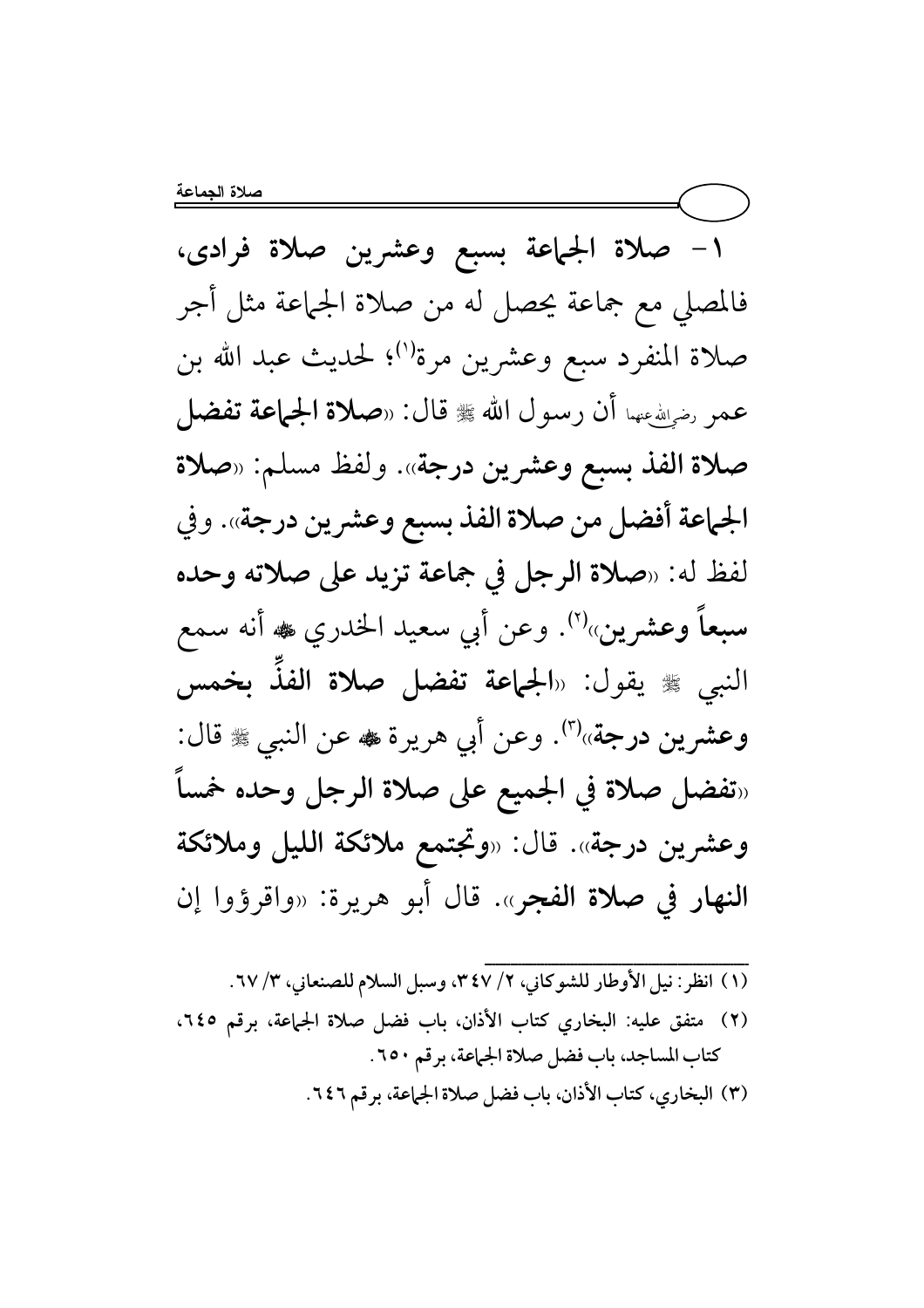١– صلاة الجماعة بسبع وعشرين صلاة فرادى، فالمصلى مع جماعة يحصل له من صلاة الجماعة مثل أجر صلاة المنفرد سبع وعشرين مرة''؛ لحديث عبد الله بن عمر رضوالله عنهما أن رسول الله ﷺ قال: «صلاة الجماعة تفضل صلاة الفذ بسبع وعشرين درجة». ولفظ مسلم: «صلاة الجماعة أفضل من صلاة الفذ بسبع وعشرين درجة». وفي لفظ له: «صلاة الرجل في جماعة تزيد على صلاته وحده سبعاً وعشرين»<sup>(٢)</sup>. وعن أبي سعيد الخدري ﷺ أنه سمع النبي ﷺ يقول: «**الجماعة تفضل صلاة الفذَ بخمس** وعشرين درجة»<sup>(٣)</sup>. وعن أبي هريرة ♣ عن النبي ☀ قال: «تفضل صلاة في الجميع على صلاة الرجل وحده خمساً وعشرين درجة». قال: «وتجتمع ملائكة الليل وملائكة النهار في صلاة الفجر». قال أبو هريرة: «واقرؤوا إن

(١) انظر: نيل الأوطار للشوكاني، ٢/ ٣٤٧، وسبل السلام للصنعاني، ٣/ ٦٧. (٢) متفق عليه: البخاري كتاب الأذان، باب فضل صلاة الجماعة، برقم ٢٤٥، كتاب المساجد، باب فضل صلاة الجماعة، برقم ٢٥٠. (٣) البخاري، كتاب الأذان، باب فضل صلاة الجماعة، بر قم ٢٤٦.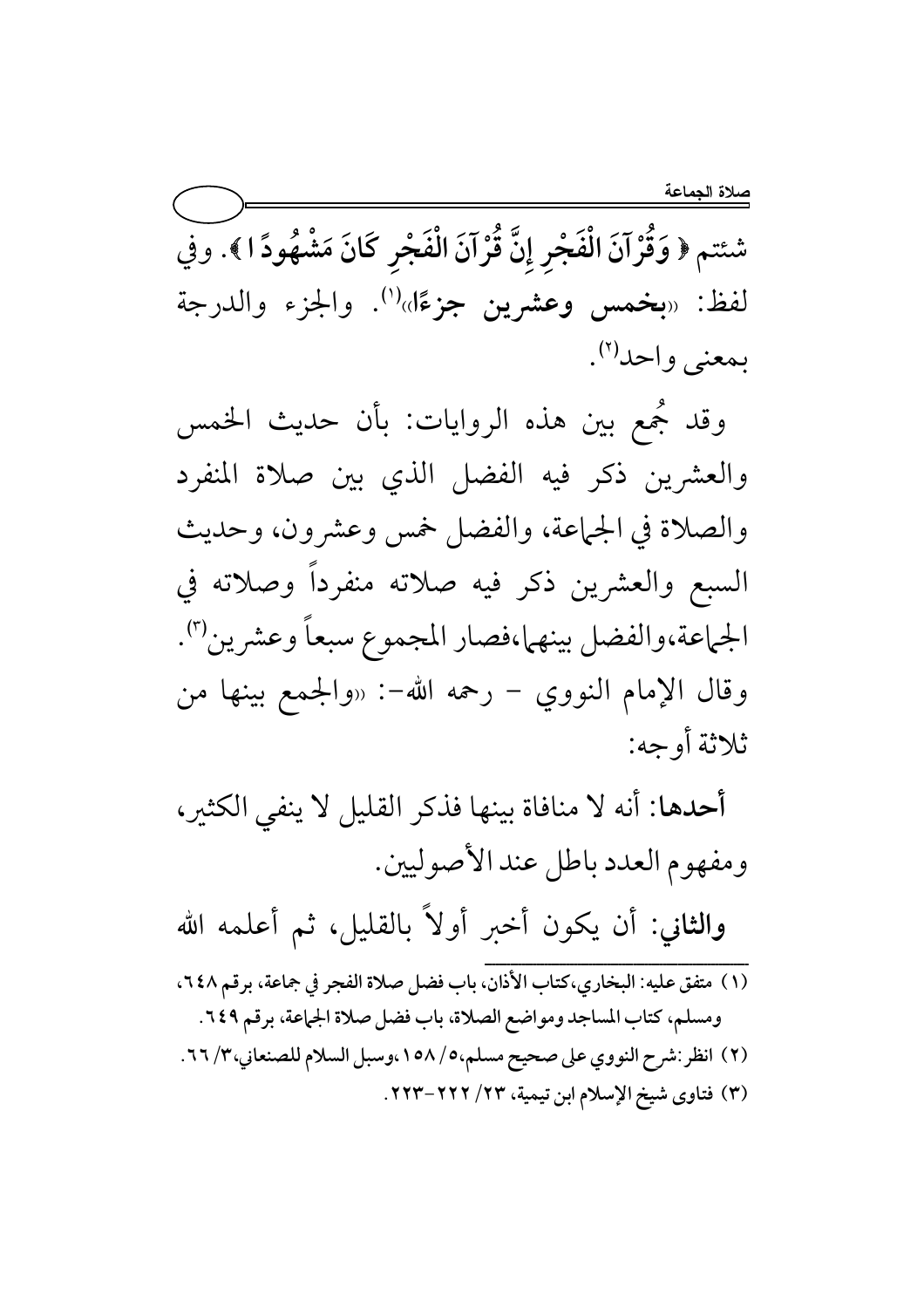شئتم ﴿ وَقُرْآنَ الْفَجْرِ إِنَّ قُرْآنَ الْفَجْرِ كَانَ مَشْهُودًا ﴾. وفي لفظ: «بخمس وعشرين جزءًا»<sup>(١)</sup>. والجزء والدرجة بمعنى واحد<sup>(٢)</sup>.

وقد جُمع بين هذه الروايات: بأن حديث الخمس والعشرين ذكر فيه الفضل الذي بين صلاة المنفرد والصلاة في الجماعة، والفضل خمس وعشرون، وحديث السبع والعشرين ذكر فيه صلاته منفرداً وصلاته في الجماعة،والفضل بينهما،فصار المجموع سبعاً وعشرين"). وقال الإمام النووي – رحمه الله-: «والجمع بينها من ثلاثة أوجه:

أحدها: أنه لا منافاة بينها فذكر القليل لا ينفي الكثير، ومفهوم العدد باطل عند الأصوليين.

والثانى: أن يكون أخبر أولاً بالقليل، ثم أعلمه الله

- .<br>(١) متفق عليه: البخاري،كتاب الأذان، باب فضل صلاة الفجر في جماعة، برقم ٢٤٨، ومسلم، كتاب المساجد ومواضع الصلاة، باب فضل صلاة الجماعة، برقم ٢٤٩. (٢) انظر:شرح النووي على صحيح مسلم،٥/ ١٥٨،وسبل السلام للصنعاني،٣/ ٦٦.
	- (٣) فتاوى شيخ الإسلام ابن تيمية، ٢٣/ ٢٢٢-٢٢٣.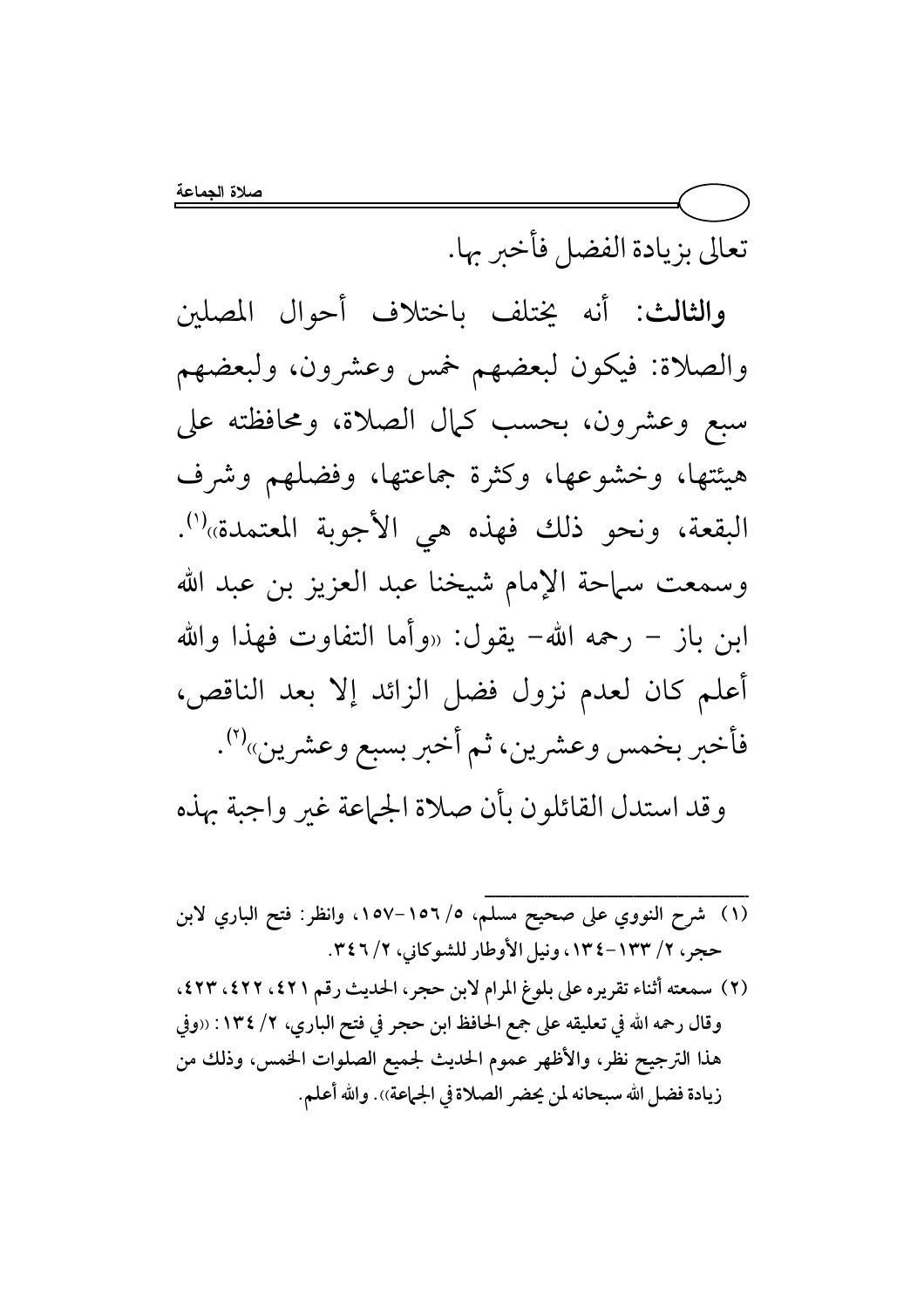تعالى بزيادة الفضل فأخبر بها.

والثالث: أنه يختلف باختلاف أحوال المصلين والصلاة: فيكون لبعضهم خمس وعشرون، ولبعضهم سبع وعشرون، بحسب كمال الصلاة، ومحافظته على هيئتها، وخشوعها، وكثرة جماعتها، وفضلهم وشرف البقعة، ونحو ذلك فهذه هي الأجوبة المعتمدة»<sup>(١)</sup>. وسمعت سماحة الإمام شيخنا عبد العزيز بن عبد الله ابن باز – رحمه الله– يقول: «وأما التفاوت فهذا والله أعلم كان لعدم نزول فضل الزائد إلا بعد الناقص، فأخبر بخمس وعشرين، ثم أخبر بسبع وعشرين»<sup>(٢)</sup>.

وقد استدل القائلون بأن صلاة الجماعة غير واجبة بهذه

(١) شرح النووي على صحيح مسلم، ١٥٦/٥٦-١٥٧، وانظر: فتح الباري لابن حجر، ٢/ ١٣٣-١٣٤ ، ونيل الأوطار للشوكاني، ٢/ ٣٤٦. (٢) سمعته أثناء تقريره على بلوغ المرام لابن حجر، الحديث رقم ٤٢١، ٤٢٢، ٤٢٣، وقال رحمه الله في تعليقه على جمع الحافظ ابن حجر في فتح الباري، ٢/ ١٣٤: «وفي هذا الترجيح نظر، والأظهر عموم الحديث لجميع الصلوات الخمس، وذلك من زيادة فضل الله سبحانه لمن يحضر الصلاة في الجماعة)). والله أعلم.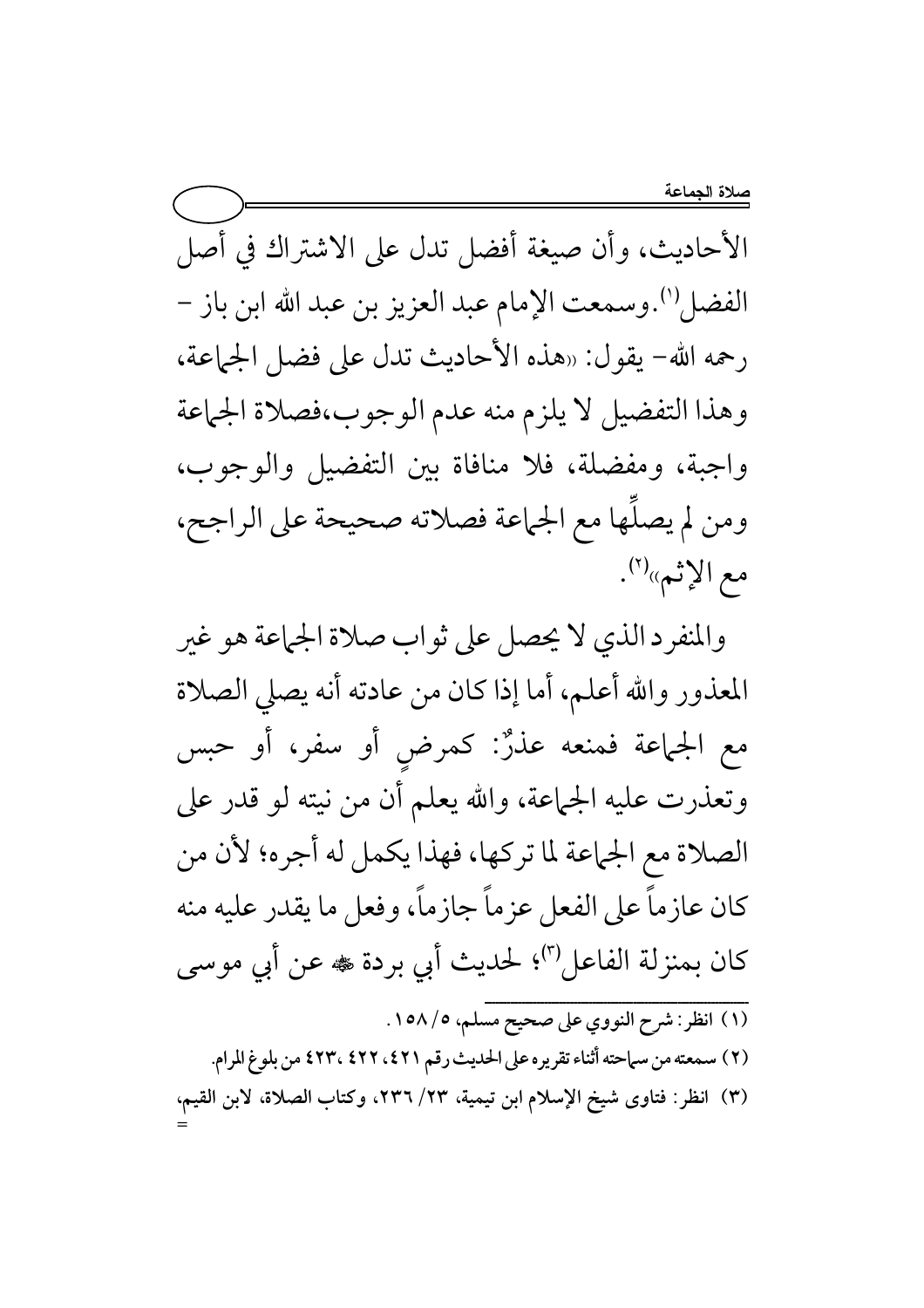الأحاديث، وأن صيغة أفضل تدل على الاشتراك في أصل الفضل''.وسمعت الإمام عبد العزيز بن عبد الله ابن باز – رحمه الله- يقول: «هذه الأحاديث تدل على فضل الجماعة، وهذا التفضيل لا يلزم منه عدم الوجوب،فصلاة الجماعة واجبة، ومفضلة، فلا منافاة بين التفضيل والوجوب، ومن لم يصلَها مع الجماعة فصلاته صحيحة على الراجح، مع الإثبه»(٢).

والمنفرد الذي لا يحصل على ثواب صلاة الجماعة هو غير المعذور والله أعلم، أما إذا كان من عادته أنه يصلى الصلاة مع الجماعة فمنعه عذرٌ: كمرض أو سفر، أو حبس وتعذرت عليه الجماعة، والله يعلم أن من نيته لو قدر على الصلاة مع الجماعة لما تركها، فهذا يكمل له أجره؛ لأن من كان عازماً على الفعل عزماً جازماً، وفعل ما يقدر عليه منه كان بمنزلة الفاعل'"؛ لحديث أبي بردة ﷺ عن أبي موسى (١) انظر: شرح النووي على صحيح مسلم، ١٥٨/٥. (٢) سمعته من سماحته أثناء تقريره على الحديث رقم ٤٢١، ٤٢٢، ٤٢٣، من بلوغ المرام.

(٣) انظر: فتاوى شيخ الإسلام ابن تيمية، ٢٣/ ٢٣٦، وكتاب الصلاة، لابن القيم،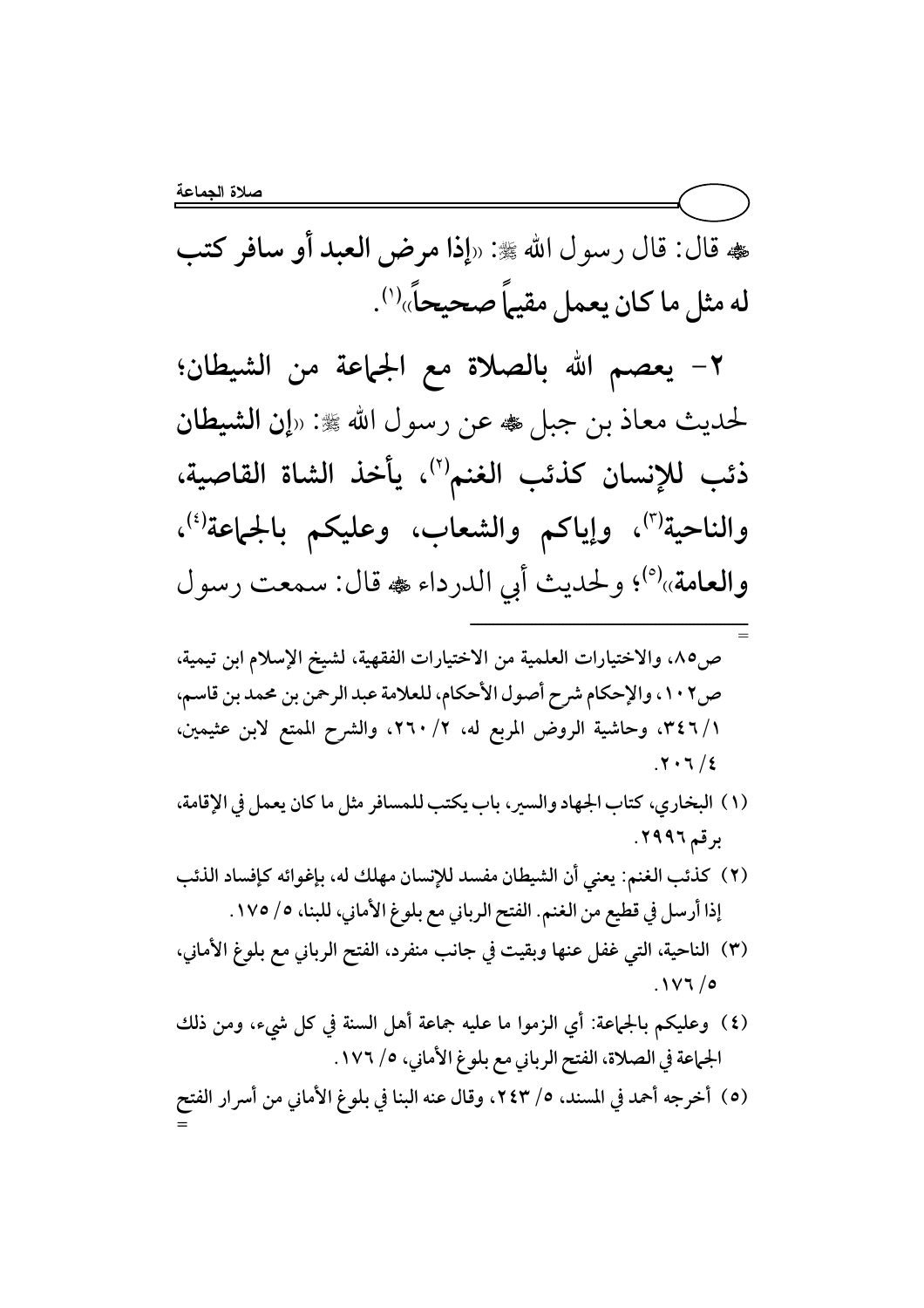هه قال: قال رسول الله ﷺ: «إذا مرض العبد أو سافر كتب صحيحاً» له مثل ما كان يعمل مقيها ') صحيحاً»<sup>(۱)</sup>.

٢− يعصم الله بالصلاة مع الجماعة من الشيطان؛ لحديث معاذ بن جبل ﷺ رسول الله ﷺ: «إن الشيطان ذئب للإنسان كذئب الغنم'')، يأخذ الشاة القاصية، والناحية<sup>(٣)</sup>، وإياكم والشعاب، وعليكم بالجماعة<sup>(٤)</sup>، والعامة»<sup>(٥)</sup>؛ ولحديث أبي الدرداء ، قال: سمعت رسول ــــــــــــــــــــــــــــــــــــــــــــــــــــــــــــــــــــــــ

- = ص٨٥، والاختيارات العلمية من الاختيارات الفقهية، لشيخ الإسلام ابن تيمية، ص٢٠٢، والإحكام شرح أصول الأحكام، للعلامة عبد الرحمن بن محمد بن قاسم، ٠/ ٣٤٦، وحاشية الروض المربع له، ٢/ ٢٦٠، والشرح الممتع لابن عثيمين،  $.7.7/2$ 
	- (١) البخاري، كتاب الجهاد والسير، باب يكتب للمسافر مثل ما كان يعمل في الإقامة، برقم ٢٩٩٦.
	- (٢) كذئب الغنم: يعني أن الشيطان مفسد للإنسان مهلك له، بإغوائه كإفساد الذئب إذا أرسل في قطيع من الغنم. الفتح الرباني مع بلوغ الأماني، للبنا، ٥/ ١٧٥.
- (٣) الناحية، التي غفل عنها وبقيت في جانب منفرد، الفتح الرباني مع بلوغ الأماني، .  $\frac{1}{2}$  / 0
	- (٤) ۖ وعليكم بالجماعة: أي الزموا ما عليه جماعة أهل السنة في كل شيء، ومن ذلك الجماعة في الصلاة، الفتح الرباني مع بلوغ الأماني، ٥/ ١٧٦.

(٥) أخرجه أحمد في المسند، ٥/ ٢٤٣، وقال عنه البنا في بلوغ الأماني من أسرار الفتح =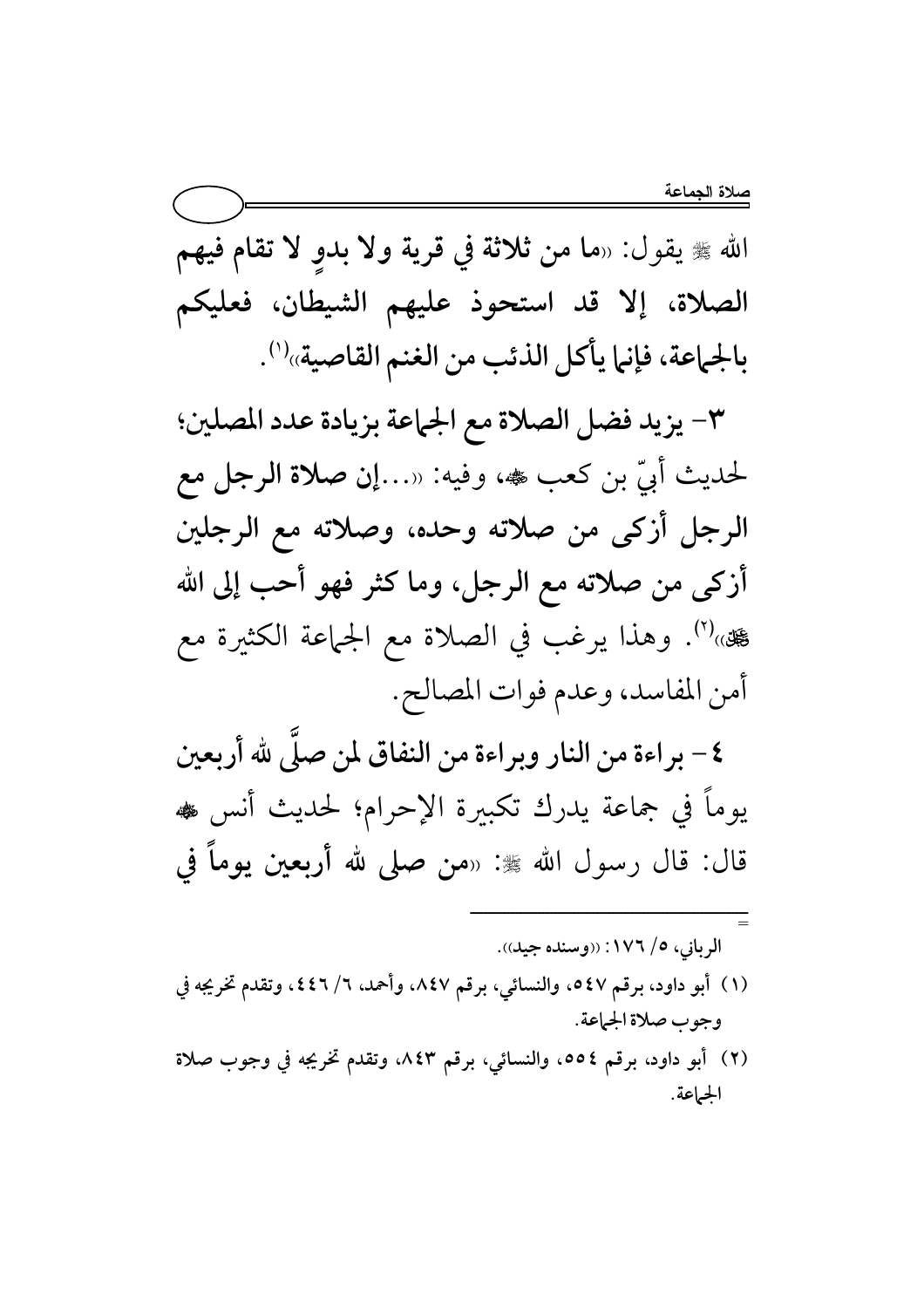الله ﷺ يقول: «ما من ثلاثة في قرية ولا بدوٍ لا تقام فيهم الصلاة، إلا قد استحوذ عليهم الشيطان، فعليكم بالجماعة، فإنما يأكل الذئب من الغنم القاصية»<sup>(١)</sup>.

٣- يزيد فضل الصلاة مع الجماعة بزيادة عدد المصلين؛ لحديث أبيّ بن كعب هه، وفيه: «…إن صلاة الرجل مع الرجل أزكى من صلاته وحده، وصلاته مع الرجلين أزكى من صلاته مع الرجل، وما كثر فهو أحب إلى الله عِين)(٢). وهذا يرغب في الصلاة مع الجماعة الكثيرة مع أمن المفاسد، وعدم فوات المصالح.

٤ – براءة من النار وبراءة من النفاق لمن صلَّى لله أربعين يوماً في جماعة يدرك تكبيرة الإحرام؛ لحديث أنس ﴿ قال: قال رسول الله ﷺ: «من صلى لله أ**ربع**ين يوماً في

الرباني، ٥/ ١٧٦: ((وسنده جيد)).

- (١) أبو داود، برقم ٤٧ه، والنسائي، برقم ٨٤٧، وأحمد، ٦/ ٤٤٦، وتقدم تخريجه في وجوب صلاة الجماعة.
- (٢) أبو داود، برقم ٥٥٤، والنسائي، برقم ٨٤٣، وتقدم تخريجه في وجوب صلاة الجهاعة.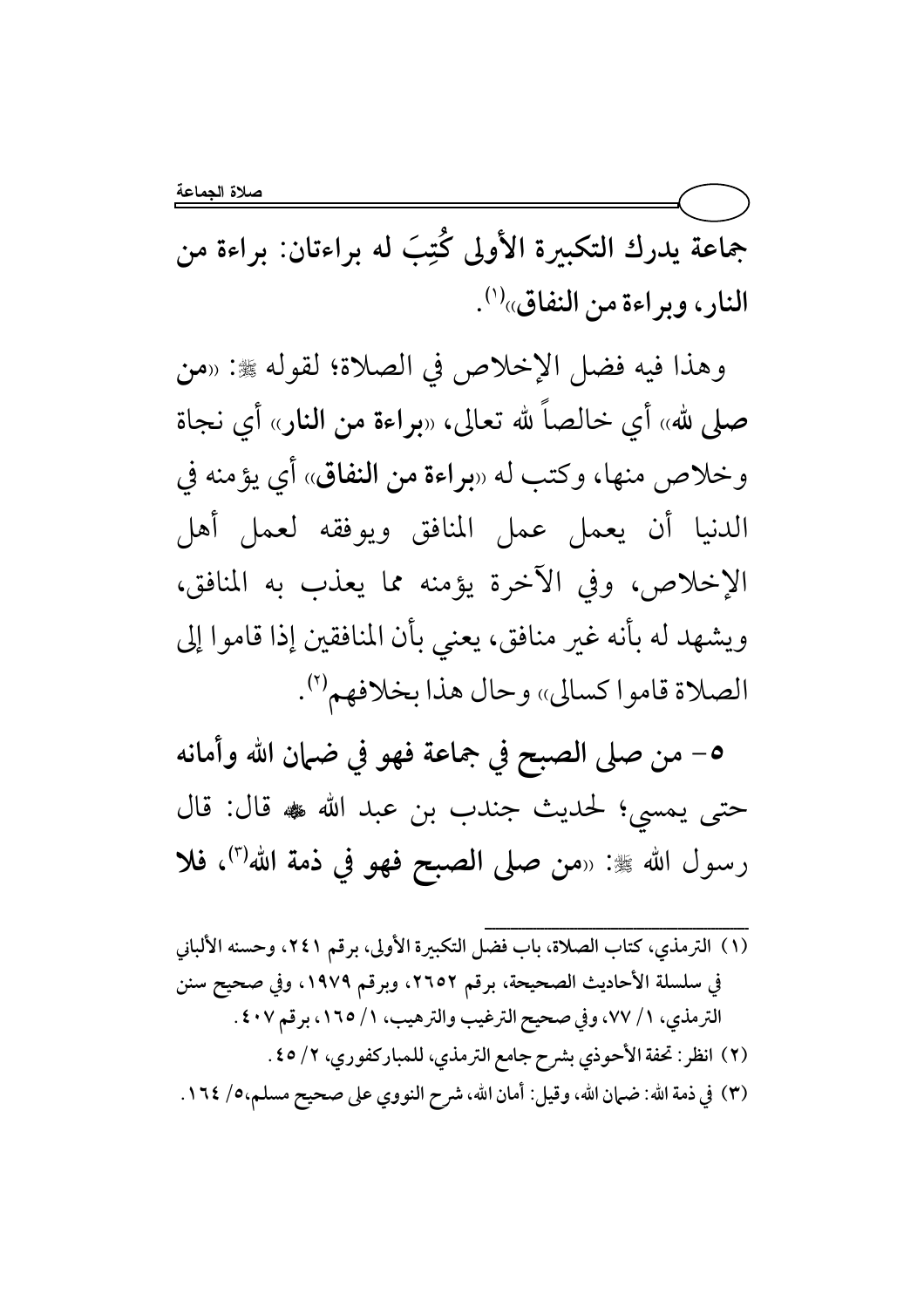بَ له براءتان  $\ddot{\ddot{\cdot}}$ جماعة يدرك التكبيرة الأولى كُتِبَ له براءتان: براءة من النار، وبراءة من النفاق»<sup>(י)</sup>.

وهذا فيه فضل الإخلاص في الصلاة؛ لقوله ﷺ: «من صلى لله» أي خالصا لله تعالى، «براءة من النار» أي نجاة وخلاص منها، وكتب له «براءة من النفاق» أي يؤمنه في الدنيا أن يعمل عمل المنافق ويوفقه لعمل أهل الإخلاص، وفي الآخرة يؤمنه مما يعذب به المنافق، ويشهد له بانه غير منافق، يعني بأن المنافقين إذا قاموا إلى الصلاة قاموا كسالي» وحال هذا بخلافهم<sup>(٢)</sup>.

0– من صلى الصبح في جماعة فهو في ضبان الله وأمانه حتى يمسى؛ لحديث جندب بن عبد الله ﷺ قال: قال رسول الله ﷺ: «من صلى الصبح فهو في ذمة الله<sup>(٣)</sup>، فلا

{{{{{{{{{{{{{{{{{{{{{{{{{{{{{{{{{{{{{{{{{{{{{{{{{{{{{{{{{{{{{{{{{{{{{{{ (١) الترمذي، كتاب الصلاة، باب فضل التكبيرة الأولى، برقم ٢٤١، وحسنه الألباني في سلسلة الأحاديث الصحيحة، برقم ٢٦٥٢، وبرقم ١٩٧٩، وفي صحيح سنن الترمذي، ١ / ٧٧، وفي صحيح الترغيب والترهيب، ١ / ١٦٥، برقم ٤٠٧ . (٢) انظر: تحفة الأحوذي بشرح جامع الترمذي، للمباركفوري، ٢/ ٤٥. (٣) في ذمة الله: ضمان الله، وقيل: أمان الله، شرح النووي على صحيح مسلم،٥/ ١٦٤.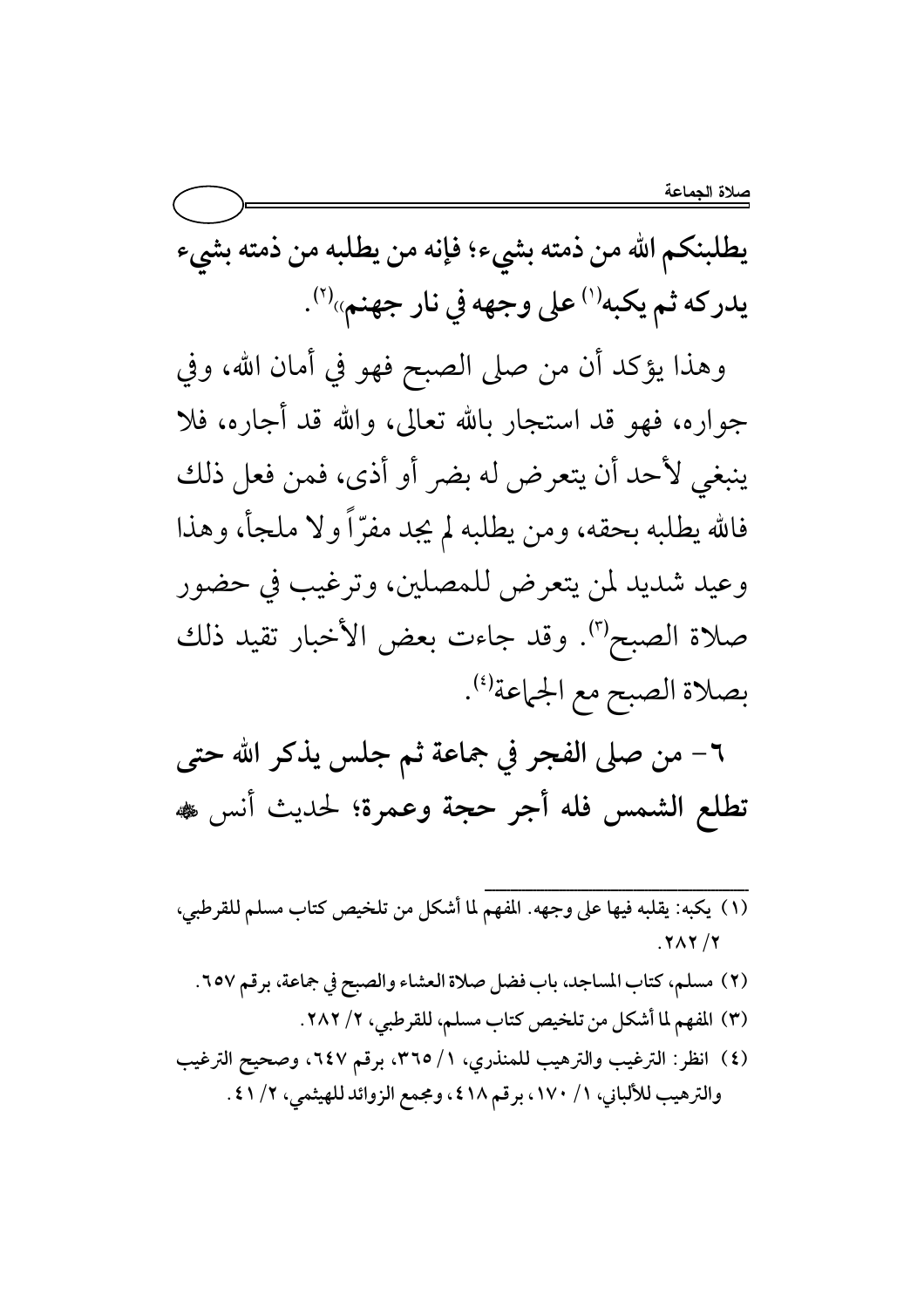يطلبنكم الله من ذمته بشيء؛ فإنه من يطلبه من ذمته بشيء يدركه ثم يكبه<sup>(י)</sup> على وجهه في نار جهنم»<sup>(٢)</sup>.

وهذا يؤكد أن من صلى الصبح فهو في أمان الله، وفي جواره، فهو قد استجار بالله تعالى، والله قد أجاره، فلا ينبغي لأحد أن يتعرض له بضر أو أذى، فمن فعل ذلك فالله يطلبه بحقه، ومن يطلبه لم يجد مفرّاً ولا ملجأ، وهذا وعيد شديد لمن يتعرض للمصلين، وترغيب في حضور صلاة الصبح". وقد جاءت بعض الأخبار تقيد ذلك بصلاة الصبح مع الجماعة(4).

٦- من صلى الفجر في جماعة ثم جلس يذكر الله حتى تطلع الشمس فله أجر حجة وعمرة؛ لحديث أنس ،

- $.7<sub>N</sub>$ 
	- (٢) مسلم، كتاب المساجد، باب فضل صلاة العشاء والصبح في جماعة، برقم ٢٥٧. (٣) المفهم لما أشكل من تلخيص كتاب مسلم، للقرطبي، ٢/ ٢٨٢.
- (٤) انظر: الترغيب والترهيب للمنذري، ١/ ٣٦٥، برقم ٦٤٧، وصحيح الترغيب والترهيب للألباني، ١/ ١٧٠، برقم ٤١٨، ومجمع الزوائد للهيثمي، ٢/ ٤١.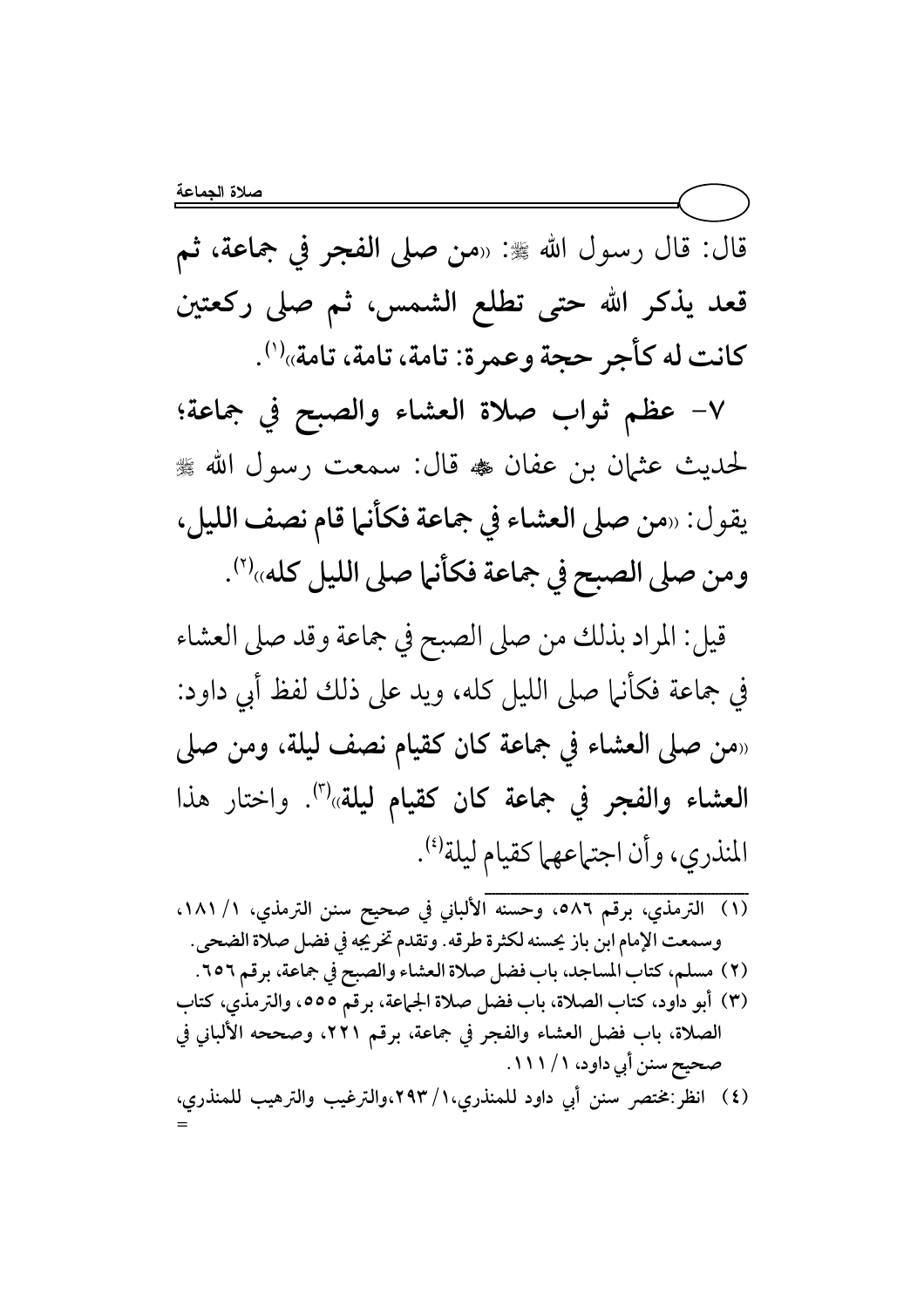=

قال: قال رسول الله ﷺ: «من صلى الفجر في جماعة، ثم قعد يذكر الله حتى تطلع الشمس، ثم صلى ركعتين كانت له كأجر حجة وعمرة: تامة، تامة، تامة»<sup>(١)</sup>.

√− عظم ثواب صلاة العشاء والصبح في جماعة؛ لحديث عثمان بن عفان ﷺ قال: سمعت رسول الله ﷺ يقول: «من صلى العشاء في جماعة فكانها قام نصف الليل، ومن صلى الصبح في جماعة فكأنها صلى الليل كله»<sup>(٢)</sup>.

قيل: المراد بذلك من صلى الصبح في جماعة وقد صلى العشاء في جماعة فكانها صلى الليل كله، ويد على ذلك لفظ ابي داود: «من صلى العشاء في جماعة كان كقيام نصف ليلة، ومن صلى العشاء والفجر في جماعة كان كقيام ليلة»<sup>(٣)</sup>. واختار هذا المنذري، وأن اجتماعهما كقيام ليلة<sup>(؛)</sup>.

 ${}}$ (١) الترمذي، برقم ٥٨٦، وحسنه الألباني في صحيح سنن الترمذي، ١/ ١٨١، وسمعت الإمام ابن باز يحسنه لكثرة طرقه. وتقدم تخريجه في فضل صلاة الضحى. (٢) مسلم، كتاب المساجد، باب فضل صلاة العشاء والصبح في جماعة، برقم ٦٥٦. (٣) أبو داود، كتاب الصلاة، باب فضل صلاة الجماعة، برقم ٥٥٥، والترمذي، كتاب الصلاة، باب فضل العشاء والفجر في جماعة، برقم ٢٢١، وصححه الألباني في صحیح سنن آبي داود، ۱ / ۱ ۱ ۱ . (٤) انظر :مختصر سنن أبي داود للمنذري،١/ ٢٩٣،والترغيب والترهيب للمنذري،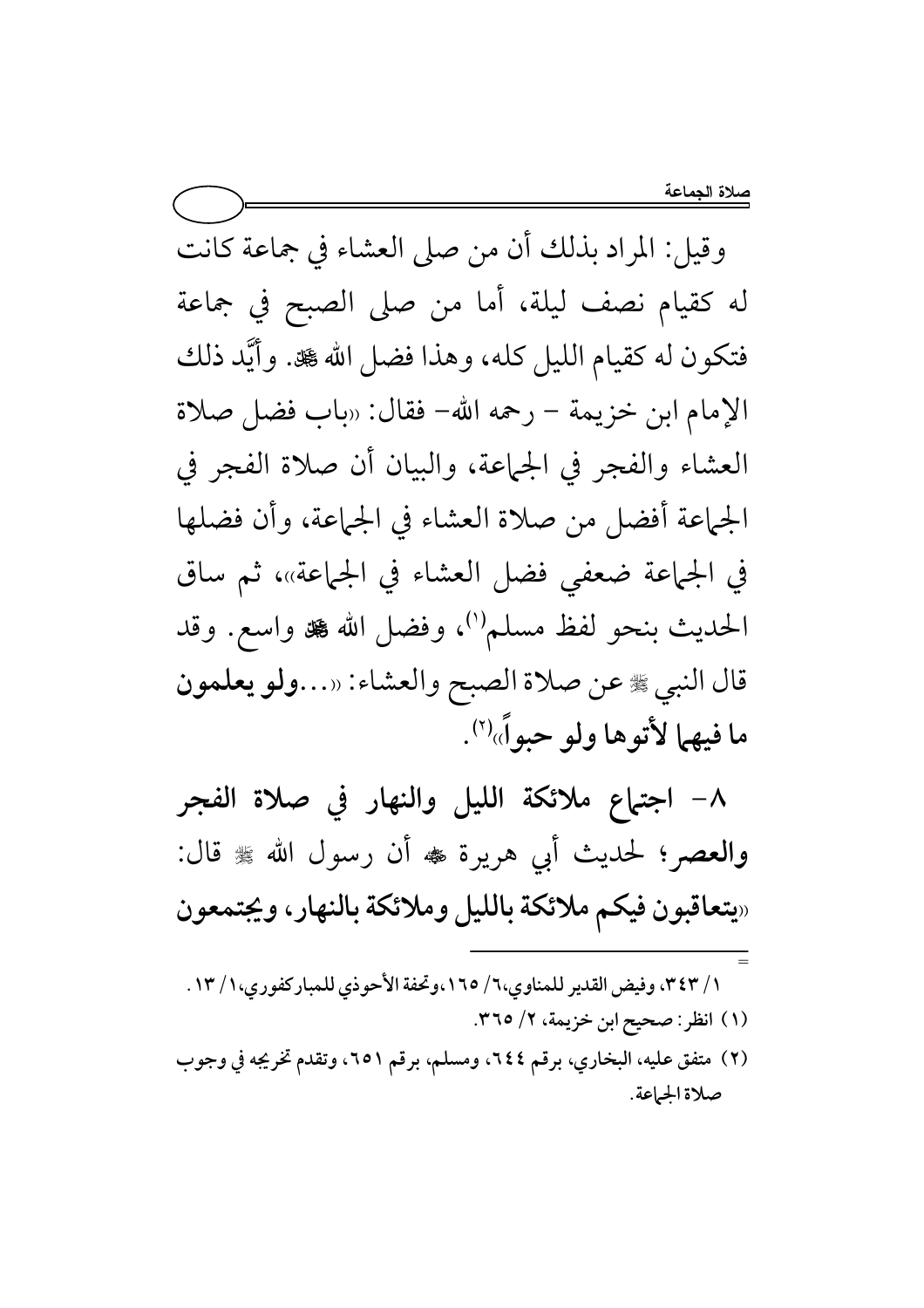وقيل: المراد بذلك أن من صلى العشاء في جماعة كانت له كقيام نصف ليلة، أما من صلى الصبح في جماعة فتكون له كقيام الليل كله، وهذا فضل الله کلة. وأيَّد ذلك الإمام ابن خزيمة – رحمه الله– فقال: «باب فضل صلاة العشاء والفجر في الجماعة، والبيان أن صلاة الفجر في الجماعة أفضل من صلاة العشاء في الجماعة، وأن فضلها في الجماعة ضعفى فضل العشاء في الجماعة»، ثم ساق الحديث بنحو لفظ مسلم'')، وفضل الله ﷺ واسع. وقد قال النبي ﷺ عن صلاة الصبح والعشاء: «…ولو يعلمون ما فيهما لأتوها ولو حبواً»'".

٨- اجتباع ملائكة الليل والنهار في صلاة الفجر والعصر؛ لحديث أبي هريرة ، أن رسول الله ، قال: «يتعاقبون فيكم ملائكة بالليل وملائكة بالنهار، ويجتمعون

- ١ / ٣٤٣، وفيض القدير للمناوى،٦ / ١٦٥،وتحفة الأحوذي للمباركفوري،١ / ١٣. (١) انظر: صحيح ابن خزيمة، ٢/ ٣٦٥.
- (٢) متفق عليه، البخاري، برقم ٢٤٤، ومسلم، برقم ٢٥١، وتقدم تخريجه في وجوب صلاة الجماعة.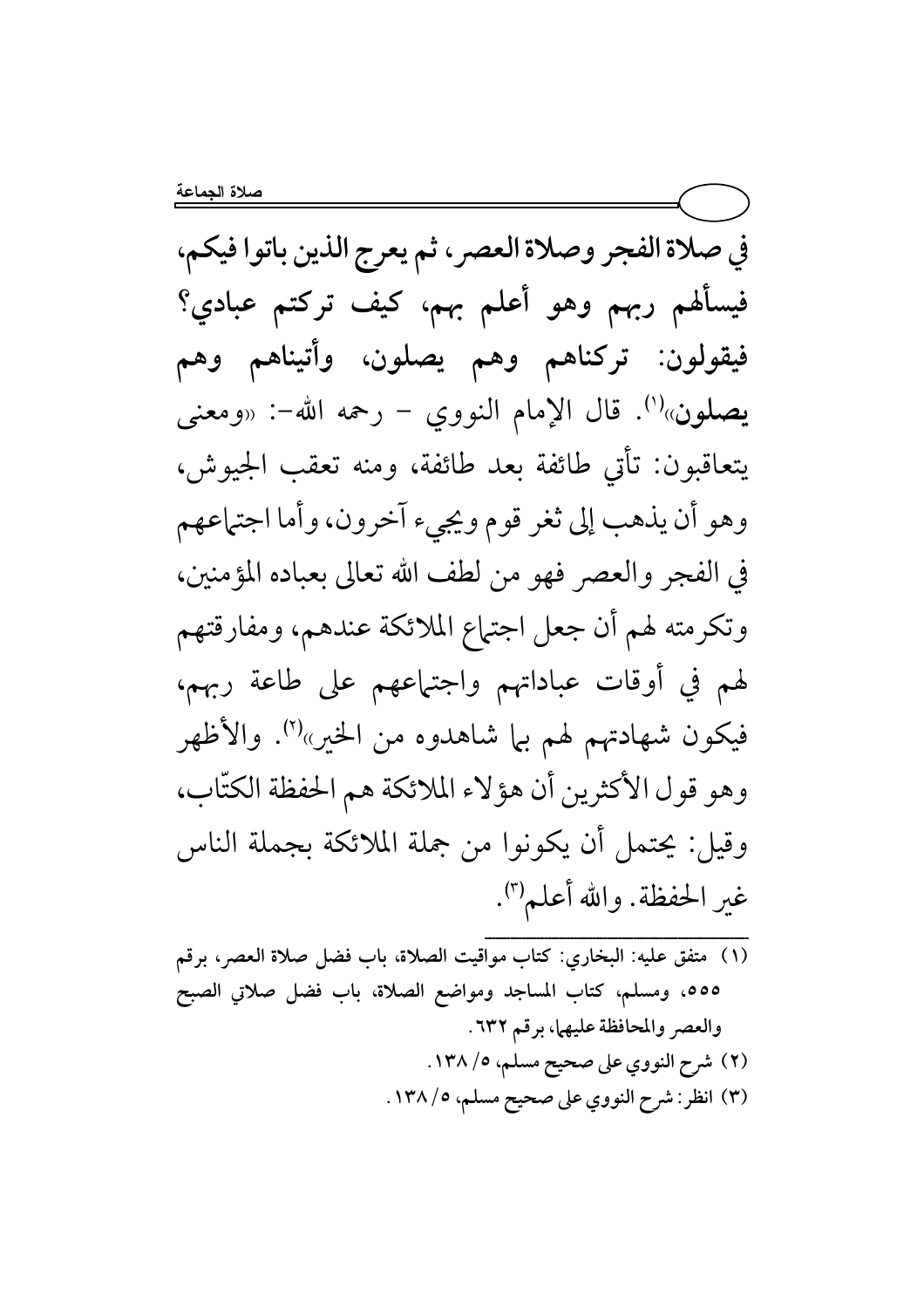في صلاة الفجر وصلاة العصر ، ثم يعرج الذين باتوا فيكم، فيسألهم ربهم وهو أعلم بهم، كيف تركتم عبادي؟ فيقولون: تركناهم وهم يصلون، وأتيناهم وهم يصلون»<sup>(י</sup>). قال الإمام النووي – رحمه الله–: «ومعنى يتعاقبون: تأتى طائفة بعد طائفة، ومنه تعقب الجيوش، وهو أن يذهب إلى ثغر قوم ويجيء آخرون، وأما اجتهاعهم في الفجر والعصر فهو من لطف الله تعالى بعباده المؤمنين، وتكرمته لهم أن جعل اجتهاع الملائكة عندهم، ومفارقتهم لهم في أوقات عباداتهم واجتهاعهم على طاعة ربهم، فيكون شهادتهم لهم بها شاهدوه من الخير»<sup>(٢)</sup>. والأظهر وهو قول الأكثرين أن هؤلاء الملائكة هم الحفظة الكتّاب، وقيل: يحتمل أن يكونوا من جملة الملائكة بجملة الناس غير الحفظة. والله أعلم'''.

(١) متفق عليه: البخاري: كتاب مواقيت الصلاة، باب فضل صلاة العصر، برقم ٥٥٥، ومسلم، كتاب المساجد ومواضع الصلاة، باب فضل صلاتي الصبح والعصر والمحافظة عليهما، برقم ٦٣٢. (٢) شرح النووي على صحيح مسلم، ٥/ ١٣٨. (٣) انظر: شرح النووي على صحيح مسلم، ١٣٨/٥.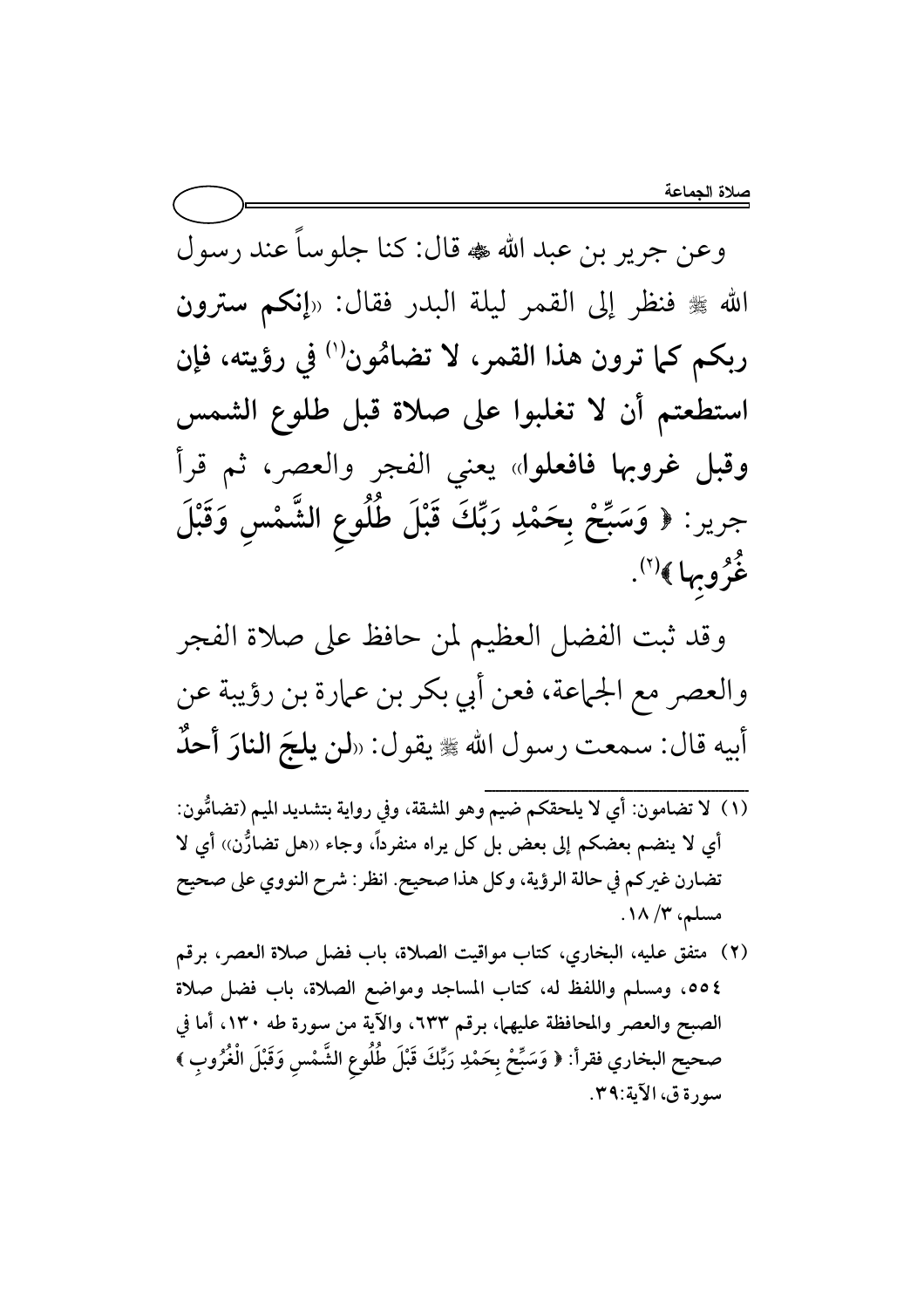وعن جرير بن عبد الله که قال: کنا جلوسا عند رسول الله ﷺ فنظر إلى القمر ليلة البدر فقال: «إنكم سترون ربكم كما ترون هذا القمر، لا تضامُون'' في رؤيته، فإن استطعتم أن لا تغلبوا على صلاة قبل طلوع الشمس وقبل غروبها فافعلوا» يعني الفجر والعصر، ثم قرأ جرير : ﴿ وَسَبِّحْ بِحَمْدِ رَبِّكَ قَبْلَ طَلُوعِ الشَّمْسِ وَقَبْلَ  $\overline{\mathbf{r}}$ وَسَبِّحْ بِحَمْدِ غُرُوبِها ﴾<sup>(٢)</sup>.

وقد ثبت الفضل العظيم لمن حافظ على صلاة الفجر والعصر مع الجماعة، فعن أبي بكر بن عمارة بن رؤيبة عن أبيه قال: سمعت رسول الله ﷺ يقول: «**لن يلجَ النارَ أحدُ** 

- ${}}}}{x}$ (١) لا تضامون: أي لا يلحقكم ضيم وهو المشقة، وفي رواية بتشديد الميم (تضامُّون: أي لا ينضم بعضكم إلى بعض بل كل يراه منفرداً، وجاء «هل تضارُّن» أي لا تضارن غيركم في حالة الرؤية، وكل هذا صحيح. انظر : شرح النووي على صحيح مسلم، ۱۸/۳.
- (٢) متفق عليه، البخاري، كتاب مواقيت الصلاة، باب فضل صلاة العصر، برقم ٤٥٥، ومسلم واللفظ له، كتاب المساجد ومواضع الصلاة، باب فضل صلاة الصبح والعصر والمحافظة عليهما، برقم ٦٣٣، والاية من سورة طه ١٣٠، أما في صحيح البخاري فقرأ: ﴿ وَسَبِّحْ بِحَمْدِ رَبِّكَ قَبْلَ طُلُوعِ الشَّمْسِ وَقَبْلَ الْغُرُوبِ ﴾  $\ddot{\phantom{0}}$ سورة ق، الأية:٣٩.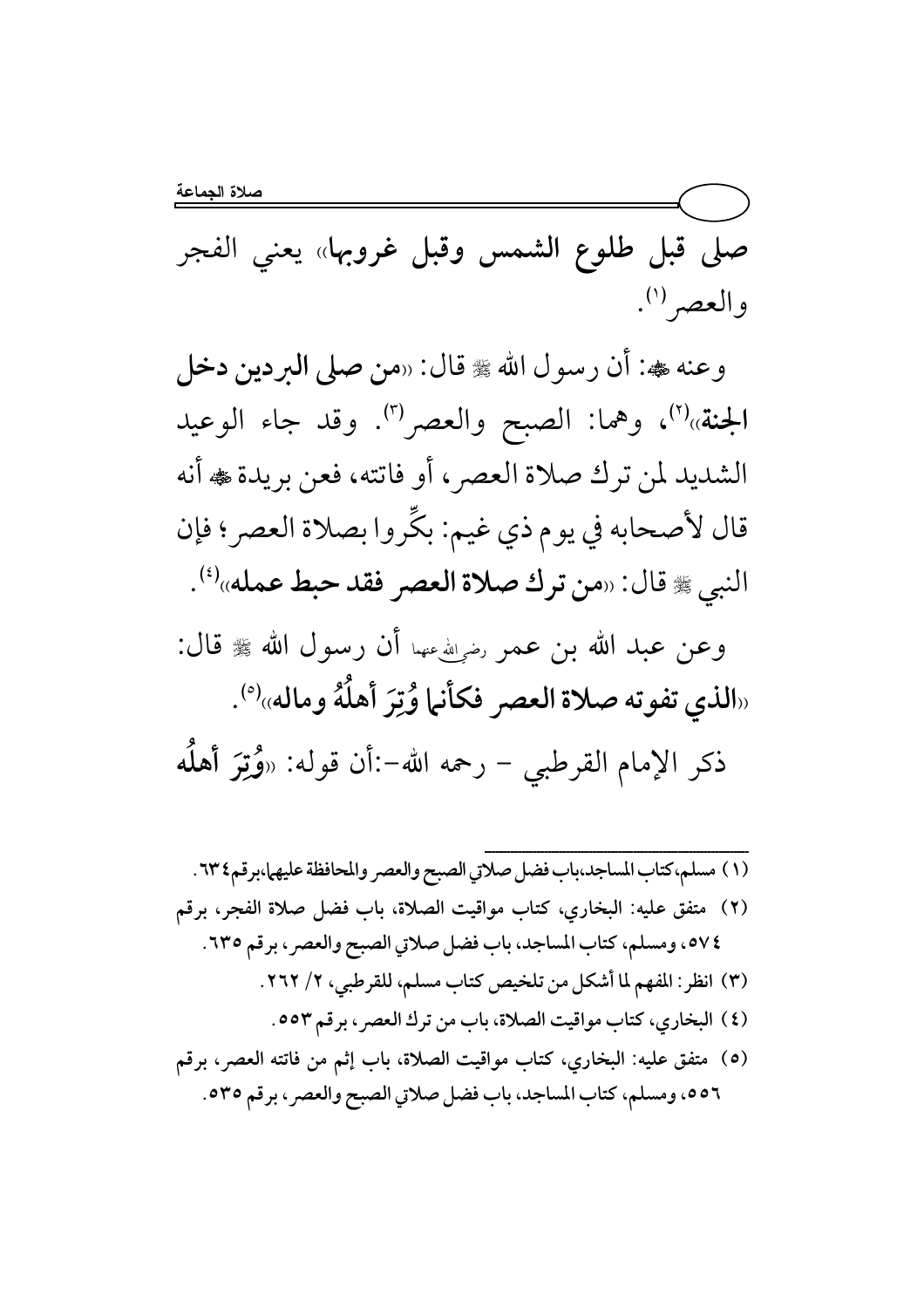صلى قبل طلوع الشمس وقبل غروبها» يعني الفجر والعصر (۱).

وعنه ڜ: أن رسول الله ﷺ قال: «من صلى البردين دخل الجنة»<sup>(٢)</sup>، وهما: الصبح والعصر<sup>(٣)</sup>. وقد جاء الوعيد الشديد لمن ترك صلاة العصر، أو فاتته، فعن بريدة ، أنه قال لأصحابه في يوم ذي غيم: بكِّروا بصلاة العصر؛ فإن النبي ﷺ قال: «من ترك صلاة العصر فقد حبط عمله»<sup>(٤)</sup>.

- وعن عبد الله بن عمر رضي أي عنهما أن رسول الله ﷺ قال: «الذي تفوته صلاة العصر فكأنها وُتِرَ أهلَّهُ وماله»<sup>(٥)</sup>. ذكر الإمام القرطبي – رحمه الله–:أن قوله: «وُتِرَ أهلُه
- (١) مسلم،كتاب المساجد،باب فضل صلاتي الصبح والعصر والمحافظة عليهما،برقم٢٣٤. (٢) متفق عليه: البخاري، كتاب مواقيت الصلاة، باب فضل صلاة الفجر، برقم ٧٤، ومسلم، كتاب المساجد، باب فضل صلاتي الصبح والعصر، برقم ٦٣٥. (٣) انظر: المفهم لما أشكل من تلخيص كتاب مسلم، للقرطبي، ٢/ ٢٦٢. (٤) البخاري، كتاب مواقيت الصلاة، باب من ترك العصر، برقم ٥٥٣. (٥) متفق عليه: البخاري، كتاب مواقيت الصلاة، باب إثم من فاتته العصر، برقم ٥٥٦، ومسلم، كتاب المساجد، باب فضل صلاتي الصبح والعصر ، برقم ٥٣٥.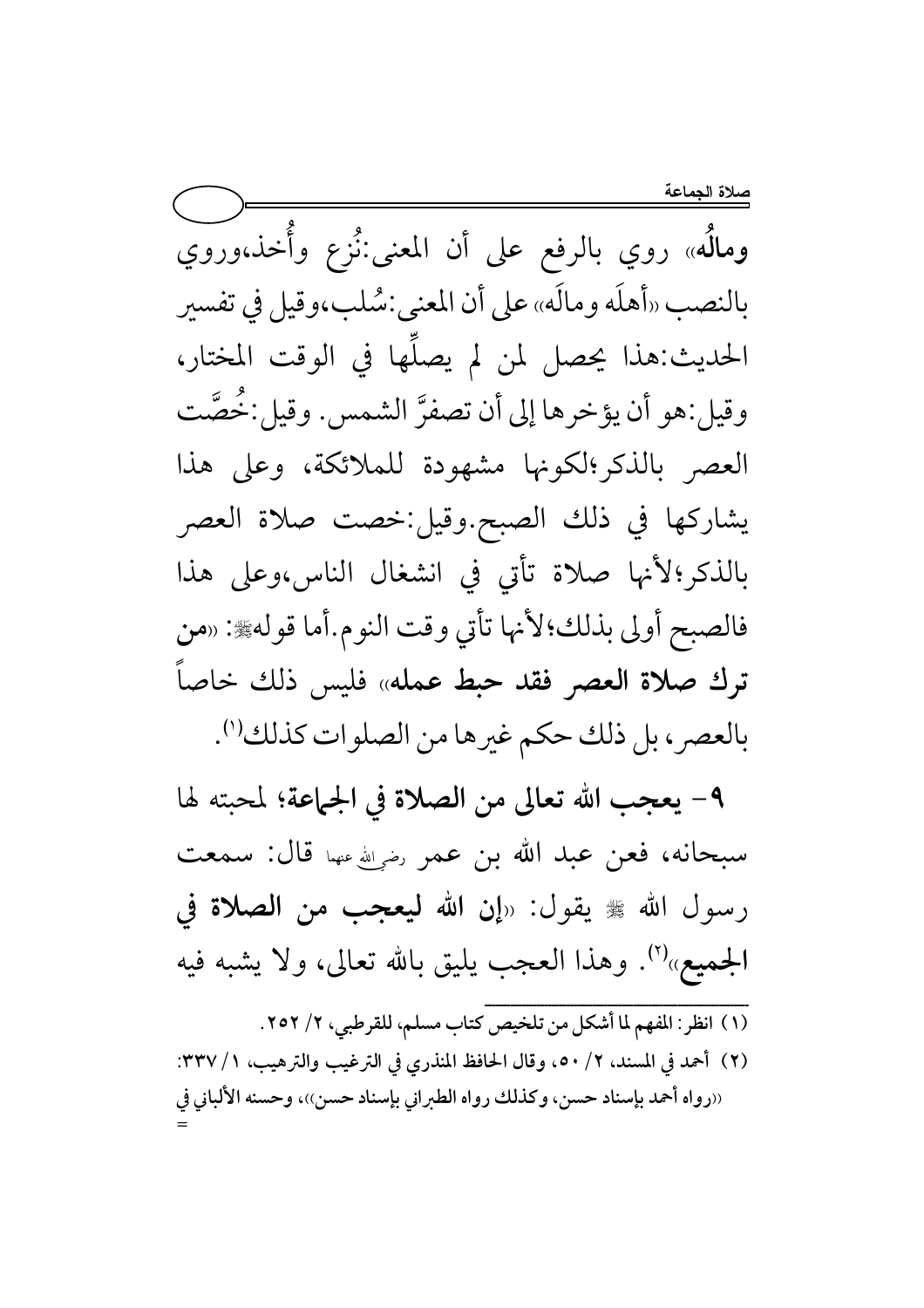ومالَه» روي بالرفع على أن المعنى:نُزع وأُخذ،وروي بالنصب «أهلَه ومالَه» على أن المعنى:شُلب،وقيل في تفسير الحديث:هذا يحصل لمن لم يصلِّها في الوقت المختار، وقيل:هو أن يؤخرها إلى أن تصفرَّ الشمس. وقيل:خُصَّت العصر بالذكر الكونها مشهودة للملائكة، وعلى هذا يشاركها في ذلك الصبح.وقيل:خصت صلاة العصر بالذكر؛لأنها صلاة تأتى في انشغال الناس،وعلى هذا فالصبح أولى بذلك؛لأنها تأتي وقت النوم.أما قوله، «من ترك صلاة العصر فقد حبط عمله» فليس ذلك خاصاً بالعصر، بل ذلك حكم غيرها من الصلوات كذلك (').

٩- يعجب الله تعالى من الصلاة في الجماعة؛ لمحبته لها سبحانه، فعن عبد الله بن عمر رضي الله عنها قال: سمعت رسول الله ﷺ يقول: «إن الله **ليعجب من الصلاة في** الجميع»<sup>(٢)</sup>. وهذا العجب يليق بالله تعالى، ولا يشبه فيه

(١) انظر: المفهم لما أشكل من تلخيص كتاب مسلم، للقرطبي، ٢/ ٢٥٢.

(٢) أحمد في المسند، ٢/ ٥٠، وقال الحافظ المنذري في الترغيب والترهيب، ١/ ٣٣٧: «رواه أحمد بإسناد حسن، وكذلك رواه الطبراني بإسناد حسن))، وحسنه الألباني في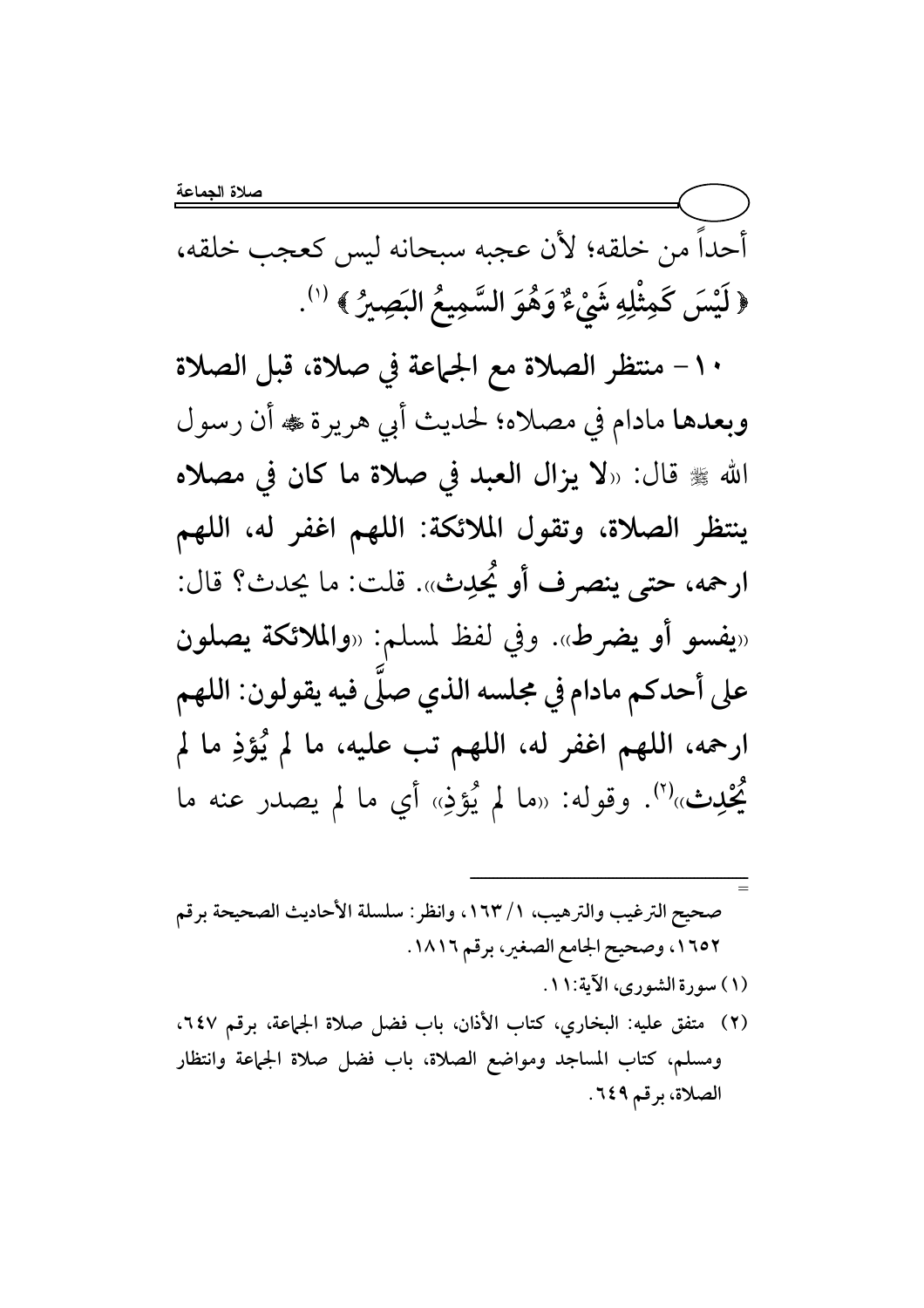أحداً من خلقه؛ لأن عجبه سبحانه ليس كعجب خلقه، ﴿ لَيْسَ كَمِثْلِهِ شَيْءٌ وَهُوَ السَّمِيعُ البَصِيرُ ﴾ (''.

١٠ - منتظر الصلاة مع الجماعة في صلاة، قبل الصلاة وبعدها مادام في مصلاه؛ لحديث أبي هريرة ، أن رسول الله ﷺ قال: «لا يزال العبد في صلاة ما كان في مصلاه ينتظر الصلاة، وتقول الملائكة: اللهم اغفر له، اللهم ارحمه، حتى ينصرف أو يُحدِث». قلت: ما يحدث؟ قال: «يفسو أو يضرط». وفي لفظ لمسلم: «والملائكة يصلون على أحدكم مادام في مجلسه الذي صلَّى فيه يقولون: اللهم ارحمه، اللهم اغفر له، اللهم تب عليه، ما لم يُؤذِ ما لم يُحْدِث»<sup>(٢)</sup>. وقوله: «ما لم يُؤذِ» أي ما لم يصدر عنه ما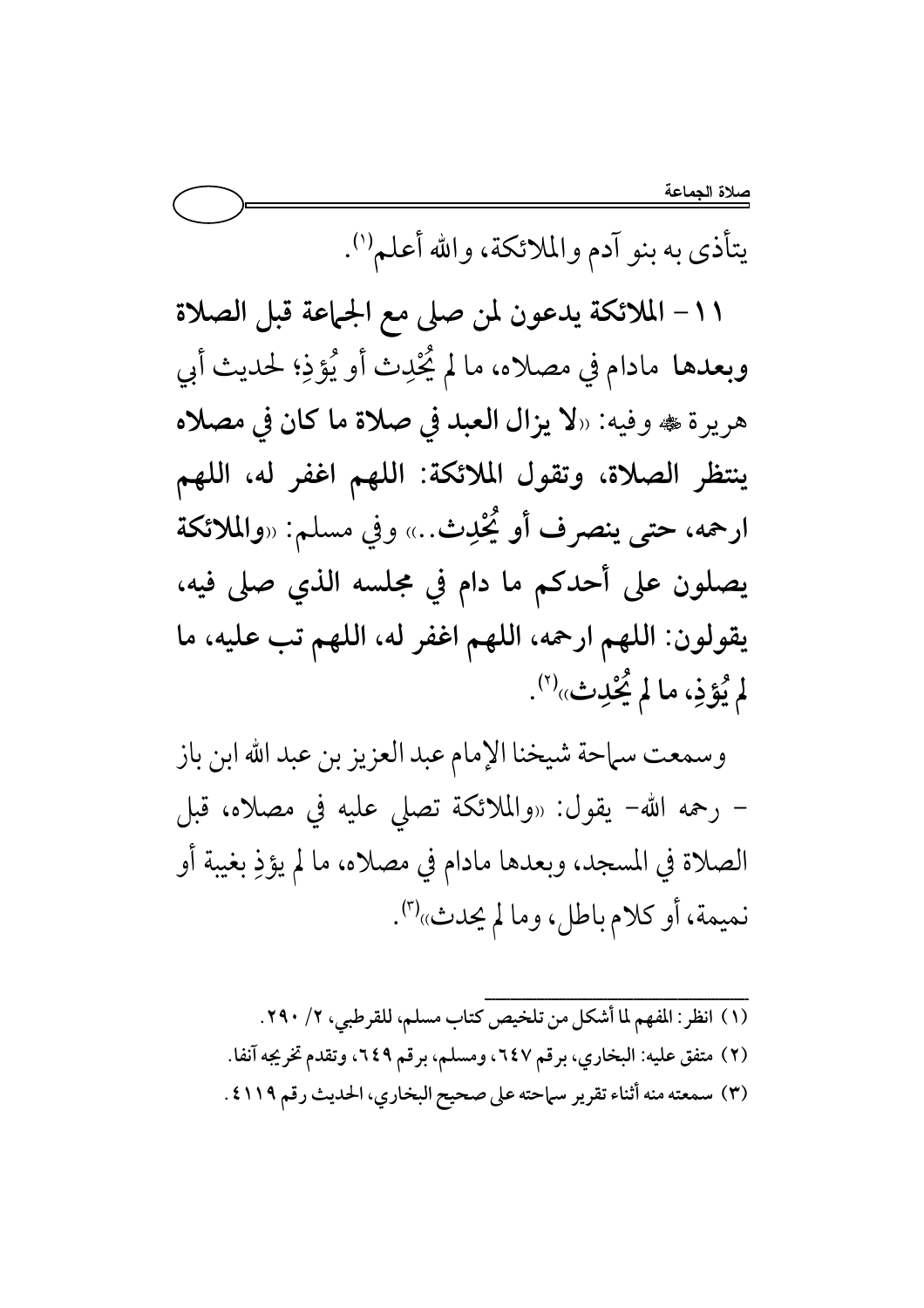<u>صلا</u>ة الجماعة

يتأذى به بنو آدم والملائكة، والله أعلم''.

١١– الملائكة يدعون لمن صلى مع الجماعة قبل الصلاة وبعدها مادام في مصلاه، ما لم يُحْدِث أو يُؤذِ؛ لحديث أبي هريرة ، وفيه: «لا يزال العبد في صلاة ما كان في مصلاه ينتظر الصلاة، وتقول الملائكة: اللهم اغفر له، اللهم ارحمه، حتى ينصرف أو يُحْدِث..» وفي مسلم: «والملائكة يصلون على أحدكم ما دام في مجلسه الذي صلى فيه، يقولون: اللهم ارحمه، اللهم اغفر له، اللهم تب عليه، ما لم يُؤذِ، ما لم يُحْدِث»<sup>(٢)</sup>.

وسمعت سماحة شيخنا الإمام عبد العزيز بن عبد الله ابن باز – رحمه الله– يقول: «والملائكة تصلى عليه في مصلاه، قبل الصلاة في المسجد، وبعدها مادام في مصلاه، ما لم يؤذِ بغيبة أو نميمة، أو كلام باطل، وما لم يحدث»'".

(١) انظر: المفهم لما أشكل من تلخيص كتاب مسلم، للقرطبي، ٢/ ٣٩٠. (٢) متفق عليه: البخاري، برقم ٦٤٧، ومسلم، برقم ٢٤٩، وتقدم تخريجه آنفا. (٣) سمعته منه أثناء تقرير سماحته على صحيح البخاري، الحديث رقم ٤١١٩ .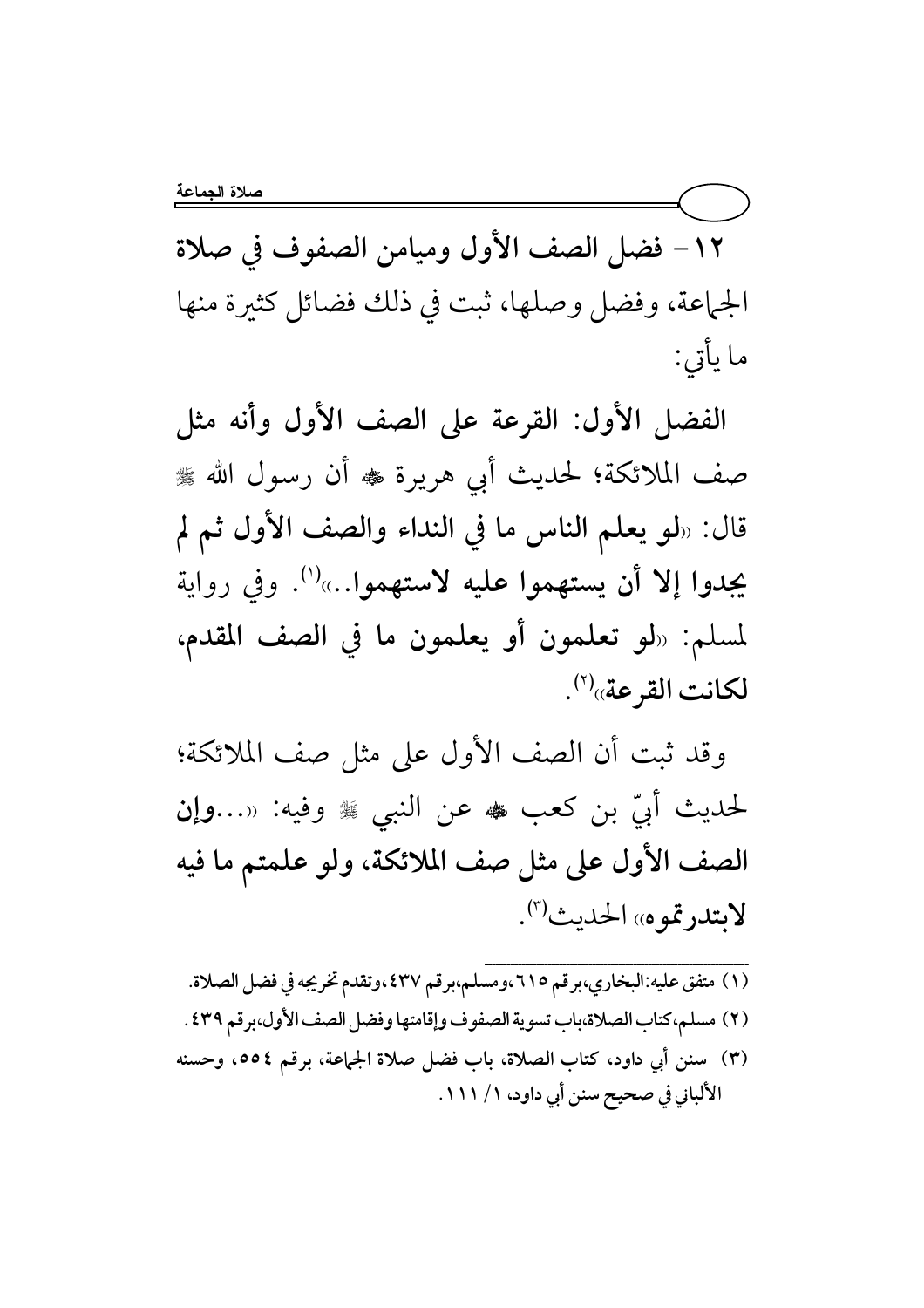١٢- فضل الصف الأول وميامن الصفوف في صلاة الجماعة، وفضل وصلها، ثبت في ذلك فضائل كثيرة منها ما يأتي:

الفضل الأول: القرعة على الصف الأول وأنه مثل صف الملائكة؛ لحديث أبي هريرة ﷺ أن رسول الله ﷺ قال: «لو يعلم الناس ما في النداء والصف الأول ثم لم يجدوا إلا أن يستهموا عليه لاستهموا…»''. وفي رواية لمسلم: «لو تعلمون أو يعلمون ما في الصف المقدم، لكانت القرعة»<sup>(٢)</sup>.

وقد ثبت أن الصف الأول على مثل صف الملائكة؛ لحديث أَبِّي بن كعب هُ عن النبي ﷺ وفيه: «…وإِن الصف الأول على مثل صف الملائكة، ولو علمتم ما فيه لابتدرتموه» الحديث".

(١) متفق عليه:البخاري،برقم ٢١٥،ومسلم،برقم ٤٣٧،وتقدم تخريجه في فضل الصلاة. (٢) مسلم،كتاب الصلاة،باب تسوية الصفوف وإقامتها وفضل الصف الأول،برقم ٤٣٩ . (٣) سنن أي داود، كتاب الصلاة، باب فضل صلاة الجماعة، برقم ٥٥٤، وحسنه الألباني في صحيح سنن أبي داود، ١ / ١١١ .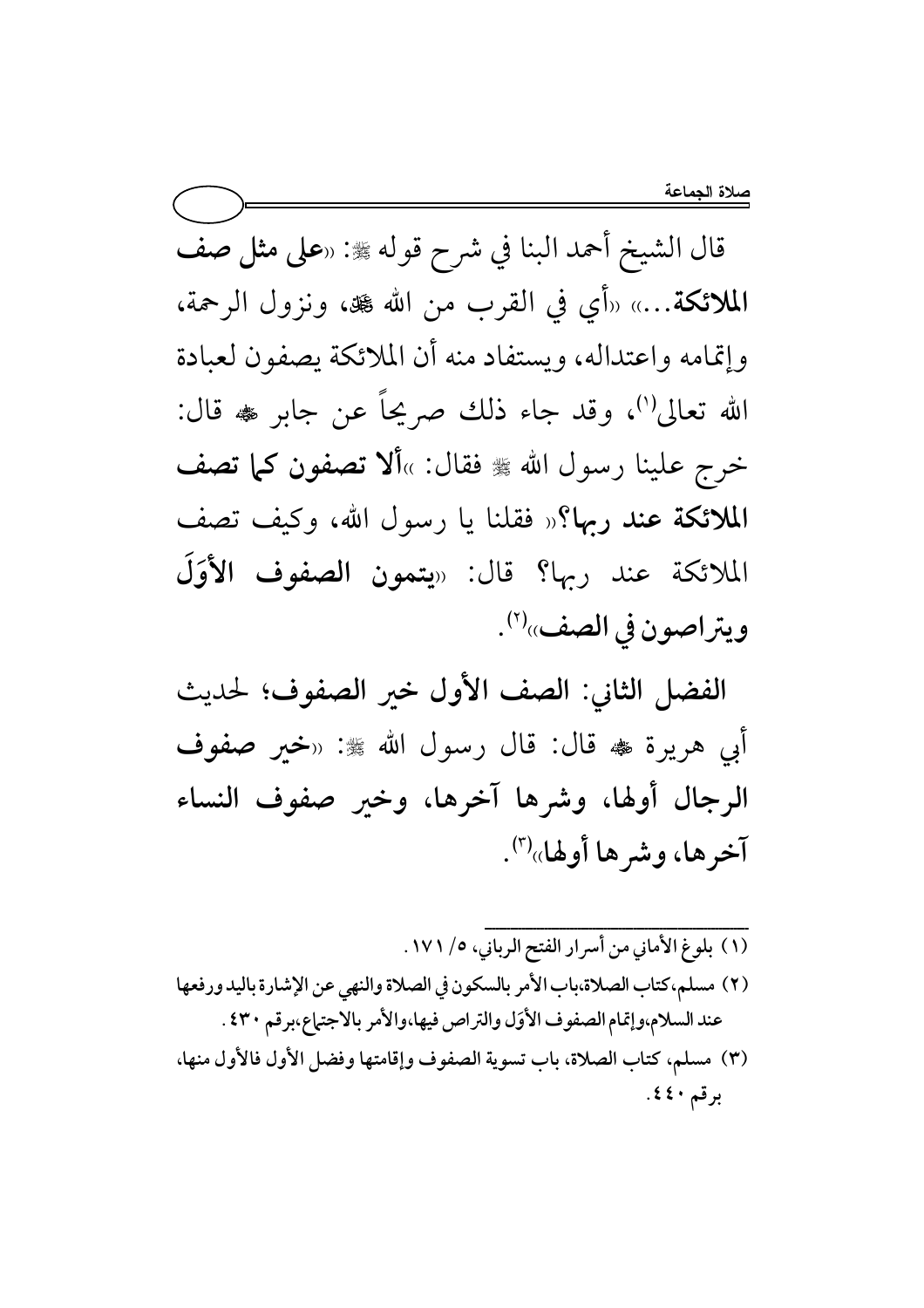قال الشيخ أحمد البنا في شرح قوله ﷺ: «على مثل صف الملائكة...» «أي في القرب من الله کِ ، ونزول الرحمة، وإتمامه واعتداله، ويستفاد منه أن الملائكة يصفون لعبادة الله تعالى'')، وقد جاء ذلك صريحاً عن جابر ﷺ قال: خرج علينا رسول الله ﷺ فقال: »ألا تصفون كما تصف الملائكة عند ربها؟« فقلنا يا رسول الله، وكيف تصف الملائكة عند ربها؟ قال: «يتمون الصفوف الأوَلَ ويتراصون في الصف»<sup>(٢)</sup>.

الفضل الثاني: الصف الأول خير الصفوف؛ لحديث أبي هريرة ۴ قال: قال رسول الله ﷺ: «خبر صفوف الرجال أولها، وشرها آخرها، وخير صفوف النساء آخرها، وشر ها أولها»(").

- (١) بلوغ الأماني من أسرار الفتح الرباني، ٥/ ١٧١. (٢) مسلم،كتاب الصلاة،باب الأمر بالسكون في الصلاة والنهي عن الإشارة باليد ورفعها عند السلام،وإتمام الصفوف الأوَل والتراص فيها،والأمر بالاجتماع،برقم ٤٣٠ . (٣) مسلم، كتاب الصلاة، باب تسوية الصفوف وإقامتها وفضل الأول فالأول منها،
- برقم ٤٤٠.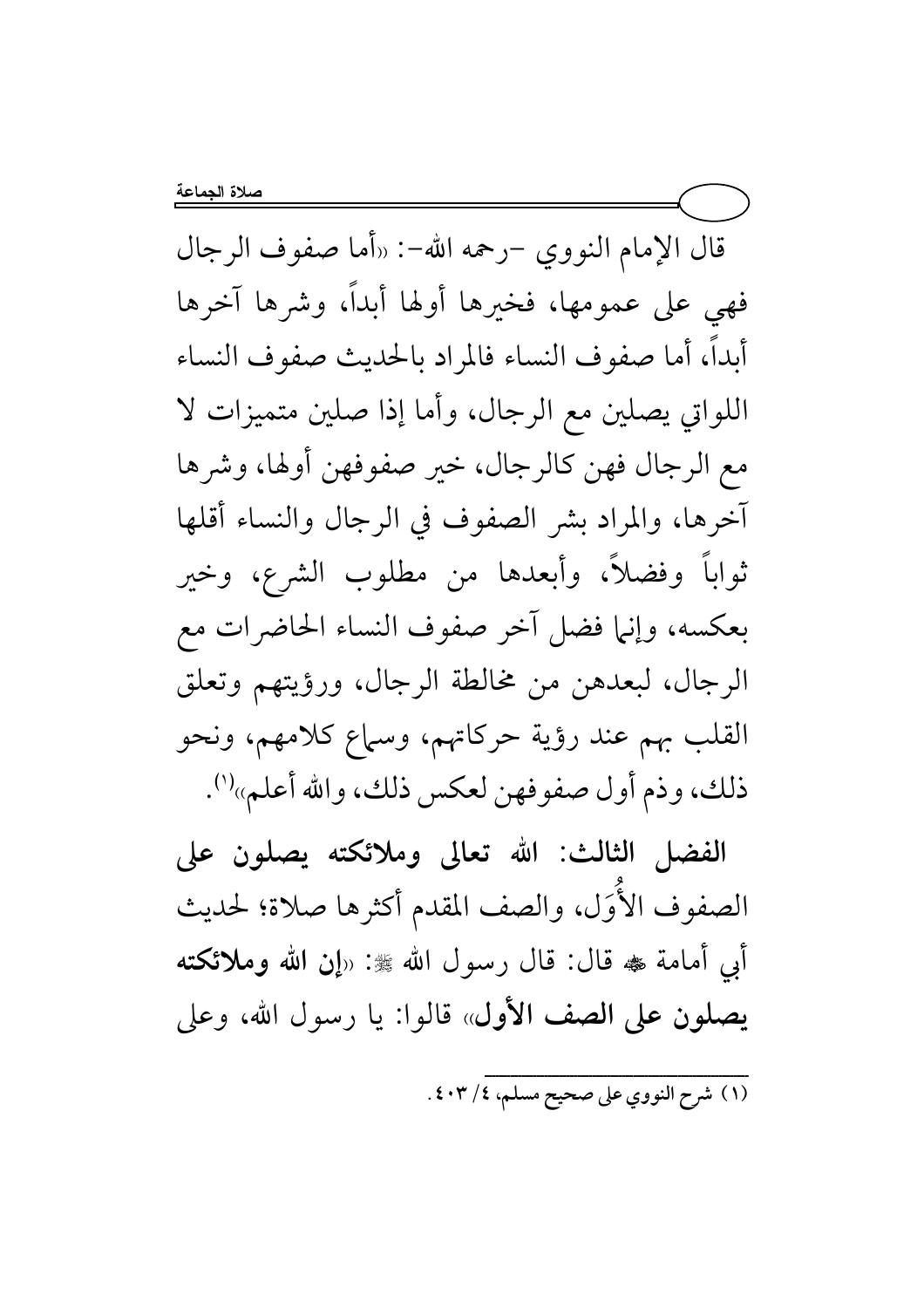قال الإمام النووي -رحمه الله-: «أما صفوف الرجال فهي على عمومها، فخيرها أولها أبداً، وشرها آخرها أبدأ، أما صفوف النساء فالمراد بالحديث صفوف النساء اللواتي يصلين مع الرجال، وأما إذا صلين متميزات لا مع الرجال فهن كالرجال، خير صفوفهن أولها، وشرها آخرها، والمراد بشر الصفوف في الرجال والنساء أقلها ثواباً وفضلاً، وأبعدها من مطلوب الشرع، وخير بعكسه، وإنها فضل آخر صفوف النساء الحاضرات مع الرجال، لبعدهن من مخالطة الرجال، ورؤيتهم وتعلق القلب بهم عند رؤية حركاتهم، وسماع كلامهم، ونحو ذلك، وذم أول صفوفهن لعكس ذلك، والله أعلم»''.

الفضل الثالث: الله تعالى وملائكته يصلون على الصفوف الأوَل، والصف المقدم أكثرها صلاة؛ لحديث أبي أمامة ‱ قال: قال رسول الله ﷺ: «إن الله وملائكته يصلون على الصف الأول» قالوا: يا رسول الله، وعلى

(١) شرح النووي على صحيح مسلم، ٤٠٣/٤.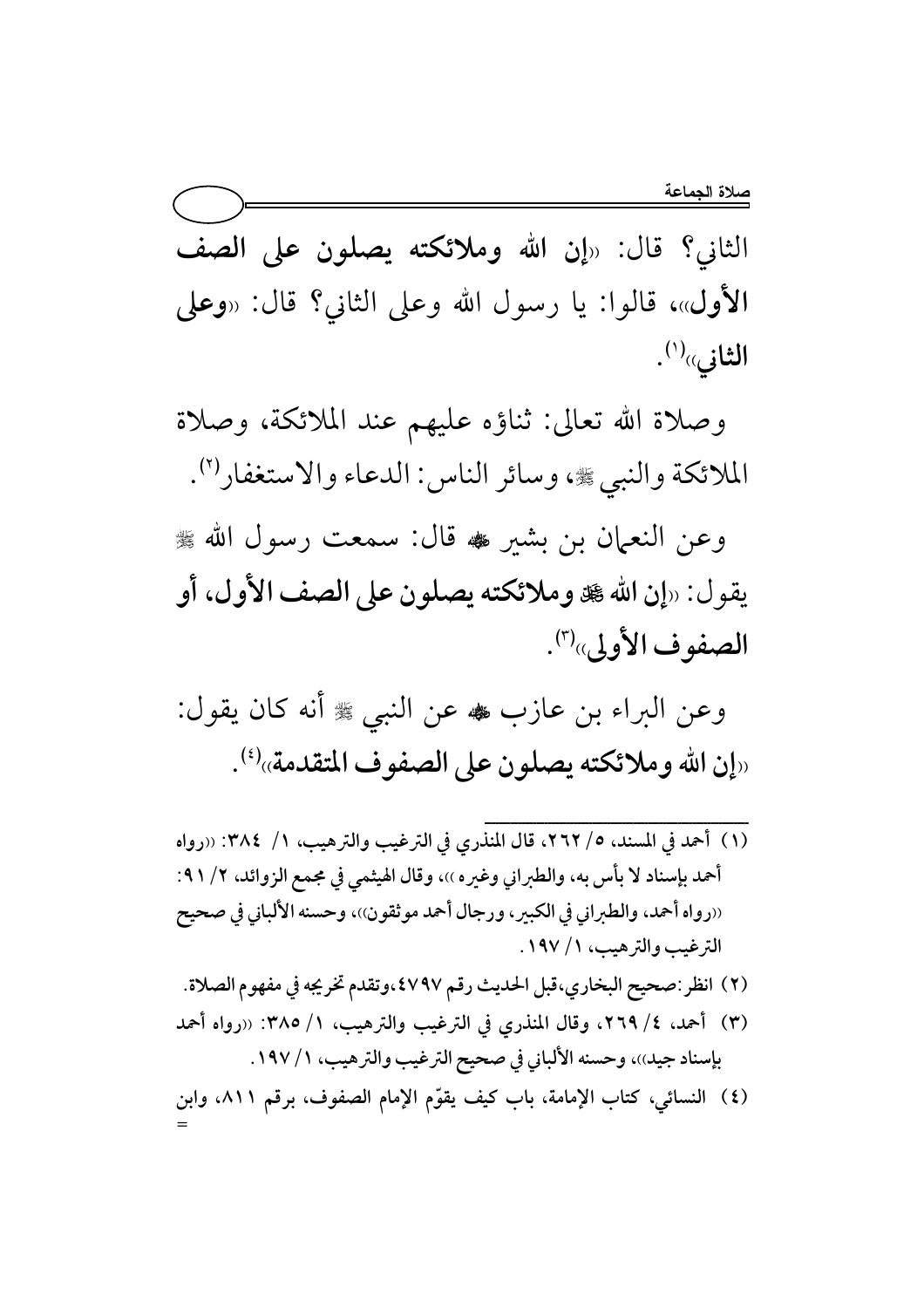الثاني؟ قال: «إن الله وملائكته يصلون على الصف الأول»، قالوا: يا رسول الله وعلى الثاني؟ قال: «وعلى الثاني»<sup>(۱</sup>).

وصلاة الله تعالى: ثناؤه عليهم عند الملائكة، وصلاة الملائكة والنبي ، وسائر الناس: الدعاء والاستغفارا".

وعن النعمان بن بشير ﷺ قال: سمعت رسول الله ﷺ يقول: «إن الله صلى الله على الصف الأول، أو الصفوف الأولى»(٣).

وعن البراء بن عازب ﷺ وسلم عن النبي ﷺ أنه كان يقول: «إن الله وملائكته يصلون على الصفوف المتقدمة»<sup>(٤)</sup>.

- (١) أحمد في المسند، ٥/ ٢٦٢، قال المنذري في الترغيب والترهيب، ١/ ٣٨٤: «رواه أحمد بإسناد لا بأس به، والطبراني وغيره ))، وقال الهيثمي في مجمع الزوائد، ٢/ ٩١: ((رواه أحمد، والطبراني في الكبير، ورجال أحمد موثقون))، وحسنه الألباني في صحيح الترغيب والترهيب، ١ / ١٩٧.
- (٢) انظر :صحيح البخاري،قبل الحديث رقم ٤٧٩٧،وتقدم تخريجه في مفهوم الصلاة.
- (٣) أحمد، ٤/ ٢٦٩، وقال المنذري في الترغيب والترهيب، ١/ ٣٨٥: «رواه أحمد بإسناد جيد))، وحسنه الألباني في صحيح الترغيب والترهيب، ١ / ١٩٧ .
- (٤) النسائي، كتاب الإمامة، باب كيف يقوّم الإمام الصفوف، برقم ٨١١، وابن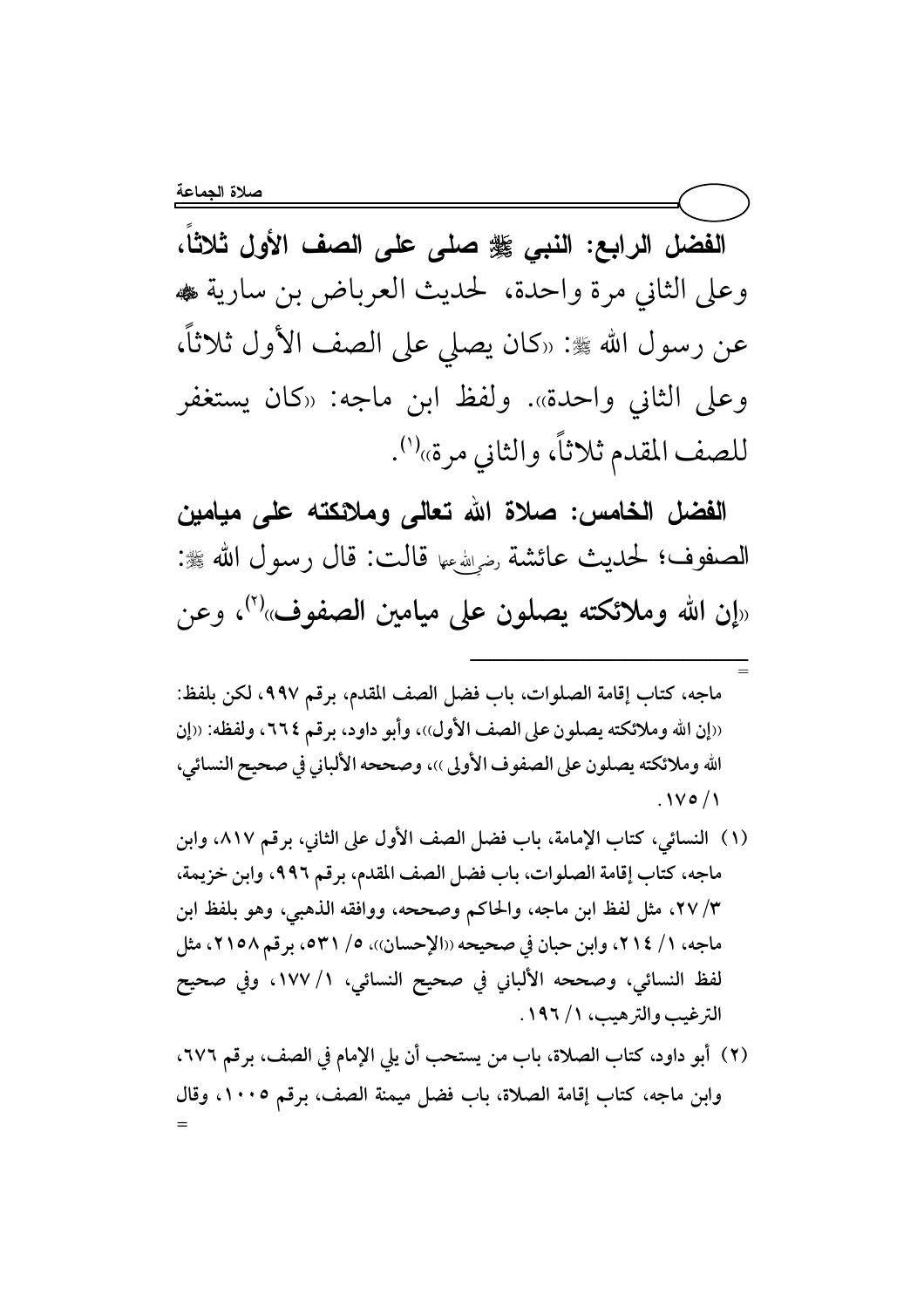الفضل الرابع: النبي ﷺ صلى على الصف الأول ثلاثًا، وعلى الثاني مرة واحدة، لحديث العرباض بن سارية ، عن رسول الله ﷺ: «كان يصلي على الصف الأول ثلاثا، وعلى الثاني واحدة». ولفظ ابن ماجه: «كان يستغفر للصف المقدم ثلاثاً، والثاني مرة»<sup>(١)</sup>.

الفضل الخامس: صلاة الله تعالى وملائكته على ميامين الصفوف؛ لحديث عائشة رضيله عنا قالت: قال رسول الله ﷺ: «إن الله وملائكته يصلون على ميامين الصفوف»<sup>(٢)</sup>، وعن

ــــــــــــــــــــــــــــــــــــــــــــــــــــــــــــــــــــــــ

= ماجه، كتاب إقامة الصلوات، باب فضل الصف المقدم، برقم ٩٩٧، لكن بلفظ: «إن الله وملائكته يصلون على الصف الأول))، وأبو داود، برقم ٢٦٤، ولفظه: «إن الله وملائكته يصلون على الصفوف الأولى ))، وصححه الألباني في صحيح النسائي،  $.1$ vo $/1$ 

- (١) النسائي، كتاب الإمامة، باب فضل الصف الأول على الثاني، برقم ٨١٧. وابن ماجه، كتاب إقامة الصلوات، باب فضل الصف المقدم، برقم ٩٩٦، وابن خزيمة، ٣/ ٢٧، مثل لفظ ابن ماجه، والحاكم وصححه، ووافقه الذهبي، وهو بلفظ ابن ماجه، ١/ ٢١٤، وابن حبان في صحيحه ((الإحسان))، ٥/ ٥٣١، برقم ٢١٥٨، مثل لفظ النسائي، وصححه الألباني في صحيح النسائي، ١٧٧/١، وفي صحيح الترغيب والترهيب، ١ / ١٩٦.
- (٢) أبو داود، كتاب الصلاة، باب من يستحب أن يلي الإمام في الصف، برقم ٦٧٦، وابن ماجه، كتاب إقامة الصلاة، باب فضل ميمنة الصف، برقم ١٠٠٥، وقال =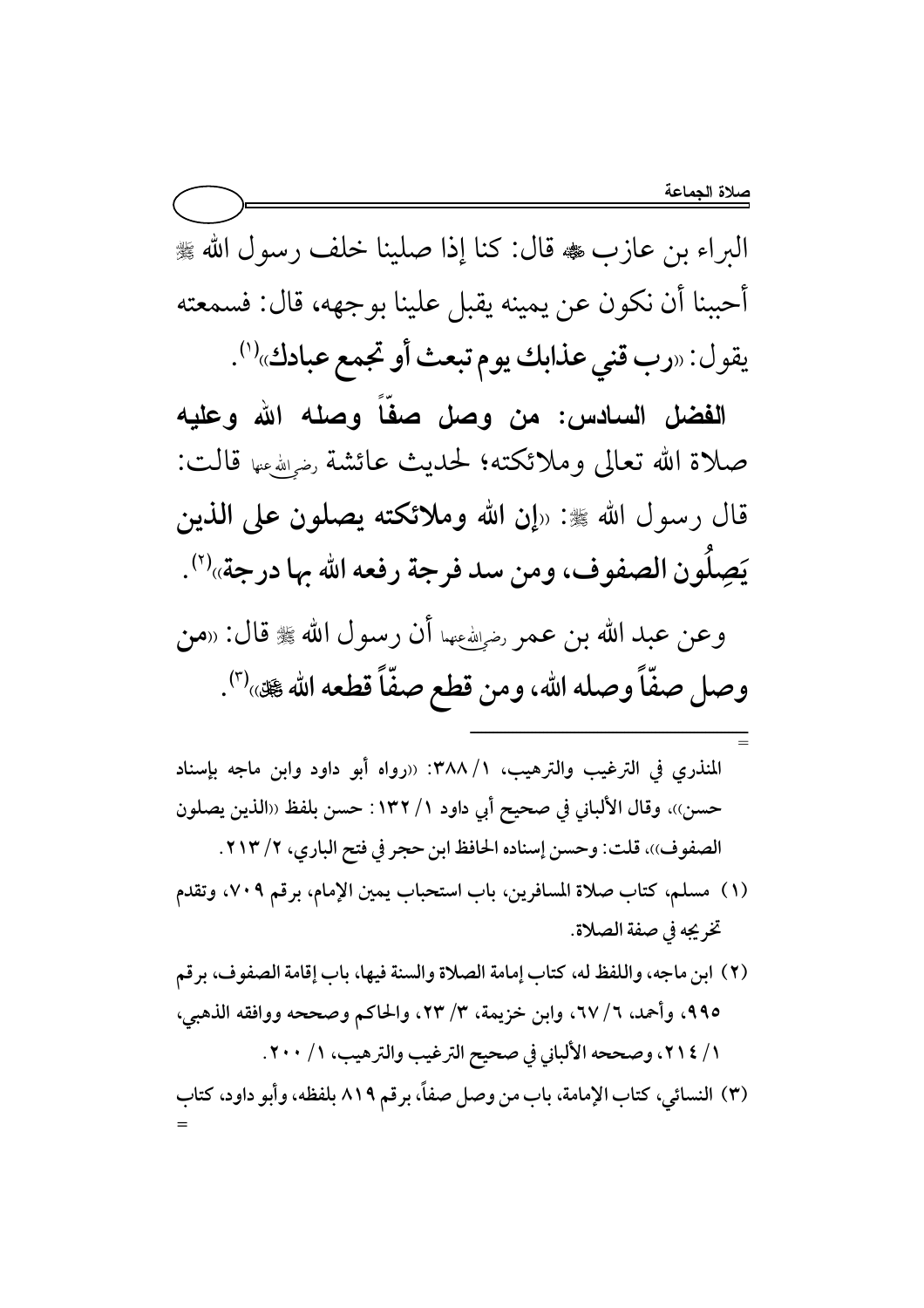البراء بن عازب ، قال: كنا إذا صلينا خلف رسول الله ﷺ أحببنا أن نكون عن يمينه يقبل علينا بوجهه، قال: فسمعته يقول: «رب قني عذابك يوم تبعث أو تجمع عبادك»<sup>(١)</sup>.

الفضل السادس: من وصل صفّاً وصله الله وعليه صلاة الله تعالى وملائكته؛ لحديث عائشة رضي الله عنها قالت: قال رسول الله ﷺ: «إن الله وملائكته يصلون على الذين يَصِلُون الصفوف، ومن سد فرجة رفعه الله بها درجة»''.

وعن عبد الله بن عمر رضيلله عنها أن رسول الله ﷺ قال: «من وصل صفّاً وصله الله، ومن قطع صفّاً قطعه الله ﷺ»").

- المنذري في الترغيب والترهيب، ١/ ٣٨٨: «رواه أبو داود وابن ماجه بإسناد حسن))، وقال الألباني في صحيح أبي داود ١/ ١٣٢: حسن بلفظ ‹‹الذين يصلون الصفوف))، قلت: وحسن إسناده الحافظ ابن حجر في فتح الباري، ٢/ ٢١٣.
- (١) مسلم، كتاب صلاة المسافرين، باب استحباب يمين الإمام، برقم ٧٠٩، وتقدم تخريجه في صفة الصلاة.
- (٢) ابن ماجه، واللفظ له، كتاب إمامة الصلاة والسنة فيها، باب إقامة الصفوف، برقم ٩٩٥، وأحمد، ٦/ ٦٧، وابن خزيمة، ٣/ ٢٣، والحاكم وصححه ووافقه الذهبي، ١ / ٢١٤، وصححه الألباني في صحيح الترغيب والترهيب، ١ / ٢٠٠.

(٣) النسائي، كتاب الإمامة، باب من وصل صفاً، برقم ٨١٩ بلفظه، وأبو داود، كتاب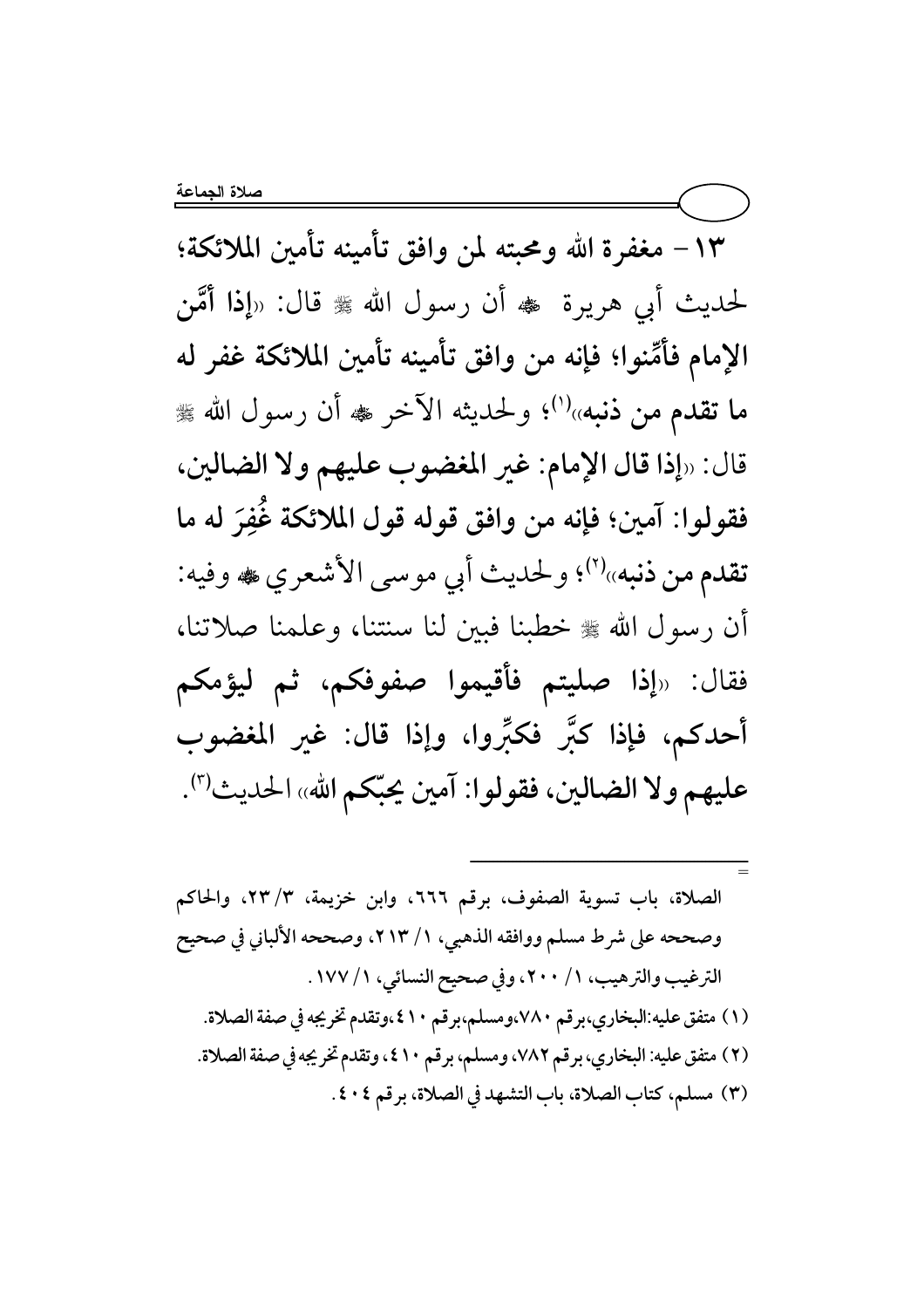١٣ – مغفرة الله ومحبته لمن وافق تأمينه تأمين الملائكة؛ لحديث أبي هريرة ۞ أن رسول الله ﷺ قال: «إذا أُمَّن الإمام فأمِّنوا؛ فإنه من وافق تأمينه تأمين الملائكة غفر له ما تقدم من ذنبه»<sup>(۱)</sup>؛ ولحديثه الآخر ﷺ أن رسول الله ﷺ قال: «إذا قال الإمام: غير المغضوب عليهم ولا الضالين، فقولوا: آمين؛ فإنه من وافق قوله قول الملائكة غُفِرَ له ما تقدم من ذنبه»'أ؟ ولحديث أبي موسى الأشعري ﷺ وفيه: أن رسول الله ﷺ خطبنا فبين لنا سنتنا، وعلمنا صلاتنا، فقال: «إذا صليتم فأقيموا صفوفكم، ثم ليؤمكم أحدكم، فإذا كبَّر فكبِّروا، وإذا قال: غير المغضوب عليهم ولا الضالين، فقولوا: آمين يحبّكم الله» الحديث").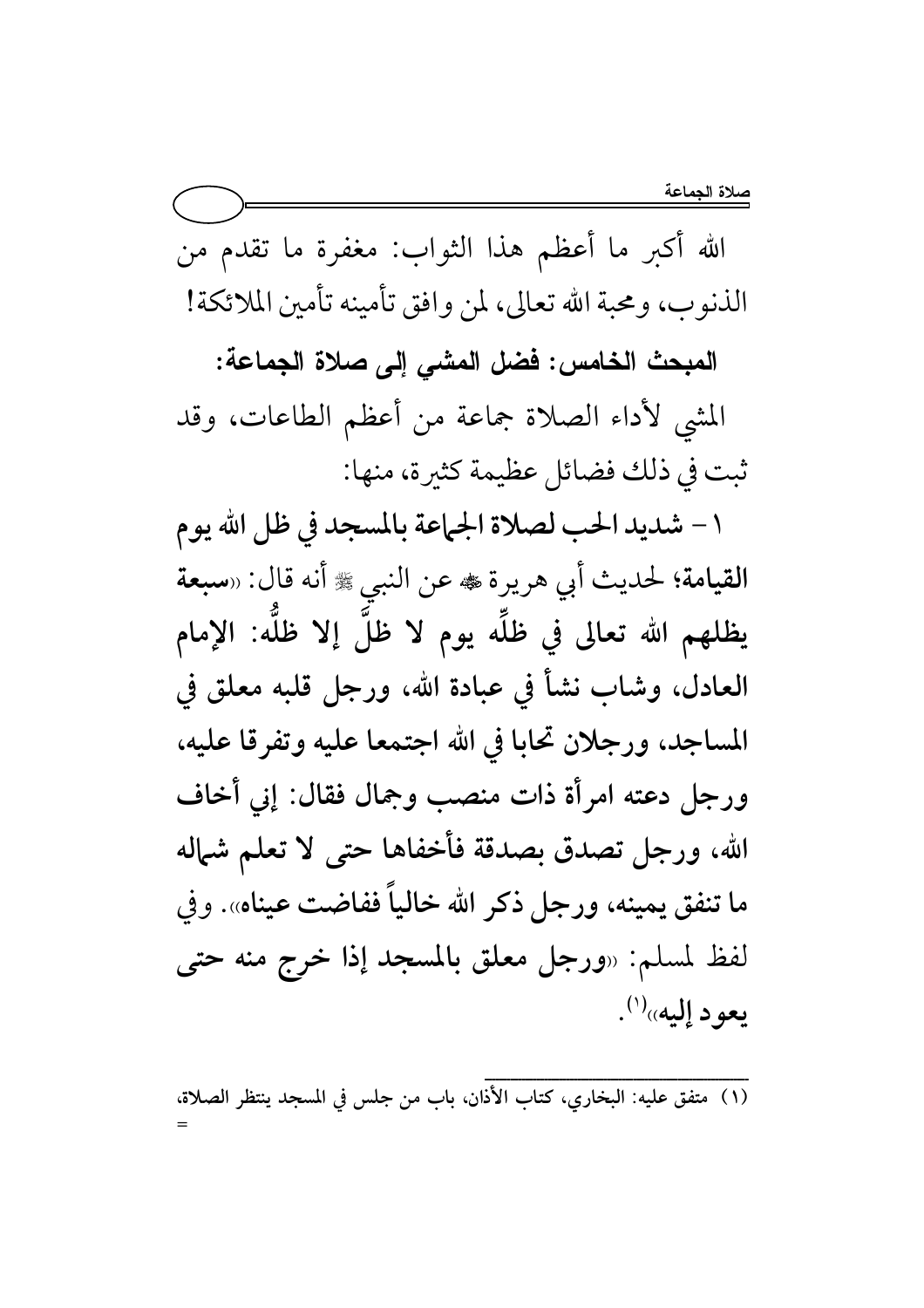الله أكبر ما أعظم هذا الثواب: مغفرة ما تقدم من الذنوب، ومحبة الله تعالى، لمن وافق تأمينه تأمين الملائكة!

المبحث الخامس: فضل المشى إلى صلاة الجماعة:

المشي لأداء الصلاة جماعة من أعظم الطاعات، وقد ثبت في ذلك فضائل عظيمة كثيرة، منها:

١ – شديد الحب لصلاة الجماعة بالمسجد في ظل الله يوم القيامة؛ لحديث أبي هريرة ٢٠٠٠ عن النبي ﷺ أنه قال: «سبعة يظلهم الله تعالى في ظلِّه يوم لا ظلَّ إلا ظلَّه: الإمام العادل، وشابٍ نشأ في عبادة الله، ورجل قلبه معلق في المساجد، ورجلان تحابا في الله اجتمعا عليه وتفرقا عليه، ورجل دعته امرأة ذات منصب وجمال فقال: إني أخاف الله، ورجل تصدق بصدقة فأخفاها حتى لا تعلم شهاله ما تنفق يمينه، ورجل ذكر الله خالياً ففاضت عيناه». وفي لفظ لمسلم: «ورجل معلق بالمسجد إذا خرج منه حتى يعود إليه»(۱).

(١) متفق عليه: البخاري، كتاب الأذان، باب من جلس في المسجد ينتظر الصلاة،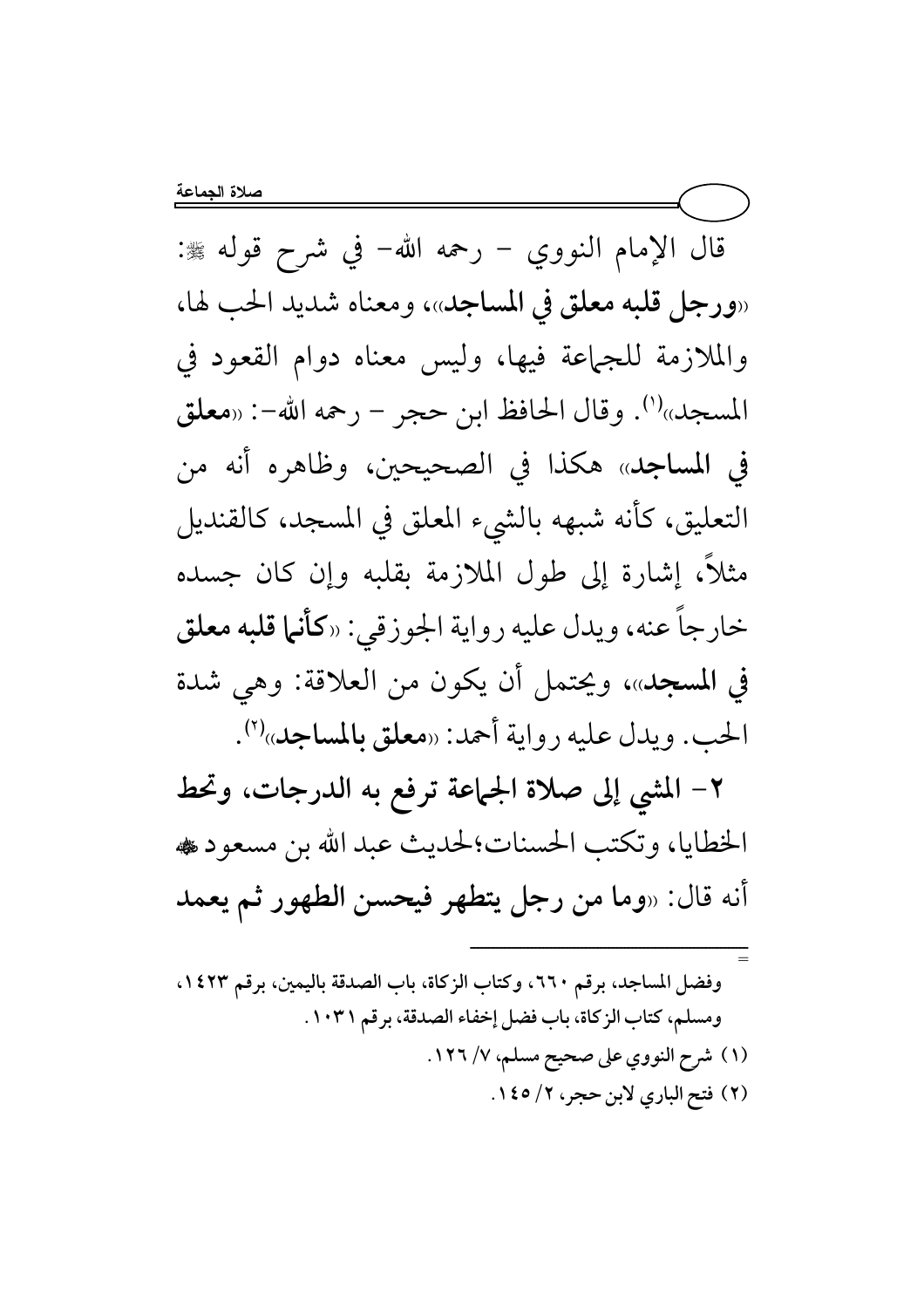قال الإمام النووي – رحمه الله– في شرح قوله ﷺ: «ورجل قلبه معلق في المساجد»، ومعناه شديد الحب لها، والملازمة للجهاعة فيها، وليس معناه دوام القعود في المسجد»<sup>(١)</sup>. وقال الحافظ ابن حجر – رحمه الله–: «معلق في المساجد» هكذا في الصحيحين، وظاهره أنه من التعليق، كأنه شبهه بالشيء المعلق في المسجد، كالقنديل مثلاً، إشارة إلى طول الملازمة بقلبه وإن كان جسده خارجاً عنه، ويدل عليه رواية الجوزقي: «ك**أنها قلبه معلق** في المسجد»، ويحتمل أن يكون من العلاقة: وهي شدة الحب. ويدل عليه رواية أحمد: «معلق بالمساجد»<sup>(٢)</sup>.

٢– المشي إلى صلاة الجماعة ترفع به الدرجات، وتحط الخطايا، وتكتب الحسنات؛لحديث عبد الله بن مسعود ، أنه قال: «وما من رجل يتطهر فيحسن الطهور ثم يعمد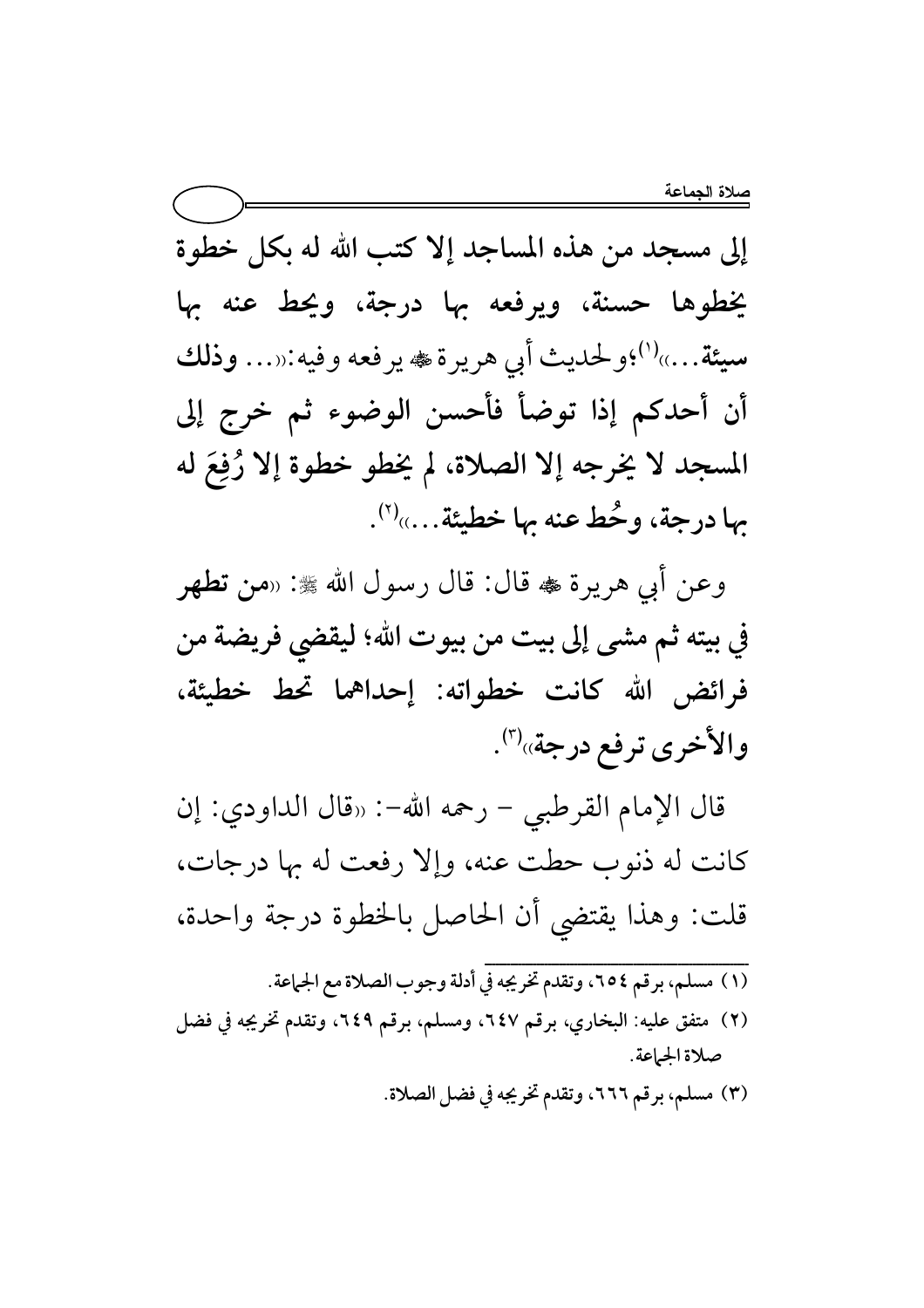إلى مسجد من هذه المساجد إلا كتب الله له بكل خطوة يخطوها حسنة، ويرفعه بها درجة، ويحط عنه بها سيئة....»<sup>(י)</sup>؛ولحديث أبي هريرة ٬ في يرفعه وفيه:«... **وذلك** أن أحدكم إذا توضأ فأحسن الوضوء ثم خرج إلى ځ له ة المسجد لا يُخرجه إلا الصلاة، لم يُخطو خطوة إلا رُفِّهِ جها درجة، وحُط عنه جها خطيئة….»'``.

وعن أبي هريرة ﷺ: «من تطهر في بيته ثم مشى إلى بيت من بيوت الله؛ ليقضي فريضة من فرائض الله كانت خطواته: إحداهما تحط خطيئة، والأخرى ترفع درجة»<sup>(٣)</sup>.

قال الإمام القرطبي − رحمه الله−: «قال الداودي: إن كانت له ذنوب حطت عنه، وإلا رفعت له بها درجات، قلت: وهذا يقتضي أن الحاصل بالخطوة درجة واحدة،

- {{{{{{{{{{{{{{{{{{{{{{{{{{{{{{{{{{{{{{{{{{{{{{{{{{{{{{{{{{{{{{{{{{{{{{{ (١) مسلم، برقم ٢٥٤، وتقدم تخريجه في أدلة وجوب الصلاة مع الجماعة. (٢) متفق عليه: البخاري، برقم ٦٤٧، ومسلم، برقم ٦٤٩، وتقدم تخريجه في فضل صلاة الجماعة.
	- (٣) مسلم، برقم ٦٦٦، وتقدم تخريجه في فضل الصلاة.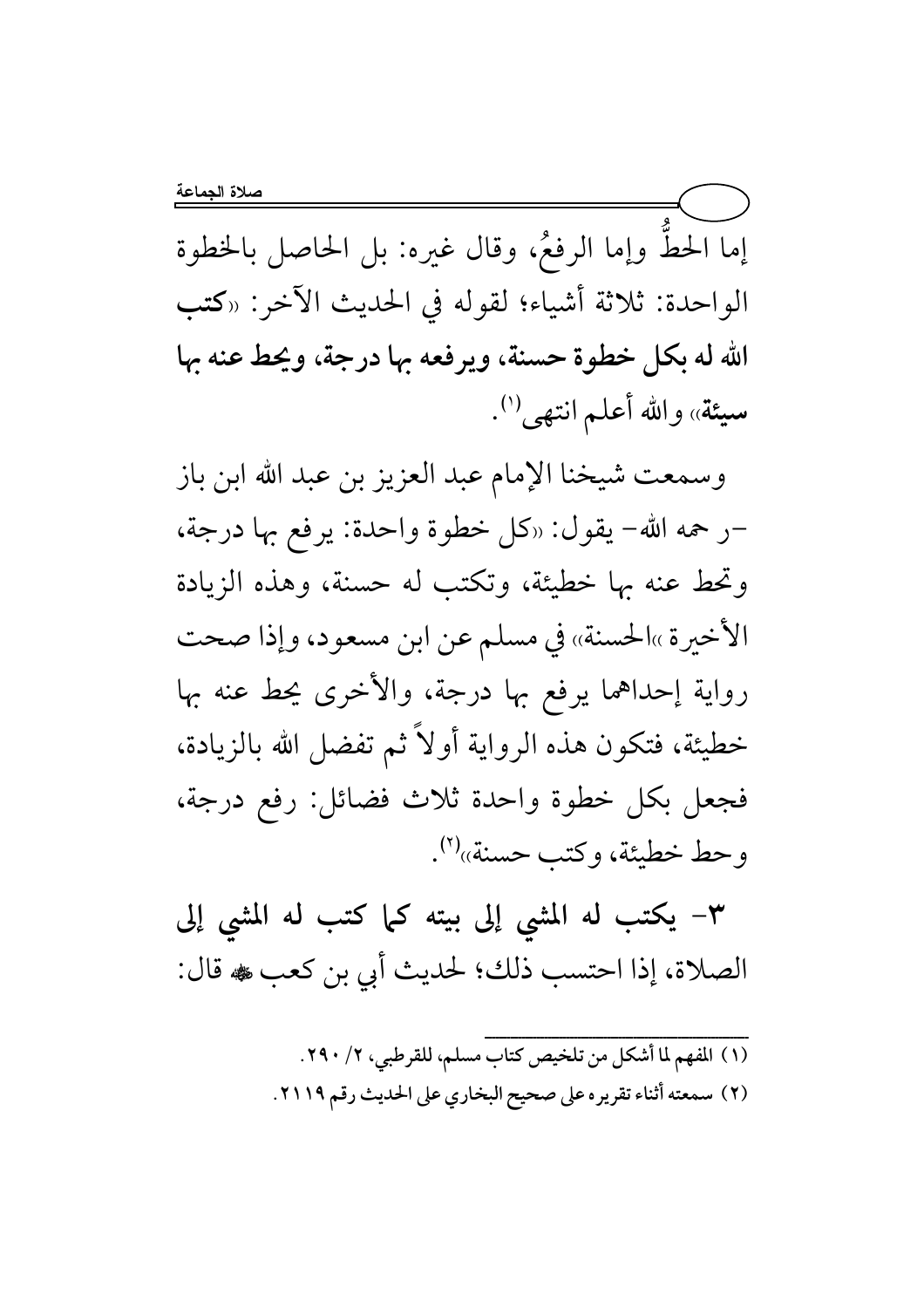إما الحطَّ وإما الرفعُ، وقال غيره: بل الحاصل بالخطوة الواحدة: ثلاثة أشياء؛ لقوله في الحديث الآخر: «كتب الله له بكل خطوة حسنة، ويرفعه بها درجة، ويحط عنه بها سيئة» والله أعلم انتهى<sup>(١)</sup>.

وسمعت شيخنا الإمام عبد العزيز بن عبد الله ابن باز -ر حمه الله- يقول: «كل خطوة واحدة: يرفع بها درجة، وتحط عنه بها خطيئة، وتكتب له حسنة، وهذه الزيادة الأخيرة »الحسنة» في مسلم عن ابن مسعود، وإذا صحت رواية إحداهما يرفع بها درجة، والأخرى يحط عنه بها خطيئة، فتكون هذه الرواية أولاً ثم تفضل الله بالزيادة، فجعل بكل خطوة واحدة ثلاث فضائل: رفع درجة، وحط خطيئة، وكتب حسنة»''.

٣- يكتب له المشى إلى بيته كما كتب له المشى إلى الصلاة، إذا احتسب ذلك؛ لحديث أبي بن كعب ، قال:

> (١) المفهم لما أشكل من تلخيص كتاب مسلم، للقرطبي، ٢/ ٢٩٠. (٢) سمعته أثناء تقريره على صحيح البخاري على الحديث رقم ٢١١٩.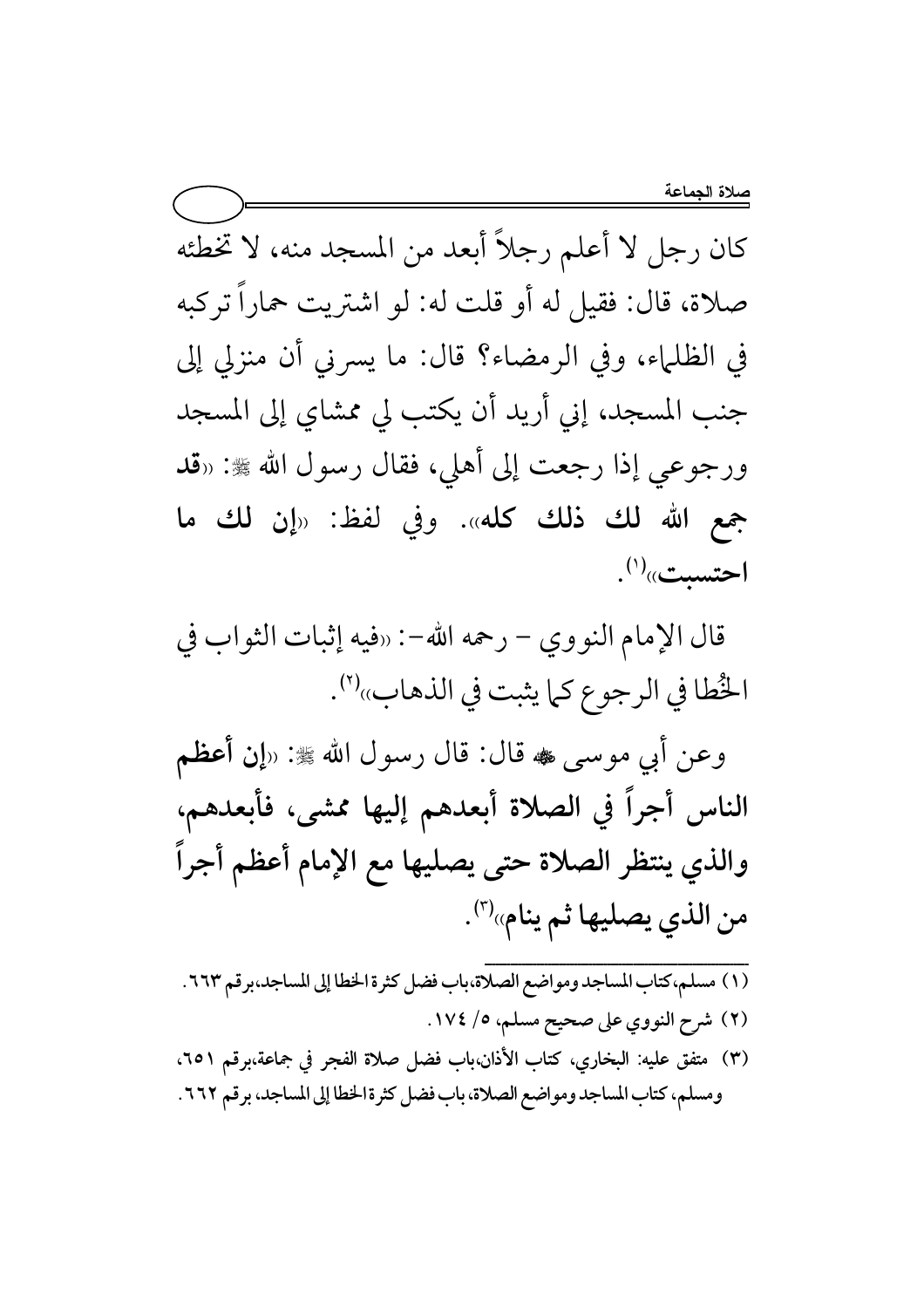كان رجل لا أعلم رجلاً أبعد من المسجد منه، لا تخطئه صلاة، قال: فقيل له أو قلت له: لو اشتريت حماراً تركبه في الظلماء، وفي الرمضاء؟ قال: ما يسرني أن منزلي إلى جنب المسجد، إني أريد أن يكتب لي ممشاي إلى المسجد ورجوعي إذا رجعت إلى أهلي، فقال رسول الله ﷺ: «قد جمع الله لك ذلك كله». وفي لفظ: «إن لك ما  $\mathcal{L}^{(')}$ احتسىت»

قال الإمام النووي – رحمه الله-: «فيه إثبات الثواب في الخُطا في الرجوع كما يثبت في الذهاب»<sup>(٢)</sup>.

وعن أبي موسى ، قال: قال رسول الله ﷺ: «إن أعظم الناس أجراً في الصلاة أبعدهم إليها ممشى، فأبعدهم، والذي ينتظر الصلاة حتى يصليها مع الإمام أعظم أجراً من الذي يصليها ثم ينام»<sup>(٣)</sup>.

- (١) مسلم، كتاب المساجد ومواضع الصلاة،باب فضل كثرة الخطا إلى المساجد،برقم ٦٦٣. (٢) شرح النووي على صحيح مسلم، ٥/ ١٧٤.
- (٣) متفق عليه: البخاري، كتاب الأذان،باب فضل صلاة الفجر في جماعة،برقم ٢٥١، ومسلم، كتاب المساجد ومواضع الصلاة، باب فضل كثرة الخطا إلى المساجد، برقم ٢٦٢.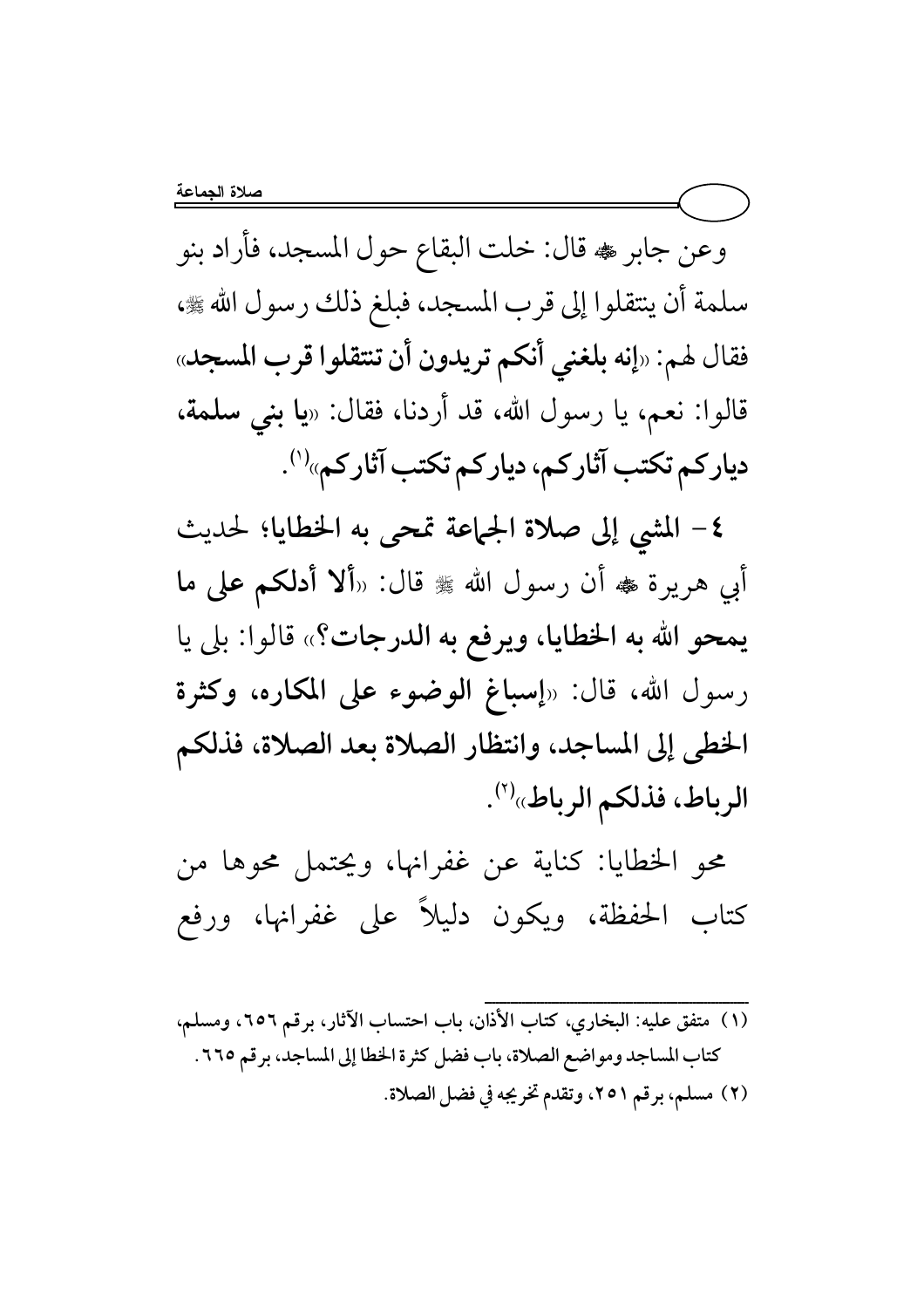وعن جابر ، قال: خلت البقاع حول المسجد، فأراد بنو سلمة أن ينتقلوا إلى قرب المسجد، فبلغ ذلك رسول الله ، ، فقال لهم: «إنه بلغني أنكم تريدون أن تنتقلوا قرب المسجد» قالوا: نعم، يا رسول الله، قد أردنا، فقال: «**يا بنى سلمة،** دیار کم تکتب آثار کم، دیار کم تکتب آثار کم»<sup>(۱)</sup>.

٤- المشي إلى صلاة الجماعة تمحى به الخطايا؛ لحديث أبي هريرة ♣ أن رسول الله ﷺ قال: «ألا أدلكم على ما يمحو الله به الخطايا، ويرفع به الدرجات؟» قالوا: بلي يا رسول الله، قال: «إسباغ الوضوء على المكاره، وكثرة الخطى إلى المساجد، وانتظار الصلاة بعد الصلاة، فذلكم الرباط، فذلكم الرباط» (٢).

محو الخطايا: كناية عن غفرانها، ويحتمل محوها من كتاب الحفظة، ويكون دليلاً على غفرانها، ورفع

(١) متفق عليه: البخاري، كتاب الأذان، باب احتساب الآثار، برقم ٦٥٦، ومسلم، كتاب المساجد ومواضع الصلاة، باب فضل كثرة الخطا إلى المساجد، برقم ٢٦٥. (٢) مسلم، برقم ٢٥١، وتقدم تخريجه في فضل الصلاة.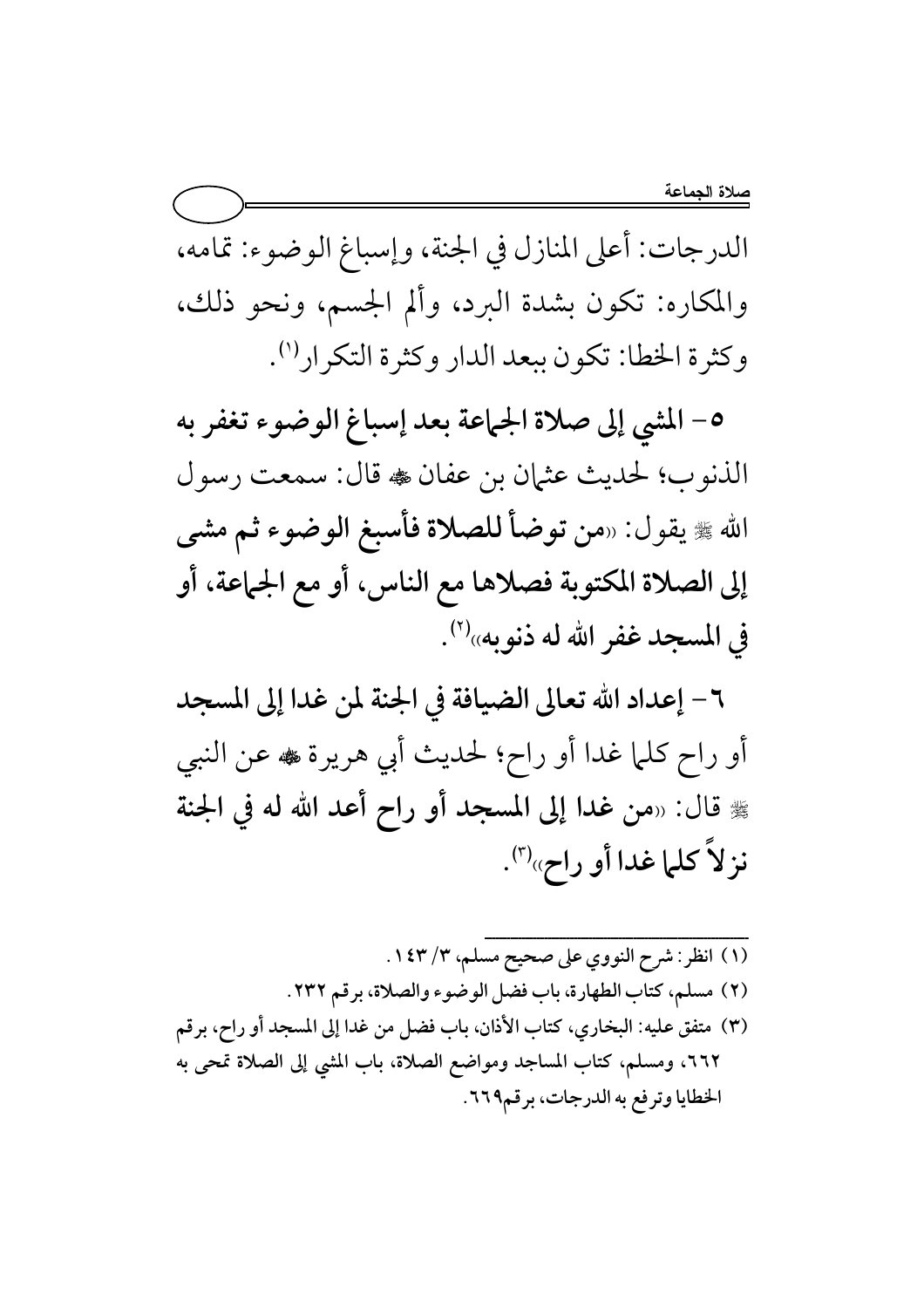الدرجات: أعلى المنازل في الجنة، وإسباغ الوضوء: تمامه، والمكاره: تكون بشدة البرد، وألم الجسم، ونحو ذلك، وكثرة الخطا: تكون ببعد الدار وكثرة التكرار (').

٥- المشي إلى صلاة الجماعة بعد إسباغ الوضوء تغفر به الذنوب؛ لحديث عثمان بن عفان ، قال: سمعت رسول الله ﷺ يقول: «من توضأ للصلاة فأسبغ الوضوء ثم مشى إلى الصلاة المكتوبة فصلاها مع الناس، أو مع الجماعة، أو في المسجد غفر الله له ذنوبه»''.

٦ – إعداد الله تعالى الضيافة في الجنة لمن غدا إلى المسجد أو راح كلَّما غدا أو راح؛ لحديث أبي هريرة ﷺ عن النبي ﷺ قال: «من غدا إلى المسجد أو راح أعد الله له في الجنة نز لاً كلما غدا أو راح»<sup>(٣)</sup>.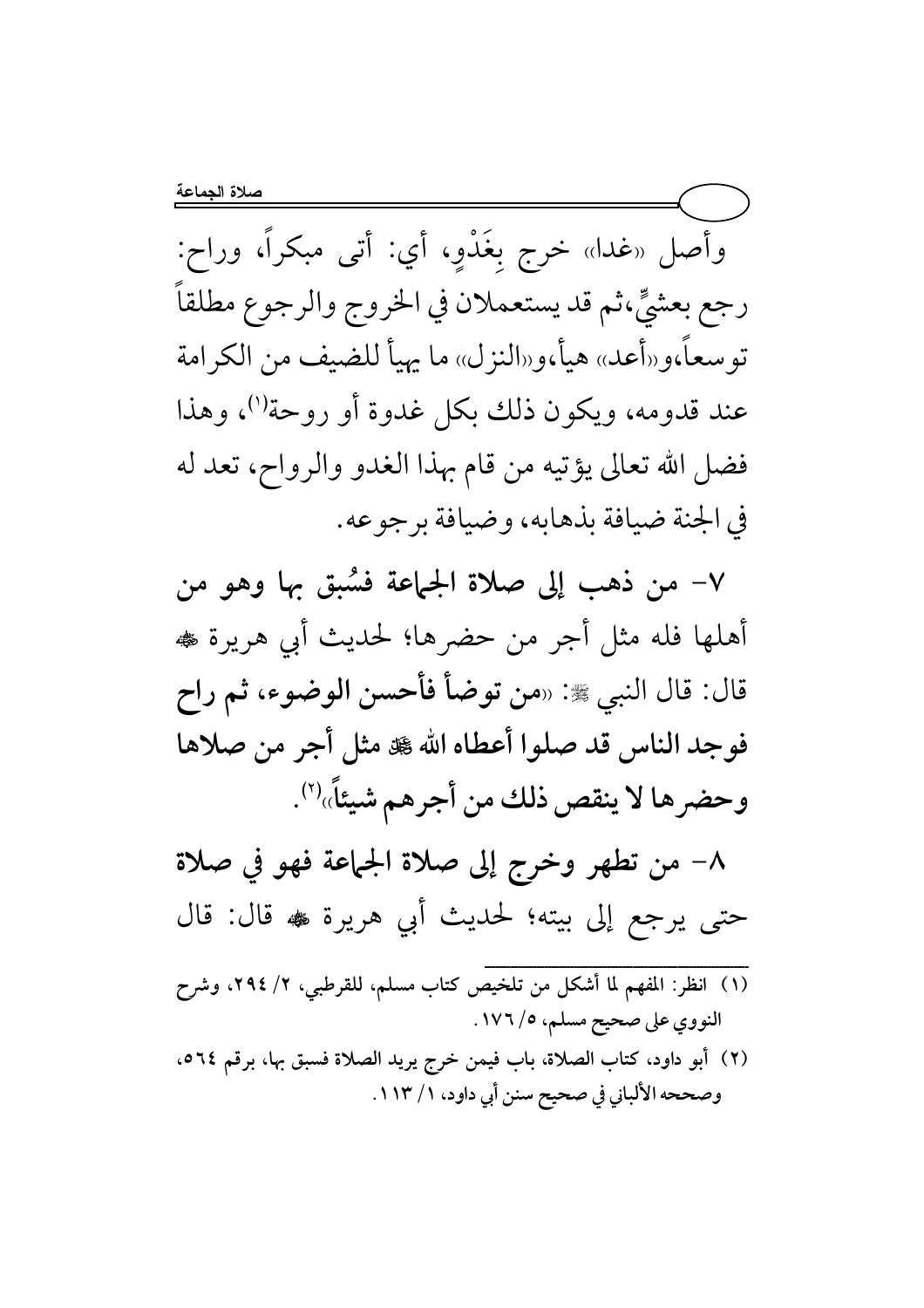وأصل «غدا» خرج بِغَدْوِ، أي: أتى مبكراً، وراح: رجع بعشيٍّ،ثم قد يستعملان في الخروج والرجوع مطلقاً توسعاً،و«أعد» هيأ،و«النزل» ما يهيأ للضيف من الكرامة عند قدومه، ويكون ذلك بكل غدوة أو روحة'')، وهذا فضل الله تعالى يؤتيه من قام بهذا الغدو والرواح، تعد له في الجنة ضيافة بذهابه، وضيافة برجوعه.

٧– من ذهب إلى صلاة الجماعة فسُبق بها وهو من أهلها فله مثل أجر من حضرها؛ لحديث أبي هريرة ، قال: قال النبي ﷺ: «من توضأ فأحسن الوضوء، ثم راح فوجد الناس قد صلوا أعطاه الله کل هنل أجر من صلاها وحضرها لا ينقص ذلك من أجرهم شيئاً»''.

٨– من تطهر وخرج إلى صلاة الجماعة فهو في صلاة حتى يرجع إلى بيته؛ لحديث أبي هريرة ﷺ قال: قال

- (١) انظر: المفهم لما أشكل من تلخيص كتاب مسلم، للقرطبي، ٢/ ٢٩٤، وشرح النووي على صحيح مسلم، ٥/ ١٧٦.
- (٢) أبو داود، كتاب الصلاة، باب فيمن خرج يريد الصلاة فسبق بها، برقم ٥٦٤، وصححه الألباني في صحيح سنن أبي داود، ١ / ١١٣.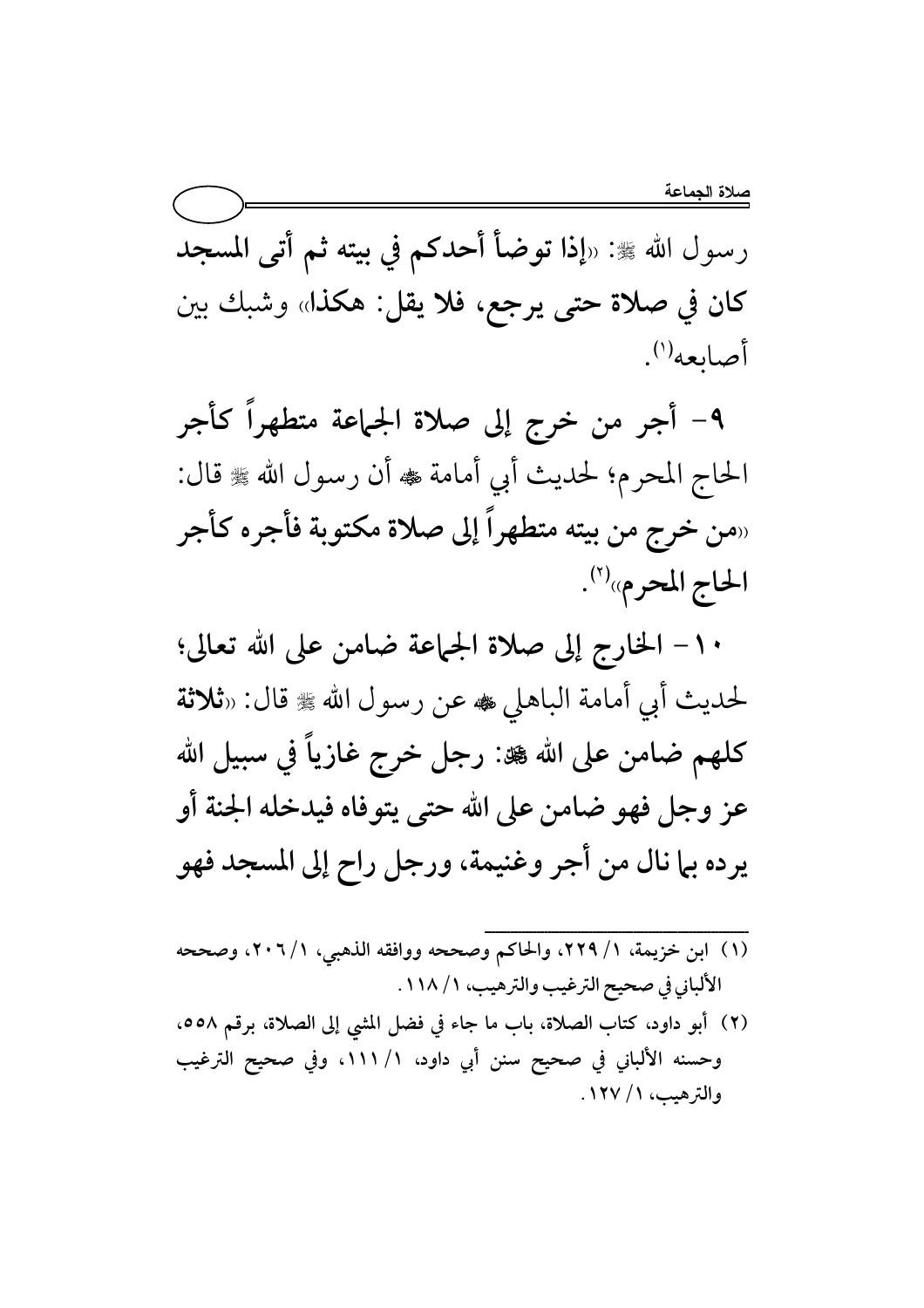رسول الله ﷺ: «إذا توضأ أحدكم في بيته ثم أتى المسجد كان في صلاة حتى يرجع، فلا يقل: هكذا» وشبك بين أصابعه<sup>(۱</sup>).

٩- أجر من خرج إلى صلاة الجماعة متطهراً كأجر الحاج المحرم؛ لحديث أبي أمامة ، أن رسول الله ، وال: «من خرج من بيته متطهراً إلى صلاة مكتوبة فأجره كأجر الحاج المحرم»(٢).

١٠– الخارج إلى صلاة الجماعة ضامن على الله تعالى؛ لحديث أبي أمامة الباهلي ، عن رسول الله ، وقال: «ثلاثة كلهم ضامن على الله ﷺ: رجل خرج غازياً في سبيل الله عز وجل فهو ضامن على الله حتى يتوفاه فيدخله الجنة أو يرده بما نال من أجر وغنيمة، ورجل راح إلى المسجد فهو

- (١) ابن خزيمة، ١/ ٢٢٩، والحاكم وصححه ووافقه الذهبي، ١/ ٢٠٦، وصححه الألباني في صحيح الترغيب والترهيب، ١ / ١١٨.
- (٢) أبو داود، كتاب الصلاة، باب ما جاء في فضل المشي إلى الصلاة، برقم ٥٥٨. وحسنه الألباني في صحيح سنن أبي داود، ١/ ١١١، وفي صحيح الترغيب والترهيب، ١ / ١٢٧.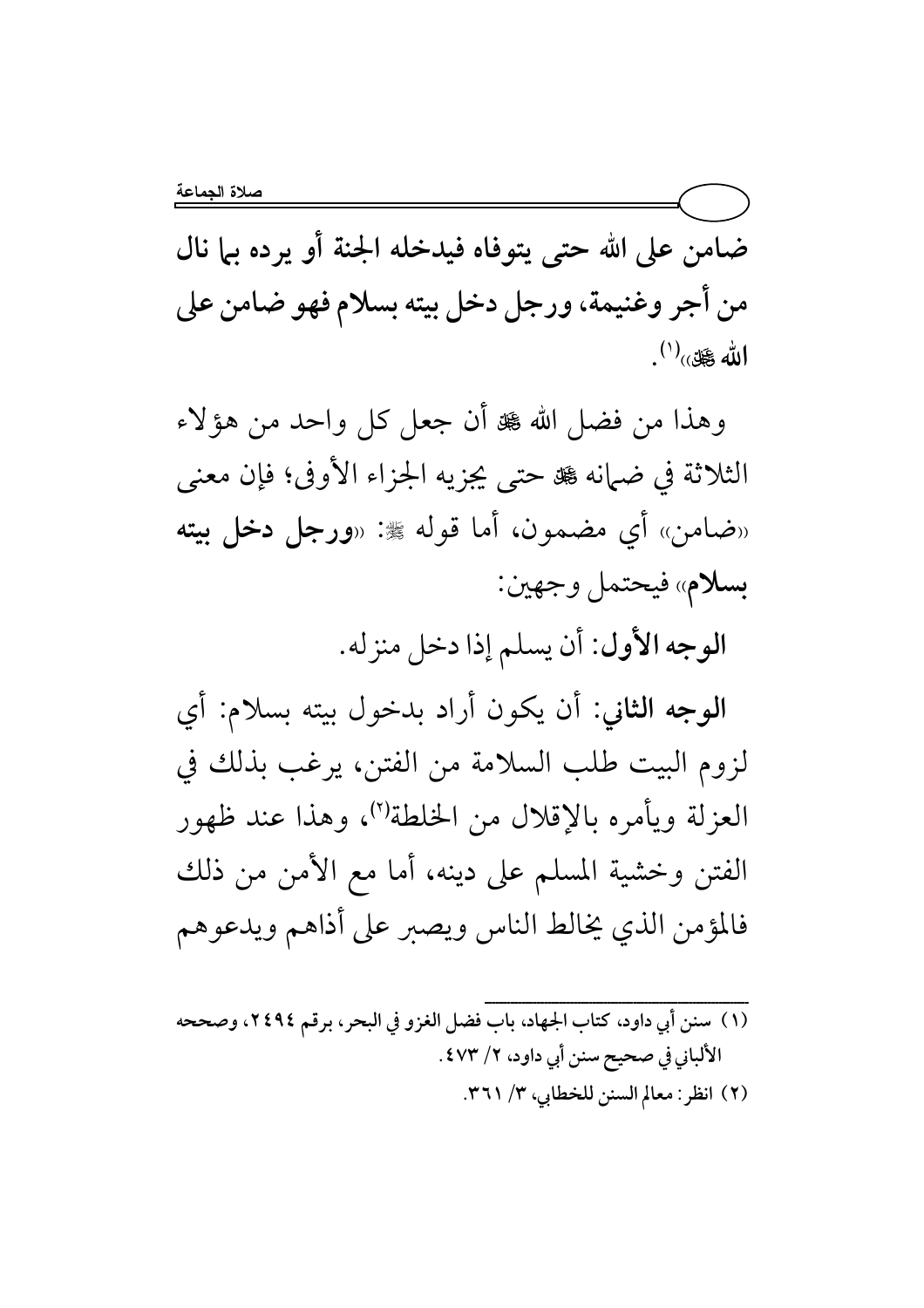ضامن على الله حتى يتوفاه فيدخله الجنة أو يرده بيا نال من أجر وغنيمة، ورجل دخل بيته بسلام فهو ضامن على  $\mathbf{u}^{(1)}$ الله کلق $\mathbf{u}^{(1)}$ .

وهذا من فضل الله ﷺ أن جعل كل واحد من هؤلاء الثلاثة في ضبانه ﷺ حتى يجزيه الجزاء الأوفى؛ فإن معنى «ضامن» أي مضمون، أما قوله ﷺ: «**ورجل دخل بيته** بسلام» فيحتمل وجهين:

الوجه الأول: أن يسلم إذا دخل منزله.

الوجه الثاني: أن يكون أراد بدخول بيته بسلام: أي لزوم البيت طلب السلامة من الفتن، يرغب بذلك في العزلة ويأمره بالإقلال من الخلطة'')، وهذا عند ظهور الفتن وخشية المسلم على دينه، أما مع الأمن من ذلك فالمؤمن الذي يخالط الناس ويصبر على أذاهم ويدعوهم

(١) سنن أبي داود، كتاب الجهاد، باب فضل الغزو في البحر، برقم ٢٤٩٤، وصححه الألباني في صحيح سنن أبي داود، ٢/ ٤٧٣. (٢) انظر: معالم السنن للخطابي، ٣/ ٣٦١.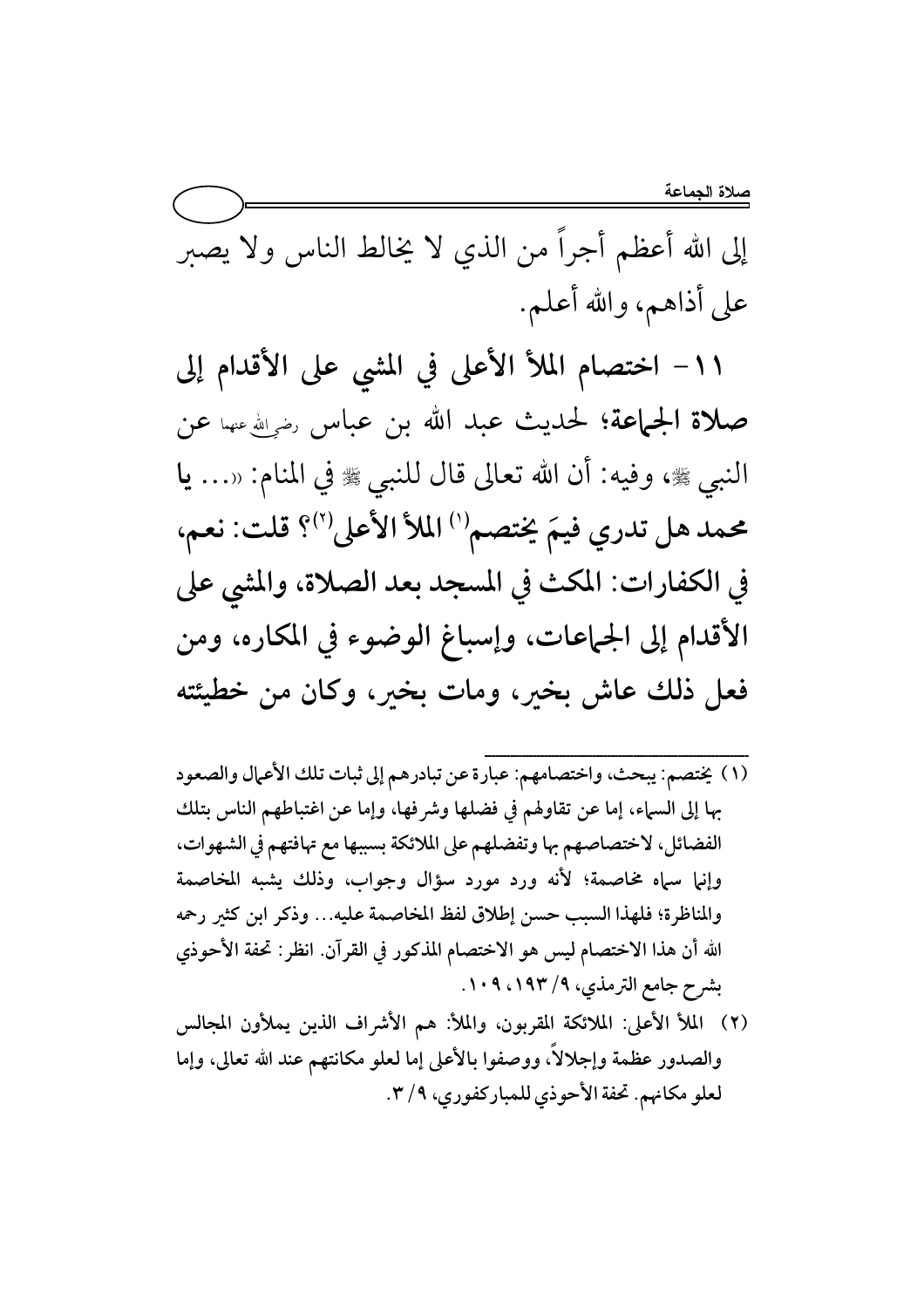إلى الله أعظم أجراً من الذي لا يخالط الناس ولا يصبر على أذاهم، والله أعلم.

١١- اختصام الملأ الأعلى في المشي على الأقدام إلى صلاة الجماعة؛ لحديث عبد الله بن عباس رضي الله عنها عن النبي ﴾ وفيه: أن الله تعالى قال للنبي ﴾ في المنام: «... يا محمد هل تدري فيمَ يختصم'') الملأ الأعلى'')؟ قلت: نعم، في الكفارات: المكث في المسجد بعد الصلاة، والمشي على الأقدام إلى الجماعات، وإسباغ الوضوء في المكاره، ومن فعل ذلك عاش بخير، ومات بخير، وكان من خطيئته

- (١) يختصم: يبحث، واختصامهم: عبارة عن تبادرهم إلى ثبات تلك الأعمال والصعود بها إلى السباء، إما عن تقاولهم في فضلها وشرفها، وإما عن اغتباطهم الناس بتلك الفضائل، لاختصاصهم بها وتفضلهم على الملائكة بسببها مع تهافتهم في الشهوات، وإنيا سياه مخاصمة؛ لأنه ورد مورد سؤال وجواب، وذلك يشبه المخاصمة والمناظرة؛ فلهذا السبب حسن إطلاق لفظ المخاصمة عليه... وذكر ابن كثير رحمه الله أن هذا الاختصام ليس هو الاختصام المذكور في القرآن. انظر: تحفة الأحوذي بشرح جامع الترمذي، ٩/ ١٩٣، ١٠٩.
- (٢) الملأ الأعلى: الملائكة المقربون، والملأ: هم الأشراف الذين يملأون المجالس والصدور عظمة وإجلالاً، ووصفوا بالأعلى إما لعلو مكانتهم عند الله تعالى، وإما لعلو مكانهم. تحفة الأحوذي للمباركفوري، ٣/٩.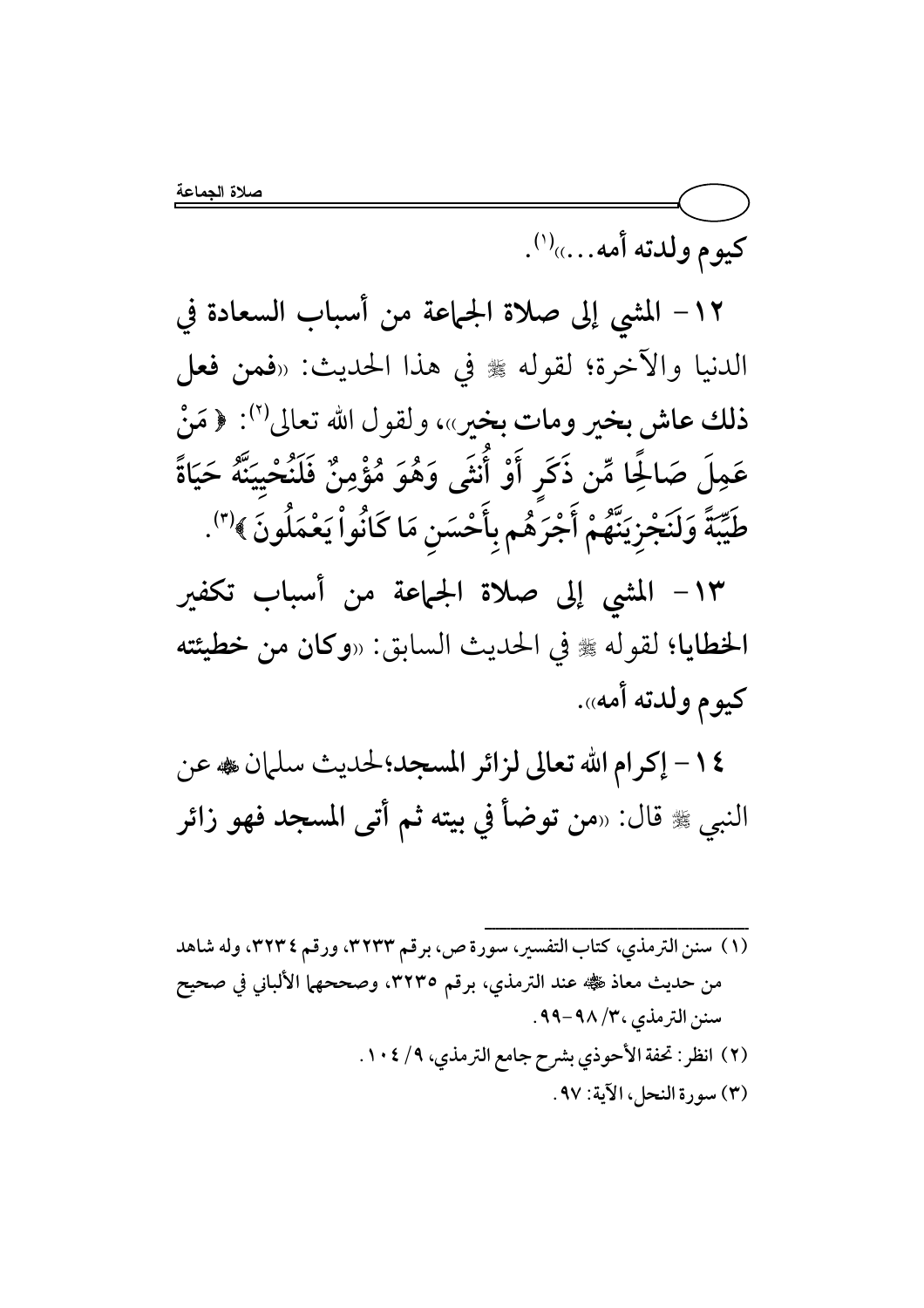كيوم ولدته أمه....)(').

١٢– المشي إلى صلاة الجماعة من أسباب السعادة في الدنيا والآخرة؛ لقوله ﷺ في هذا الحديث: «فمن فعل ذلك عاش بخير ومات بخير»، ولقول الله تعالى''): ﴿ مَنْ عَمِلَ صَالحًا مِّن ذَكَرٍ أَوْ أَنثَى وَهُوَ مُؤْمِنٌ فَلَنُحْيِيَنَّهُ حَيَاةً طَيِّبَةً وَلَنَجْزِيَنَّهُمْ أَجْرَهُم بِأَحْسَنِ مَا كَانُواْ يَعْمَلُونَ ﴾'".

١٣- المشي إلى صلاة الجماعة من أسباب تكفير الخطايا؛ لقوله ﷺ في الحديث السابق: «وكان من خطيئته كيوم ولدته أمه».

١٤- إكرام الله تعالى لزائر المسجد؛لحديث سلمان ، عن النبي ﷺ قال: «من توضأ في بيته ثم أتى المسجد فهو زائر

(١) سنن الترمذي، كتاب التفسير، سورة ص، برقم ٣٢٣٣، ورقم ٣٢٣٤، وله شاهد من حديث معاذ ﷺ عند الترمذي، برقم ٣٢٣٥، وصححهما الألباني في صحيح سنن الترمذي ٣٠/ ٩٨-٩٩. (٢) انظر: تحفة الأحوذي بشرح جامع الترمذي، ٩/ ١٠٤. (٣) سورة النحل، الآية: ٩٧.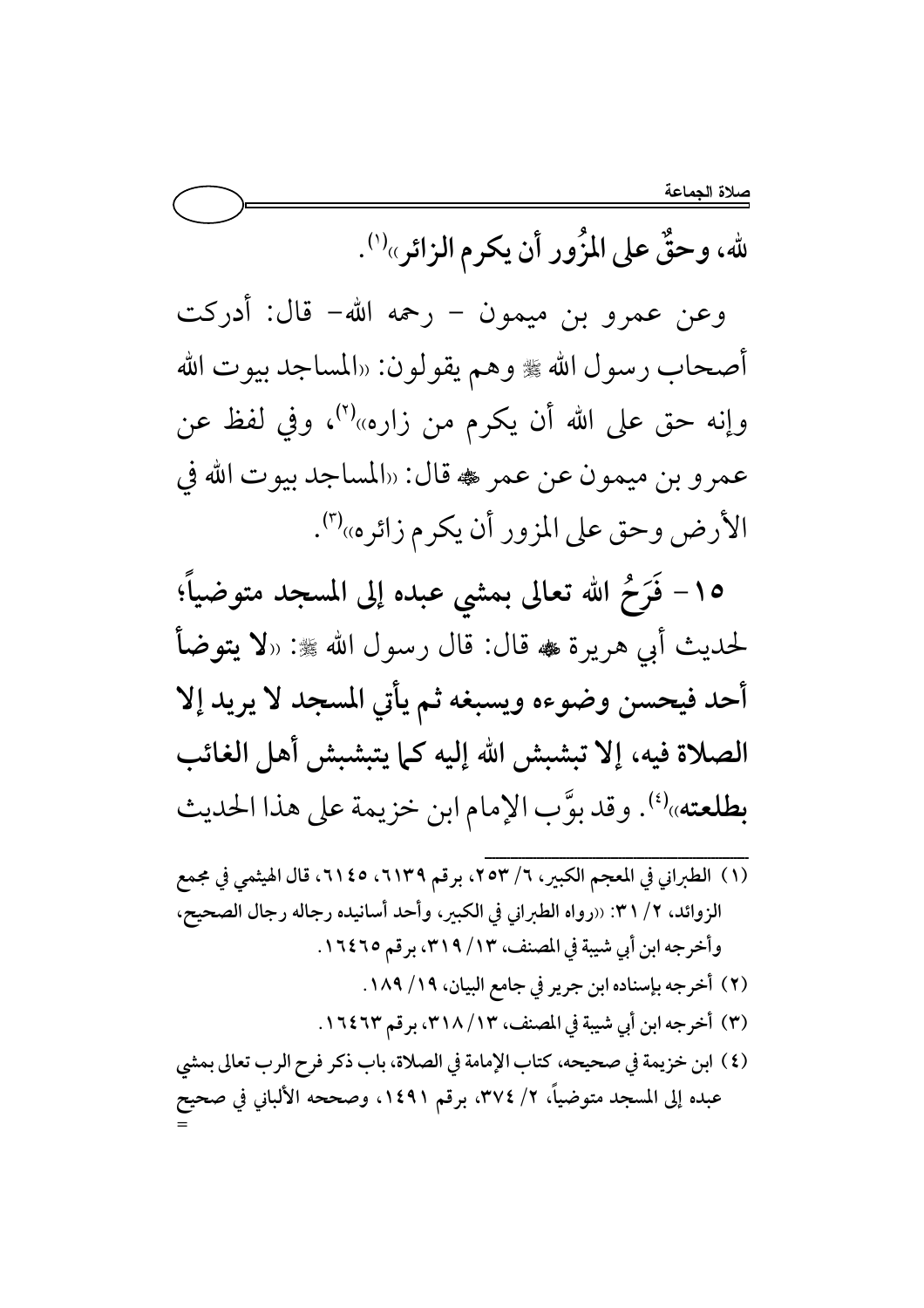لله، وحقٌ على المزُور أن يكرم الزائر»<sup>(י)</sup>.

وعن عمرو بن ميمون – رحمه الله– قال: أدركت أصحاب رسول الله ﷺ وهم يقولون: «المساجد بيوت الله وإنه حق على الله أن يكرم من زاره»<sup>(٢)</sup>، وفي لفظ عن عمرو بن ميمون عن عمر ، قال: «المساجد بيوت الله في الأرض وحق على المزور أن يكرم زائره»'".

١٥- فَرَحْ الله تعالى بمشى عبده إلى المسجد متوضياً؛ لحديث أبي هريرة ، قال: قال رسول الله ﷺ: «لا يتوضأ أحد فيحسن وضوءه ويسبغه ثم يأتي المسجد لا يريد إلا الصلاة فيه، إلا تبشبش الله إليه كما يتبشبش أهل الغائب بطلعته»(4). وقد بوَّب الإمام ابن خزيمة على هذا الحديث

(١) الطبراني في المعجم الكبير، ٦/ ٢٥٣، برقم ٦١٣٩، ٢١٤٥، قال الهيثمي في مجمع الزوائد، ٢/ ٣١: «رواه الطبراني في الكبير، وأحد أسانيده رجاله رجال الصحيح، وأخرجه ابن أبي شيبة في المصنف، ٣١٩ / ٣١٩، برقم ١٦٤٦٥. (٢) أخرجه بإسناده ابن جرير في جامع البيان، ١٨٩/ ١٨٩. (٣) أخرجه ابن أبي شيبة في المصنف، ٣١٨/ ٣١٨، برقم ١٦٤٦٣. (٤) ابن خزيمة في صحيحه، كتاب الإمامة في الصلاة، باب ذكر فرح الرب تعالى بمشى عبده إلى المسجد متوضياً، ٢/ ٣٧٤، برقم ١٤٩١، وصححه الألباني في صحيح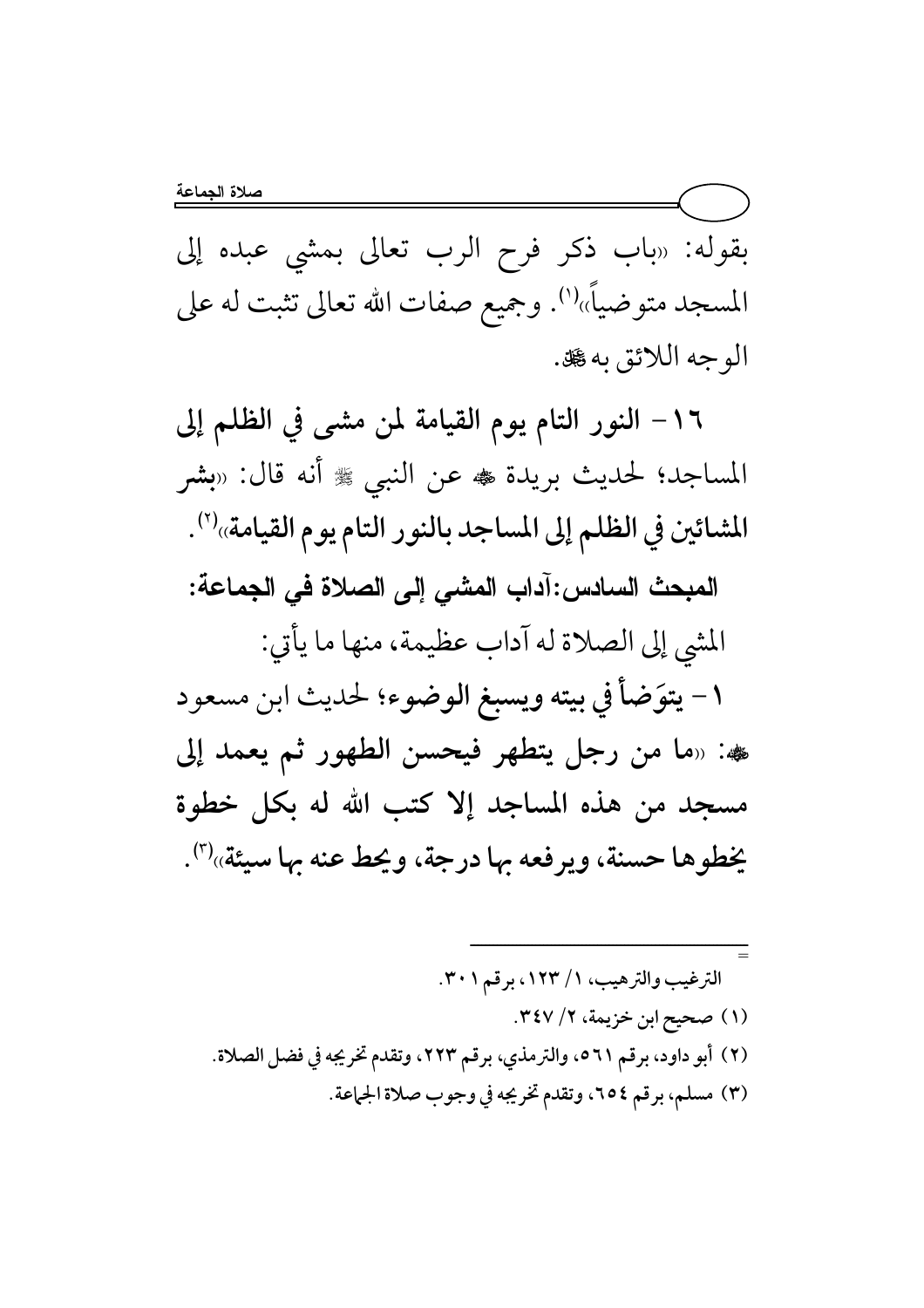بقوله: «باب ذكر فرح الرب تعالى بمشى عبده إلى المسجد متوضياً»''. وجميع صفات الله تعالى تثبت له على الوجه اللائق به کل .

١٦- النور التام يوم القيامة لمن مشى في الظلم إلى المساجد؛ لحديث بريدة ، عن النبي ﷺ أنه قال: «بشر المشائين في الظلم إلى المساجد بالنور التام يوم القيامة»<sup>(٢)</sup>. المبحث السادس:آداب المشي إلى الصلاة في الجماعة: المشي إلى الصلاة له آداب عظيمة، منها ما يأتي: ١ – يتوَضأ في بيته ويسبغ الوضوء؛ لحديث ابن مسعود هه: «ما من رجل يتطهر فيحسن الطهور ثم يعمد إلى مسجد من هذه المساجد إلا كتب الله له بكل خطوة يُخطوها حسنة، ويرفعه بها درجة، ويحط عنه بها سيئة»<sup>(٣)</sup>.

الترغيب والترهيب، ١/ ١٢٣، برقم ٣٠١. (١) صحيح ابن خزيمة، ٢/ ٣٤٧. (٢) أبو داود، برقم ٥٦١، والترمذي، برقم ٢٢٣، وتقدم تخريجه في فضل الصلاة. (٣) مسلم، برقم ٢٥٤، وتقدم تخريجه في وجوب صلاة الجماعة.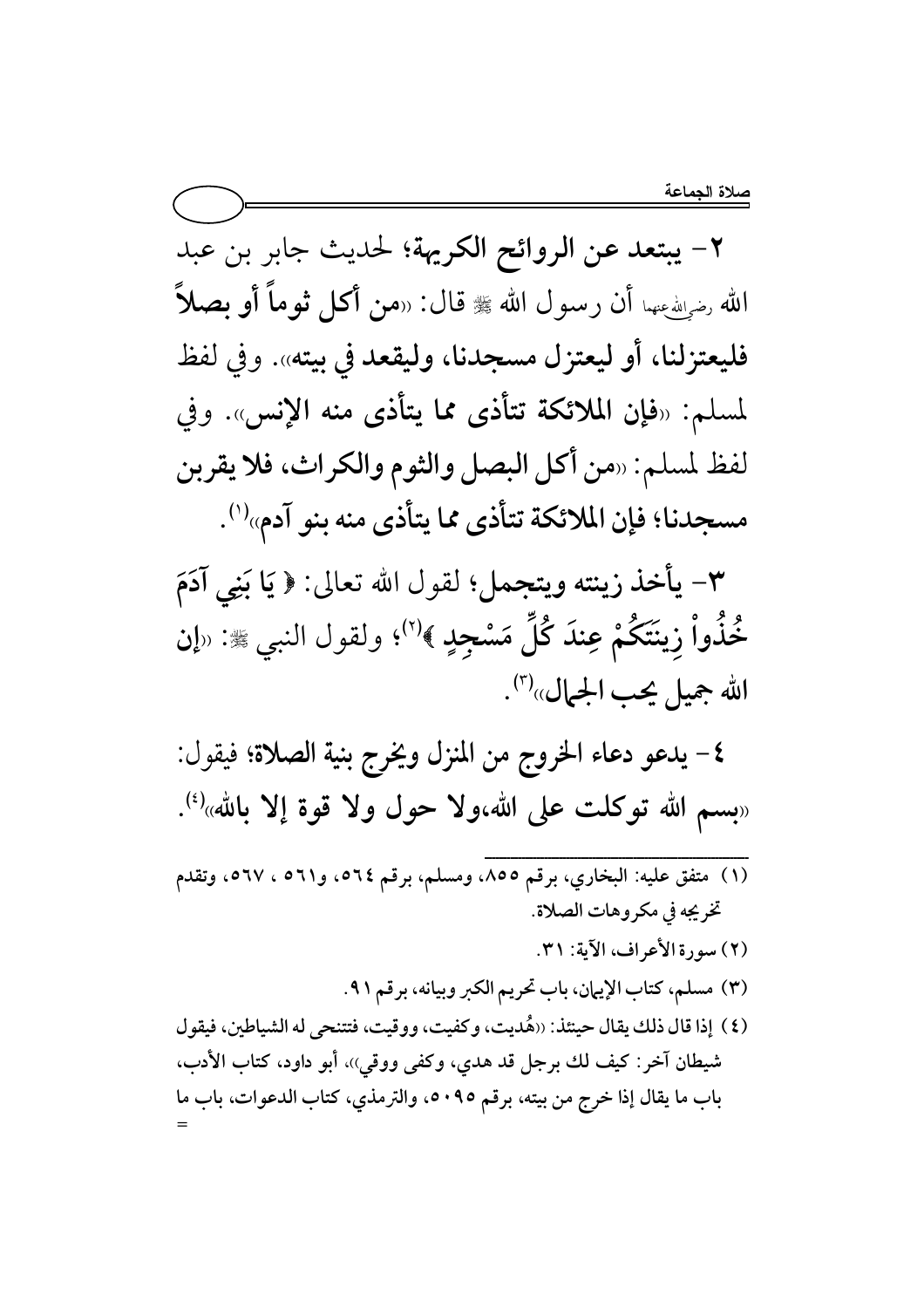٢- يبتعد عن الروائح الكريهة؛ لحديث جابر بن عبد الله رضولله عنهما أن رسول الله ﷺ قال: «من أكل ثوماً أو بصلاً فليعتزلنا، أو ليعتزل مسجدنا، وليقعد في بيته». وفي لفظ لمسلم: «فإن الملائكة تتأذى مما يتأذى منه الإنس». وفي لفظ لمسلم: «من أكل البصل والثوم والكراث، فلا يقربن مسجدنا؛ فإن الملائكة تتأذى مما يتأذى منه بنو آدم»<sup>(י)</sup>.

٣- يأخذ زينته ويتجمل؛ لقول الله تعالى: ﴿ يَا بَنِي آدَمَ خُذُواْ زِينَتَكُمْ عِندَ كُلِّ مَسْجِدٍ ﴾<sup>(٢)</sup>؛ ولقول النبي ﷺ: «إن الله جميل يحب الجمال»<sup>(٣)</sup>.

٤ – يدعو دعاء الخروج من المنزل ويخرج بنية الصلاة؛ فيقول: «بِسم الله توكلت على الله،ولا حول ولا قوة إلا بالله»<sup>(٤)</sup>.

(١) متفق عليه: البخاري، برقم ٨٥٥، ومسلم، برقم ٥٦٤، و٢١١ ، ٥٦٧، وتقدم تخريجه في مكروهات الصلاة. (٢) سورة الأعراف، الآية: ٣١. (٣) مسلم، كتاب الإيهان، باب تحريم الكبر وبيانه، برقم ٩١. (٤) إذا قال ذلك يقال حينئذ: ((هُديت، وكفيت، ووقيت، فتتنحى له الشياطين، فيقول شيطان آخر: كيف لك برجل قد هدي، وكفي ووقي))، أبو داود، كتاب الأدب، باب ما يقال إذا خرج من بيته، برقم ٥٠٩٥، والترمذي، كتاب الدعوات، باب ما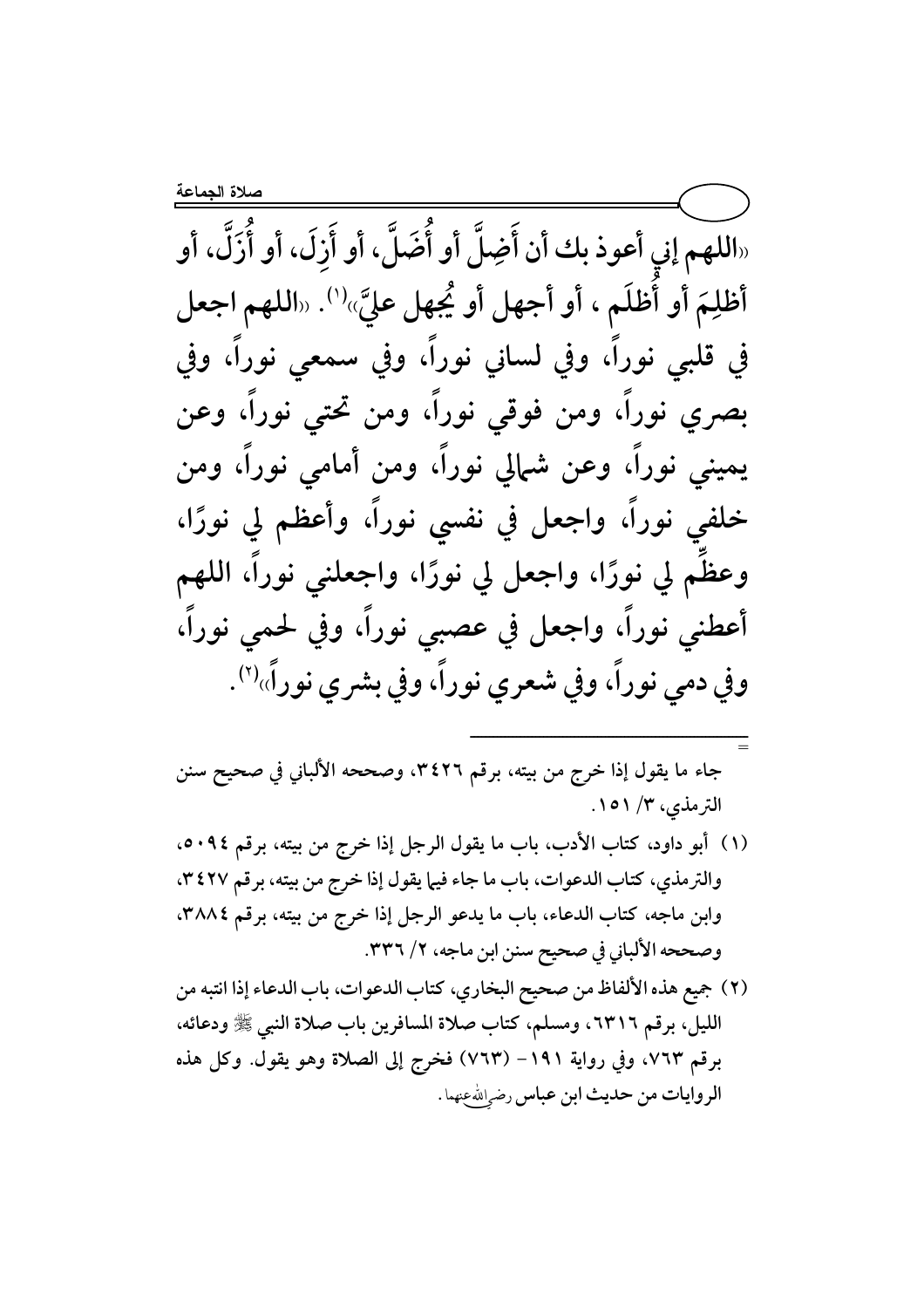«اللهم إني أعوذ بك أن أَضِلَّ أو أُضَلَّ، أو أَزَلَ، أو شَرَكَ الله ع مَ أو أظلَم ، أو أجهل أو يُجهل عليَّ أظلِمَ أو أُظلَم ، أو أجهل أو يُجهل عليَّ»''. «اللهم اجعل ، وفي سمعي نوراً، وفي ، وفي لساني نوراً في قلبي نوراً ، ومن فوقي نوراً، ومن تحتي نوراً، وعن بصري نوراً ُ، وعن شمالي نوراً، ومن أمامي نوراً، ومن يميني نوراً ، واجعل في نفسي نوراً، وأعظم لي نورًا، خلفي نوراً ا، واجعلني نوراً، اللهم وعظم لي نورًا، واجعل لي نورً ، وفي لحمي نوراً، أعطني نوراً، واجعل في عصبي نوراً ، وفي بشري نوراً» ، وفي شعري نوراً وفي دمي نوراً ِاً، وفي شعري نوراً، وفي بشري نوراً»<sup>(٢)</sup>.

 C }# \ o)P
f I ,Y[Zm H6> ,IR#> 8 ¾6 3! GJ`M )8 B)p 9 l kY ,@N8³

ــــــــــــــــــــــــــــــــــــــــــــــــــــــــــــــــــــــــ

=

- (١) أبو داود، كتاب الأدب، باب ما يقول الرجل إذا خرج من بيته، برقم ٥٠٩٤. والترمذي، كتاب الدعوات، باب ما جاء فيها يقول إذا خرج من بيته، برقم ٣٤٢٧، وابن ماجه، كتاب الدعاء، باب ما يدعو الرجل إذا خرج من بيته، برقم ٣٨٨٤. وصححه الألباني في صحيح سنن ابن ماجه، ٢/ ٣٣٦.
- (٢) جميع هذه الألفاظ من صحيح البخاري، كتاب الدعوات، باب الدعاء إذا انتبه من الليل، برقم ٦٣١٦، ومسلم، كتاب صلاة المسافرين باب صلاة النبي ﷺ ودعائه، برقم ٧٦٣، وفي رواية ١٩١– (٧٦٣) فخرج إلى الصلاة وهو يقول. وكل هذه الروايات من حديث ابن عباس رض<sub>رِ</sub>الله عنهما .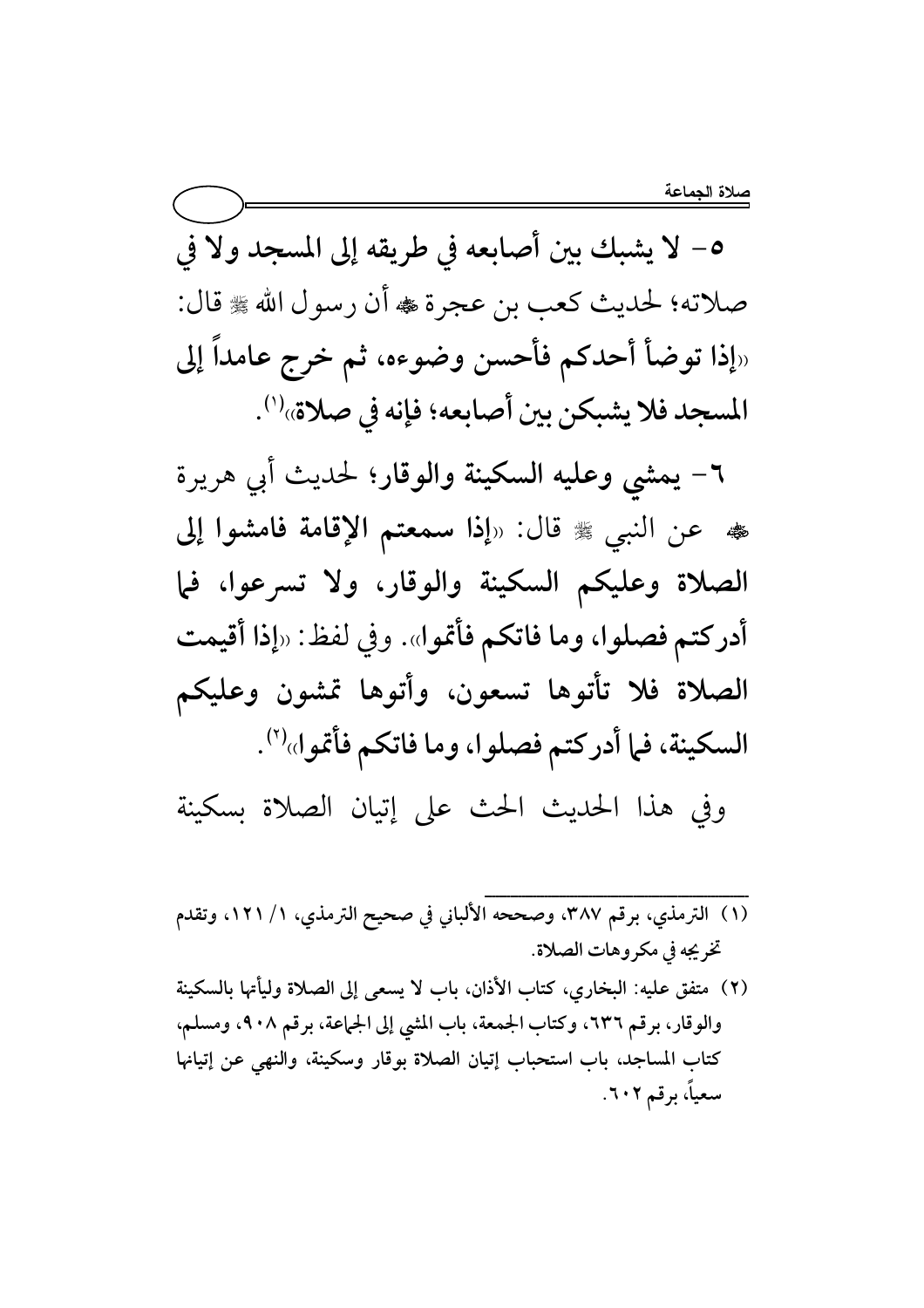٥- لا يشبك بين أصابعه في طريقه إلى المسجد ولا في صلاته؛ لحديث كعب بن عجرة ۴ أن رسول الله ٣ قال: «إذا توضأ أحدكم فأحسن وضوءه، ثم خرج عامداً إلى المسجد فلا يشبكن بين أصابعه؛ فإنه في صلاة»''.

٦– يمشى وعليه السكينة والوقار؛ لحديث أبي هريرة ه عن النبي ﷺ قال: «إذا سمعتم الإقامة فامشوا إلى الصلاة وعليكم السكينة والوقار، ولا تسرعوا، فما أدركتم فصلوا، وما فاتكم فأتموا». وفي لفظ: «إذا أقيمت الصلاة فلا تأتوها تسعون، وأتوها تمشون وعليكم السكينة، فما أدركتم فصلوا، وما فاتكم فأتموا»<sup>(٢)</sup>. وفي هذا الحديث الحث على إتيان الصلاة بسكينة

- (١) الترمذي، برقم ٣٨٧، وصححه الألباني في صحيح الترمذي، ١/ ١٢١، وتقدم تخريجه في مكروهات الصلاة.
- (٢) متفق عليه: البخاري، كتاب الأذان، باب لا يسعى إلى الصلاة وليأتها بالسكينة والوقار، برقم ٦٣٦، وكتاب الجمعة، باب المشي إلى الجماعة، برقم ٩٠٨، ومسلم، كتاب المساجد، باب استحباب إتيان الصلاة بوقار وسكينة، والنهى عن إتيانها سعياً، برقم ٦٠٢.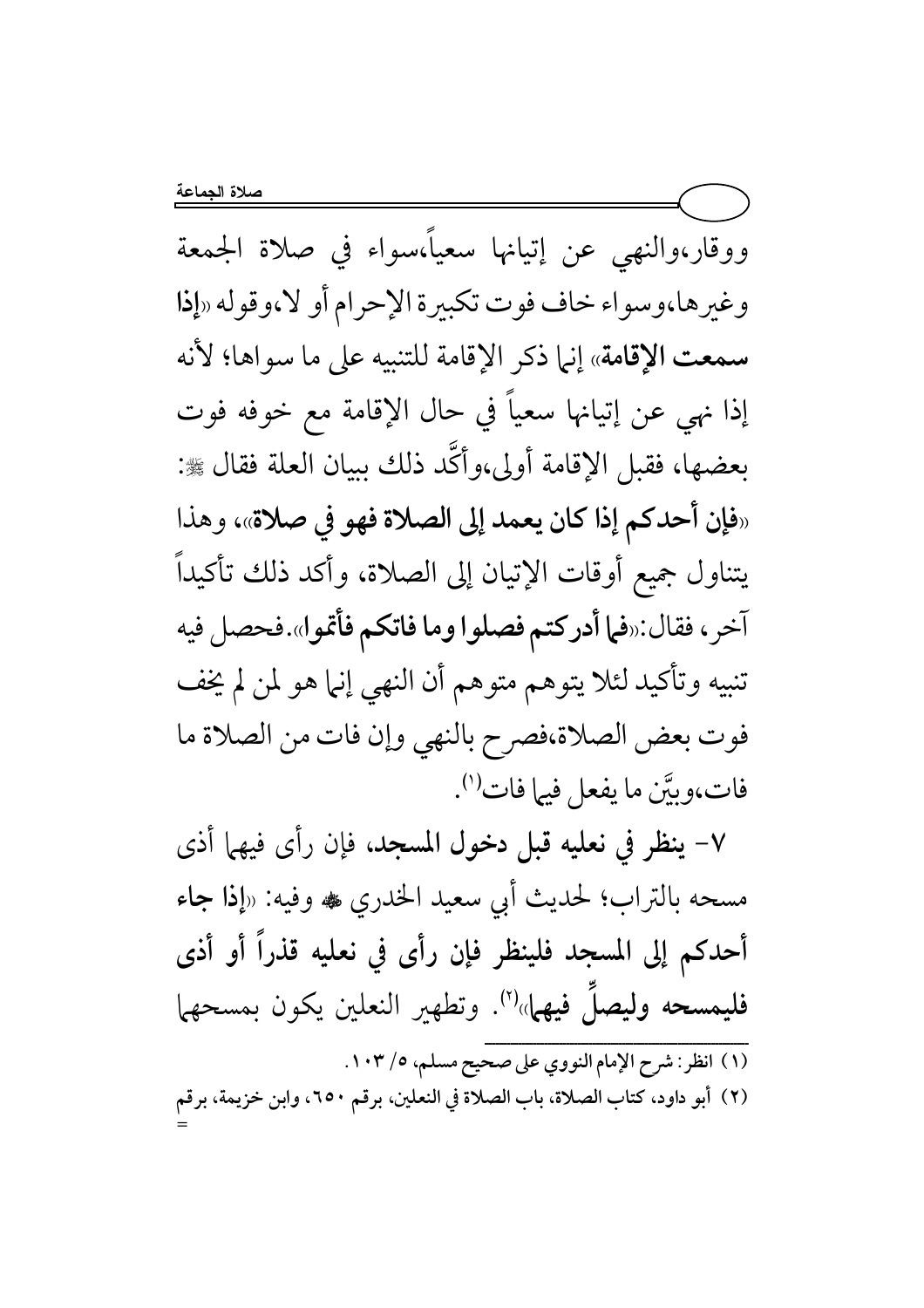ووقار،والنهى عن إتيانها سعياً،سواء فى صلاة الجمعة وغيرها،وسواء خاف فوت تكبيرة الإحرام أو لا،وقوله «إذا سمعت الإقامة» إنها ذكر الإقامة للتنبيه على ما سواها؛ لأنه إذا نهى عن إتيانها سعياً في حال الإقامة مع خوفه فوت بعضها، فقبل الإقامة أولى،وأكَّد ذلك ببيان العلة فقال ﷺ: «فإن أحدكم إذا كان يعمد إلى الصلاة فهو في صلاة»، وهذا يتناول جميع أوقات الإتيان إلى الصلاة، وأكد ذلك تأكيداً آخر، فقال:«فما أدركتم فصلوا وما فاتكم فأتموا».فحصل فيه تنبيه وتأكيد لئلا يتوهم متوهم أن النهي إنها هو لمن لم يخف فوت بعض الصلاة،فصرح بالنهي وإن فات من الصلاة ما فات،وبيَّن ما يفعل فيها فات<sup>(י)</sup>.

٧- ينظر في نعليه قبل دخول المسجد، فإن رأى فيهما أذى مسحه بالتراب؛ لحديث أبي سعيد الخدري ﷺ وفيه: «إذا جاء أحدكم إلى المسجد فلينظر فإن رأى في نعليه قذراً أو أذى فليمسحه وليصلَ فيهمل» (٢). وتطهير النعلين يكون بمسحهما (١) انظر: شرح الإمام النووي على صحيح مسلم، ١٠٣/.

(٢) أبو داود، كتاب الصلاة، باب الصلاة في النعلين، برقم ٢٥٠، وابن خزيمة، برقم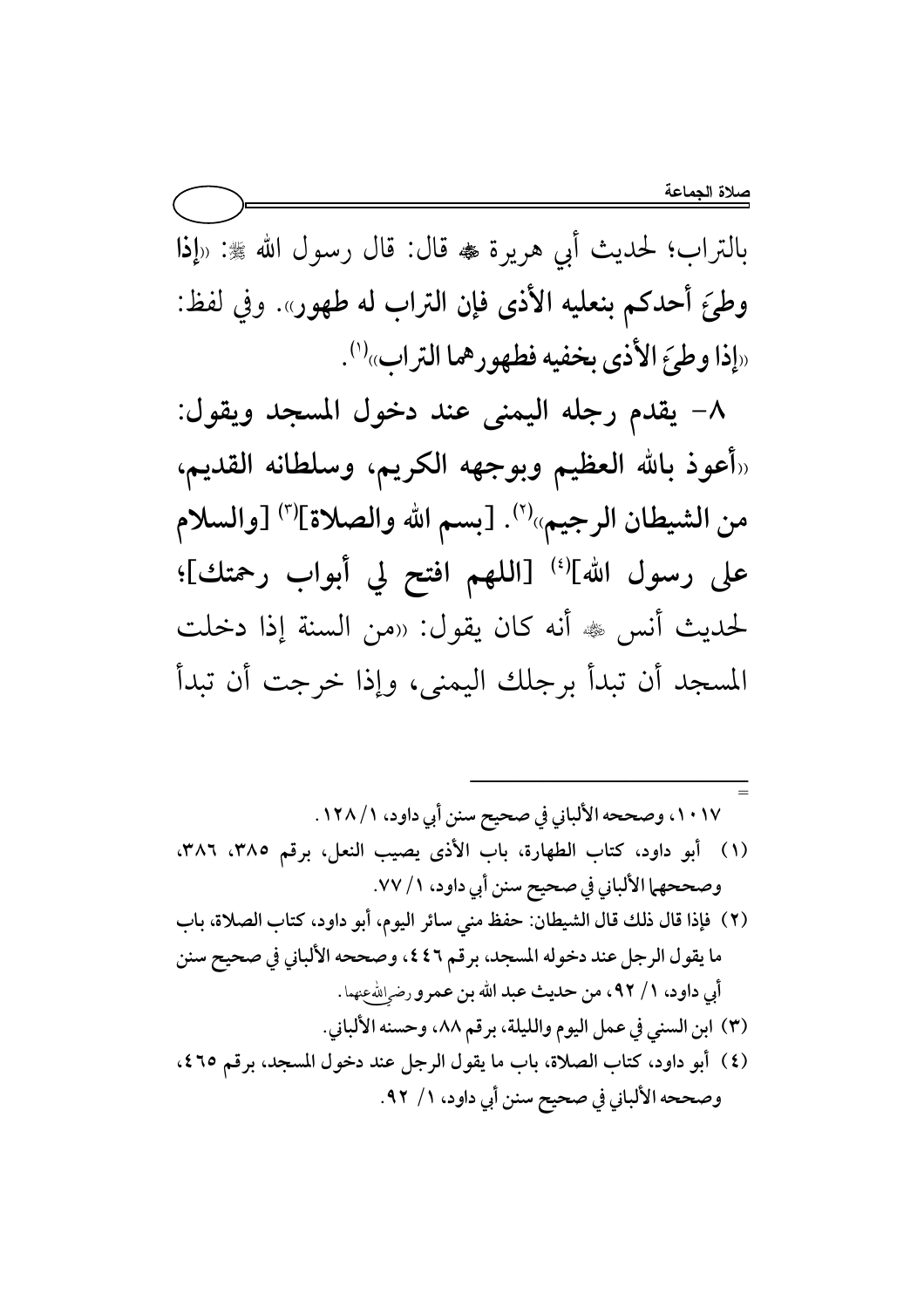بالتراب؛ لحديث أبي هريرة ، قال: قال رسول الله ﷺ: «إذا وطئَ أحدكم بنعليه الأذى فإن التراب له طهور». وفي لفظ: «إذا وطئَ الأذى بخفيه فطهورهما التراب» (').

٨- يقدم رجله اليمني عند دخول المسجد ويقول: رأعوذ بالله العظيم وبوجهه الكريم، وسلطانه القديم، من الشيطان الرجيم»'`'. [بسم الله والصلاة]'`' [والسلام على رسول الله](') [اللهم افتح لي أبواب رحمتك]؛ لحديث أنس ﷺ أنه كان يقول: «من السنة إذا دخلت المسجد أن تبدأ برجلك اليمني، وإذا خرجت أن تبدأ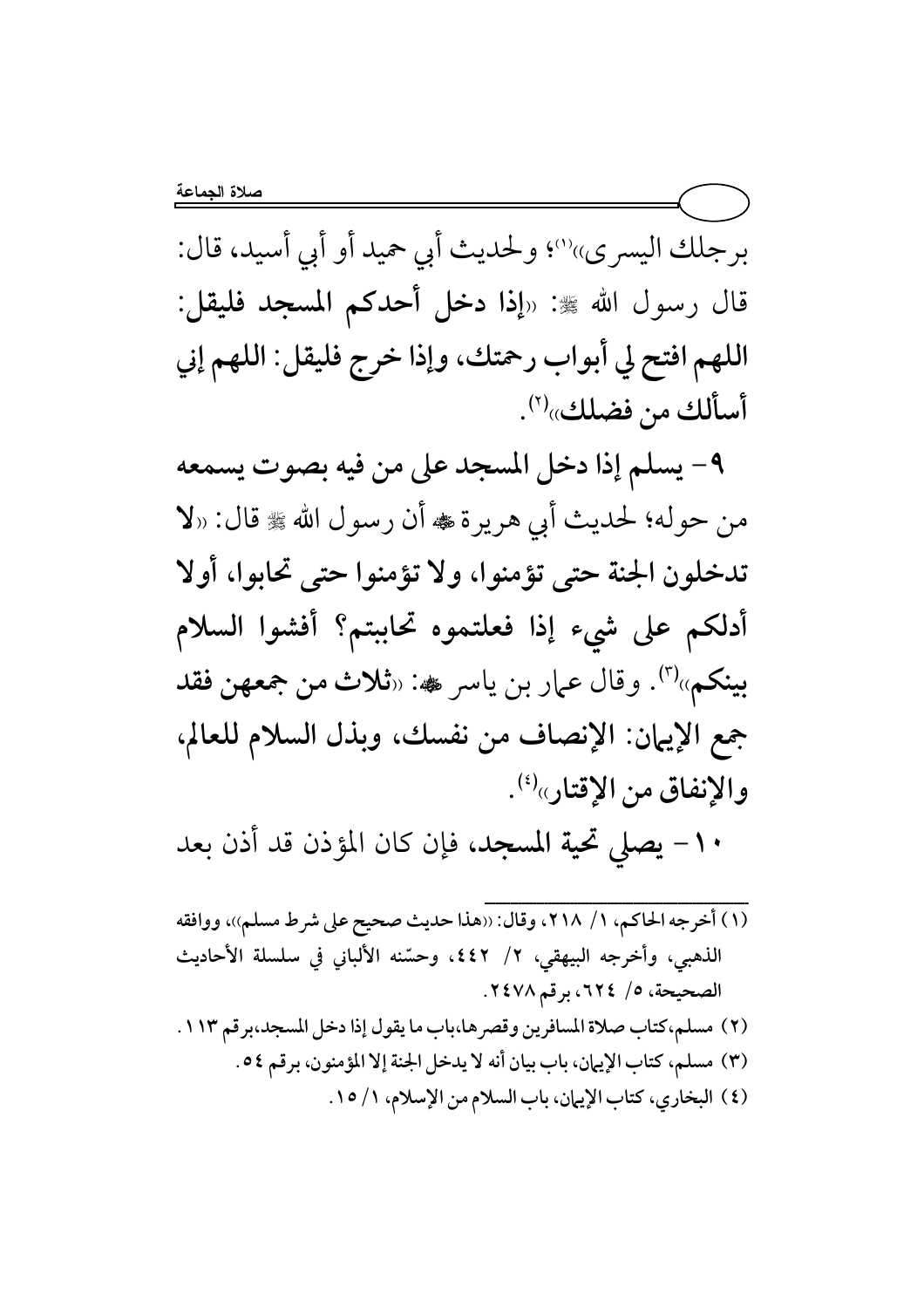برجلك اليسري»''؛ ولحديث أبي حميد أو أبي أسيد، قال: قال رسول الله ﷺ: «إذا دخل أحدكم المسجد فليقل: اللهم افتح لي أبواب رحمتك، وإذا خرج فليقل: اللهم إني أسألك من فضلك»<sup>(٢)</sup>.

٩- يسلم إذا دخل المسجد على من فيه بصوت يسمعه من حوله؛ لحديث أبي هريرة ، أن رسول الله ، قال: «لا تدخلون الجنة حتى تؤمنوا، ولا تؤمنوا حتى تحابوا، أولا أدلكم على شيء إذا فعلتموه تحاببتم؟ أفشوا السلام بينكم»<sup>(٣)</sup>. وقال عمار بن ياسر یه: «ثلاث من جمعهن فقد جمع الإيهان: الإنصاف من نفسك، وبذل السلام للعالم، والإنفاق من الإقتار»<sup>(؛)</sup>.

١٠ - يصلى تحية المسجد، فإن كان المؤذن قد أذن بعد

(١) أخرجه الحاكم، ١/ ٢١٨، وقال: ((هذا حديث صحيح على شرط مسلم))، ووافقه الذهبي، وأخرجه البيهقي، ٢/ ٤٤٢، وحسّنه الألباني في سلسلة الأحاديث الصحيحة، ٥/ ٦٢٤، برقم ٢٤٧٨. (٢) مسلم،كتاب صلاة المسافرين وقصرها،باب ما يقول إذا دخل المسجد،برقم ١١٣. (٣) مسلم، كتاب الإيهان، باب بيان أنه لا يدخل الجنة إلا المؤمنون، برقم ٥٤. (٤) البخاري، كتاب الإيهان، باب السلام من الإسلام، ١/ ١٥.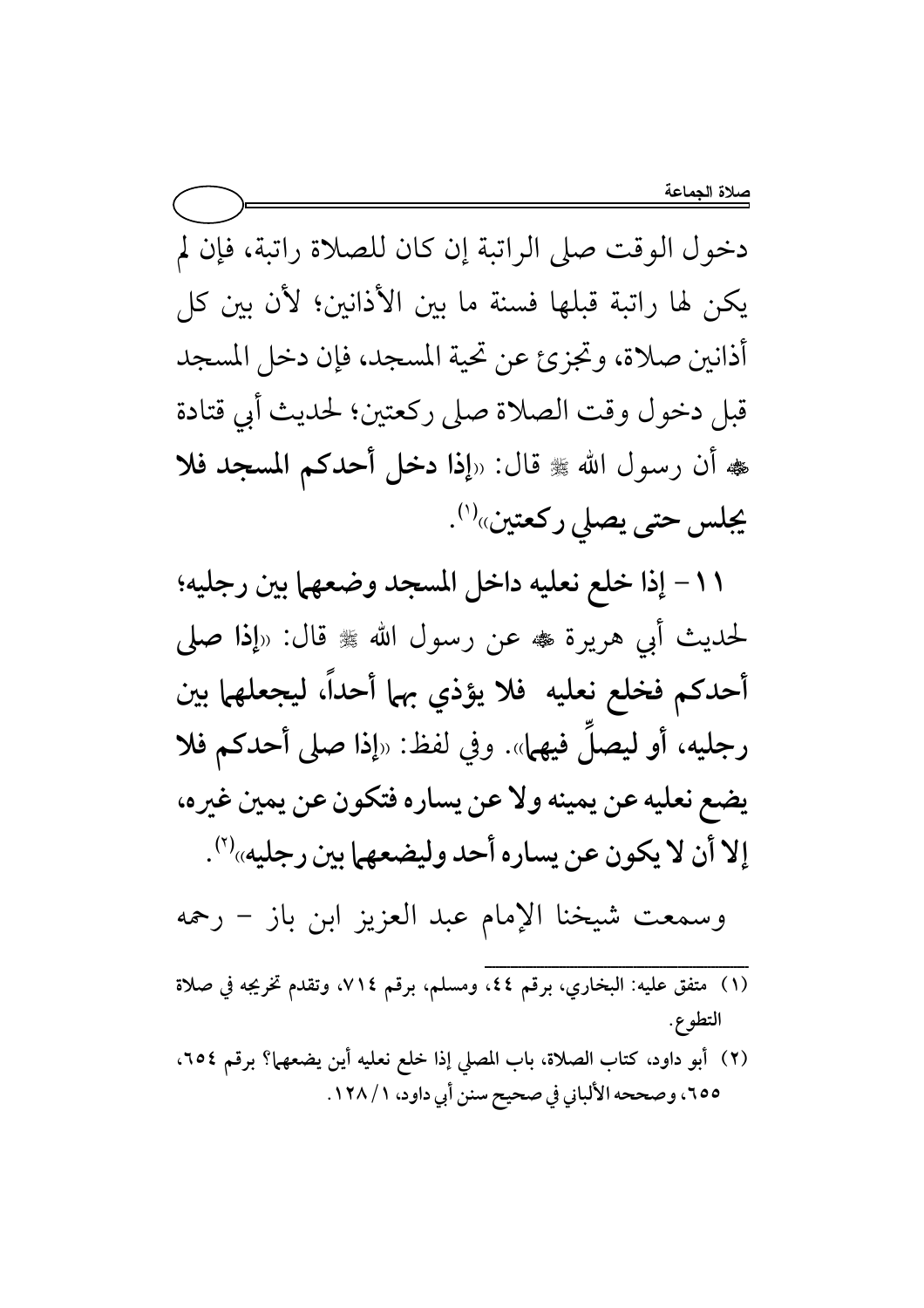دخول الوقت صلى الراتبة إن كان للصلاة راتبة، فإن لم يكن لها راتبة قبلها فسنة ما بين الأذانين؛ لأن بين كل أذانين صلاة، وتجزئ عن تحية المسجد، فإن دخل المسجد قبل دخول وقت الصلاة صلى ركعتين؛ لحديث أبي قتادة هه أن رسول الله ﷺ قال: «إذا دخل أحدكم المسجد فلا يجلس حتى يصلى ركعتين»<sup>(۱)</sup>.

11 – إذا خلع نعليه داخل المسجد وضعهما بين رجليه؛ لحديث أبي هريرة ڤ عن رسول الله ﷺ قال: «إذا صلى أحدكم فخلع نعليه فلا يؤذي بهما أحداً، ليجعلهما بين رجليه، أو ليصلَ فيهما». وفي لفظ: «إذا صلى أحدكم فلا يضع نعليه عن يمينه ولا عن يساره فتكون عن يمين غيره، إلا أن لا يكون عن يساره أحد وليضعهما بين رجليه»<sup>(٢)</sup>.

وسمعت شيخنا الإمام عبد العزيز ابن باز – رحمه

- (١) متفق عليه: البخاري، برقم ٤٤، ومسلم، برقم ٧١٤، وتقدم تخريجه في صلاة التطوع.
- (٢) أبو داود، كتاب الصلاة، باب المصلى إذا خلع نعليه أين يضعهما؟ برقم ٢٥٤، ٥٥م٦، وصححه الألباني في صحيح سنن أبي داود، ١/ ١٢٨.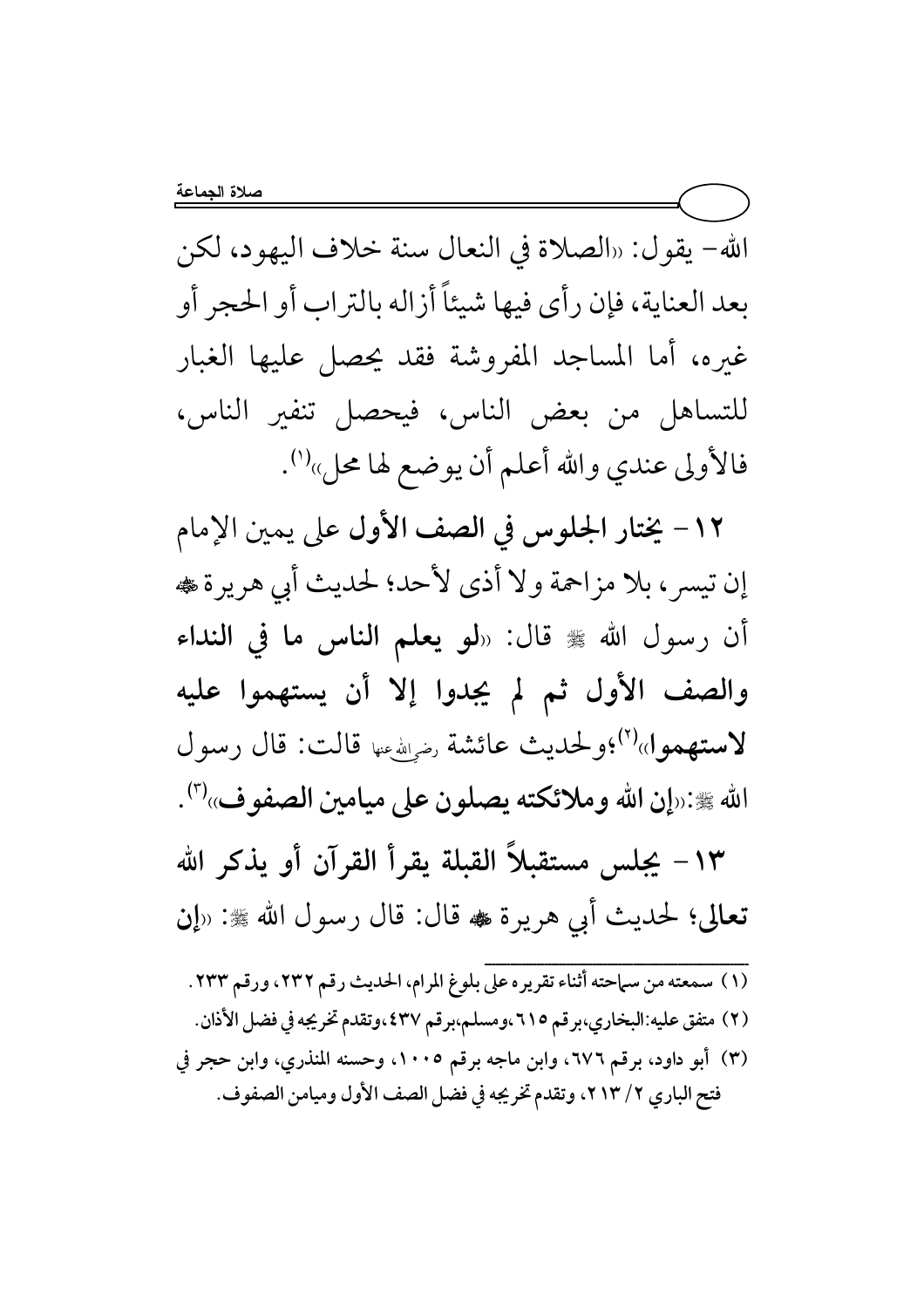الله- يقول: «الصلاة في النعال سنة خلاف اليهود، لكن بعد العناية، فإن رأى فيها شيئاً أزاله بالتراب أو الحجر أو غيره، أما المساجد المفروشة فقد يحصل عليها الغبار للتساهل من بعض الناس، فيحصل تنفير الناس، فالأولى عندي والله أعلم أن يوضع لها محل»<sup>(י)</sup>.

١٢- يختار الجلوس في الصف الأول على يمين الإمام إن تيسر ، بلا مزاحمة ولا أذى لأحد؛ لحديث أبي هريرة ، أن رسول الله ﷺ قال: «لو يعلم الناس ما في النداء والصف الأول ثم لم يجدوا إلا أن يستهموا عليه لاستهموا»<sup>(٢)</sup>؛ولحديث عائشة <sub>يضياش</sub>يها قالت: قال رسول الله ﷺ:«إن الله وملائكته يصلون على ميامين الصفوف»<sup>(٣)</sup>.

١٣ - يجلس مستقبلاً القبلة يقرأ القرآن أو يذكر الله تعالى؛ لحديث أبي هريرة ، قال: قال رسول الله ﷺ: «إن

(١) سمعته من سماحته أثناء تقريره على بلوغ المرام، الحديث رقم ٢٣٢، ورقم ٢٣٣. (٢) متفق عليه:البخاري،برقم ٦١٥،ومسلم،برقم ٤٣٧،وتقدم تخريجه في فضل الأذان. (٣) أبو داود، برقم ٦٧٦، وابن ماجه برقم ١٠٠٥، وحسنه المنذري، وابن حجر في فتح الباري ٢/ ٢١٣، وتقدم تخريجه في فضل الصف الأول وميامن الصفوف.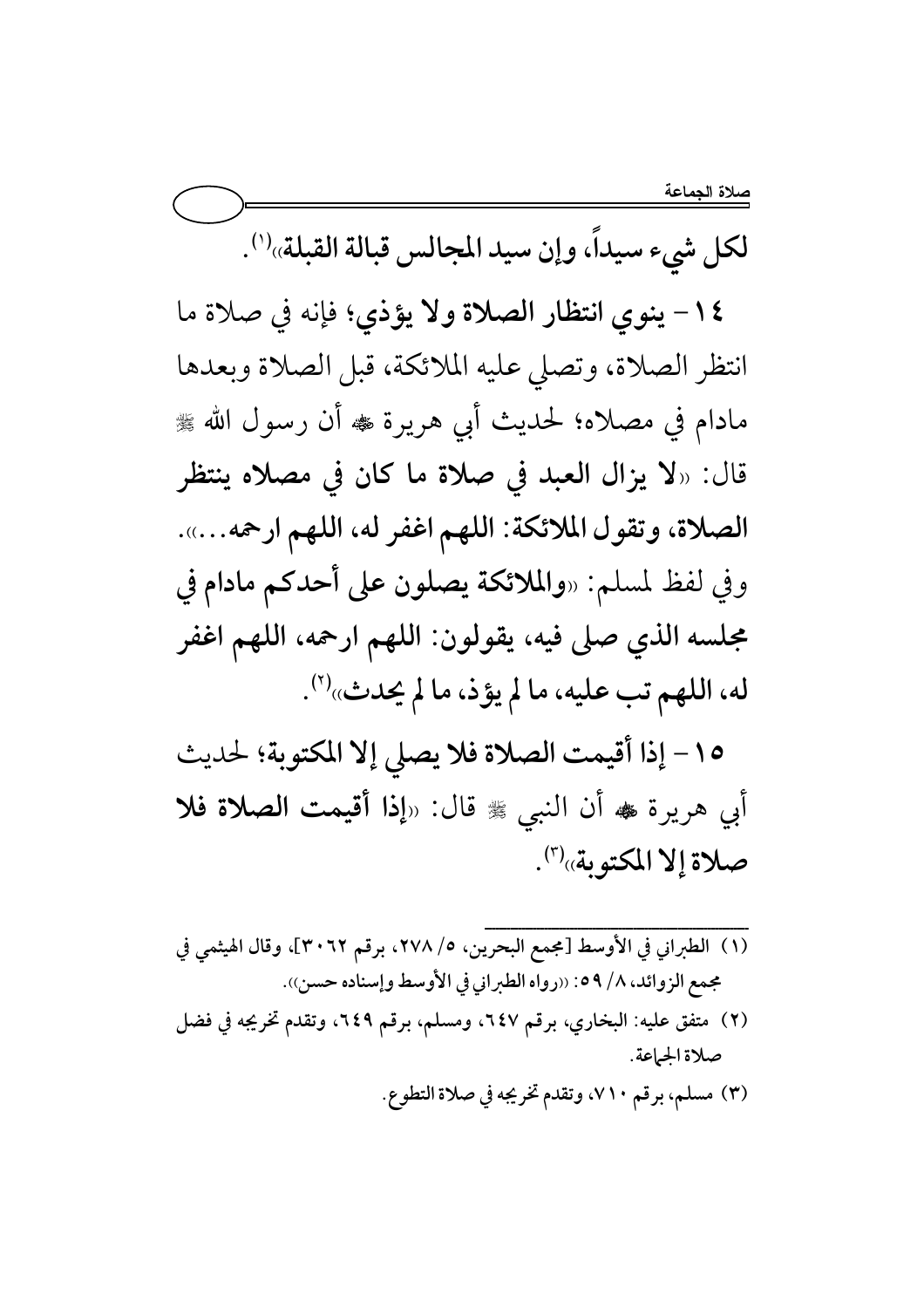لكل شيء سيداً، وإن سيد المجالس قبالة القبلة»<sup>(١)</sup>.

١٤ - ينوي انتظار الصلاة ولا يؤذي؛ فإنه في صلاة ما انتظر الصلاة، وتصلى عليه الملائكة، قبل الصلاة وبعدها مادام في مصلاه؛ لحديث أبي هريرة ﷺ أن رسول الله ﷺ قال: «لا يزال العبد في صلاة ما كان في مصلاه ينتظر الصلاة، وتقول الملائكة: اللهم اغفر له، اللهم ارحمه...... وفي لفظ لمسلم: «والملائكة يصلون على أحدكم مادام في مجلسه الذي صلى فيه، يقولون: اللهم ارحمه، اللهم اغفر له، اللهم تب عليه، ما لم يؤذ، ما لم يحدث»<sup>(٢)</sup>.

١٥- إذا أقيمت الصلاة فلا يصلى إلا المكتوبة؛ لحديث أبي هريرة ، أن النبي ، تال: «إذا أقيمت الصلاة فلا صلاة إلا المكتوبة»'".

- (١) الطبراني في الأوسط [مجمع البحرين، ٥/ ٢٧٨، برقم ٣٠٦٢]، وقال الهيثمي في مجمع الزوائد، ٨/ ٥٩: «رواه الطبراني في الأوسط وإسناده حسن)). (٢) متفق عليه: البخاري، برقم ٦٤٧، ومسلم، برقم ٦٤٩، وتقدم تخريجه في فضل صلاة الجماعة.
	- (٣) مسلم، برقم ٧١٠، وتقدم تخريجه في صلاة التطوع.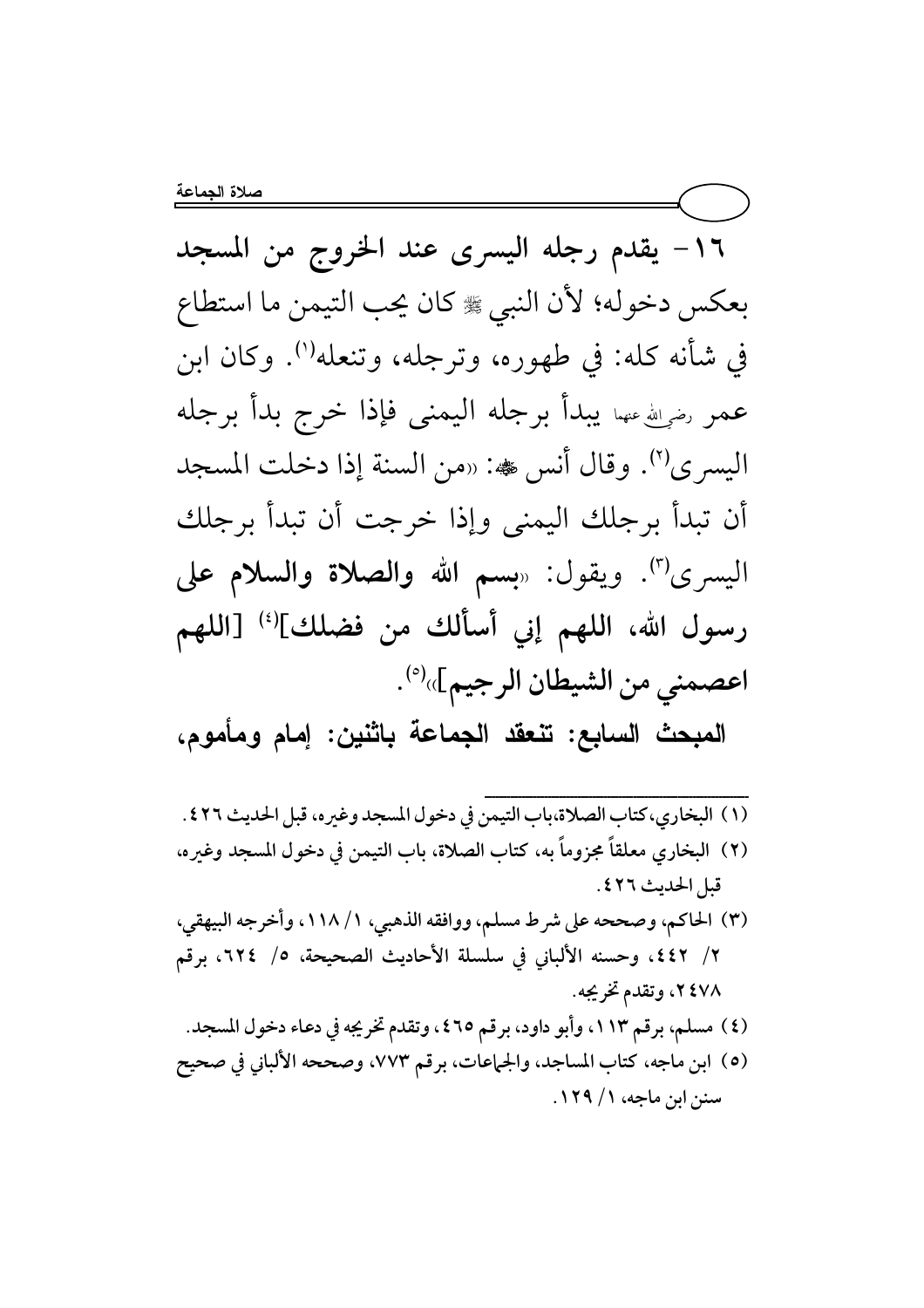١٦- يقدم رجله اليسرى عند الخروج من المسجد بعكس دخوله؛ لأن النبي ﷺ كان يحب التيمن ما استطاع في شأنه كله: في طهوره، وترجله، وتنعله''). وكان ابن عمر رضي لله عنها يبدأ برجله اليمنى فإذا خرج بدأ برجله اليسري<sup>(٢)</sup>. وقال أنس حه: «من السنة إذا دخلت المسجد أن تبدأ برجلك اليمني وإذا خرجت أن تبدأ برجلك اليسرى<sup>(٣)</sup>. ويقول: «بسم الله **والصلاة والسلام على** رسول الله، اللهم إني أسألك من فضلك](أ) [اللهم اعصمني من الشيطان الرجيم]»<sup>(٥)</sup>.

المبحث السابع: تنعقد الجماعة باثنين: إمام ومأموم،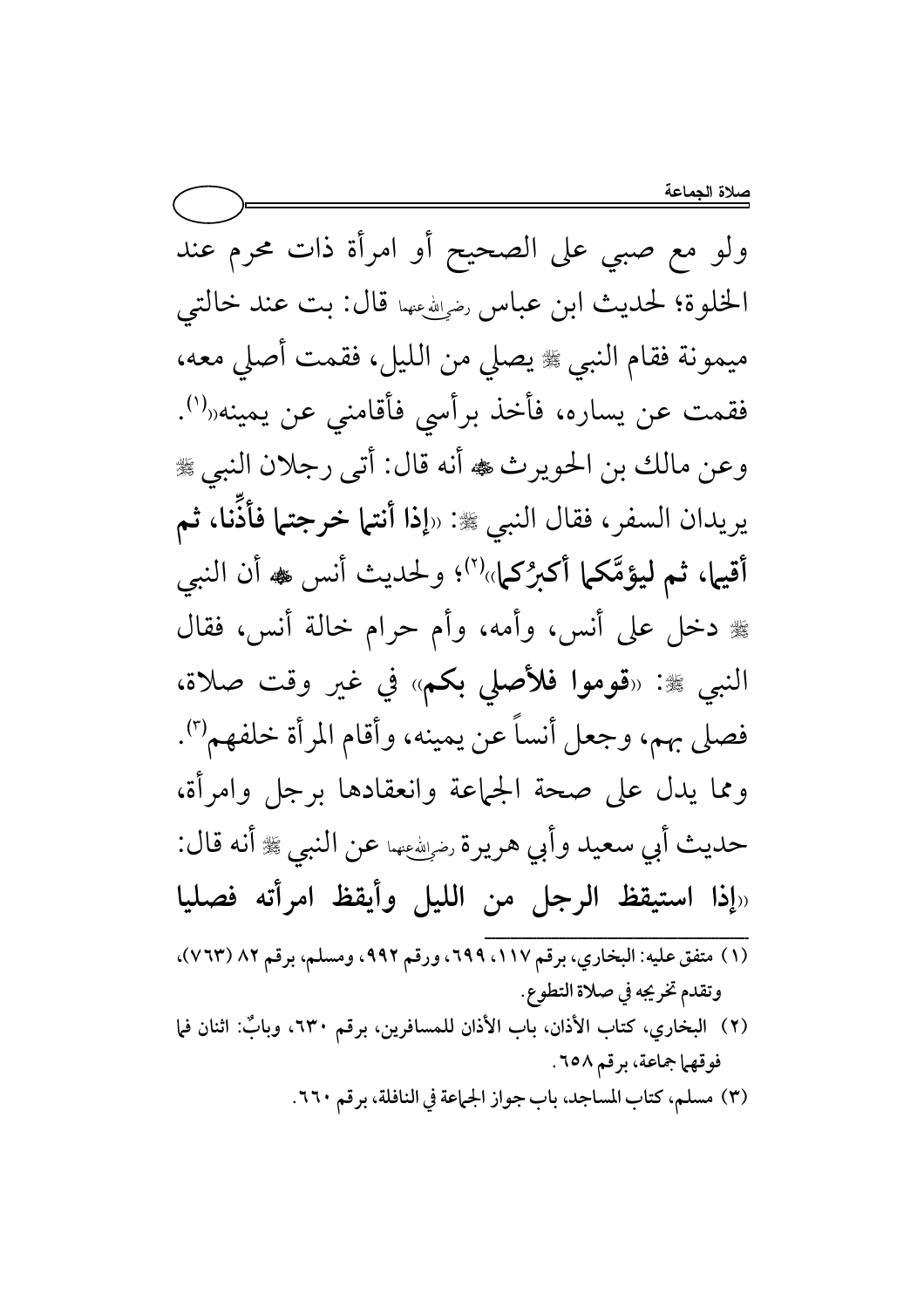ولو مع صبي على الصحيح أو امرأة ذات محرم عند الخلوة؛ لحديث ابن عباس رضي في الله عنها قال: بت عند خالتي ميمونة فقام النبي ، يصلى من الليل، فقمت أصلى معه، فقمت عن يساره، فأخذ برأسي فأقامني عن يمينه«<sup>(١)</sup>. وعن مالك بن الحويرث ، أنه قال: أتى رجلان النبي ، يريدان السفر، فقال النبي ﷺ: «إذا أنتما خرجتما فأذَّنا، ثم أقيها، ثم ليؤمَّكما أكبرُكما»'``؛ ولحديث أنس ﷺ أن النبي ﷺ دخل على أنس، وأمه، وأم حرام خالة أنس، فقال النبي ﷺ: «قوموا فلأصلى بكم» في غير وقت صلاة، فصلى بهم، وجعل أنساً عن يمينه، وأقام المرأة خلفهم'''. ومما يدل على صحة الجماعة وانعقادها برجل وامرأة، حديث أبي سعيد وأبي هريرة لضياشهها عن النبي ﷺ أنه قال: «إذا استيقظ الرجل من الليل وأيقظ امرأته فصليا (١) متفق عليه: البخاري، برقم ١١٧، ٦٩٩، ورقم ٩٩٢، ومسلم، برقم ٨٢ (٧٦٣)، وتقدم تخريجه في صلاة التطوع. (٢) البخاري، كتاب الأذان، باب الأذان للمسافرين، برقم ٦٣٠، وبابٌ: اثنان فما فوقهما جماعة، برقم ٦٥٨. (٣) مسلم، كتاب المساجد، باب جواز الجهاعة في النافلة، برقم ٢٦٠.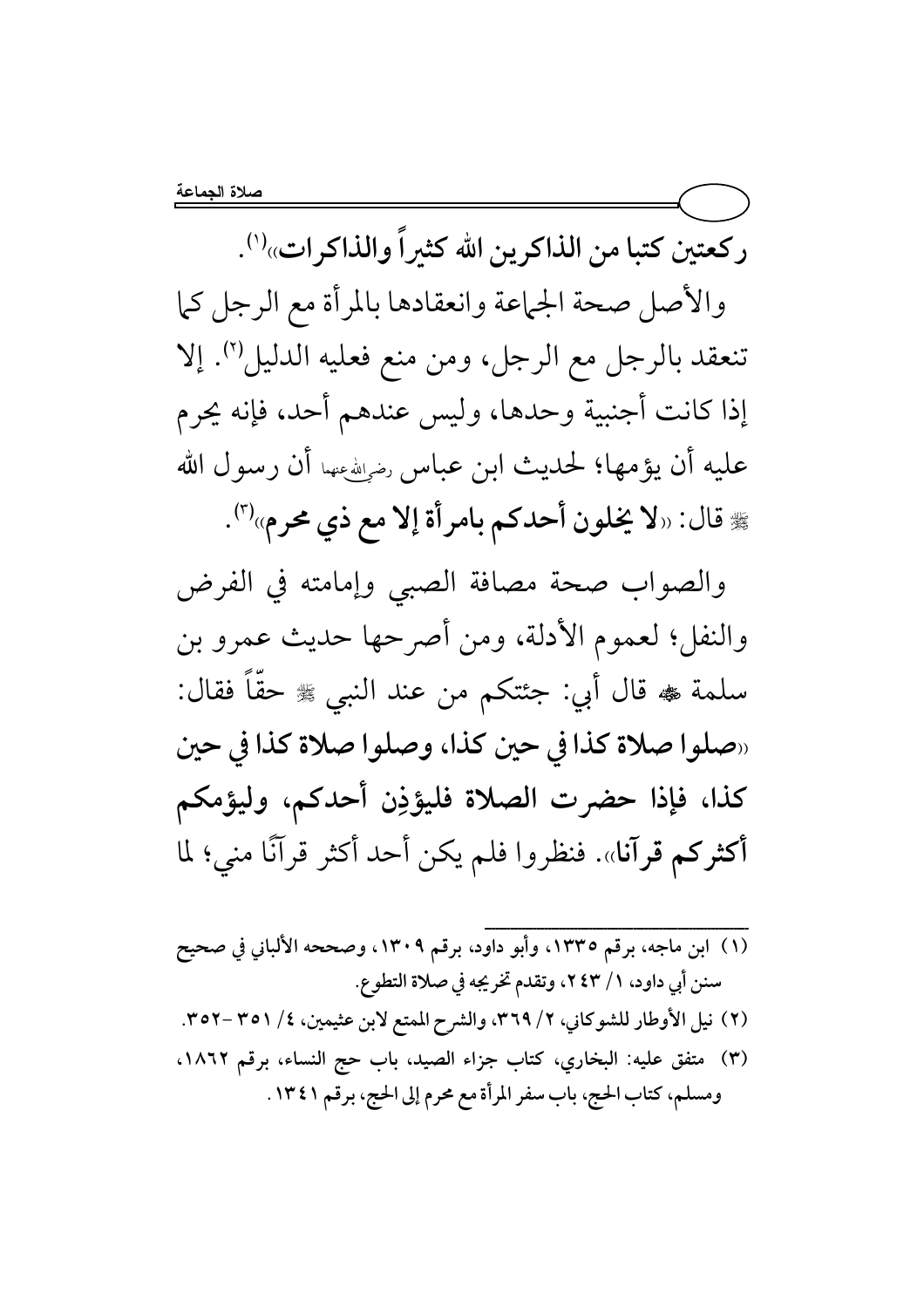ركعتين كتبا من الذاكرين الله كثيراً والذاكرات»''.

والأصل صحة الجماعة وانعقادها بالمرأة مع الرجل كما تنعقد بالرجل مع الرجل، ومن منع فعليه الدليل (٢). إلا إذا كانت أجنبية وحدها، وليس عندهم أحد، فإنه يحرم عليه أن يؤمها؛ لحديث ابن عباس رضي الله عنها أن رسول الله لِهِ قال: «لا يخلون أحدكم بامرأة إلا مع ذي محرم»<sup>(٣)</sup>.

والصواب صحة مصافة الصبى وإمامته في الفرض والنفل؛ لعموم الأدلة، ومن أصرحها حديث عمرو بن سلمة ﴾ قال أبي: جئتكم من عند النبي ﷺ حقًّا فقال: «صلوا صلاة كذا في حين كذا، وصلوا صلاة كذا في حين كذا، فإذا حضرت الصلاة فليؤذِن أحدكم، وليؤمكم أكثركم قرآنا». فنظروا فلم يكن أحد أكثر قرآنًا منى؛ لما

(١) ابن ماجه، برقم ١٣٣٥، وأبو داود، برقم ١٣٠٩، وصححه الألباني في صحيح سنن أبي داود، ١/ ٢٤٣، وتقدم تخريجه في صلاة التطوع. (٢) نيل الأوطار للشوكاني، ٢/ ٣٦٩، والشرح الممتع لابن عثيمين، ٤/ ٣٥١ -٣٥٢. (٣) متفق عليه: البخاري، كتاب جزاء الصيد، باب حج النساء، برقم ١٨٦٢، ومسلم، كتاب الحج، باب سفر المرأة مع محرم إلى الحج، برقم ١٣٤١.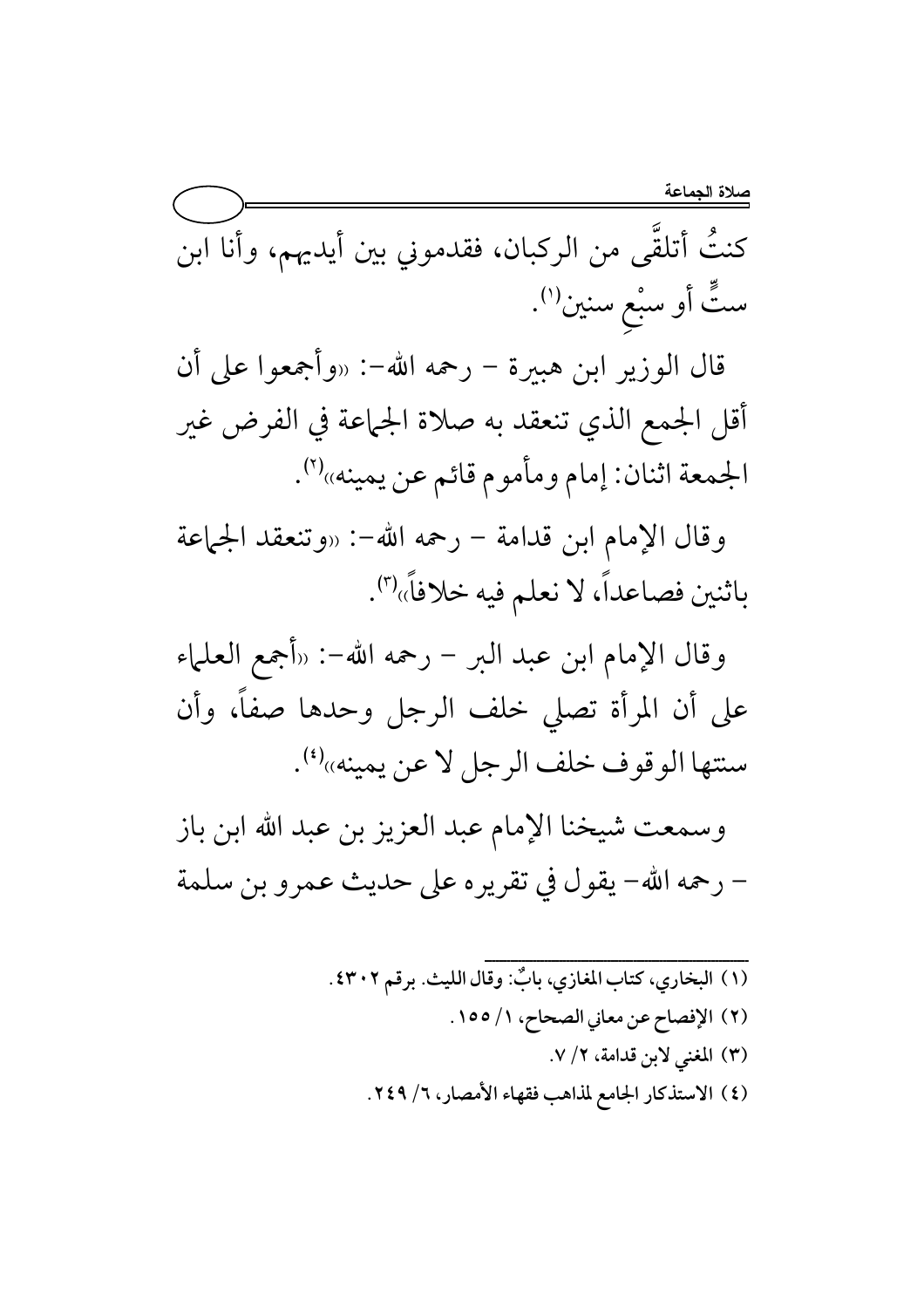كنتُ أتلقَّى من الركبان، فقدموني بين أيديهم، وأنا ابن ستٍّ أو سبْع سنين(').

قال الوزير ابن هبيرة – رحمه الله–: «وأجمعوا على أن أقل الجمع الذي تنعقد به صلاة الجماعة في الفرض غير الجمعة اثنان: إمام ومأموم قائم عن يمينه»(٢).

وقال الإمام ابن قدامة – رحمه الله-: «وتنعقد الجماعة باثنين فصاعداً، لا نعلم فيه خلافاً»'".

وقال الإمام ابن عبد البر – رحمه الله–: «أجمع العلماء على أن المرأة تصلى خلف الرجل وحدها صفاً، وأن سنتها الوقوف خلف الرجل لا عن يمينه»(1).

وسمعت شيخنا الإمام عبد العزيز بن عبد الله ابن باز – رحمه الله– يقول في تقريره على حديث عمرو بن سلمة

> (١) البخاري، كتاب المغازي، بابٌ: وقال الليث. برقم ٤٣٠٢ . (٢) الإفصاح عن معاني الصحاح، ١/ ١٥٥. (٣) المغنى لابن قدامة، ٢/ ٧. (٤) الاستذكار الجامع لمذاهب فقهاء الأمصار، ٦/ ٢٤٩.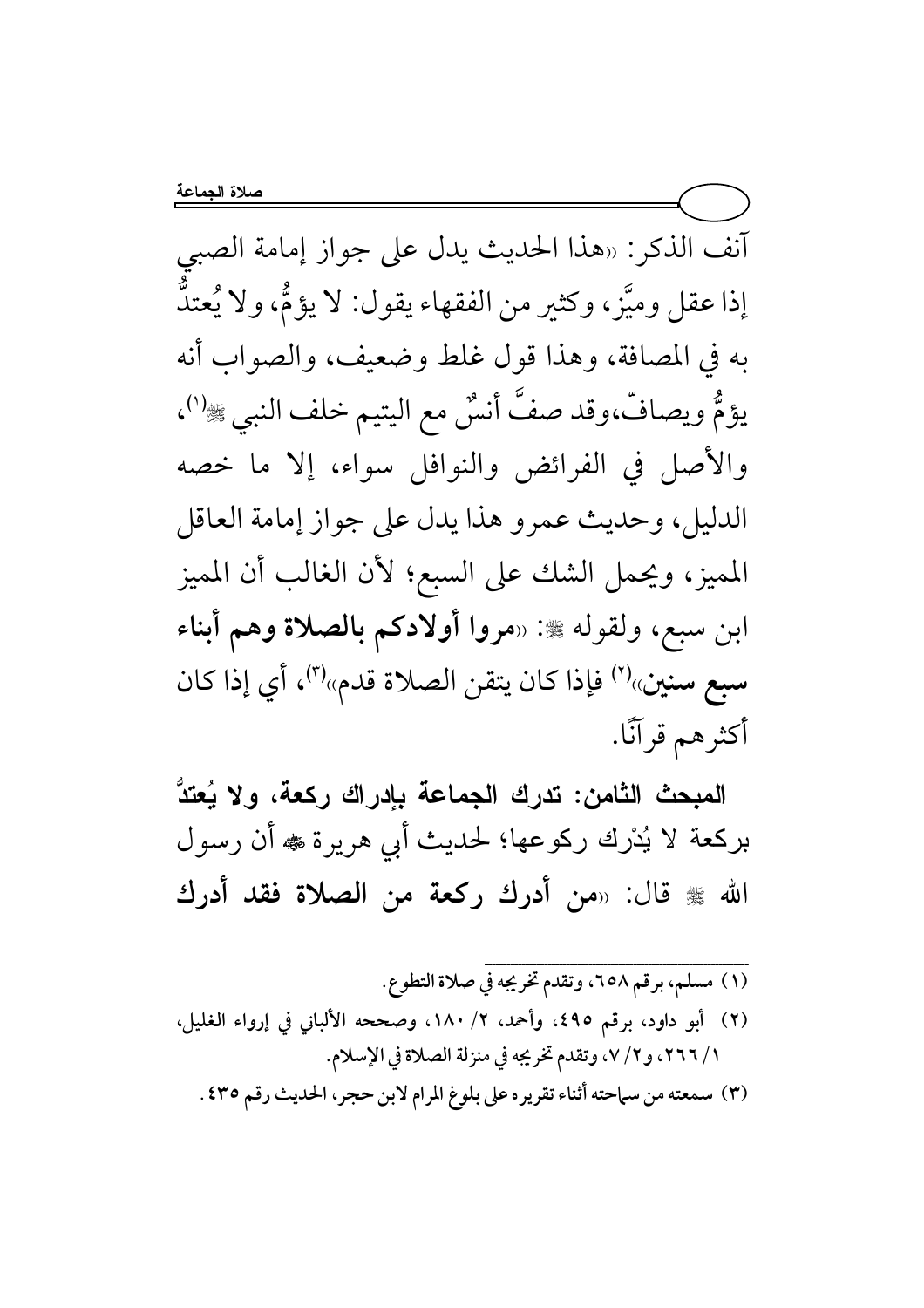آنف الذكر: «هذا الحديث يدل على جواز إمامة الصبي إذا عقل وميَّز، وكثير من الفقهاء يقول: لا يؤمُّ، ولا يُعتدُّ به في المصافة، وهذا قول غلط وضعيف، والصواب أنه يؤمُّ ويصافَّ،وقد صفَّ أنسٌ مع اليتيم خلف النبي ﷺ''، والأصل في الفرائض والنوافل سواء، إلا ما خصه الدليل، وحديث عمرو هذا يدل على جواز إمامة العاقل المميز، ويحمل الشك على السبع؛ لأن الغالب أن المميز ابن سبع، ولقوله ﷺ: «مروا أولادكم بالصلاة وهم أبناء سبع سنين»<sup>(٢)</sup> فإذا كان يتقن الصلاة قدم»<sup>(٣)</sup>، أي إذا كان أكثرهم قرآنًا.

المبحث الثامن: تدرك الجماعة بإدراك ركعة، ولا يُعتدُّ بركعة لا يُدْرِك ركوعها؛ لحديث أبي هريرة ﷺ أن رسول الله ﷺ قال: «من أدرك ركعة من الصلاة فقد أدرك

(١) مسلم، برقم ٦٥٨، وتقدم تخريجه في صلاة التطوع. (٢) أبو داود، برقم ٤٩٥، وأحمد، ٢/ ١٨٠، وصححه الألباني في إرواء الغليل، ١ / ٢٦٦، و٢ / ٧، وتقدم تخريجه في منزلة الصلاة في الإسلام. (٣) سمعته من سماحته أثناء تقريره على بلوغ المرام لابن حجر، الحديث رقم ٤٣٥.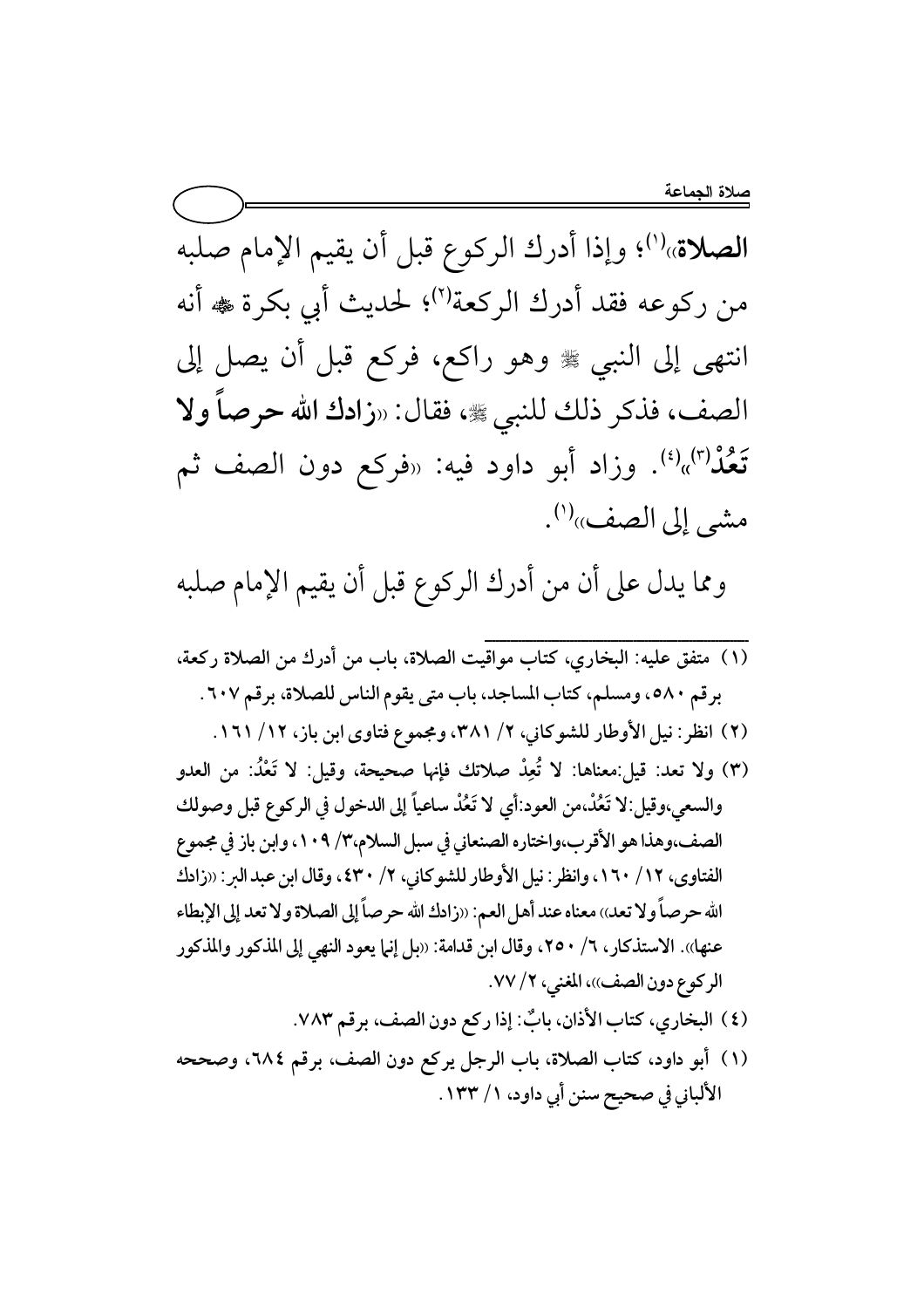الصلاة»''؛ وإذا أدرك الركوع قبل أن يقيم الإمام صلبه من ركوعه فقد أدرك الركعة'')؛ لحديث أبي بكرة ﷺ أنه انتهى إلى النبي ﷺ وهو راكع، فركع قبل أن يصل إلى الصف، فذكر ذلك للنبي ، فقال: «زادك الله حرصاً ولا تَعْذُ<sup>(٣)</sup>»<sup>(٤)</sup>. وزاد أبو داود فيه: «فركع دون الصف ثم مشي إلى الصف»<sup>(י)</sup>.

ومما يدل على أن من أدرك الركوع قبل أن يقيم الإمام صلبه

- (١) متفق عليه: البخاري، كتاب مواقيت الصلاة، باب من أدرك من الصلاة ركعة، برقم ٥٨٠، ومسلم، كتاب المساجد، باب متى يقوم الناس للصلاة، برقم ٦٠٧.
	- (٢) انظر: نيل الأوطار للشوكاني، ٢/ ٣٨١، ومجموع فتاوى ابن باز، ١٢/ ١٦١.
- (٣) ولا تعد: قيل:معناها: لا تُعِدْ صلاتك فإنها صحيحة، وقيل: لا تَعْدُ: من العدو والسعي،وقيل:لا تَعُدْ،من العود:أي لا تَعُدْ ساعياً إلى الدخول في الركوع قبل وصولك الصف،وهذا هو الأقرب،واختاره الصنعاني في سبل السلام،٣/ ١٠٩، وابن باز في مجموع الفتاوى، ١٦/ ١٦٠، وانظر: نيل الأوطار للشوكاني، ٢/ ٤٣٠، وقال ابن عبد البر: «زادك الله حرصاً ولا تعد)) معناه عند أهل العم: «زادك الله حرصاً إلى الصلاة ولا تعد إلى الإبطاء عنها». الاستذكار، ٦/ ٢٥٠، وقال ابن قدامة: «بل إنها يعود النهي إلى المذكور والمذكور الركوع دون الصف))، المغنى، ٢/ ٧٧.
	- (٤) البخاري، كتاب الأذان، بابٌ: إذا ركع دون الصف، برقم ٧٨٣.
- (١) أبو داود، كتاب الصلاة، باب الرجل يركع دون الصف، برقم ٢٨٤، وصححه الألباني في صحيح سنن أبي داود، ١/ ١٣٣.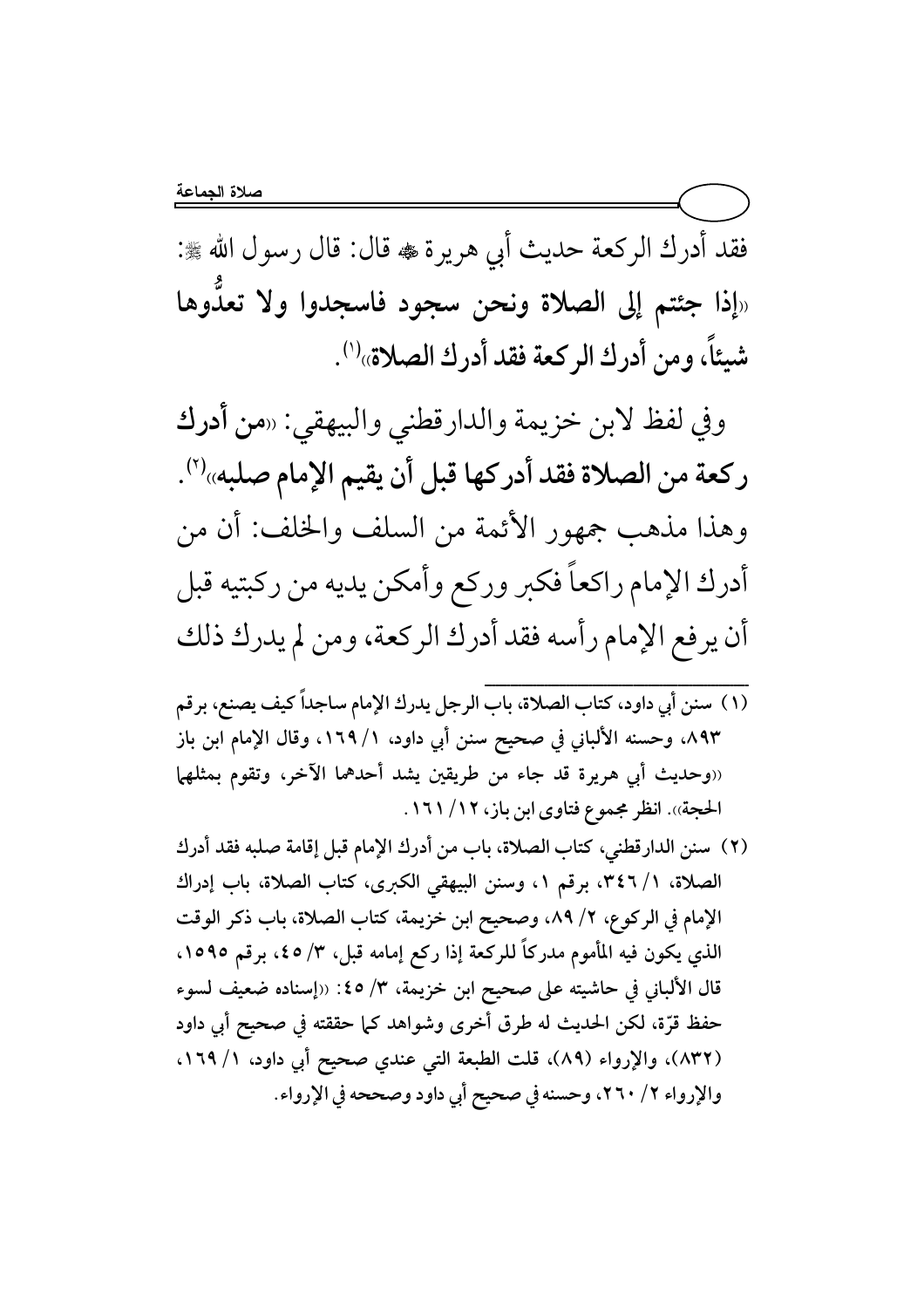فقد أدرك الركعة حديث أبي هريرة ، قال: قال رسول الله ، : «إذا جئتم إلى الصلاة ونحن سجود فاسجدوا ولا تعدوها شيئًا، ومن أدرك الركعة فقد أدرك الصلاة» 'ناً، ومن أدرك الركعة فقد أدرك الصلاة»<sup>(١)</sup>.

وفي لفظ لابن خزيمة والدارقطني والبيهقي: «من أ**درك** ركعة من الصلاة فقد أدركها قبل أن يقيم الإمام صلبه»<sup>(٢)</sup>. وهذا مذهب جمهور الأئمة من السلف والخلف: أن من أدرك الإمام راكعاً فكبر وركع وأمكن يديه من ركبتيه قبل أن يرفع الإمام رأسه فقد أدرك الركعة، ومن لم يدرك ذلك

- {{{{{{{{{{{{{{{{{{{{{{{{{{{{{{{{{{{{{{{{{{{{{{{{{{{{{{{{{{{{{{{{{{{{{{{ (١) سنن أبي داود، كتاب الصلاة، باب الرجل يدرك الإمام ساجداً كيف يصنع، برقم ٨٩٣.، وحسنه الألباني في صحيح سنن أبي داود، ١ / ١٦٩. وقال الإمام ابن باز «وحديث أبي هريرة قد جاء من طريقين يشد أحدهما الآخر، وتقوم بمثلهما الحجة)). انظر مجموع فتاوى ابن باز، ١٦/ ١٦١.
- (٢) سنن الدارقطني، كتاب الصلاة، باب من أدرك الإمام قبل إقامة صلبه فقد أدرك الصلاة، ١/ ٤٦، برقم ١، وسنن البيهقي الكبرى، كتاب الصلاة، باب إدراك الإمام في الركوع، ٢/ ٨٩، وصحيح ابن خزيمة، كتاب الصلاة، باب ذكر الوقت الذي يكون فيه المأموم مدركاً للركعة إذا ركع إمامه قبل، ٣/ ٤٥، برقم ١٥٩٥، قال الألباني في حاشيته على صحيح ابن خزيمة، ٣/ ٤٥: «إسناده ضعيف لسوء حفظ قرَّة، لكن الحديث له طرق أخرى وشواهد كما حققته في صحيح أبي داود (٨٣٢)، والإرواء (٨٩)، قلت الطبعة التي عندي صحيح أبي داود، ١٦٩/١. والإرواء ٢/ ٢٦٠، وحسنه في صحيح أبي داود وصححه في الإرواء.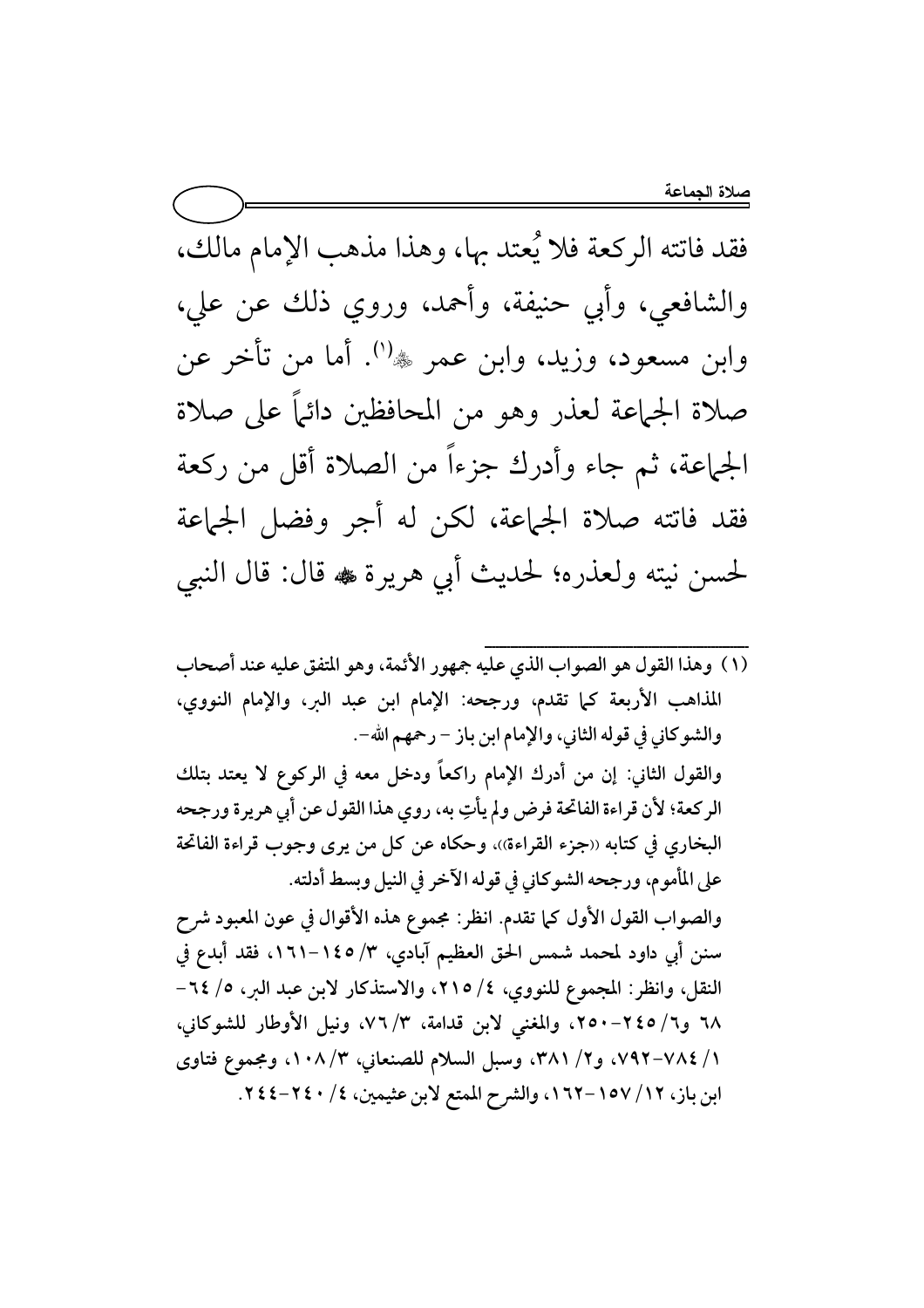فقد فاتته الركعة فلا يُعتد بها، وهذا مذهب الإمام مالك، والشافعي، وأبي حنيفة، وأحمد، وروي ذلك عن علي، وابن مسعود، وزيد، وابن عمر ﷺ. أما من تأخر عن صلاة الجماعة لعذر وهو من المحافظين دائماً على صلاة الجماعة، ثم جاء وأدرك جزءاً من الصلاة أقل من ركعة فقد فاتته صلاة الجماعة، لكن له أجر وفضل الجماعة لحسن نيته ولعذره؛ لحديث أبي هريرة ، قال: قال النبي

(١) وهذا القول هو الصواب الذي عليه جمهور الأئمة، وهو المتفق عليه عند أصحاب المذاهب الأربعة كما تقدم، ورجحه: الإمام ابن عبد البر، والإمام النووي، والشوكاني في قوله الثاني، والإمام ابن باز – رحمهم الله-. والقول الثاني: إن من أدرك الإمام راكعاً ودخل معه في الركوع لا يعتد بتلك الركعة؛ لأن قراءة الفاتحة فرض ولم يأتِ به، روي هذا القول عن أبي هريرة ورجحه البخاري في كتابه «جزء القراءة»، وحكاه عن كل من يرى وجوب قراءة الفاتحة على المأموم، ورجحه الشوكاني في قوله الآخر في النيل وبسط أدلته. والصواب القول الأول كما تقدم. انظر: مجموع هذه الأقوال في عون المعبود شرح سنن أبي داود لمحمد شمس الحق العظيم آبادي، ٣/ ١٤٥-١٦١، فقد أبدع في النقل، وانظر: المجموع للنووي، ٤/ ٢١٥، والاستذكار لابن عبد البر، ٥/ ٢٤-٦٨ و٦/ ٢٤٥-٢٥٠، والمغنى لابن قدامة، ٣/ ٧٦، ونيل الأوطار للشوكاني، ٧ / ٧٨٤-٧٩٢، و٢/ ٣٨١، وسبل السلام للصنعاني، ٣/ ١٠٨، ومجموع فتاوى ابن باز، ١٧/ ١٥٧-١٦٢، والشرح الممتع لابن عثيمين، ٤/ ٢٤٠-٢٤٤.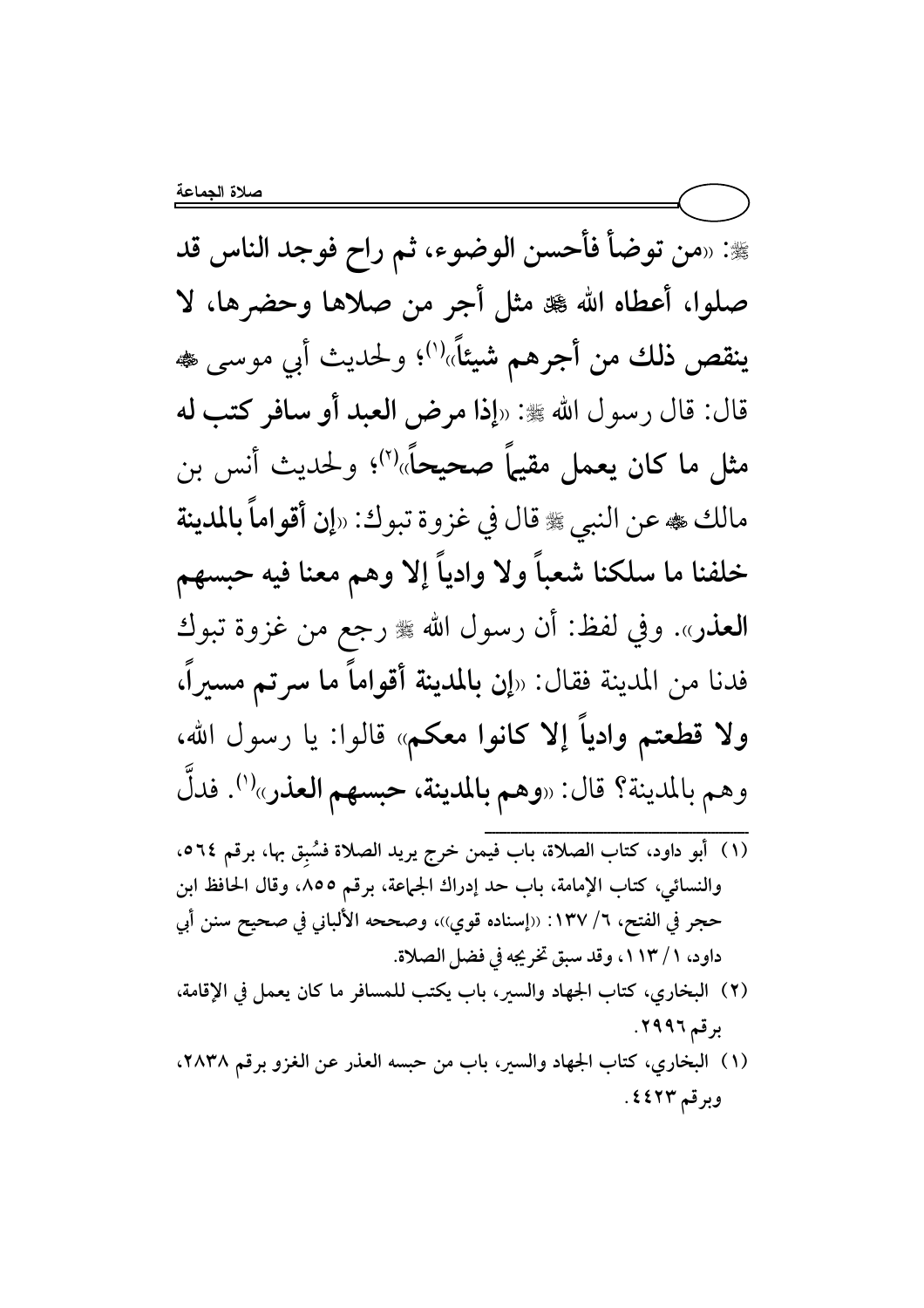لَّة: «من توضأ فأحسن الوضوء، ثم راح فوجد الناس قد صلوا، أعطاه الله ﷺ مثل أجر من صلاها وحضرها، لا ينقص ذلك من أجرهم شيئاً»<sup>(١)</sup>؛ ولحديث أبي موسى ، قال: قال رسول الله ﷺ: «إذا مرض العبد أو سافر كتب له صحيحاً» مثل ما کان یعمل مقیما 'ما صحيحاً»<sup>(٢)</sup>؛ ولحديث أنس بن مالك ﴾ عن النبي ۞ قال في غزوة تبوك: «إن أقواماً بالمدينة ولا وادياً إلا وهم معنا فيه حبسهم خلفنا ما سلكنا شعباً العذر». وفي لفظ: أن رسول الله ﷺ رجع من غزوة تبوك فدنا من المدينة فقال: «إن **بالمدينة أقواماً ما سرتم** مسيراً، ولا قطعتم وادياً إلا كانوا معكم» قالوا: يا رسول الله، وهم بالمدينة؟ قال: «وهم بالمدينة، حبسهم العذر»<sup>(١)</sup>. فدلَّ

- ${}}}}$ (١) أبو داود، كتاب الصلاة، باب فيمن خرج يريد الصلاة فسُبِق بها، برقم ٥٦٤. والنسائي، كتاب الإمامة، باب حد إدراك الجماعة، برقم ٨٥٥، وقال الحافظ ابن حجر في الفتح، ٦/ ١٣٧ : ‹‹إسناده قوي››، وصححه الألباني في صحيح سنن أبي داود، ١ / ١١٣، وقد سبق تخريجه في فضل الصلاة.
- (٢) البخاري، كتاب الجهاد والسير، باب يكتب للمسافر ما كان يعمل في الإقامة، برقم ٢٩٩٦.
- (١) البخاري، كتاب الجهاد والسير، باب من حبسه العذر عن الغزو برقم ٢٨٣٨. وبرقم ٤٤٢٣.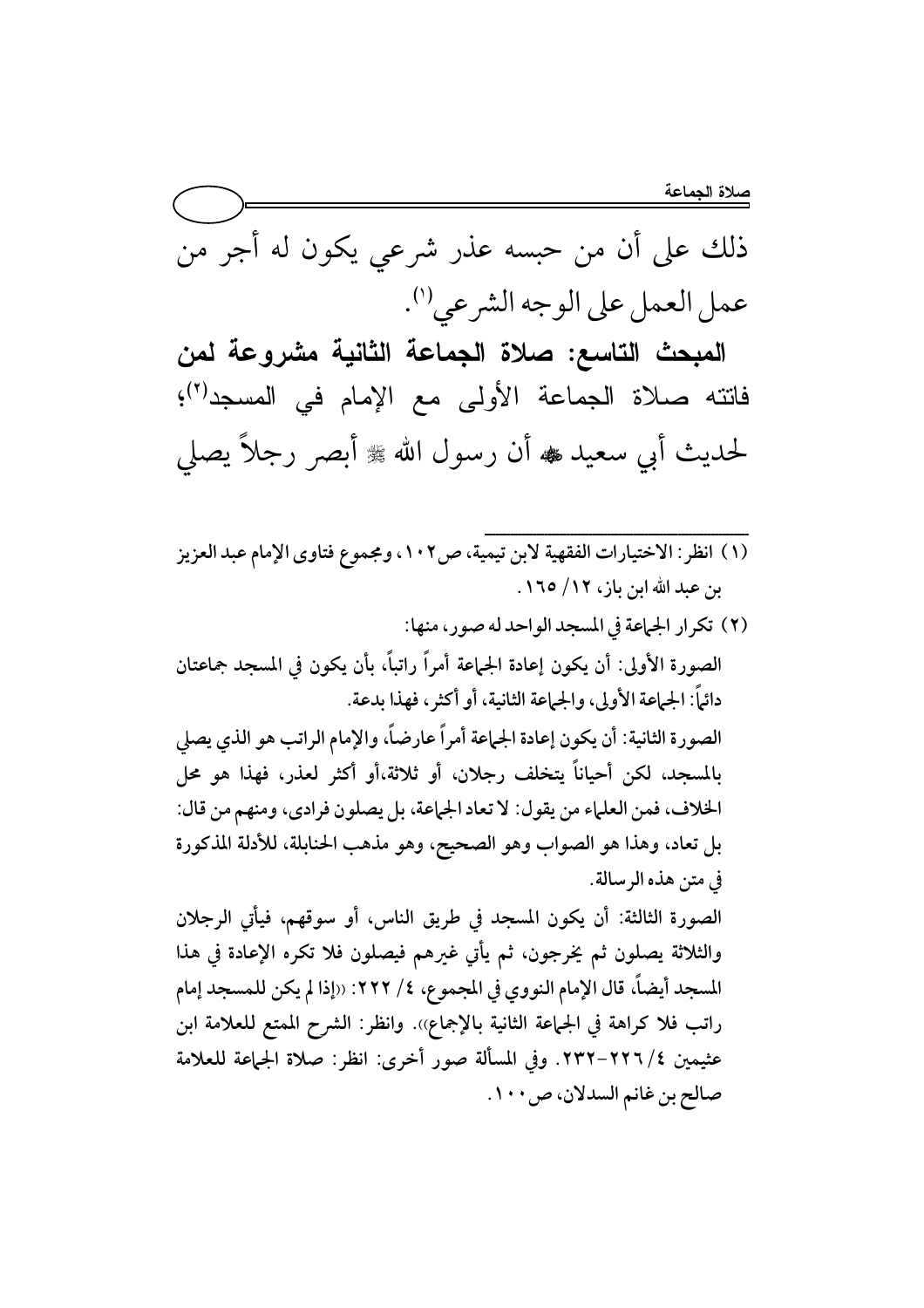صلاة الجماعة

ذلك على أن من حبسه عذر شرعى يكون له أجر من عمل العمل على الوجه الشرعي(').

المبحث التاسع: صلاة الجماعة الثانية مشروعة لمن فانته صلاة الجماعة الأولى مع الإمام في المسجد<sup>(٢)</sup>؛ لحديث أبي سعيد ، أن رسول الله ، وابصر رجلاً يصلي

- (١) انظر: الاختيارات الفقهية لابن تيمية، ص١٠٢، ومجموع فتاوى الإمام عبد العزيز بن عبد الله ابن باز، ١٢/ ١٦٥.
- (٢) تكرار الجاعة في المسجد الواحد له صور، منها: الصورة الأولى: أن يكون إعادة الجماعة أمراً راتباً، بأن يكون في المسجد جماعتان دائماً: الجماعة الأولى، والجماعة الثانية، أو أكثر، فهذا بدعة. الصورة الثانية: أن يكون إعادة الجهاعة أمراً عارضاً، والإمام الراتب هو الذي يصلى بالمسجد، لكن أحياناً يتخلف رجلان، أو ثلاثة،أو أكثر لعذر، فهذا هو محل الخلاف، فمن العلماء من يقول: لا تعاد الجماعة، بل يصلون فرادي، ومنهم من قال: بل تعاد، وهذا هو الصواب وهو الصحيح، وهو مذهب الحنابلة، للأدلة المذكورة في متن هذه الرسالة. الصورة الثالثة: أن يكون المسجد في طريق الناس، أو سوقهم، فيأتي الرجلان

والثلاثة يصلون ثم يخرجون، ثم يأتي غيرهم فيصلون فلا تكره الإعادة في هذا المسجد أيضاً، قال الإمام النووي في المجموع، ٤/ ٢٢٢: ‹‹إذا لم يكن للمسجد إمام راتب فلا كراهة في الجماعة الثانية بالإجماع)). وانظر: الشرح الممتع للعلامة ابن عثيمين ٤/٢٢٦-٢٣٢. وفي المسألة صور أخرى: انظر: صلاة الجماعة للعلامة صالح بن غانم السدلان، ص ١٠٠.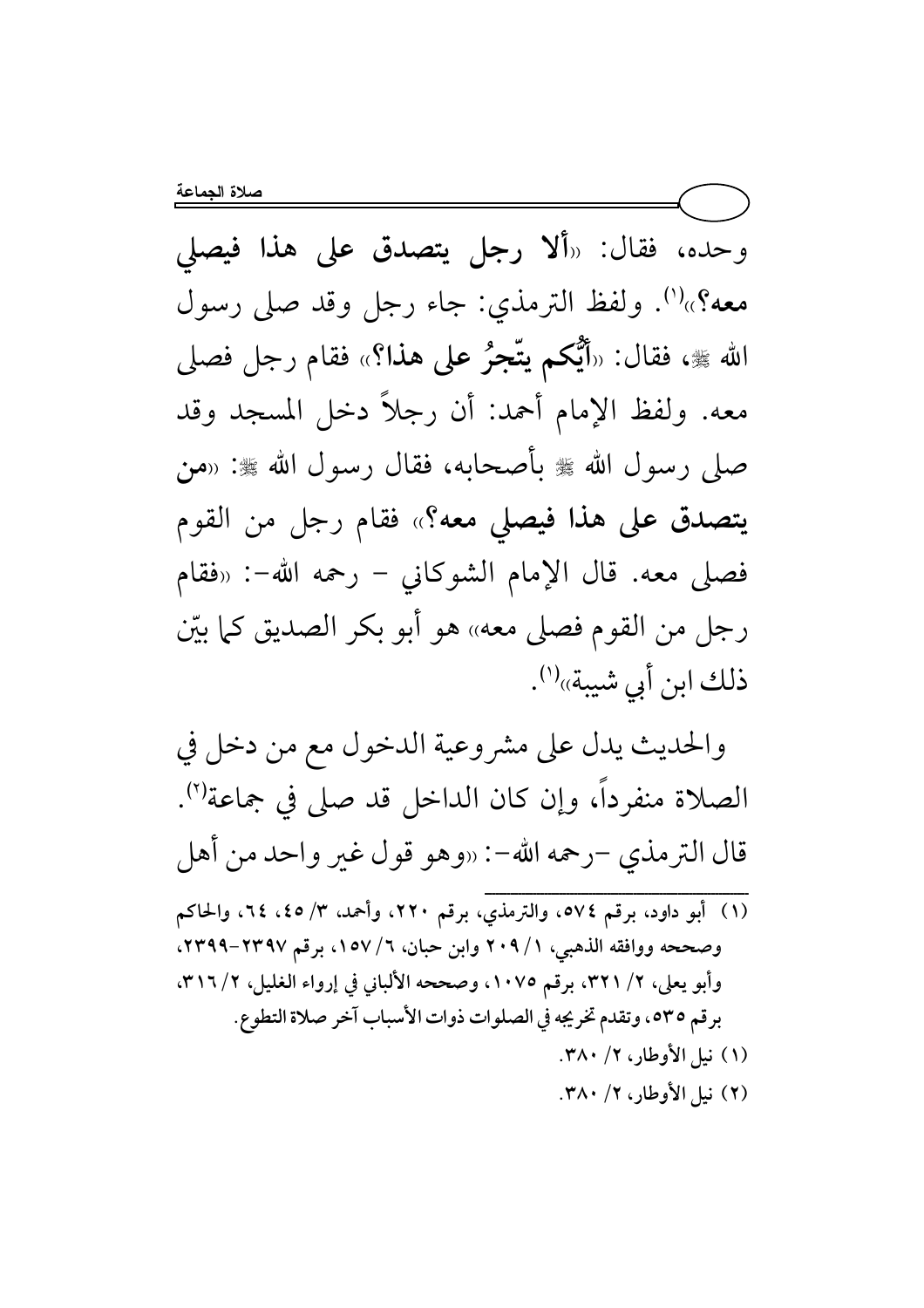وحده، فقال: «ألا **رجل يتصدق على هذا فيص**لي معه؟»<sup>(י)</sup>. ولفظ الترمذي: جاء رجل وقد صلى رسول الله ﷺ، فقال: «أَيُّكُمْ يَتَّجَرُ عَلَى هَذَا؟» فقام رجل فصلى معه. ولفظ الإمام أحمد: أن رجلا دخل المسجد وقد صلى رسول الله ﷺ بأصحابه، فقال رسول الله ﷺ: «من يتصدق على هذا فيصلى معه؟» فقام رجل من القوم فصلى معه. قال الإمام الشوكاني − رحمه الله−: «فقام رجل من القوم فصلي معه» هو أبو بكر الصديق كما بيّن ذلك ابن أبي شيبة»<sup>(י)</sup>.

والحديث يدل على مشروعية الدخول مع من دخل في الصلاة منفرداً، وإن كان الداخل قد صلى في جماعة''. قال الترمذي –رحمه الله–: «وهو قول غير واحد من أهل  ${{\bf{x}}_{i}} = {\bf{x}}_{i}} = {\bf{x}}_{i}} = {\bf{y}}_{i}} = {\bf{y}}_{i}} = {\bf{y}}_{i}} = {\bf{y}}_{i}} = {\bf{y}}_{i}} = {\bf{y}}_{i}} = {\bf{y}}_{i}} = {\bf{y}}_{i}} = {\bf{y}}_{i}} = {\bf{y}}_{i}} = {\bf{y}}_{i}} = {\bf{y}}_{i}} = {\bf{y}}_{i}} = {\bf{y}}_{i}} = {\bf{y}}_{i}} = {\bf{y}}_{i}} = {\bf{y}}_{i}} = {\bf{y}}_{i}} = {\bf{y}}_{i}} = {\bf{y}}_{i}} = {\bf{y}}_{i}} = {\bf{y}}_{$ 

(١) أبو داود، برقم ٥٧٤، والترمذي، برقم ٢٢٠، وأحمد، ٣/ ٤٥، ٢٤، والحاكم وصححه ووافقه الذهبي، 1 / ٢٠٩ وابن حبان، ٦/ ١٥٧، برقم ٢٣٩٧−٢٣٩٩. وأبو يعلي، ٢/ ٣٢١، برقم ١٠٧٥، وصححه الألباني في إرواء الغليل، ٢/ ٣١٦، برقم ٥٣٥، وتقدم تخريجه في الصلوات ذوات الأسباب آخر صلاة التطوع. (۱) نيل الأوطار، ۲/ ۳۸۰. (٢) نيل الأوطار، ٢/ ٣٨٠.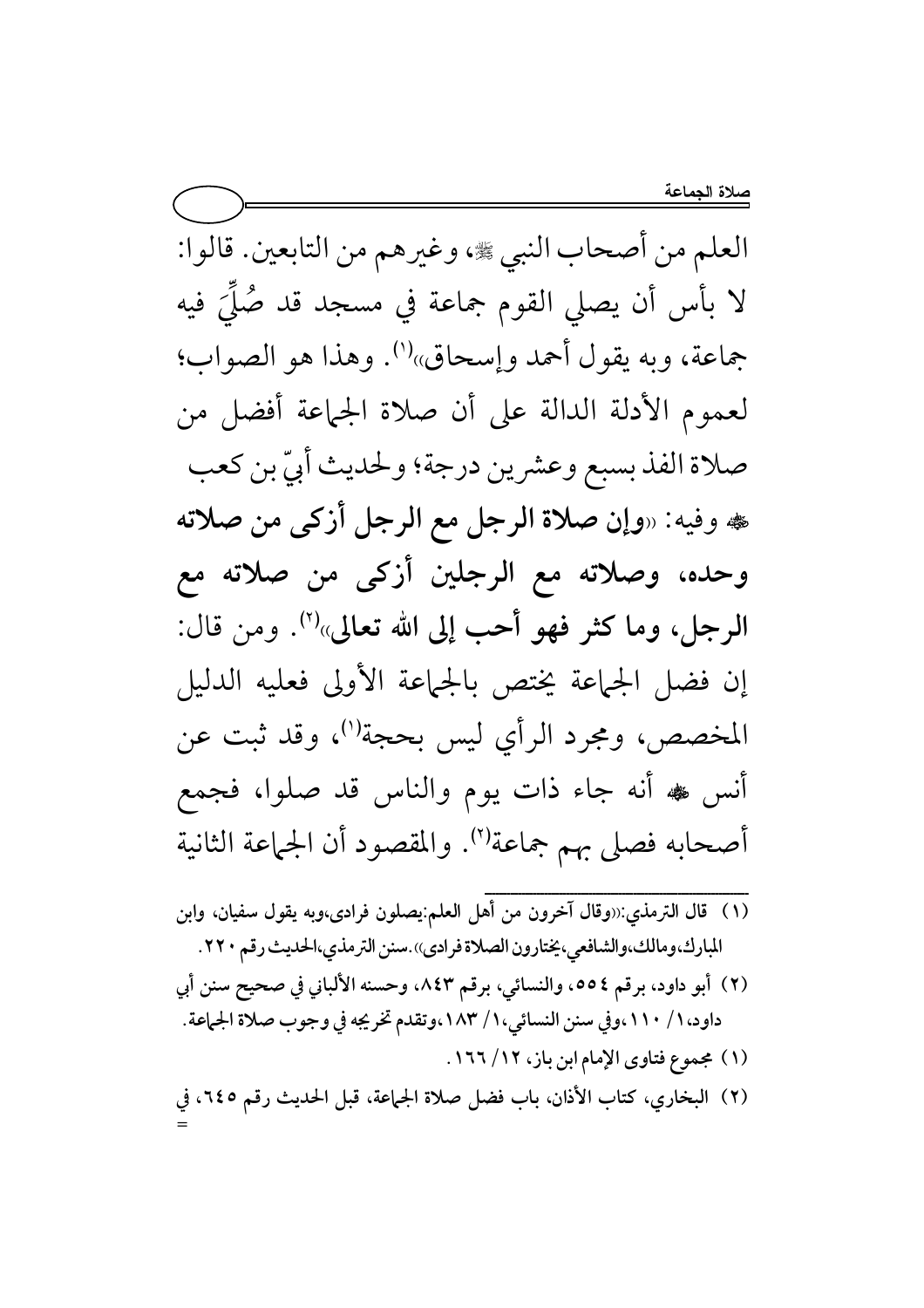العلم من أصحاب النبي ﷺ، وغيرهم من التابعين. قالوا: لا بأس أن يصلى القوم جماعة في مسجد قد صُلِّيَ فيه جماعة، وبه يقول أحمد وإسحاق»<sup>(١)</sup>. وهذا هو الصواب؛ لعموم الأدلة الدالة على أن صلاة الجماعة أفضل من صلاة الفذ بسبع وعشرين درجة؛ ولحديث أُبيّ بن كعب هه وفيه: «وإن صلاة الرجل مع الرجل أزكى من صلاته وحده، وصلاته مع الرجلين أزكى من صلاته مع الرجل، وما كثر فهو أحب إلى الله تعالى»<sup>(٢)</sup>. ومن قال: إن فضل الجماعة يختص بالجماعة الأولى فعليه الدليل المخصص، ومجرد الرأي ليس بحجة")، وقد ثبت عن أنس ﷺ أنه جاء ذات يوم والناس قد صلوا، فجمع أصحابه فصلى بهم جماعة"). والمقصود أن الجماعة الثانية

- المبارك،ومالك،والشافعي، يختارون الصلاة فرادي)).سنن الترمذي،الحديث رقم ٢٢٠.
- (٢) أبو داود، برقم ٥٥٤، والنسائي، برقم ٨٤٣، وحسنه الألباني في صحيح سنن أبي داود، ١ / ١١٠،وفي سنن النسائي، ١ / ١٨٣،وتقدم تخريجه في وجوب صلاة الجماعة.
	- (١) مجموع فتاوى الإمام ابن باز، ١٦/ ١٦٦.
- (٢) البخاري، كتاب الأذان، باب فضل صلاة الجماعة، قبل الحديث رقم ٢٤٥، في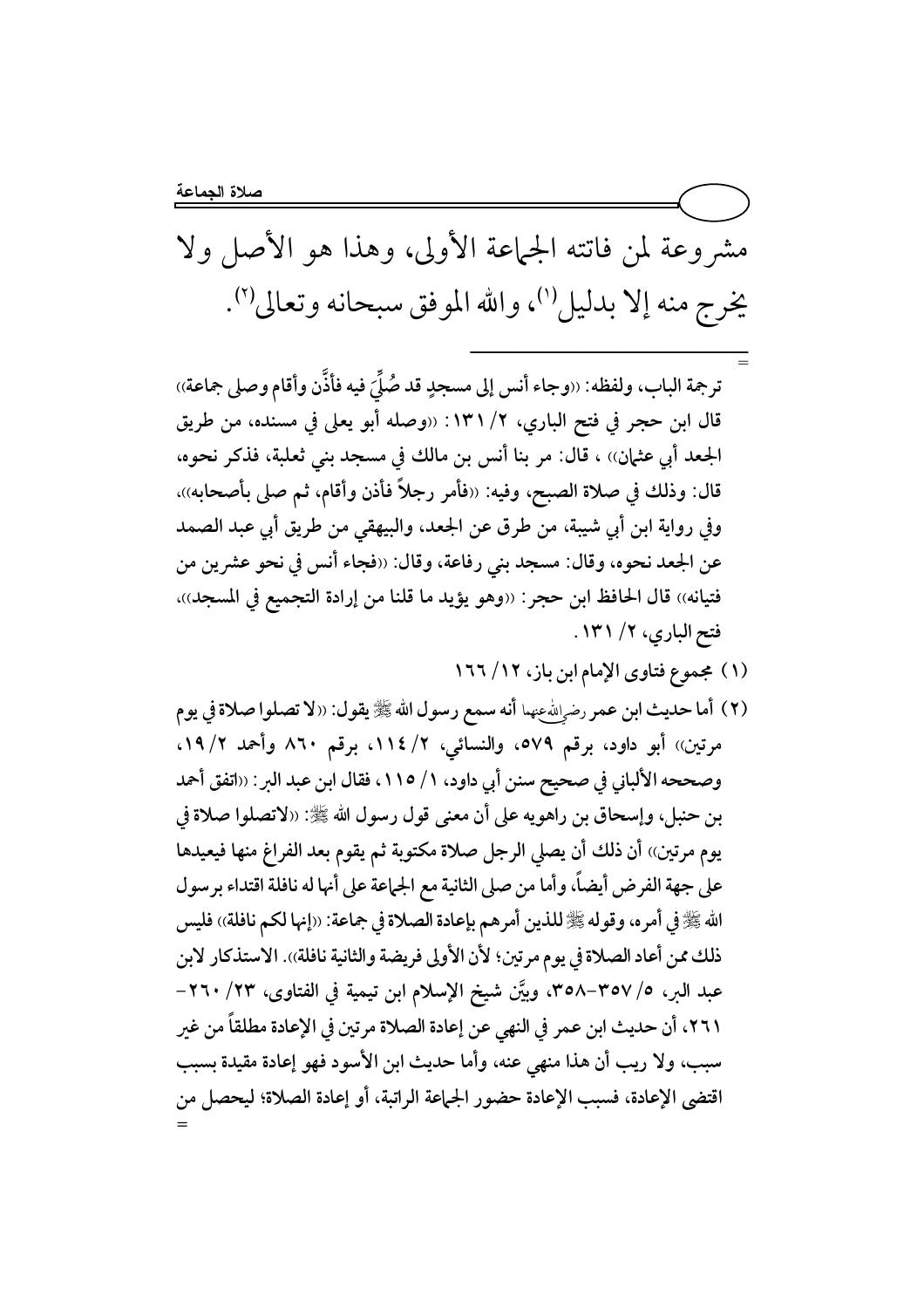مشروعة لمن فاتته الجماعة الأولى، وهذا هو الأصل ولا يخرج منه إلا بدليل''، والله الموفق سبحانه وتعالى''.

= -) Q \_)H0 3& I#& TT :Ia7
 ,d)P
 -6 .H ¡ UU .-E8 F! b0 B)p M6 8 ,.CE8 \ Q4M J>0 I\$ TT : Y kZ ,@W)P
 }R& \ 6-/ > G)H ,Jb 6\*N& ,-P\$4e 1C> .-E8 \ 
)8 > b0 )C> 68 :G)H , UUD 0 .4 ,UUI>) > Q e ,\_)H0 3& pW 68& ' TT :I#& ,}P
 \ 
3 :G)H .S
 .P 0 M6 8 1`"#P
 ,.4 ¢6 8 ,-P# 0 > -MW \ 8 Mw Jb \ b0 B)-&TT :G)H ,-)&W 1C> .-E8 :G)H ,Jb .4 ,UU.-E: \ c#S-R
 2W! 8 )C\$H )8 .MM JTT :6-/ > ´&)i G)H UUIb)#R& 9 Y kZ ,@W)P
 }R&

(۱) مجموع فتاوى الإمام ابن باز، ۱۲/ ۱۳۲

ــــــــــــــــــــــــــــــــــــــــــــــــــــــــــــــــــــــــ

(٢) أما حديث ابن عمر رض<sub>ي</sub>اللهءيما أنه سمع رسول الله ﷺ يقول: «لا تصلوا صلاة في يوم مرتين)) أبو داود، برقم ٥٧٩، والنسائي، ٢/ ١١٤، برقم ٨٦٠ وأحمد ١٩/٢. وصححه الألباني في صحيح سنن أبي داود، ١/ ١١٥، فقال ابن عبد البر : ‹‹اتفق أحمد بن حنبل، وإسحاق بن راهويه على أن معنى قول رسول الله ﷺ: «لاتصلوا صلاة في يوم مرتين)) أن ذلك أن يصلي الرجل صلاة مكتوبة ثم يقوم بعد الفراغ منها فيعيدها على جهة الفرض أيضاً، وأما من صلى الثانية مع الجماعة على أنها له نافلة اقتداء برسول الله صلى الله على الله على الله على الله عنه الله على الله على الله عنه الله عنه افلة) الله عنه الله ذلك ممن أعاد الصلاة في يوم مرتين؛ لأن الأولى فريضة والثانية نافلة)). الاستذكار لأبن عبد البر، 0/ ٣٥٧–٣٥٨، وبيّن شيخ الإسلام ابن تيمية في الفتاوى، ٢٣/ ٢٦٠– ٢٦١، أن حديث ابن عمر في النهى عن إعادة الصلاة مرتين في الإعادة مطلقاً من غير سبب، ولا ريب أن هذا منهى عنه، وأما حديث ابن الأسود فهو إعادة مقيدة بسبب اقتضى الإعادة، فسبب الإعادة حضور الجماعة الراتبة، أو إعادة الصلاة؛ ليحصل من =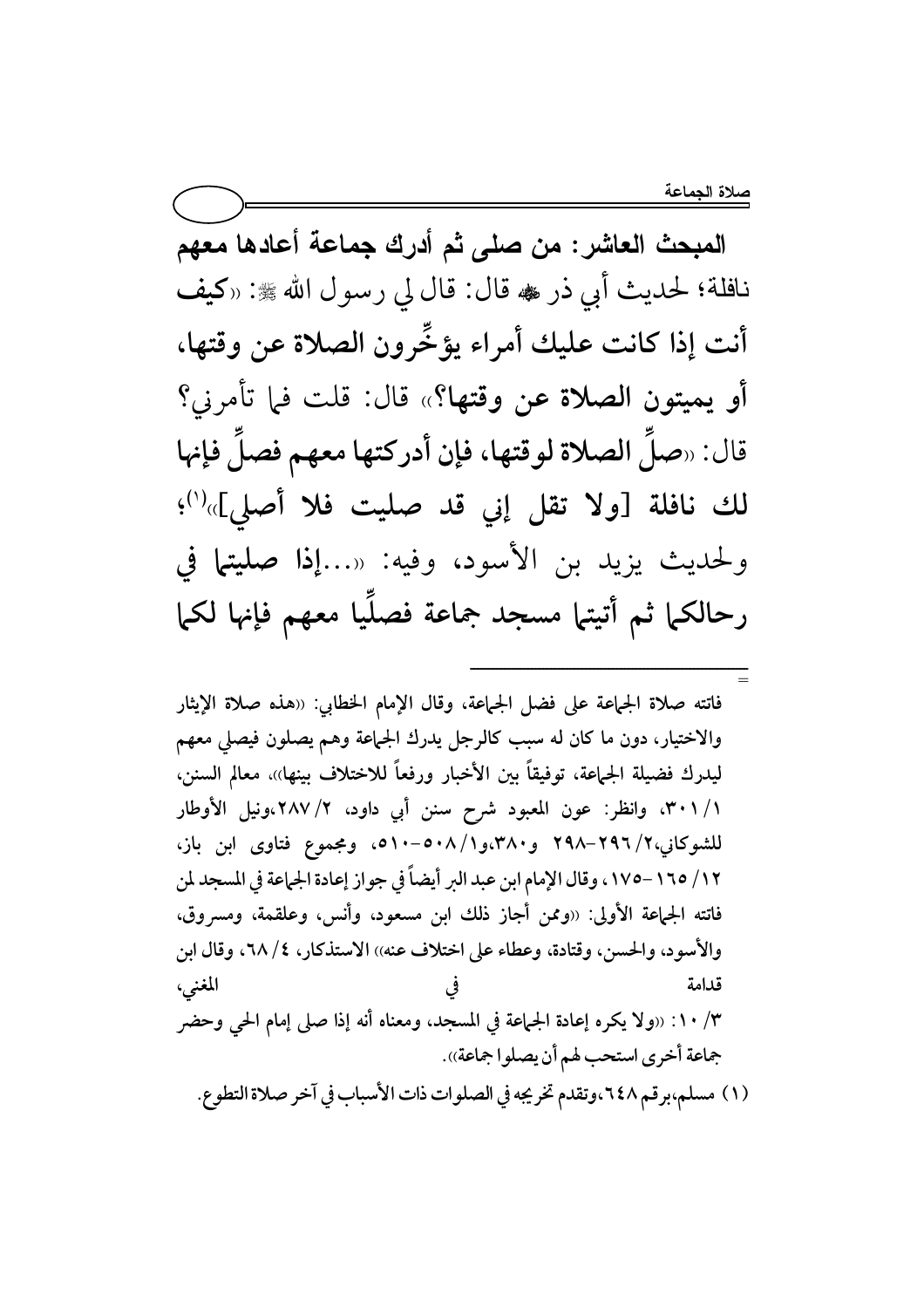المبحث العاشر : من صلى ثم أدرك جماعة أعادها معهم نافلة؛ لحديث أبي ذر ٢ قال: قال لي رسول الله ﷺ: «كيف أنت إذا كانت عليك أمراء يؤخّرون الصلاة عن وقتها، أو يميتون الصلاة عن وقتها؟» قال: قلت فما تأمرني؟ قال: «صلَ الصلاة لوقتها، فإن أدركتها معهم فصلَ فإنها لك نافلة [ولا تقل إني قد صليت فلا أصلي]»<sup>(١)</sup>؛ ولحديث يزيد بن الأسود، وفيه: «...إذا صليتها في رحالكما ثم أتيتها مسجد جماعة فصلَيا معهم فإنها لكما

فاتته صلاة الجماعة على فضل الجماعة، وقال الإمام الخطابي: «هذه صلاة الإيثار والاختيار، دون ما كان له سبب كالرجل يدرك الجماعة وهم يصلون فيصلى معهم ليدرك فضيلة الجماعة، توفيقاً بين الأخبار ورفعاً للاختلاف بينها»، معالم السنن، ١/ ٣٠١، وانظر: عون المعبود شرح سنن أبي داود، ٢/ ٢٨٧،ونيل الأوطار للشوكانى،٢/ ٢٩٦–٢٩٨ و٣٨٠،و٢/ ٥٠٨-١٠٥، ومجموع فتاوى ابن باز، ١٢/ ١٦٥–١٧٥، وقال الإمام ابن عبد البر أيضاً في جواز إعادة الجماعة في المسجد لمن فاتته الجماعة الأولى: «وممن أجاز ذلك ابن مسعود، وأنس، وعلقمة، ومسروق، والأسود، والحسن، وقتادة، وعطاء على اختلاف عنه)) الاستذكار، ٤/ ٦٨، وقال ابن المغنى، قدامة ٠/ ١٠: «ولا يكره إعادة الجماعة في المسجد، ومعناه أنه إذا صلى إمام الحى وحضر جماعة أخرى استحب لهم أن يصلوا جماعة». (١) مسلم،برقم ٢٤٨،وتقدم تخريجه في الصلوات ذات الأسباب في آخر صلاة التطوع.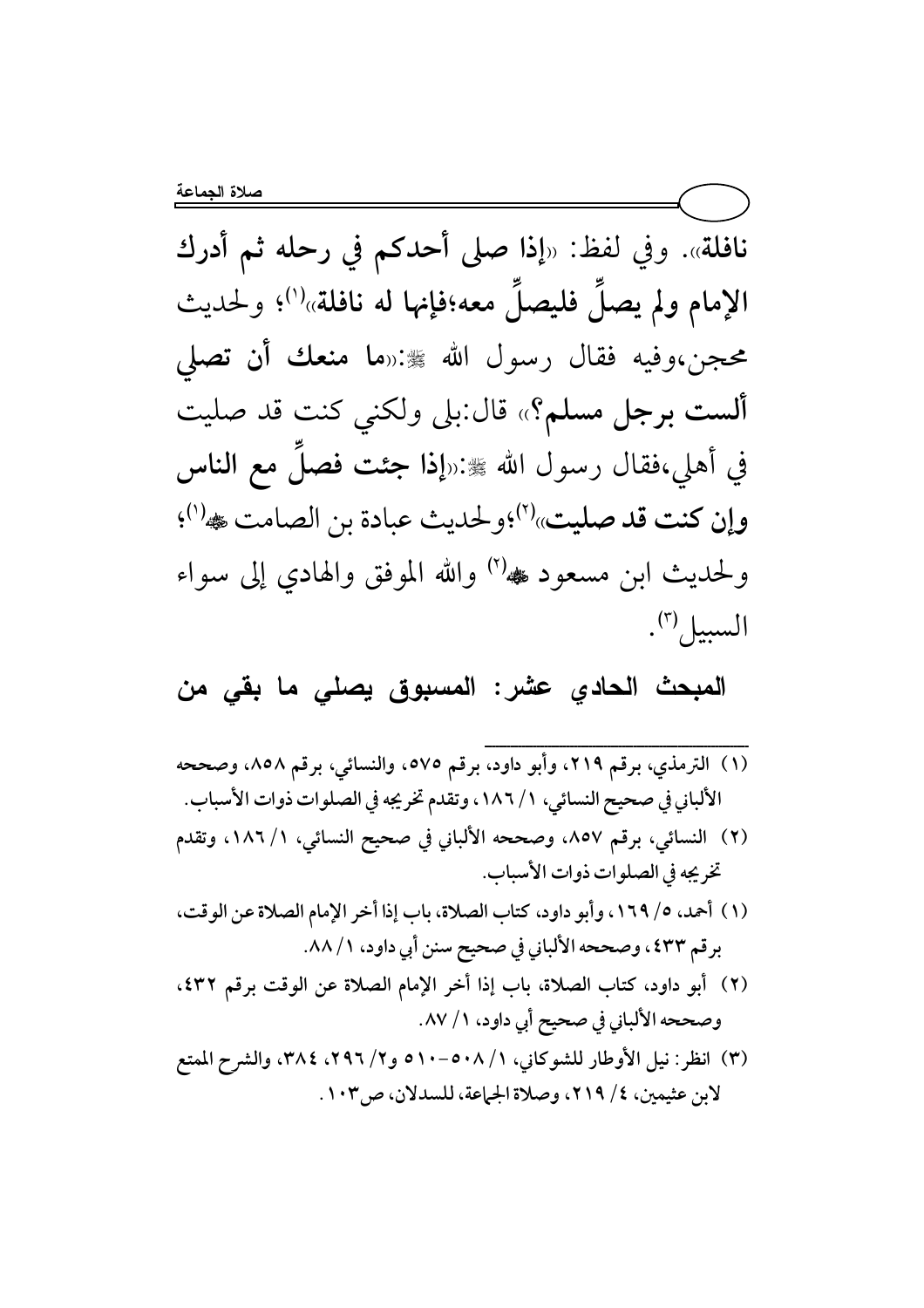نافلة». وفي لفظ: «إذا صلى أحدكم في رحله ثم أدرك الإمام ولم يصلَ فليصلَ معه؛فإنها له نافلة»<sup>(י)</sup>؛ ولحديث محجن،وفيه فقال رسول الله ﷺ:«ما منعك أن تصلى ألست برجل مسلم؟» قال:بلي ولكني كنت قد صليت في أهلي،فقال رسول الله ﷺ:«إذا جئت فصلَ مع الناس وإن كنت قد صليت» (٢) ولحديث عبادة بن الصامت ﷺ (١). ولحديث ابن مسعود ﷺ الله الموفق والهادي إلى سواء السبيل".

المبحث الحادي عشر: المسبوق يصلى ما بقى من

- (١) الترمذي، برقم ٢١٩، وأبو داود، برقم ٥٧٥، والنسائي، برقم ٨٥٨، وصححه الألباني في صحيح النسائي، ١ / ١٨٦، وتقدم تخريجه في الصلوات ذوات الأسباب. (٢) النسائي، برقم ٨٥٧، وصححه الألباني في صحيح النسائي، ١/ ١٨٦، وتقدم تخريجه في الصلوات ذوات الأسباب. (١) أحمد، ٥/ ١٦٩، وأبو داود، كتاب الصلاة، باب إذا أخر الإمام الصلاة عن الوقت، برقم ٤٣٣، وصححه الألباني في صحيح سنن أبي داود، ٨٨/١. (٢) أبو داود، كتاب الصلاة، باب إذا أخر الإمام الصلاة عن الوقت برقم ٤٣٢، وصححه الألباني في صحيح أبي داود، ١/ ٨٧. (٣) انظر : نيل الأوطار للشوكاني، ٥٠٨/١-٥٠٠٥ و٢/ ٢٩٦، ٣٨٤، والشرح الممتع
- لابن عثيمين، ٤/ ٢١٩، وصلاة الجماعة، للسدلان، ص٣٠٣.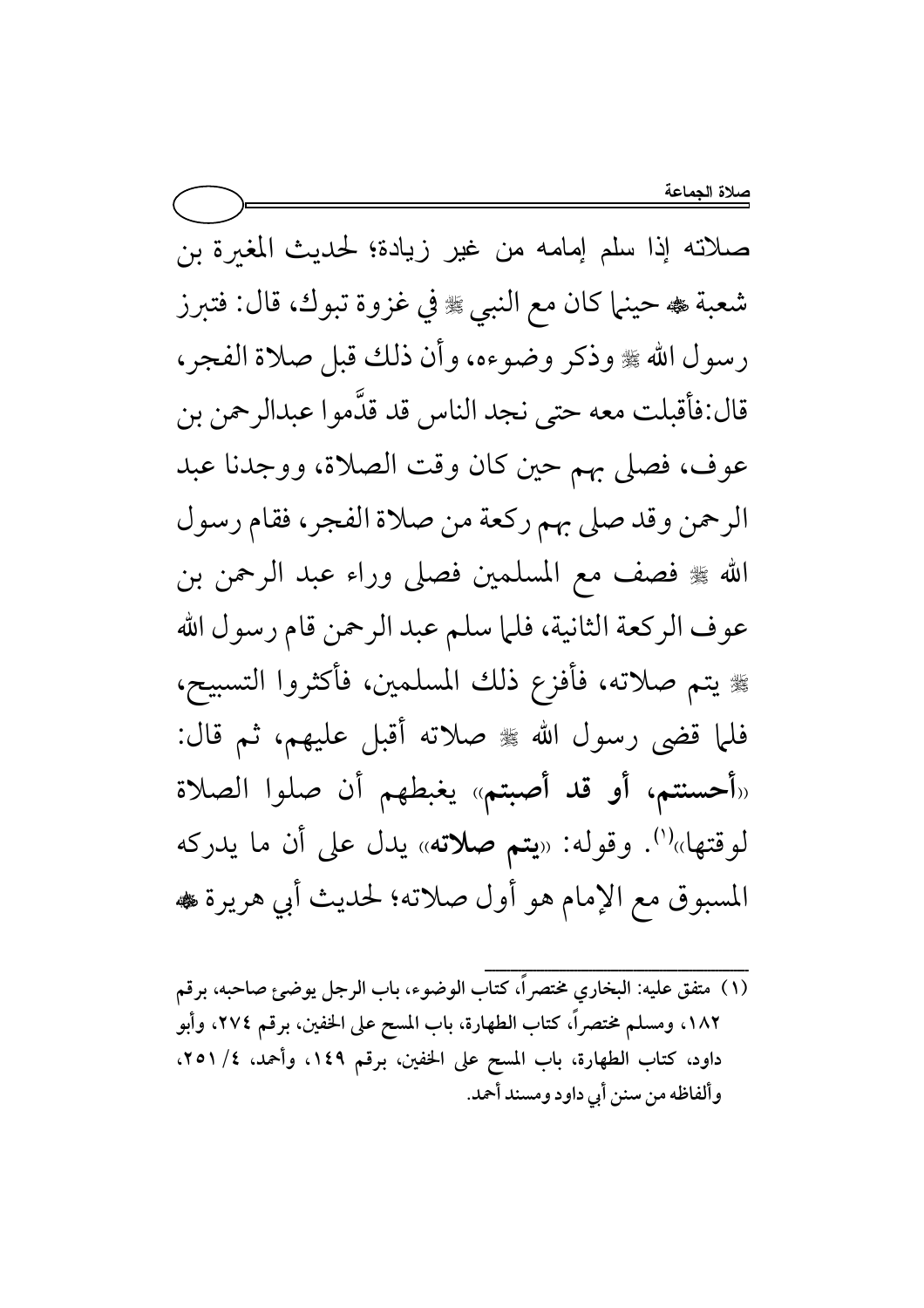صلاته إذا سلم إمامه من غير زيادة؛ لحديث المغىرة بن شعبة هه حينها كان مع النبي ، وفي غزوة تبوك، قال: فتبرز رسول الله ﴾ وذكر وضوءه، وأن ذلك قبل صلاة الفجر، قال:فأقبلت معه حتى نجد الناس قد قدَّموا عبدالرحمن بن عوف، فصلى بهم حين كان وقت الصلاة، ووجدنا عبد الرحمن وقد صلى بهم ركعة من صلاة الفجر، فقام رسول الله ﷺ فصف مع المسلمين فصلى وراء عبد الرحمن بن عوف الركعة الثانية، فلما سلم عبد الرحمن قام رسول الله ﴾ يتم صلاته، فأفزع ذلك المسلمين، فأكثروا التسبيح، فلما قضى رسول الله ﷺ صلاته أقبل عليهم، ثم قال: «أحسنتم، أو قد أصبتم» يغبطهم أن صلوا الصلاة لوقتها»<sup>(י)</sup>. وقوله: «**يتم صلاته**» يدل على أن ما يدركه المسبوق مع الإمام هو أول صلاته؛ لحديث أبي هريرة ،

(١) متفق عليه: البخاري مختصراً، كتاب الوضوء، باب الرجل يوضئ صاحبه، برقم ١٨٢، ومسلم مختصراً، كتاب الطهارة، باب المسح على الخفين، برقم ٢٧٤، وأبو داود، كتاب الطهارة، باب المسح على الخفين، برقم ١٤٩، وأحمد، ٢٥١/٤، وألفاظه من سنن أبي داود ومسند أحمد.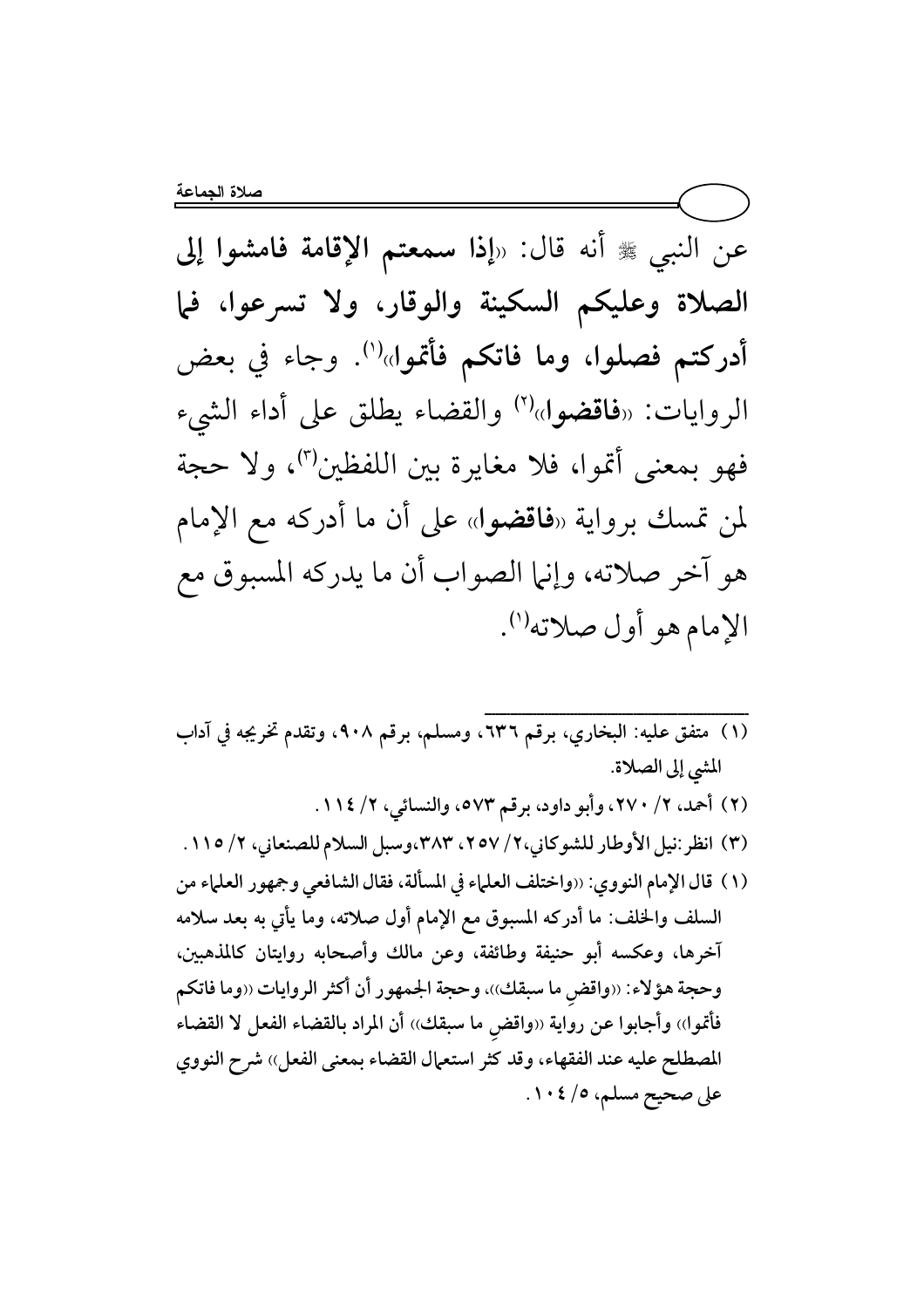عن النبي ﷺ أنه قال: «إذا سمعتم الإقامة فامشوا إلى الصلاة وعليكم السكينة والوقار، ولا تسرعوا، فما أدركتم فصلوا، وما فاتكم فأتموا»<sup>(١)</sup>. وجاء في بعض الروايات: «فاقضوا»<sup>(٢)</sup> والقضاء يطلق على أداء الشيء فهو بمعنى أتموا، فلا مغايرة بين اللفظين")، ولا حجة لمن تمسك برواية «فاقضوا» على أن ما أدركه مع الإمام هو آخر صلاته، وإنها الصواب أن ما يدركه المسبوق مع الإمام هو أول صلاته<sup>(١)</sup>.

(١) متفق عليه: البخاري، برقم ٦٣٦، ومسلم، برقم ٩٠٨، وتقدم تخريجه في آداب المشي إلى الصلاة. (٢) أحمد، ٢/ ٢٧٠، وأبو داود، برقم ٥٧٣، والنسائي، ٢/ ١١٤. (٣) انظر:نيل الأوطار للشوكاني،٢/ ٢٥٧، ٣٨٣،وسبل السلام للصنعاني، ٢/ ١١٥. (١) قال الإمام النووي: ‹‹واختلف العلماء في المسألة، فقال الشافعي وجمهور العلماء من السلف والخلف: ما أدركه المسبوق مع الإمام أول صلاته، وما يأتي به بعد سلامه آخرها، وعكسه أبو حنيفة وطائفة، وعن مالك وأصحابه روايتان كالمذهبين، وحجة هؤلاء: ‹‹واقض ما سبقك››، وحجة الجمهور أن أكثر الروايات ‹‹وما فاتكم فأتموا)) وأجابوا عن رواية «واقض ما سبقك)) أن المراد بالقضاء الفعل لا القضاء المصطلح عليه عند الفقهاء، وقد كثر استعمال القضاء بمعنى الفعل)) شرح النووي على صحيح مسلم، ٥/ ١٠٤.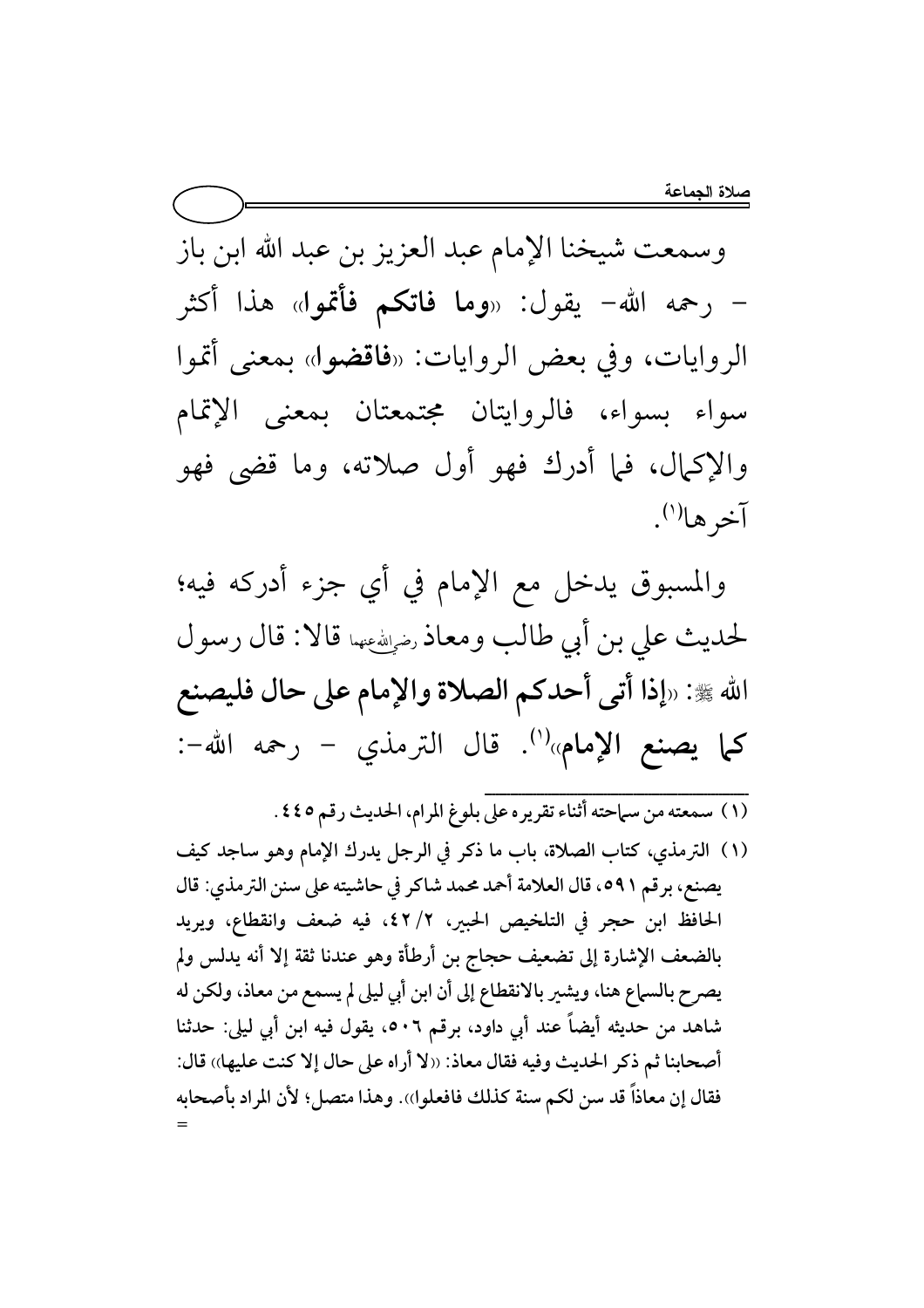وسمعت شيخنا الإمام عبد العزيز بن عبد الله ابن باز – رحمه الله– يقول: «**وما فاتكم فأتمو**ل» هذا أكثر الروايات، وفي بعض الروايات: «فاقضوا» بمعنى أتموا سواء بسواء، فالروايتان مجتمعتان بمعنى الإتمام والإكمال، فما أدرك فهو أول صلاته، وما قضى فهو آخرها<sup>(י)</sup>.

والمسبوق يدخل مع الإمام في أي جزء أدركه فيه؛ لحديث على بن أبي طالب ومعاذ رضي الله عنها قالا: قال رسول الله ﷺ: «إذا أتى أحدكم الصلاة والإمام على حال فليصنع كما يصنع الإمام»<sup>(١)</sup>. قال الترمذي - رحمه الله-:

- .<br>(١) سمعته من سماحته أثناء تقريره على بلوغ المرام، الحديث رقم ٤٤٥.
- (١) الترمذي، كتاب الصلاة، باب ما ذكر في الرجل يدرك الإمام وهو ساجد كيف يصنع، برقم ٥٩١، قال العلامة أحمد محمد شاكر في حاشيته على سنن الترمذي: قال الحافظ ابن حجر في التلخيص الحبير، ٢/ ٤٢، فيه ضعف وانقطاع، ويريد بالضعف الإشارة إلى تضعيف حجاج بن أرطأة وهو عندنا ثقة إلا أنه يدلس ولم يصرح بالسماع هنا، ويشير بالانقطاع إلى أن ابن أبي ليلي لم يسمع من معاذ، ولكن له شاهد من حديثه أيضاً عند أبي داود، برقم ٥٠٦، يقول فيه ابن أبي ليلي: حدثنا أصحابنا ثم ذكر الحديث وفيه فقال معاذ: ((لا أراه على حال إلا كنت عليها)) قال: فقال إن معاذاً قد سن لكم سنة كذلك فافعلوا)). وهذا متصل؛ لأن المراد بأصحابه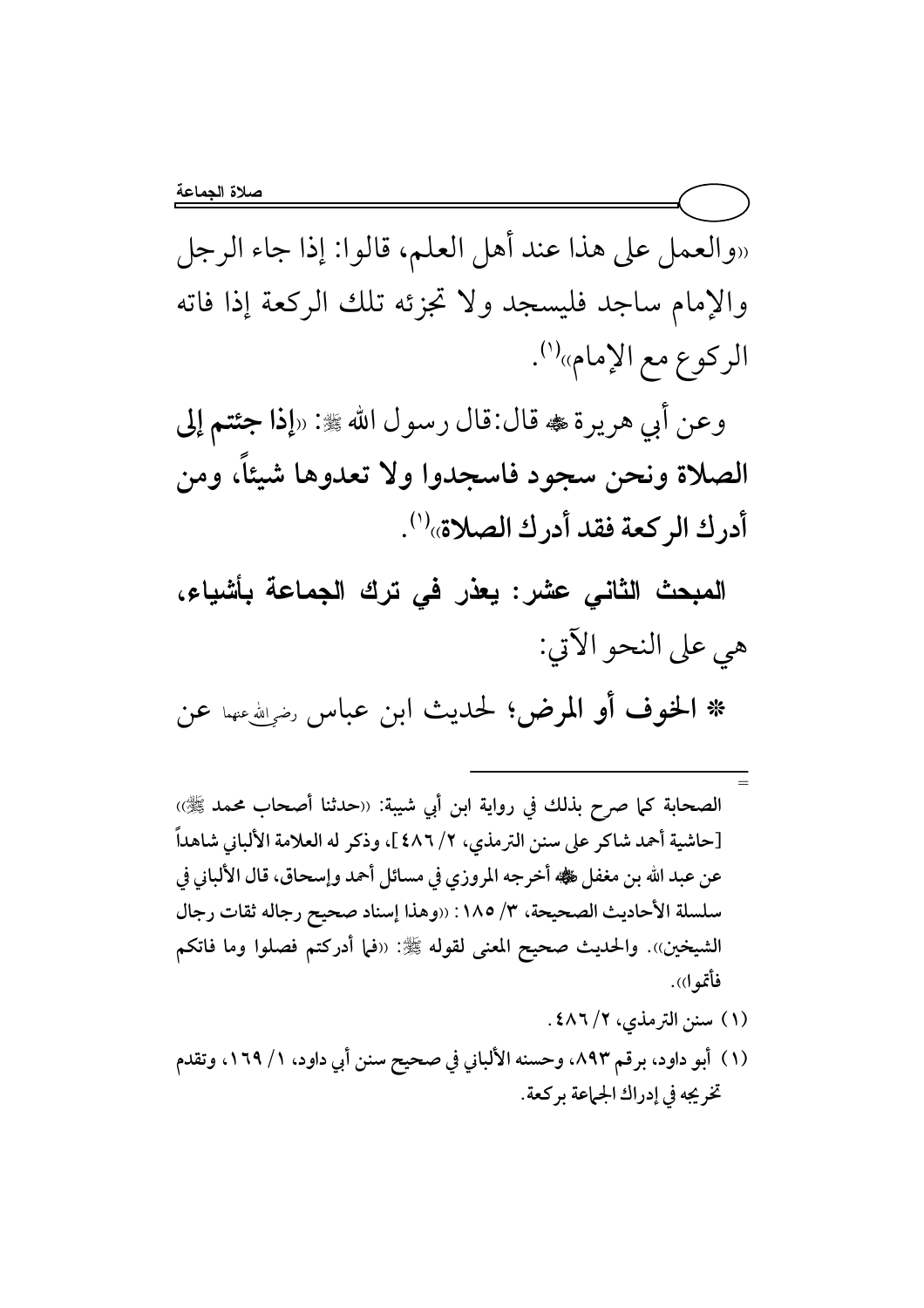«والعمل على هذا عند أهل العلم، قالوا: إذا جاء الرجل والإمام ساجد فليسجد ولا تجزئه تلك الركعة إذا فاته الركوع مع الإمام»<sup>(י)</sup>.

وعن أبي هريرة ، قال:قال رسول الله ﷺ: «إذا جئتم إلى الصلاة ونحن سجود فاسجدوا ولا تعدوها شيئاً، ومن أدرك الركعة فقد أدرك الصلاة»<sup>(١)</sup>.

المبحث الثاني عشر: يعذر في ترك الجماعة بأشياء، هي على النحو الآتي:

\* الخوف أو المرض؛ لحديث ابن عباس رضي الله عن

- = الصحابة كما صرح بذلك في رواية ابن أبي شيبة: «حدثنا أصحاب محمد ﷺ» [حاشية أحمد شاكر على سنن الترمذي، ٢/ ٤٨٦ ]، وذكر له العلامة الألباني شاهداً عن عبد الله بن مغفل ﷺ أخرجه المروزي في مسائل أحمد وإسحاق، قال الألباني في سلسلة الأحاديث الصحيحة، ٣/ ١٨٥: ((وهذا إسناد صحيح رجاله ثقات رجال الشيخين». والحديث صحيح المعنى لقوله ﷺ: «فما أدركتم فصلوا وما فاتكم فأتموا)).
	- (۱) سنن الترمذي، ۶/ ٤٨٦ .

ــــــــــــــــــــــــــــــــــــــــــــــــــــــــــــــــــــــــ

(١) أبو داود، برقم ٨٩٣، وحسنه الألباني في صحيح سنن أبي داود، ١ / ١٦٩، وتقدم تخريجه في إدراك الجماعة بركعة.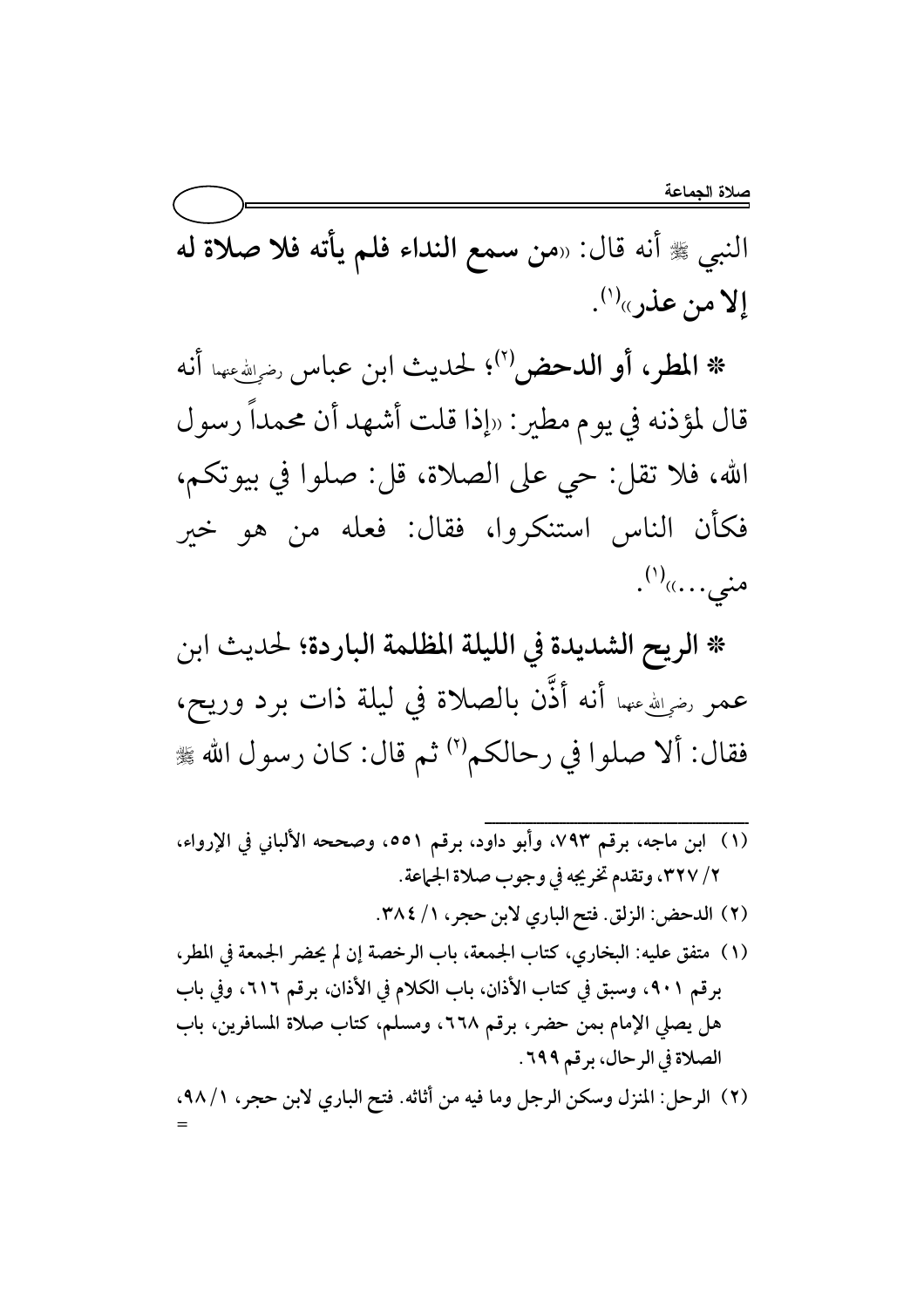النبي ﷺ أنه قال: «من سمع النداء فلم يأته فلا صلاة له إلا من عذر»(').

\* المطر، أو الدحض"؛ لحديث ابن عباس رضي الله عنه أنه قال لمؤذنه في يوم مطير: «إذا قلت أشهد أن محمداً رسول الله، فلا تقل: حي على الصلاة، قل: صلوا في بيوتكم، فكأن الناس استنكروا، فقال: فعله من هو خير منى....<sub>))</sub>(')<sub>.</sub>

\* الريح الشديدة في الليلة المظلمة الباردة؛ لحديث ابن عمر رضوالله عنهما أنه أذَّن بالصلاة في ليلة ذات برد وريح، فقال: ألا صلوا في رحالكم'') ثم قال: كان رسول الله ﷺ

- (١) ابن ماجه، برقم ٧٩٣، وأبو داود، برقم ٥٥١، وصححه الألباني في الإرواء، ٢/ ٣٢٧، وتقدم تخريجه في وجوب صلاة الجماعة.
	- (٢) الدحض: الزلق. فتح الباري لابن حجر، ١/ ٣٨٤.
- (١) متفق عليه: البخاري، كتاب الجمعة، باب الرخصة إن لم يحضر الجمعة في المطر، برقم ٩٠١، وسبق في كتاب الأذان، باب الكلام في الأذان، برقم ٦١٦، وفي باب هل يصلى الإمام بمن حضر، برقم ٢٦٨، ومسلم، كتاب صلاة المسافرين، باب الصلاة في الرحال، برقم ٦٩٩.
- (٢) الرحل: المنزل وسكن الرجل وما فيه من أثاثه. فتح الباري لابن حجر، ١/ ٩٨،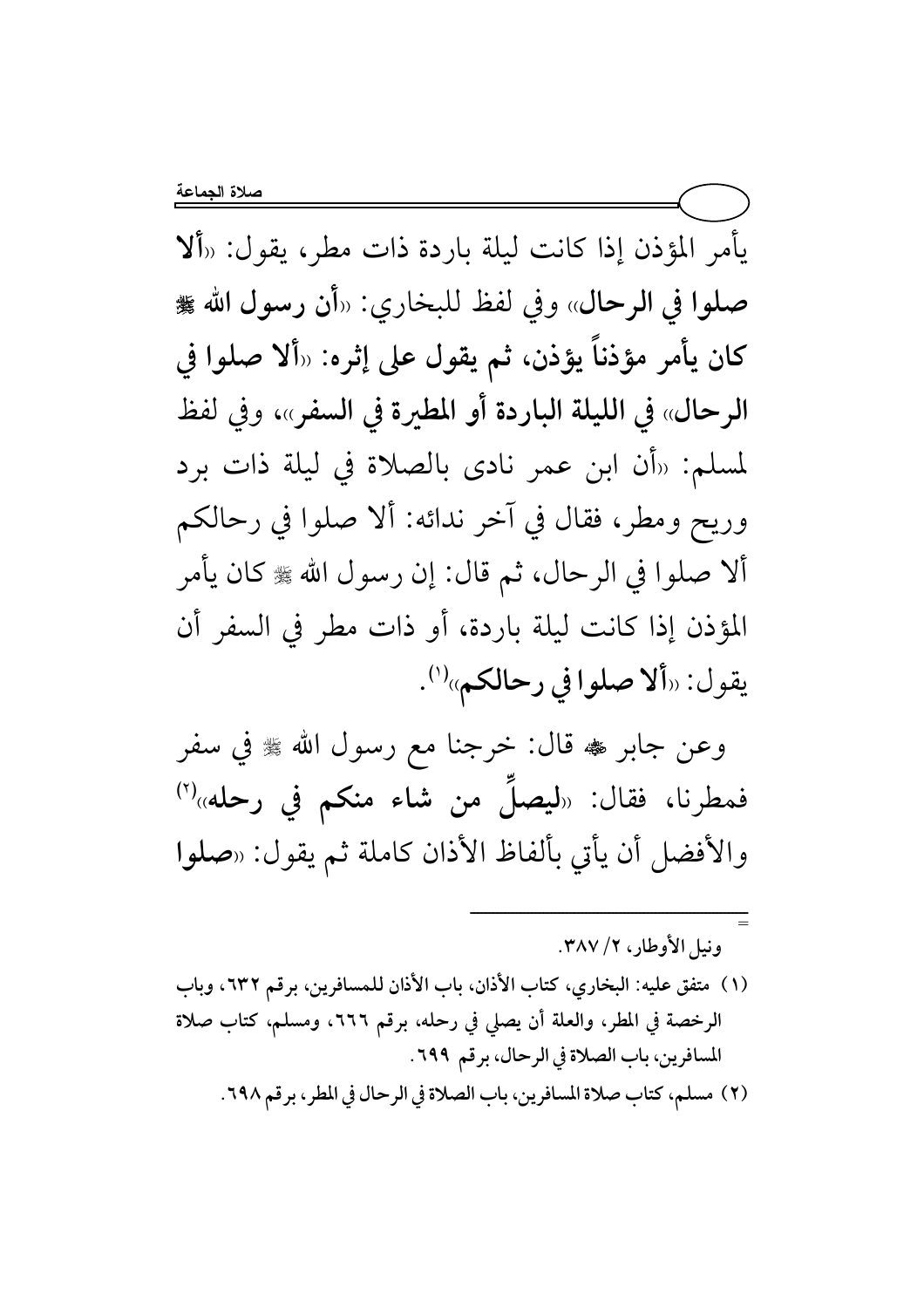يأمر المؤذن إذا كانت ليلة باردة ذات مطر، يقول: «ألا صلوا في الرحال» وفي لفظ للبخاري: «أن رسول الله ﷺ كان يأمر مؤذناً يؤذن، ثم يقول على إثره: «ألا صلوا في الرحال» في الليلة الباردة أو المطيرة في السفر»، وفي لفظ لمسلم: «أن ابن عمر نادي بالصلاة في ليلة ذات برد وريح ومطر، فقال في آخر ندائه: ألا صلوا في رحالكم ألا صلوا في الرحال، ثم قال: إن رسول الله ﷺ كان يأمر المؤذن إذا كانت ليلة باردة، أو ذات مطر في السفر أن يقول: «ألا صلوا في رحالكم»<sup>(١)</sup>.

وعن جابر ﷺ قال: خرجنا مع رسول الله ﷺ في سفر فمطرنا، فقال: «ليصلُّ من شاء منكم في رحله»<sup>(٢)</sup> والأفضل أن يأتى بألفاظ الأذان كاملة ثم يقول: «صلوا

ونيل الأوطار، ٢/ ٣٨٧.

- (١) متفق عليه: البخاري، كتاب الأذان، باب الأذان للمسافرين، برقم ٦٣٢، وباب الرخصة في المطر، والعلة أن يصلى في رحله، برقم ٦٦٦، ومسلم، كتاب صلاة المسافرين، باب الصلاة في الرحال، برقم ٦٩٩.
	- (٢) مسلم، كتابٍ صلاة المسافرين، بابِ الصلاة في الرحال في المطر، برقم ٦٩٨.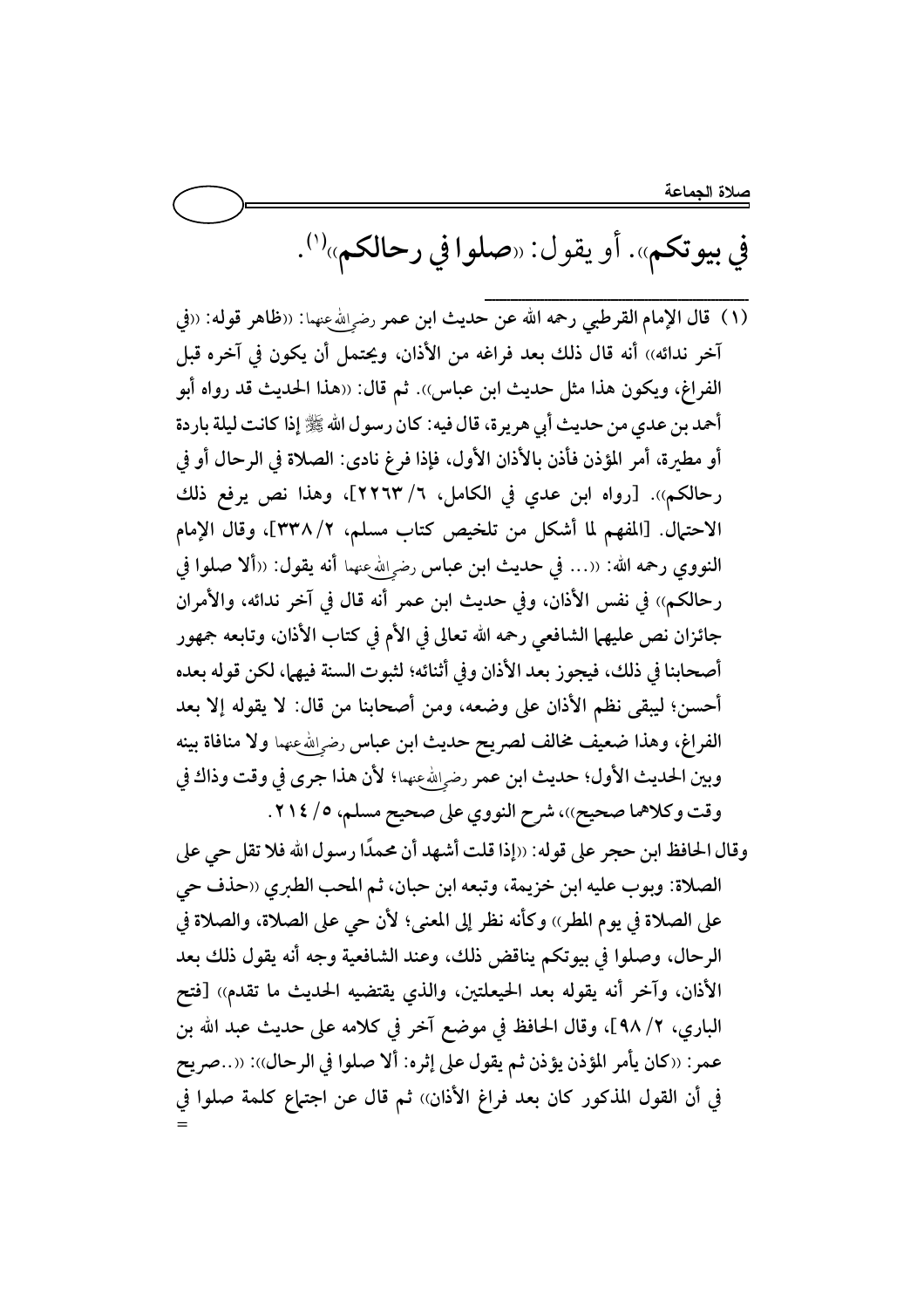في بيوتكم». أو يقول: «صلوا في رحالكم»<sup>(١)</sup>.

آخر ندائه)) أنه قال ذلك بعد فراغه من الأذان، ويحتمل أن يكون في آخره قبل الفراغ، ويكون هذا مثل حديث ابن عباس)). ثم قال: «هذا الحديث قد رواه أبو أحمد بن عدى من حديث أبي هريرة، قال فيه: كان رسول الله ﷺ إذا كانت ليلة باردة أو مطيرة، أمر المؤذن فأذن بالأذان الأول، فإذا فرغ نادي: الصلاة في الرحال أو في رحالكم)). [رواه ابن عدي في الكامل، ٦/ ٢٢٦٣]، وهذا نص يرفع ذلك الاحتمال. [المفهم لما أشكل من تلخيص كتاب مسلم، ٢/ ٣٣٨]، وقال الإمام النووي رحمه الله: «… في حديث ابن عباس رضم الله عنهما أنه يقول: «ألا صلوا في رحالكم)) في نفس الأذان، وفي حديث ابن عمر أنه قال في آخر ندائه، والأمران جائزان نص عليهما الشافعي رحمه الله تعالى في الأم في كتاب الأذان، وتابعه جمهور أصحابنا في ذلك، فيجوز بعد الأذان وفي أثنائه؛ لثبوت السنة فيهما، لكن قوله بعده أحسن؛ ليبقى نظم الأذان على وضعه، ومن أصحابنا من قال: لا يقوله إلا بعد الفراغ، وهذا ضعيف مخالف لصريح حديث ابن عباس رضوالله عنهما ولا منافاة بينه وبين الحديث الأول؛ حديث ابن عمر رض الله عنهما؛ لأن هذا جرى في وقت وذاك في وقت وكلاهما صحيح))، شرح النووي على صحيح مسلم، ٥/ ٢١٤.

وقال الحافظ ابن حجر على قوله: «إذا قلت أشهد أن محمدًا رسول الله فلا تقل حي على الصلاة: وبوب عليه ابن خزيمة، وتبعه ابن حبان، ثم المحب الطبري ‹‹حذف حي على الصلاة في يوم المطر)، وكأنه نظر إلى المعنى؛ لأن حي على الصلاة، والصلاة في الرحال، وصلوا في بيوتكم يناقض ذلك، وعند الشافعية وجه أنه يقول ذلك بعد الأذان، وآخر أنه يقوله بعد الحيعلتين، والذي يقتضيه الحديث ما تقدم)) [فتح الباري، ٢/ ٩٨]، وقال الحافظ في موضع آخر في كلامه على حديث عبد الله بن عمر: «كان يأمر المؤذن يؤذن ثم يقول على إثره: ألا صلوا في الرحال»: «…صريح في أن القول المذكور كان بعد فراغ الأذان)) ثم قال عن اجتماع كلمة صلوا في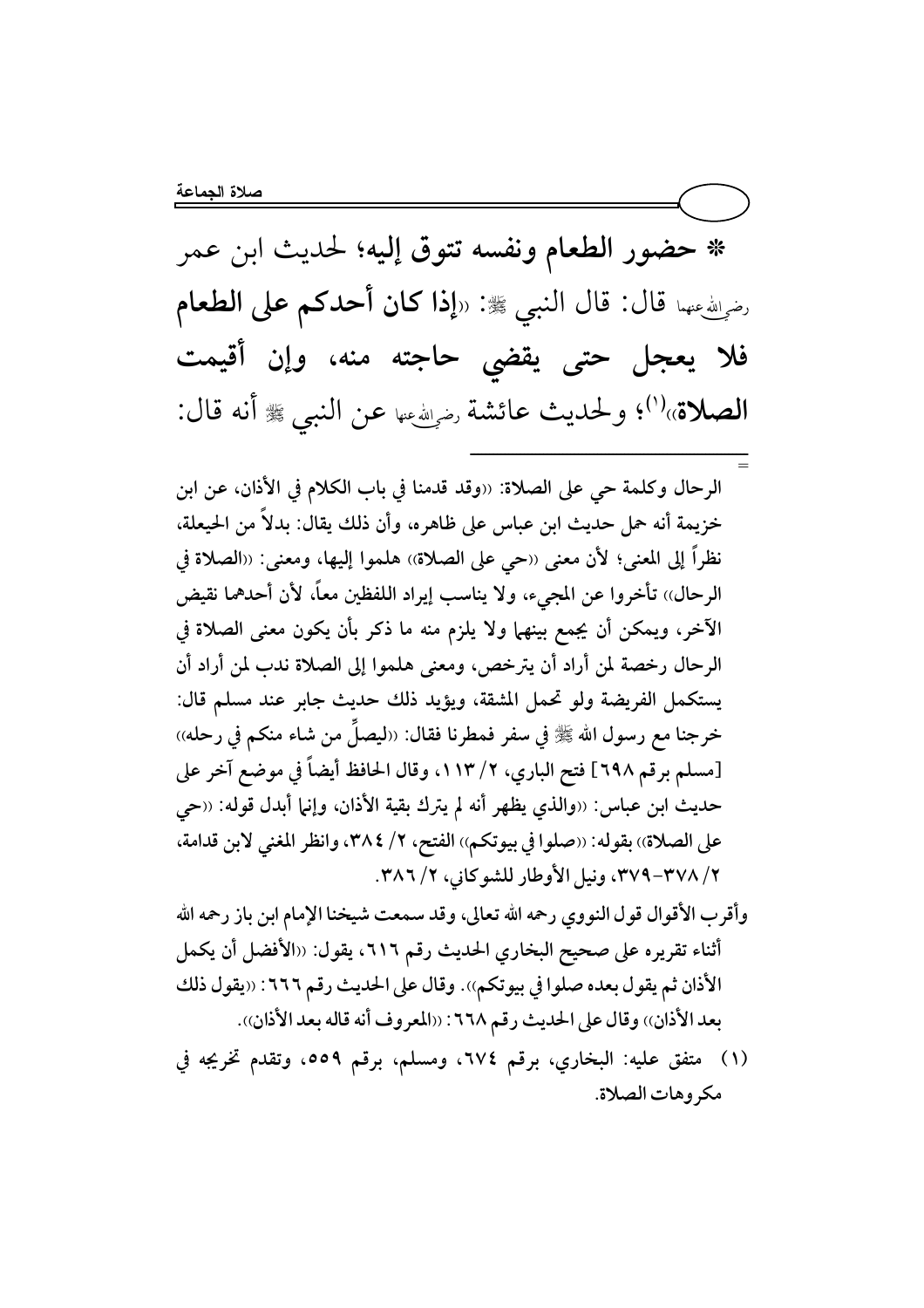\* حضور الطعام ونفسه تتوق إليه؛ لحديث ابن عمر رضيالله عنهما قال: قال النبي ﷺ: «**إذا كان أحدكم على الطعام** فلا يعجل حتى يقضى حاجته منه، وإن أقيمت الصلاة»<sup>(١)</sup>؛ ولحديث عائشة رضي في عن النبي ﷺ أنه قال:

الرحال وكلمة حي على الصلاة: ((وقد قدمنا في باب الكلام في الأذان، عن ابن خزيمة أنه حمل حديث ابن عباس على ظاهره، وأن ذلك يقال: بدلاً من الحيعلة، نظراً إلى المعنى؛ لأن معنى ‹‹حي على الصلاة›› هلموا إليها، ومعنى: ‹‹الصلاة في الرحال)) تأخروا عن المجيء، ولا يناسب إيراد اللفظين معاً، لأن أحدهما نقيض الآخر، ويمكن أن يجمع بينهما ولا يلزم منه ما ذكر بأن يكون معنى الصلاة في الرحال رخصة لمن أراد أن يترخص، ومعنى هلموا إلى الصلاة ندب لمن أراد أن يستكمل الفريضة ولو تحمل المشقة، ويؤيد ذلك حديث جابر عند مسلم قال: خرجنا مع رسول الله ﷺ في سفر فمطرنا فقال: «ليصلِّ من شاء منكم في رحله» [مسلم برقم ٦٩٨] فتح الباري، ٢/ ١١٣، وقال الحافظ أيضاً في موضع آخر على حديث ابن عباس: ‹‹والذي يظهر أنه لم يترك بقية الأذان، وإنما أبدل قوله: ‹‹حى على الصلاة)) بقوله: ((صلوا في بيوتكم)) الفتح، ٢/ ٣٨٤، وانظر المغنى لابن قدامة، ٢/ ٣٧٨-٣٧٩، ونيل الأوطار للشوكاني، ٢/ ٣٨٦.

- وأقرب الأقوال قول النووي رحمه الله تعالى، وقد سمعت شيخنا الإمام ابن باز رحمه الله أثناء تقريره على صحيح البخاري الحديث رقم ٦١٦، يقول: «الأفضل أن يكمل الأذان ثم يقول بعده صلوا في بيوتكم)). وقال على الحديث رقم ٦٦٦: ((يقول ذلك بعد الأذان)) وقال على الحديث رقم ٦٦٨: ((المعروف أنه قاله بعد الأذان)).
- (١) متفق عليه: البخاري، برقم ٢٧٤، ومسلم، برقم ٥٥٩، وتقدم تخريجه في مكروهات الصلاة.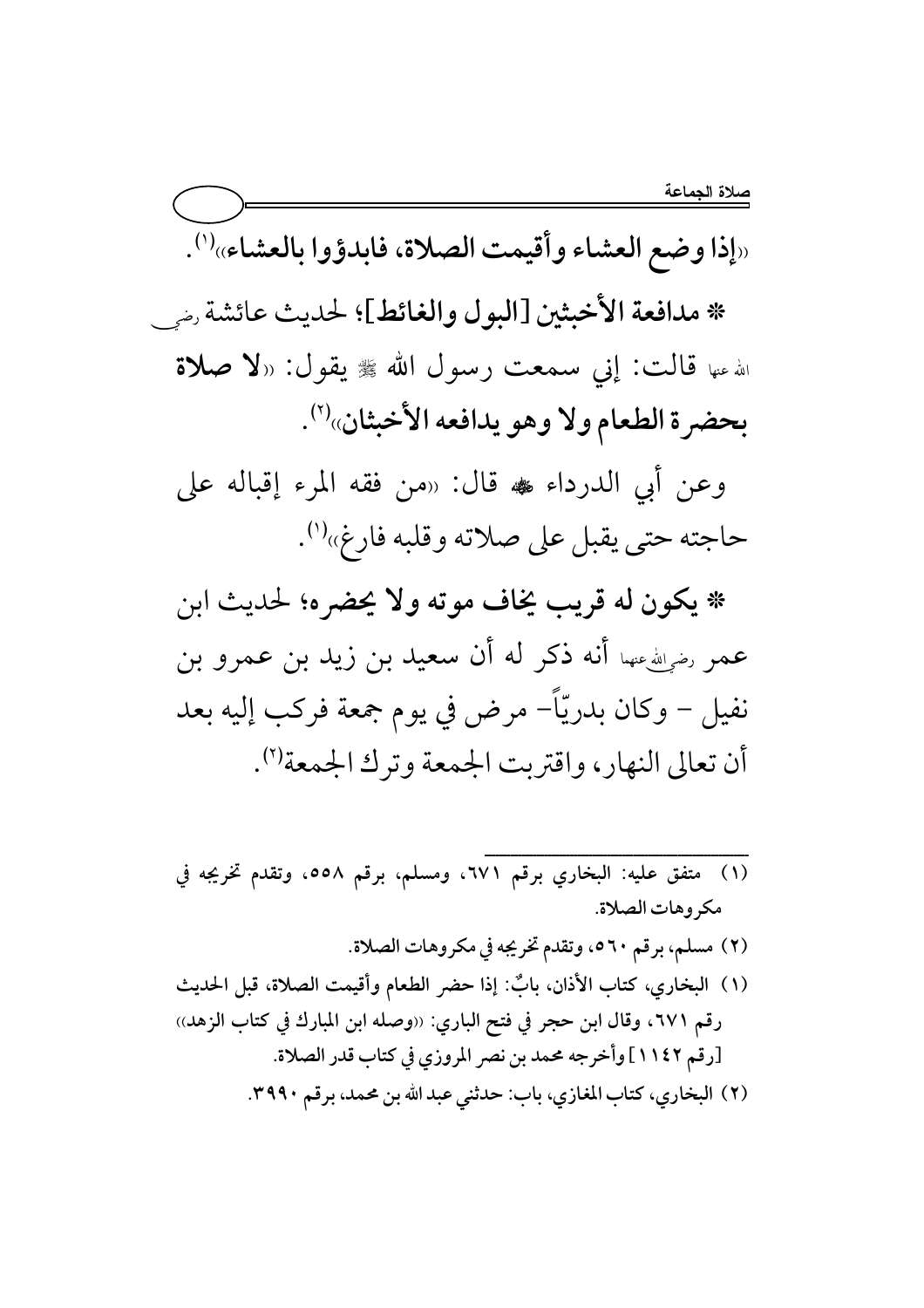«إذا وضع العشاء وأقيمت الصلاة، فابدؤوا بالعشاء»(1).

\* مدافعة الأخبثين [البول والغائط]؛ لحديث عائشة رضي

الله عنها قالت: إني سمعت رسول الله ﷺ يقول: «لا صلاة بحضرة الطعام ولا وهو يدافعه الأخبثان»<sup>(٢)</sup>.

وعن أبي الدرداء ، قال: «من فقه المرء إقباله على حاجته حتى يقبل على صلاته وقلبه فارغ»<sup>(۱)</sup>.

\* يكون له قريب يخاف موته ولا يحضره؛ لحديث ابن عمر رضوالله عنهما أنه ذكر له أن سعيد بن زيد بن عمرو بن نفيل – وكان بدريّاً– مرض في يوم جمعة فركب إليه بعد أن تعالى النهار، واقتربت الجمعة وترك الجمعة").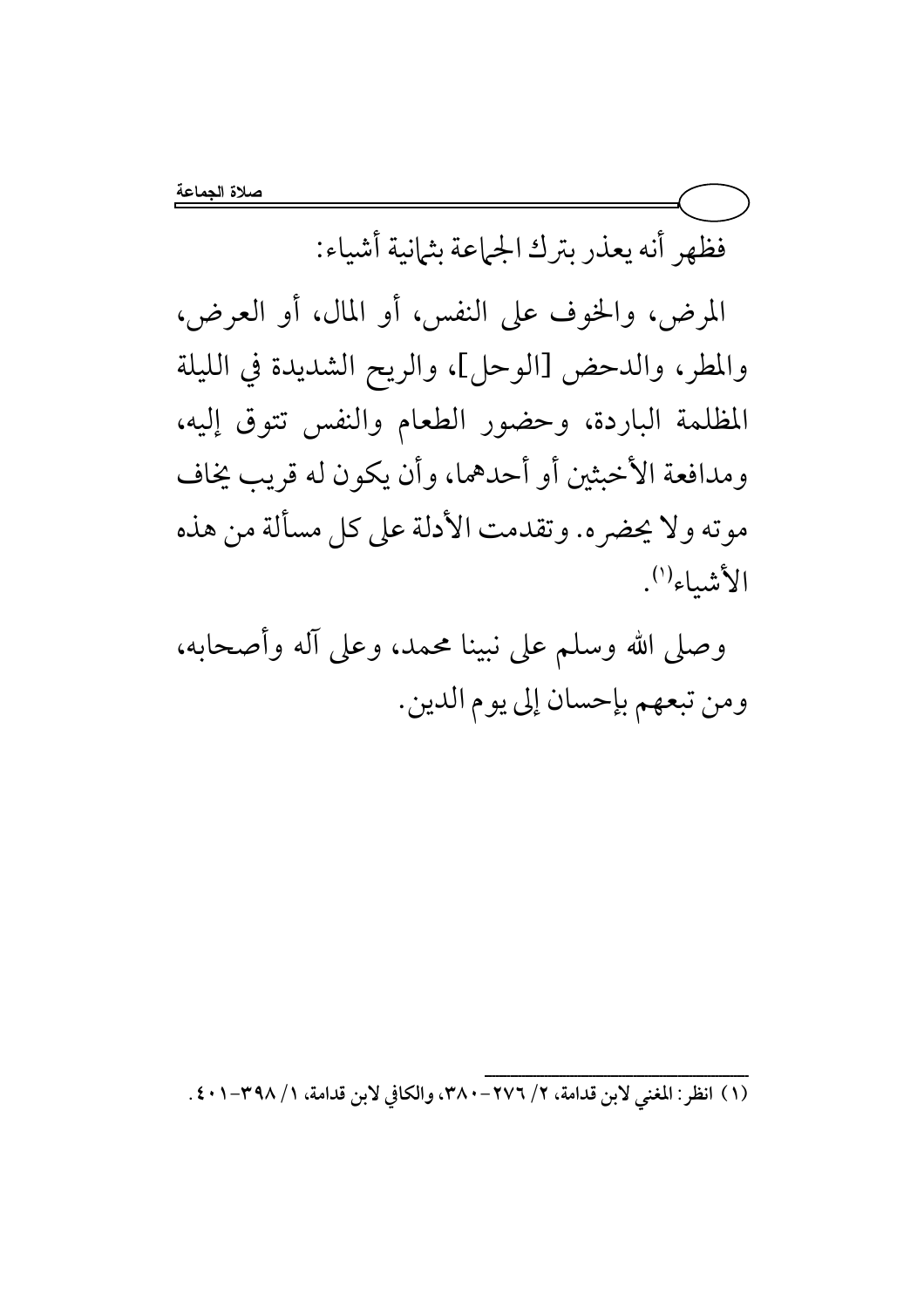فظهر أنه يعذر بترك الجماعة بثمانية أشياء:

المرض، والخوف على النفس، أو المال، أو العرض، والمطر، والدحض [الوحل]، والريح الشديدة في الليلة المظلمة الباردة، وحضور الطعام والنفس تتوق إليه، ومدافعة الأخبثين أو أحدهما، وأن يكون له قريب يخاف موته ولا يحضر ه. وتقدمت الأدلة على كل مسألة من هذه الأثنيباء<sup>(١)</sup>.

وصلى الله وسلم على نبينا محمد، وعلى آله وأصحابه، ومن تبعهم بإحسان إلى يوم الدين.

(١) انظر : المغنى لابن قدامة، ٢/ ٢٧٦- ٣٨٠، والكافي لابن قدامة، ١/ ٣٩٨-٢٠١ .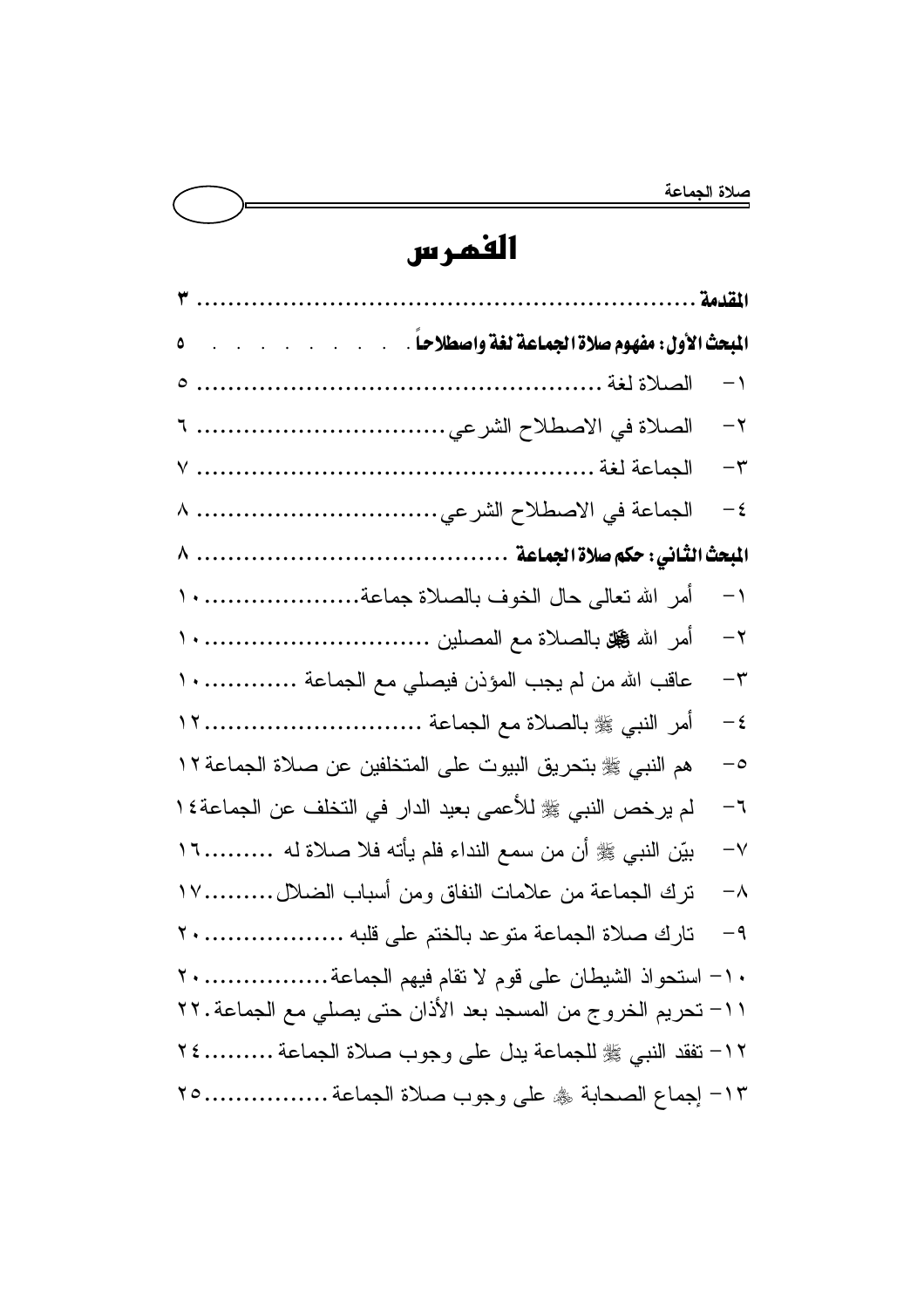## الفمرس

|                                                              | $\mathbf{-}$ |
|--------------------------------------------------------------|--------------|
|                                                              | $-\tau$      |
|                                                              | $-\tau$      |
| الجماعة في الاصطلاح الشرعي ٨                                 | $-\xi$       |
|                                                              |              |
|                                                              | $-1$         |
|                                                              | $-\tau$      |
| عاقب الله من لم يجب المؤذن فيصلي مع الجماعة  ١٠              | $-\tau$      |
|                                                              | $-\xi$       |
| هم النبي ﷺ بتحريق البيوت على المتخلفين عن صلاة الجماعة ١٢    | $-\circ$     |
| لم يرخص النبي ﷺ للأعمى بعيد الدار في التخلف عن الجماعة٤١     | $-7$         |
| بيّن النبي ﷺ أن من سمع النداء فلم يأته فلا صلاة له ١٦        | $-\vee$      |
| نزك الجماعة من علامات النفاق ومن أسباب الضلال١٧              | $-\lambda$   |
|                                                              | $-9$         |
| - استحواذ الشيطان على قوم لا نقام فيهم الجماعة               | $- \wedge$   |
| ١١- تحريم الخروج من المسجد بعد الأذان حتى يصلي مع الجماعة.٢٢ |              |
| ١٢- تفقد النبي ﷺ للجماعة يدل على وجوب صلاة الجماعة ٢٤        |              |
| ١٣- إجماع الصحابة ۞ على وجوب صلاة الجماعة ٢٥                 |              |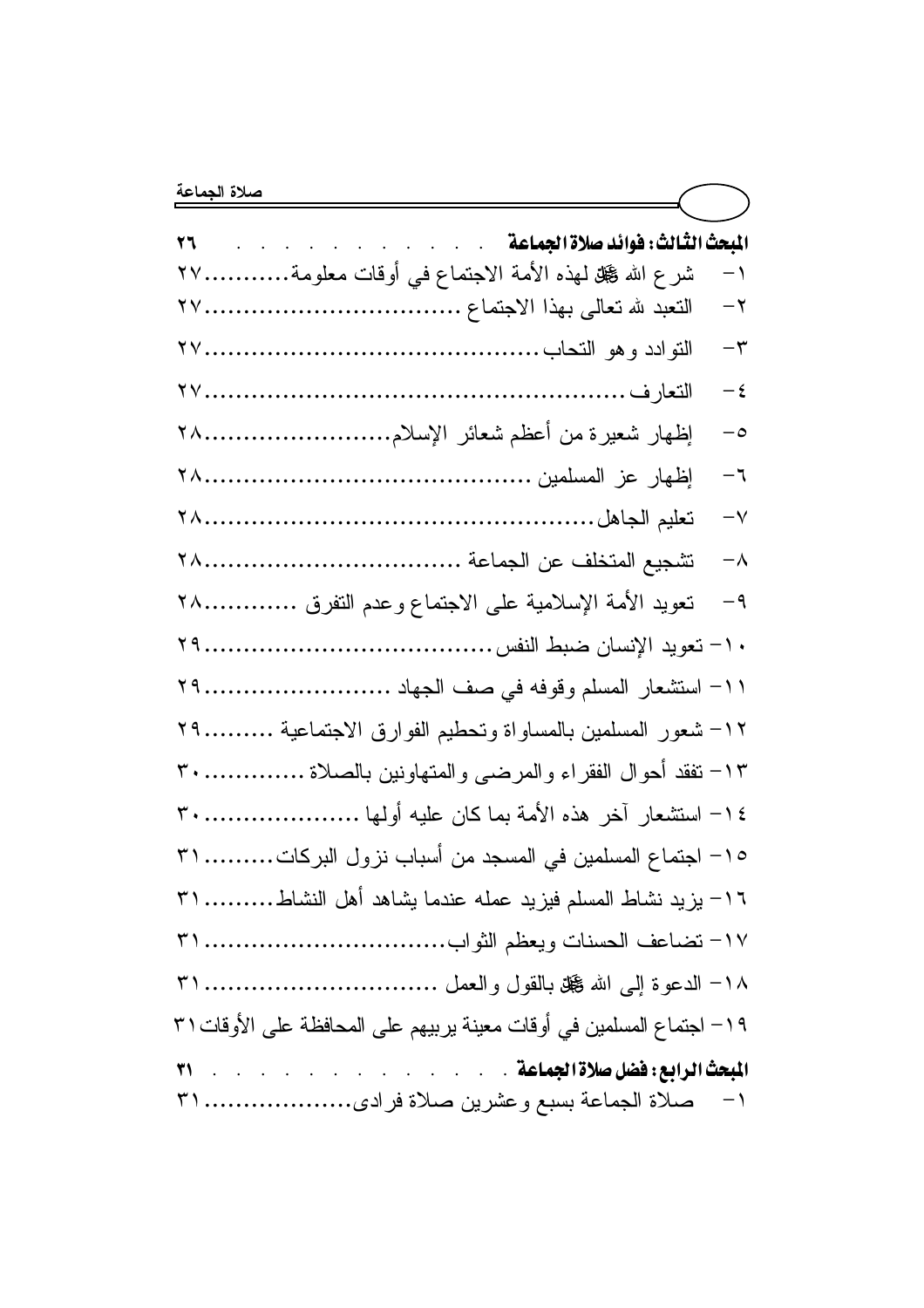| المبحث الثالث: فوائد صلاة الجماعة<br>27                                |               |
|------------------------------------------------------------------------|---------------|
| شرع الله عجل للهذه الأمة الاجتماع في أوقات معلومة٢٧                    | $\rightarrow$ |
| النعبد لله نعالى بهذا الاجتماع .                                       | $-\tau$       |
|                                                                        | $-\tau$       |
|                                                                        | $-\xi$        |
| إظهار شعيرة من أعظم شعائر الإسلام٢٨                                    | $-\circ$      |
|                                                                        | $-7$          |
|                                                                        | $-\vee$       |
|                                                                        | $-\lambda$    |
| نعويد الأمة الإسلامية على الاجتماع وعدم النفرق<br><b>TA</b>            | $-9$          |
|                                                                        |               |
|                                                                        |               |
| ١٢– شعور المسلمين بالمساواة ونحطيم الفوارق الاجتماعية<br>$Y$ 9         |               |
| ١٣- تفقد أحوال الفقراء والمرضى والمتهاونين بالصلاة<br>r                |               |
|                                                                        |               |
| ١٥– اجتماع المسلمين في المسجد من أسباب نزول البركات ٣١                 |               |
| ١٦- يزيد نشاط المسلم فيزيد عمله عندما يشاهد أهل النشاط ٣١              |               |
|                                                                        |               |
|                                                                        |               |
| 19 – اجتماع المسلمين في أوقات معينة يربيهم على المحافظة على الأوقات ٣١ |               |
|                                                                        |               |
|                                                                        |               |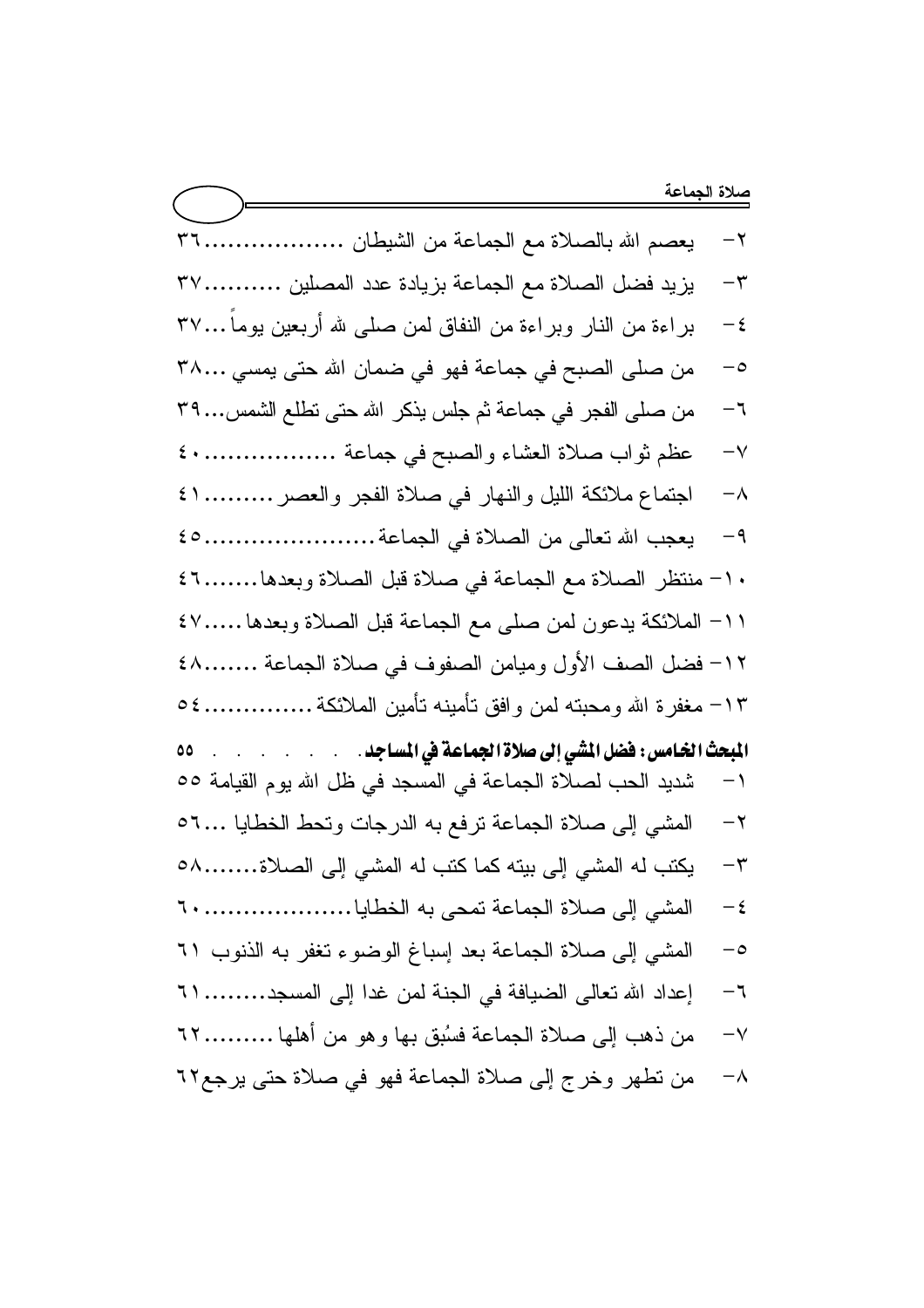يعصم الله بالصلاة مع الجماعة من الشيطان ...................... ٣٦  $-\tau$ يزيد فضل الصلاة مع الجماعة بزيادة عدد المصلين .............٣٧  $-\tau$ براءة من النار وبراءة من النفاق لمن صلى لله أربعين يوماً...٣٧  $-\xi$ من صلى الصبح في جماعة فهو في ضمان الله حتى يمسى ٣٨...  $-\circ$ من صلى الفجر في جماعة ثم جلس يذكر الله حتى نطلع الشمس... ٣٩  $-7$ عظم ثواب صلاة العشاء والصبح في جماعة ................... ٤٠  $-\vee$ اجتماع ملائكة الليل والنهار في صلاة الفجر والعصر .......... ١ ٤  $-\lambda$ يعجب الله تعالى من الصلاة في الجماعة ....................... ٤٥  $-9$ ١٠- منتظر الصلاة مع الجماعة في صلاة قبل الصلاة وبعدها.......٢١ ١١- الملائكة يدعون لمن صلى مع الجماعة قبل الصلاة وبعدها .....٤٧ ١٢- فضل الصف الأول وميامن الصفوف في صلاة الجماعة ........٤٨ ١٣– مغفرة الله ومحبته لمن و افق تأمينه تأمين الملائكة ............... ٥٤ ۵۵ شديد الحب لصلاة الجماعة في المسجد في ظل الله يوم القيامة ٥٥  $-1$ المشي إلى صلاة الجماعة نرفع به الدرجات وتحط الخطايا ...٦٥  $-\tau$ بكتب له المشى إلى بيته كما كتب له المشى إلى الصلاة........٥٨  $-\tau$  $-\xi$ المشي إلى صلاة الجماعة بعد إسباغ الوضوء تغفر به الذنوب ٦١  $-\circ$ إعداد الله تعالى الضبافة في الجنة لمن غدا إلى المسجد......... ٢١  $-7$ من ذهب إلى صلاة الجماعة فسُبق بها وهو من أهلها .........٢٢  $-\vee$ من نطهر وخرج إلى صلاة الجماعة فهو في صلاة حتى يرجع٢٢  $-\lambda$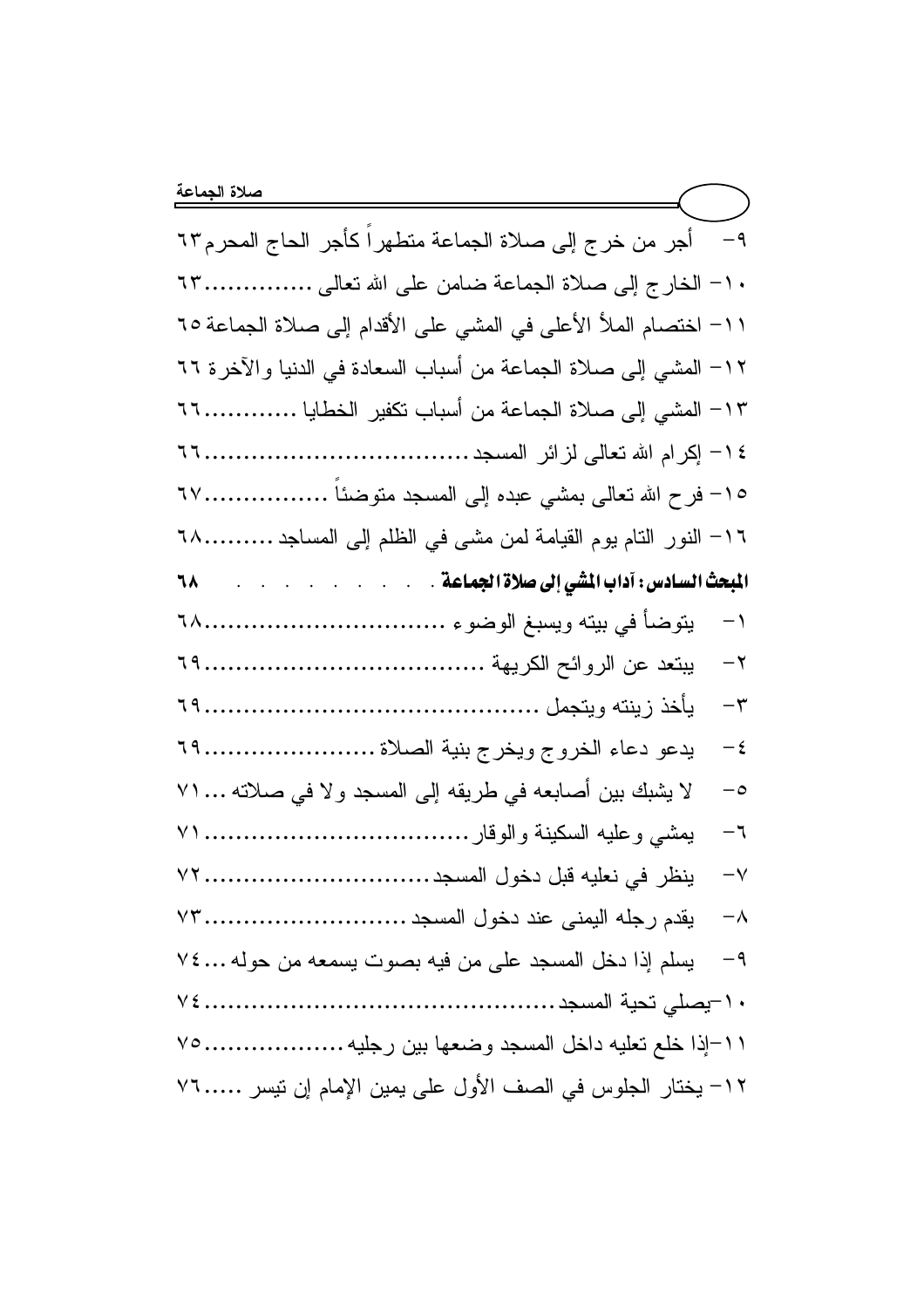1١- اختصام الملأ الأعلى في المشي على الأقدام إلى صلاة الجماعة ٦٥ ١٢– المشي إلى صلاة الجماعة من أسباب السعادة في الدنيا والآخرة ٦٦ ١٣– المشى إلى صلاة الجماعة من أسباب نكفير الخطايا .................... ١٦- النور النام يوم القيامة لمن مشي في الظلم إلى المساجد .........٦٨ ٦٨  $-1$  $-{\bf r}$  $-\epsilon$ لا يشبك بين أصابعه في طريقه إلى المسجد ولا في صلاته ... ٧١  $-\circ$  $-7$  $-\vee$  $-\lambda$ يسلم إذا دخل المسجد على من فيه بصوت يسمعه من حوله ٢٤... ٢٤  $-9$ ٠١٦[ذا خلع تعليه داخل المسجد وضعها بين رجليه ...................... ٧٥ ١٢– يختار الجلوس في الصف الأول على يمين الإمام إن نيسر ٧٦..... ٧٦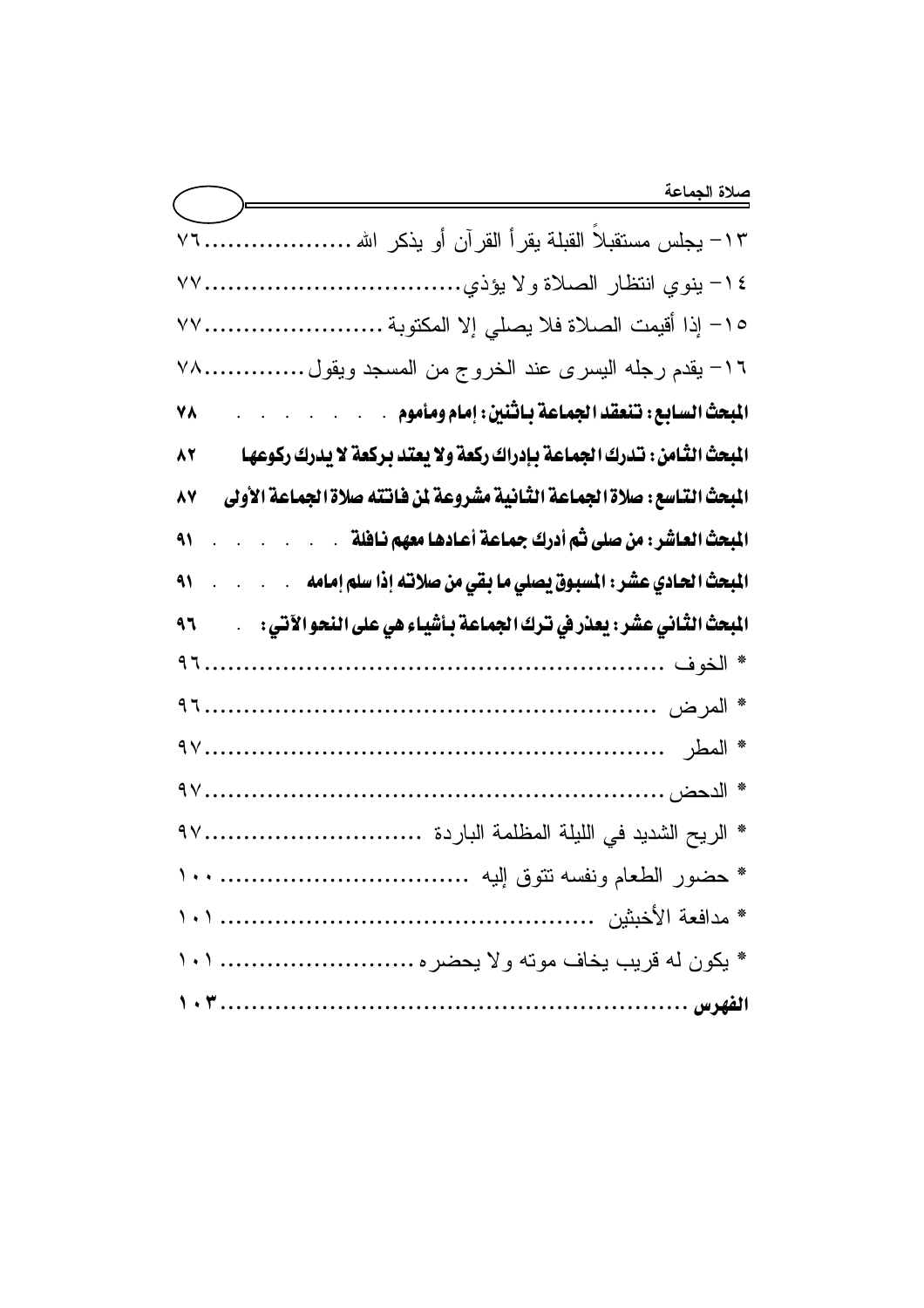| ١٣– يجلس مستقبلاً القبلة يقرأ القرآن أو يذكر الله                                                                                        |
|------------------------------------------------------------------------------------------------------------------------------------------|
|                                                                                                                                          |
| ١٥– إذا أقيمت الصلاة فلا يصلي إلا المكتوبة ٧٧                                                                                            |
| ١٦- يقدم رجله اليسرى عند الخروج من المسجد ويقول ٧٨                                                                                       |
| المبحث السابع: تنعقد الجماعة باثنين: إمام ومأموم<br>٧٨                                                                                   |
| المبحث الثَّامن : تـْدرك الجماعة بـإدراك ركعة ولا يعتد بـركعة لا يدرك ركوعهـا<br>82                                                      |
| المبحث التـاسع : صلاة الجماعة الثـانية مشروعة لمن فـانته صلاة الجماعة الأولى<br>87                                                       |
| المبحث العاشر : من صلى ثم أدرك جماعة أعادها معهم نافلة" .<br>۹١                                                                          |
| المبحث الحـادي عشر : المسبوق يصلي ما بقي من صلاتـه إذا سلم إمـامه __.<br>۹۱<br>$\mathcal{A}^{\mathcal{A}}$ , $\mathcal{A}^{\mathcal{A}}$ |
| المبحث الثَّاني عشَر : يعذر في ترك الجماعة بـأشياء هي على النحو الآتي :<br>٩٦                                                            |
|                                                                                                                                          |
|                                                                                                                                          |
|                                                                                                                                          |
|                                                                                                                                          |
|                                                                                                                                          |
|                                                                                                                                          |
|                                                                                                                                          |
| * يكون له قريب يخاف موته ولا يحضره  ١٠١                                                                                                  |
|                                                                                                                                          |